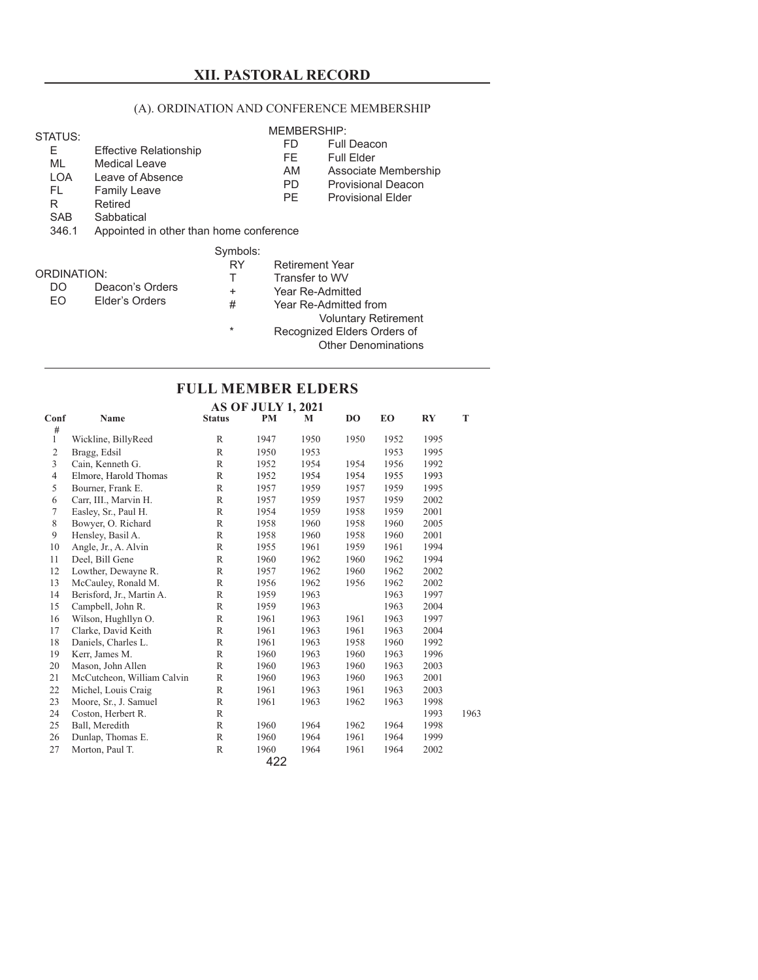# **XII. PASTORAL RECORD**

## (A). ORDINATION AND CONFERENCE MEMBERSHIP

#### STATUS: E Effective Relationship ML Medical Leave LOA Leave of Absence FL Family Leave R<br>
Retired<br>
SAR<br>
Sabhati **Sabbatical**  346.1 Appointed in other than home conference MEMBERSHIP: FD Full Deacon FE Full Elder<br>AM Associate Associate Membership PD Provisional Deacon<br>PE Provisional Elder Provisional Elder Symbols:

|                    |                 | RY     | <b>Retirement Year</b>      |
|--------------------|-----------------|--------|-----------------------------|
| <b>ORDINATION:</b> |                 |        | Transfer to WV              |
| DO                 | Deacon's Orders | ÷      | Year Re-Admitted            |
| FO.                | Elder's Orders  | #      | Year Re-Admitted from       |
|                    |                 |        | <b>Voluntary Retirement</b> |
|                    |                 | $\ast$ | Recognized Elders Orders of |
|                    |                 |        | <b>Other Denominations</b>  |

# **FULL MEMBER ELDERS**

**AS OF JULY 1, 2021**

| Conf           | Name                       | <b>Status</b> | PM   | M    | DO   | EO   | RY   | T    |
|----------------|----------------------------|---------------|------|------|------|------|------|------|
| #<br>1         | Wickline, BillyReed        | R             | 1947 | 1950 | 1950 | 1952 | 1995 |      |
| $\overline{2}$ | Bragg, Edsil               | R             | 1950 | 1953 |      | 1953 | 1995 |      |
| $\overline{3}$ | Cain, Kenneth G.           | R             | 1952 | 1954 | 1954 | 1956 | 1992 |      |
| 4              | Elmore, Harold Thomas      | R             | 1952 | 1954 | 1954 | 1955 | 1993 |      |
| 5              | Bourner, Frank E.          | R             | 1957 | 1959 | 1957 | 1959 | 1995 |      |
| 6              | Carr, III., Marvin H.      | R             | 1957 | 1959 | 1957 | 1959 | 2002 |      |
| $\tau$         | Easley, Sr., Paul H.       | $\mathbb R$   | 1954 | 1959 | 1958 | 1959 | 2001 |      |
| 8              | Bowyer, O. Richard         | R             | 1958 | 1960 | 1958 | 1960 | 2005 |      |
| 9              | Hensley, Basil A.          | R             | 1958 | 1960 | 1958 | 1960 | 2001 |      |
| 10             | Angle, Jr., A. Alvin       | R             | 1955 | 1961 | 1959 | 1961 | 1994 |      |
| 11             | Deel, Bill Gene            | $\mathbb R$   | 1960 | 1962 | 1960 | 1962 | 1994 |      |
| 12             | Lowther, Dewayne R.        | R             | 1957 | 1962 | 1960 | 1962 | 2002 |      |
| 13             | McCauley, Ronald M.        | $\mathbb R$   | 1956 | 1962 | 1956 | 1962 | 2002 |      |
| 14             | Berisford, Jr., Martin A.  | R             | 1959 | 1963 |      | 1963 | 1997 |      |
| 15             | Campbell, John R.          | R             | 1959 | 1963 |      | 1963 | 2004 |      |
| 16             | Wilson, Hughllyn O.        | R             | 1961 | 1963 | 1961 | 1963 | 1997 |      |
| 17             | Clarke, David Keith        | $\mathbb R$   | 1961 | 1963 | 1961 | 1963 | 2004 |      |
| 18             | Daniels, Charles L.        | R             | 1961 | 1963 | 1958 | 1960 | 1992 |      |
| 19             | Kerr, James M.             | $\mathbb R$   | 1960 | 1963 | 1960 | 1963 | 1996 |      |
| 20             | Mason, John Allen          | R             | 1960 | 1963 | 1960 | 1963 | 2003 |      |
| 21             | McCutcheon, William Calvin | R             | 1960 | 1963 | 1960 | 1963 | 2001 |      |
| 22             | Michel, Louis Craig        | R             | 1961 | 1963 | 1961 | 1963 | 2003 |      |
| 23             | Moore, Sr., J. Samuel      | R             | 1961 | 1963 | 1962 | 1963 | 1998 |      |
| 24             | Coston, Herbert R.         | R             |      |      |      |      | 1993 | 1963 |
| 25             | Ball, Meredith             | R             | 1960 | 1964 | 1962 | 1964 | 1998 |      |
| 26             | Dunlap, Thomas E.          | $\mathbb{R}$  | 1960 | 1964 | 1961 | 1964 | 1999 |      |
| 27             | Morton, Paul T.            | R             | 1960 | 1964 | 1961 | 1964 | 2002 |      |
|                |                            |               | 422  |      |      |      |      |      |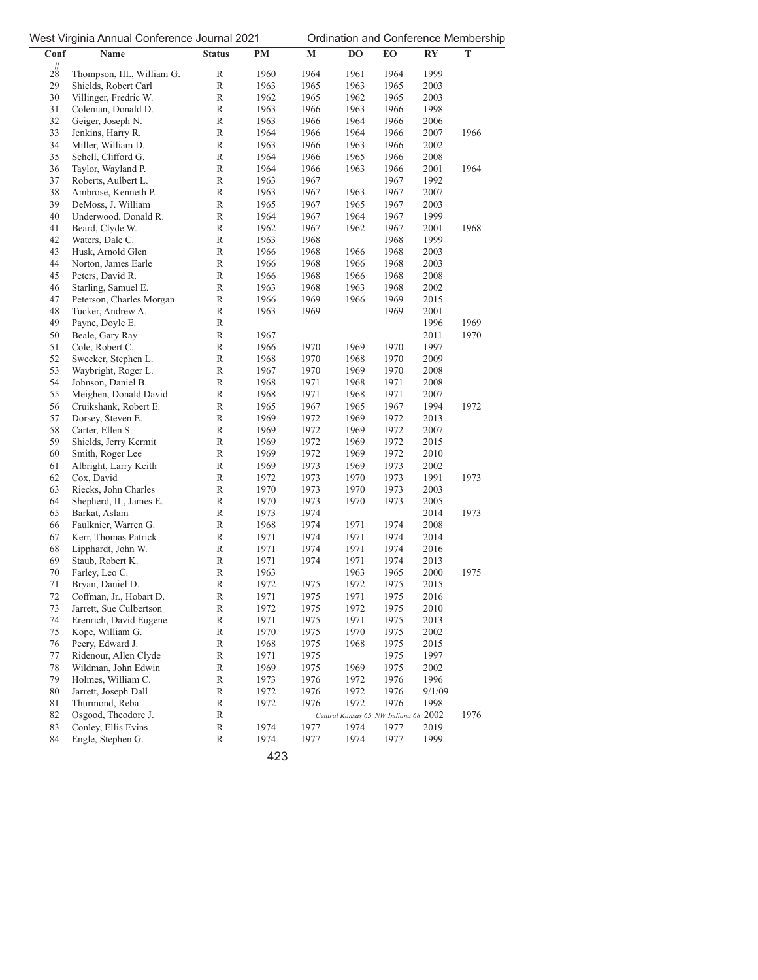| Conf        | ັ<br>Name                                | <b>Status</b>    | $PM$         | $\mathbf M$  | DO                                   | EO           | $\mathbf{R}\mathbf{Y}$ | T    |
|-------------|------------------------------------------|------------------|--------------|--------------|--------------------------------------|--------------|------------------------|------|
| $2^{#}_{8}$ |                                          |                  |              |              |                                      |              |                        |      |
|             | Thompson, III., William G.               | R                | 1960         | 1964         | 1961                                 | 1964         | 1999                   |      |
| 29          | Shields, Robert Carl                     | R                | 1963         | 1965         | 1963                                 | 1965         | 2003                   |      |
| 30          | Villinger, Fredric W.                    | R                | 1962         | 1965         | 1962                                 | 1965         | 2003                   |      |
| 31<br>32    | Coleman, Donald D.                       | R                | 1963         | 1966         | 1963                                 | 1966         | 1998                   |      |
| 33          | Geiger, Joseph N.<br>Jenkins, Harry R.   | R<br>$\mathbb R$ | 1963<br>1964 | 1966<br>1966 | 1964<br>1964                         | 1966<br>1966 | 2006<br>2007           | 1966 |
| 34          | Miller, William D.                       | $\mathbb R$      | 1963         | 1966         | 1963                                 | 1966         | 2002                   |      |
| 35          | Schell, Clifford G.                      | R                | 1964         | 1966         | 1965                                 | 1966         | 2008                   |      |
| 36          | Taylor, Wayland P.                       | $\mathbb R$      | 1964         | 1966         | 1963                                 | 1966         | 2001                   | 1964 |
| 37          | Roberts, Aulbert L.                      | R                | 1963         | 1967         |                                      | 1967         | 1992                   |      |
| 38          | Ambrose, Kenneth P.                      | $\mathbb R$      | 1963         | 1967         | 1963                                 | 1967         | 2007                   |      |
| 39          | DeMoss, J. William                       | $\mathbb R$      | 1965         | 1967         | 1965                                 | 1967         | 2003                   |      |
| 40          | Underwood, Donald R.                     | $\mathbb R$      | 1964         | 1967         | 1964                                 | 1967         | 1999                   |      |
| 41          | Beard, Clyde W.                          | $\mathbb R$      | 1962         | 1967         | 1962                                 | 1967         | 2001                   | 1968 |
| 42          | Waters, Dale C.                          | R                | 1963         | 1968         |                                      | 1968         | 1999                   |      |
| 43          | Husk, Arnold Glen                        | $\mathbb R$      | 1966         | 1968         | 1966                                 | 1968         | 2003                   |      |
| 44          | Norton, James Earle                      | $\mathbb R$      | 1966         | 1968         | 1966                                 | 1968         | 2003                   |      |
| 45          | Peters, David R.                         | R                | 1966         | 1968         | 1966                                 | 1968         | 2008                   |      |
| 46          | Starling, Samuel E.                      | R                | 1963         | 1968         | 1963                                 | 1968         | 2002                   |      |
| 47          | Peterson, Charles Morgan                 | $\mathbb R$      | 1966         | 1969         | 1966                                 | 1969         | 2015                   |      |
| 48          | Tucker, Andrew A.                        | $\mathbb R$      | 1963         | 1969         |                                      | 1969         | 2001                   |      |
| 49          | Payne, Doyle E.                          | $\mathbb R$      |              |              |                                      |              | 1996                   | 1969 |
| 50          | Beale, Gary Ray                          | $\mathbb R$      | 1967         |              |                                      |              | 2011                   | 1970 |
| 51          | Cole, Robert C.                          | $\mathbb R$      | 1966         | 1970         | 1969                                 | 1970         | 1997                   |      |
| 52          | Swecker, Stephen L.                      | R                | 1968         | 1970         | 1968                                 | 1970         | 2009                   |      |
| 53          | Waybright, Roger L.                      | $\mathbb R$      | 1967         | 1970         | 1969                                 | 1970         | 2008                   |      |
| 54          | Johnson, Daniel B.                       | $\mathbb R$      | 1968         | 1971         | 1968                                 | 1971         | 2008                   |      |
| 55          | Meighen, Donald David                    | $\mathbb R$      | 1968         | 1971         | 1968                                 | 1971         | 2007                   |      |
| 56          | Cruikshank, Robert E.                    | $\mathbb R$      | 1965         | 1967         | 1965                                 | 1967         | 1994                   | 1972 |
| 57          | Dorsey, Steven E.                        | R                | 1969         | 1972         | 1969                                 | 1972         | 2013                   |      |
| 58          | Carter, Ellen S.                         | $\mathbb R$      | 1969         | 1972         | 1969                                 | 1972         | 2007                   |      |
| 59          | Shields, Jerry Kermit                    | $\mathbb R$      | 1969         | 1972         | 1969                                 | 1972         | 2015                   |      |
| 60          | Smith, Roger Lee                         | $\mathbb R$      | 1969         | 1972         | 1969                                 | 1972         | 2010                   |      |
| 61          | Albright, Larry Keith                    | R                | 1969         | 1973         | 1969                                 | 1973         | 2002                   |      |
| 62          | Cox, David                               | R                | 1972         | 1973         | 1970                                 | 1973         | 1991                   | 1973 |
| 63          | Riecks, John Charles                     | $\mathbb R$      | 1970         | 1973         | 1970                                 | 1973         | 2003                   |      |
| 64<br>65    | Shepherd, II., James E.<br>Barkat, Aslam | $\mathbb R$<br>R | 1970<br>1973 | 1973<br>1974 | 1970                                 | 1973         | 2005<br>2014           | 1973 |
| 66          | Faulknier, Warren G.                     | R                | 1968         | 1974         | 1971                                 | 1974         | 2008                   |      |
| 67          | Kerr, Thomas Patrick                     | R                | 1971         | 1974         | 1971                                 | 1974         | 2014                   |      |
| 68          | Lipphardt, John W.                       | $\mathbb R$      | 1971         | 1974         | 1971                                 | 1974         | 2016                   |      |
| 69          | Staub, Robert K.                         | $\mathbb R$      | 1971         | 1974         | 1971                                 | 1974         | 2013                   |      |
| 70          | Farley, Leo C.                           | R                | 1963         |              | 1963                                 | 1965         | 2000                   | 1975 |
| 71          | Bryan, Daniel D.                         | $\, {\bf R}$     | 1972         | 1975         | 1972                                 | 1975         | 2015                   |      |
| 72          | Coffman, Jr., Hobart D.                  | R                | 1971         | 1975         | 1971                                 | 1975         | 2016                   |      |
| 73          | Jarrett, Sue Culbertson                  | R                | 1972         | 1975         | 1972                                 | 1975         | 2010                   |      |
| 74          | Erenrich, David Eugene                   | $\mathbb R$      | 1971         | 1975         | 1971                                 | 1975         | 2013                   |      |
| 75          | Kope, William G.                         | R                | 1970         | 1975         | 1970                                 | 1975         | 2002                   |      |
| 76          | Peery, Edward J.                         | $\mathbb R$      | 1968         | 1975         | 1968                                 | 1975         | 2015                   |      |
| $77 \,$     | Ridenour, Allen Clyde                    | $\mathbb R$      | 1971         | 1975         |                                      | 1975         | 1997                   |      |
| 78          | Wildman, John Edwin                      | R                | 1969         | 1975         | 1969                                 | 1975         | 2002                   |      |
| 79          | Holmes, William C.                       | R                | 1973         | 1976         | 1972                                 | 1976         | 1996                   |      |
| 80          | Jarrett, Joseph Dall                     | R                | 1972         | 1976         | 1972                                 | 1976         | 9/1/09                 |      |
| 81          | Thurmond, Reba                           | $\mathbb R$      | 1972         | 1976         | 1972                                 | 1976         | 1998                   |      |
| 82          | Osgood, Theodore J.                      | R                |              |              | Central Kansas 65 NW Indiana 68 2002 |              |                        | 1976 |
| 83          | Conley, Ellis Evins                      | R                | 1974         | 1977         | 1974                                 | 1977         | 2019                   |      |
| 84          | Engle, Stephen G.                        | R                | 1974         | 1977         | 1974                                 | 1977         | 1999                   |      |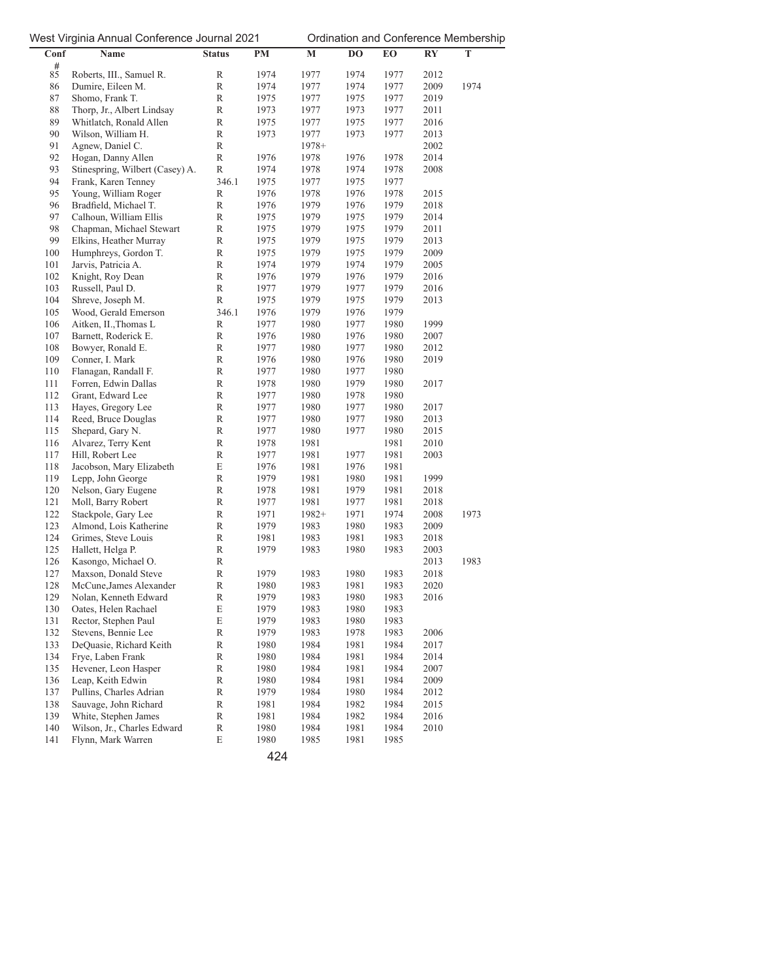| Conf    | Name                            | <b>Status</b> | PM   | $\mathbf M$ | DO   | EО   | $\mathbf{R}\mathbf{Y}$ | T    |
|---------|---------------------------------|---------------|------|-------------|------|------|------------------------|------|
| #       |                                 |               |      |             |      |      |                        |      |
| 85      | Roberts, III., Samuel R.        | R             | 1974 | 1977        | 1974 | 1977 | 2012                   |      |
| 86      | Dumire, Eileen M.               | $\mathbb R$   | 1974 | 1977        | 1974 | 1977 | 2009                   | 1974 |
| 87      | Shomo, Frank T.                 | R             | 1975 | 1977        | 1975 | 1977 | 2019                   |      |
| 88      | Thorp, Jr., Albert Lindsay      | R             | 1973 | 1977        | 1973 | 1977 | 2011                   |      |
| 89      | Whitlatch, Ronald Allen         | $\mathbb R$   | 1975 | 1977        | 1975 | 1977 | 2016                   |      |
| 90      | Wilson, William H.              | $\mathbb R$   | 1973 | 1977        | 1973 | 1977 | 2013                   |      |
| 91      | Agnew, Daniel C.                | R             |      | $1978+$     |      |      | 2002                   |      |
| 92      | Hogan, Danny Allen              | $\mathbb R$   | 1976 | 1978        | 1976 | 1978 | 2014                   |      |
| 93      | Stinespring, Wilbert (Casey) A. | $\mathbb R$   | 1974 | 1978        | 1974 | 1978 | 2008                   |      |
| 94      | Frank, Karen Tenney             | 346.1         | 1975 | 1977        | 1975 | 1977 |                        |      |
| 95      | Young, William Roger            | $\mathbb R$   | 1976 | 1978        | 1976 | 1978 | 2015                   |      |
| 96      | Bradfield, Michael T.           | R             | 1976 | 1979        | 1976 | 1979 | 2018                   |      |
| 97      | Calhoun, William Ellis          | R             | 1975 | 1979        | 1975 | 1979 | 2014                   |      |
| 98      | Chapman, Michael Stewart        | R             | 1975 | 1979        | 1975 | 1979 | 2011                   |      |
| 99      | Elkins, Heather Murray          | $\mathbb R$   | 1975 | 1979        | 1975 | 1979 | 2013                   |      |
| 100     | Humphreys, Gordon T.            | $\mathbb R$   | 1975 | 1979        | 1975 | 1979 | 2009                   |      |
| 101     | Jarvis, Patricia A.             | R             | 1974 | 1979        | 1974 | 1979 | 2005                   |      |
| 102     | Knight, Roy Dean                | R             | 1976 | 1979        | 1976 | 1979 | 2016                   |      |
| 103     | Russell, Paul D.                | R             | 1977 | 1979        | 1977 | 1979 | 2016                   |      |
| 104     | Shreve, Joseph M.               | $\mathbb R$   | 1975 | 1979        | 1975 | 1979 | 2013                   |      |
| 105     | Wood, Gerald Emerson            | 346.1         | 1976 | 1979        | 1976 | 1979 |                        |      |
| 106     | Aitken, II., Thomas L           | $\mathbb R$   | 1977 | 1980        | 1977 | 1980 | 1999                   |      |
| 107     | Barnett, Roderick E.            | R             | 1976 | 1980        | 1976 | 1980 | 2007                   |      |
| 108     | Bowyer, Ronald E.               | R             | 1977 | 1980        | 1977 | 1980 | 2012                   |      |
| 109     | Conner, I. Mark                 | $\mathbb R$   | 1976 | 1980        | 1976 | 1980 | 2019                   |      |
| 110     | Flanagan, Randall F.            | $\mathbb R$   | 1977 | 1980        | 1977 | 1980 |                        |      |
| 111     | Forren, Edwin Dallas            | $\mathbb R$   | 1978 | 1980        | 1979 | 1980 | 2017                   |      |
| 112     | Grant, Edward Lee               | R             | 1977 | 1980        | 1978 | 1980 |                        |      |
| 113     | Hayes, Gregory Lee              | R             | 1977 | 1980        | 1977 | 1980 | 2017                   |      |
| 114     | Reed, Bruce Douglas             | $\mathbb R$   | 1977 | 1980        | 1977 | 1980 | 2013                   |      |
| 115     | Shepard, Gary N.                | $\mathbb R$   | 1977 | 1980        | 1977 | 1980 | 2015                   |      |
| 116     | Alvarez, Terry Kent             | $\mathbb R$   | 1978 | 1981        |      | 1981 | 2010                   |      |
| 117     | Hill, Robert Lee                | R             | 1977 | 1981        | 1977 | 1981 | 2003                   |      |
| 118     | Jacobson, Mary Elizabeth        | E             | 1976 | 1981        | 1976 | 1981 |                        |      |
| 119     | Lepp, John George               | $\mathbb R$   | 1979 | 1981        | 1980 | 1981 | 1999                   |      |
| 120     | Nelson, Gary Eugene             | $\mathbb R$   | 1978 | 1981        | 1979 | 1981 | 2018                   |      |
| 121     | Moll, Barry Robert              | $\mathbb R$   | 1977 | 1981        | 1977 | 1981 | 2018                   |      |
| 122     | Stackpole, Gary Lee             | $\mathbb R$   | 1971 | $1982+$     | 1971 | 1974 | 2008                   | 1973 |
| 123     | Almond, Lois Katherine          | R             | 1979 | 1983        | 1980 | 1983 | 2009                   |      |
| 124     | Grimes, Steve Louis             | $\mathbb R$   | 1981 | 1983        | 1981 | 1983 | 2018                   |      |
| 125     | Hallett, Helga P.               | $\mathbb R$   | 1979 | 1983        | 1980 | 1983 | 2003                   |      |
| 126     | Kasongo, Michael O.             | $\mathbb R$   |      |             |      |      | 2013                   | 1983 |
| 127     | Maxson, Donald Steve            | $\mathbb R$   | 1979 | 1983        | 1980 | 1983 | 2018                   |      |
| 128     | McCune, James Alexander         | $\mathbb R$   | 1980 | 1983        | 1981 | 1983 | 2020                   |      |
| 129     | Nolan, Kenneth Edward           | R             | 1979 | 1983        | 1980 | 1983 | 2016                   |      |
| 130     | Oates, Helen Rachael            | $\mathbf E$   | 1979 | 1983        | 1980 | 1983 |                        |      |
| 131     | Rector, Stephen Paul            | E             | 1979 | 1983        | 1980 | 1983 |                        |      |
| 132     | Stevens, Bennie Lee             | $\mathbb R$   | 1979 | 1983        | 1978 | 1983 | 2006                   |      |
| 133     | DeQuasie, Richard Keith         | $\mathbb R$   | 1980 | 1984        | 1981 | 1984 | 2017                   |      |
| 134     | Frye, Laben Frank               | R             | 1980 | 1984        | 1981 | 1984 | 2014                   |      |
| 135     | Hevener, Leon Hasper            | R             | 1980 | 1984        | 1981 | 1984 | 2007                   |      |
| 136     | Leap, Keith Edwin               | $\mathbb R$   | 1980 | 1984        | 1981 | 1984 | 2009                   |      |
| 137     | Pullins, Charles Adrian         | $\mathbb R$   | 1979 | 1984        | 1980 | 1984 | 2012                   |      |
| 138     | Sauvage, John Richard           | $\mathbb R$   | 1981 | 1984        | 1982 | 1984 | 2015                   |      |
| 139     | White, Stephen James            | R             | 1981 | 1984        | 1982 | 1984 | 2016                   |      |
| $140\,$ | Wilson, Jr., Charles Edward     | R             | 1980 | 1984        | 1981 | 1984 | 2010                   |      |
| 141     | Flynn, Mark Warren              | E             | 1980 | 1985        | 1981 | 1985 |                        |      |
|         |                                 |               |      |             |      |      |                        |      |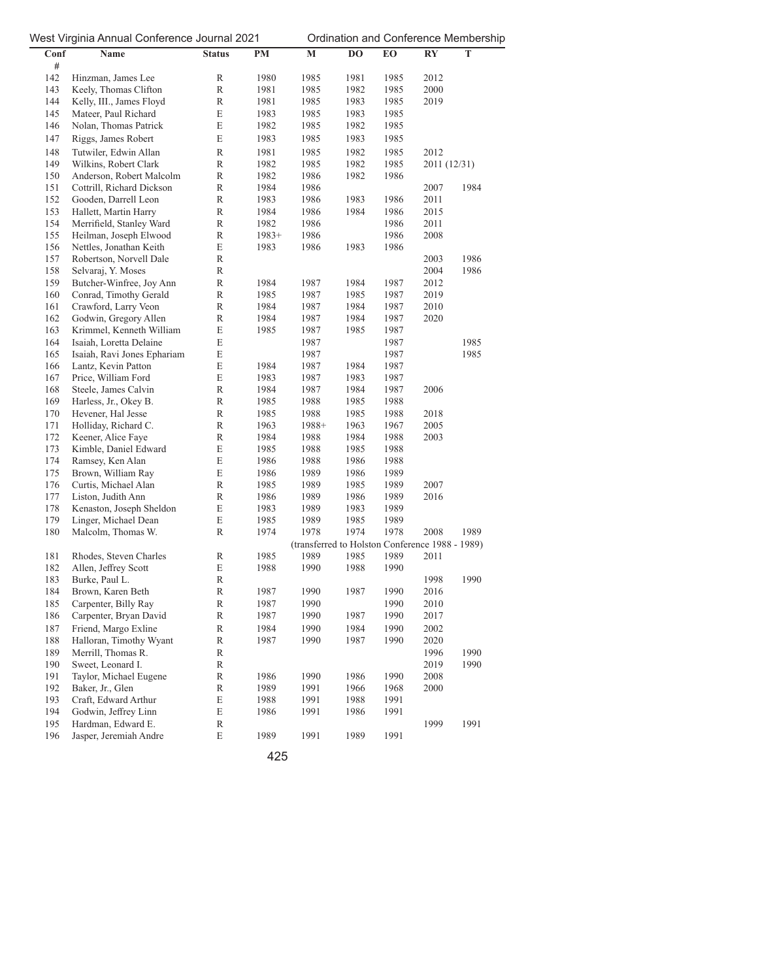| Conf       | Name                                       | <b>Status</b>    | PM           | $\mathbf M$                                     | DO   | EO           | <b>RY</b>    | T    |
|------------|--------------------------------------------|------------------|--------------|-------------------------------------------------|------|--------------|--------------|------|
| #          |                                            |                  |              |                                                 |      |              |              |      |
| 142        | Hinzman, James Lee                         | R                | 1980         | 1985                                            | 1981 | 1985         | 2012         |      |
| 143        | Keely, Thomas Clifton                      | R                | 1981         | 1985                                            | 1982 | 1985         | 2000         |      |
| 144        | Kelly, III., James Floyd                   | R                | 1981         | 1985                                            | 1983 | 1985         | 2019         |      |
| 145        | Mateer, Paul Richard                       | E                | 1983         | 1985                                            | 1983 | 1985         |              |      |
| 146        | Nolan, Thomas Patrick                      | E                | 1982         | 1985                                            | 1982 | 1985         |              |      |
| 147        | Riggs, James Robert                        | E                | 1983         | 1985                                            | 1983 | 1985         |              |      |
| 148        | Tutwiler, Edwin Allan                      | R                | 1981         | 1985                                            | 1982 | 1985         | 2012         |      |
| 149        | Wilkins, Robert Clark                      | R                | 1982         | 1985                                            | 1982 | 1985         | 2011 (12/31) |      |
| 150        | Anderson, Robert Malcolm                   | R                | 1982         | 1986                                            | 1982 | 1986         |              |      |
| 151        | Cottrill, Richard Dickson                  | $\mathbb R$      | 1984         | 1986                                            |      |              | 2007         | 1984 |
| 152        | Gooden, Darrell Leon                       | R                | 1983         | 1986                                            | 1983 | 1986         | 2011         |      |
| 153        | Hallett, Martin Harry                      | $\mathbb R$      | 1984         | 1986                                            | 1984 | 1986         | 2015         |      |
| 154        | Merrifield, Stanley Ward                   | R                | 1982         | 1986                                            |      | 1986         | 2011         |      |
| 155        | Heilman, Joseph Elwood                     | R                | $1983+$      | 1986                                            |      | 1986         | 2008         |      |
| 156        | Nettles, Jonathan Keith                    | E                | 1983         | 1986                                            | 1983 | 1986         |              |      |
| 157        | Robertson, Norvell Dale                    | R                |              |                                                 |      |              | 2003         | 1986 |
| 158        | Selvaraj, Y. Moses                         | R                |              |                                                 |      |              | 2004         | 1986 |
| 159        | Butcher-Winfree, Joy Ann                   | R                | 1984         | 1987                                            | 1984 | 1987         | 2012         |      |
| 160        | Conrad, Timothy Gerald                     | R                | 1985         | 1987                                            | 1985 | 1987         | 2019         |      |
| 161        | Crawford, Larry Veon                       | R                | 1984         | 1987                                            | 1984 | 1987         | 2010         |      |
| 162        | Godwin, Gregory Allen                      | R                | 1984         | 1987                                            | 1984 | 1987         | 2020         |      |
| 163        | Krimmel, Kenneth William                   | E                | 1985         | 1987                                            | 1985 | 1987         |              |      |
| 164        | Isaiah, Loretta Delaine                    | E                |              | 1987                                            |      | 1987         |              | 1985 |
| 165<br>166 | Isaiah, Ravi Jones Ephariam                | E<br>E           |              | 1987                                            | 1984 | 1987         |              | 1985 |
| 167        | Lantz, Kevin Patton<br>Price, William Ford | E                | 1984<br>1983 | 1987<br>1987                                    | 1983 | 1987<br>1987 |              |      |
| 168        | Steele, James Calvin                       | R                | 1984         | 1987                                            | 1984 | 1987         | 2006         |      |
| 169        | Harless, Jr., Okey B.                      | R                | 1985         | 1988                                            | 1985 | 1988         |              |      |
| 170        | Hevener, Hal Jesse                         | R                | 1985         | 1988                                            | 1985 | 1988         | 2018         |      |
| 171        | Holliday, Richard C.                       | $\mathbb R$      | 1963         | $1988+$                                         | 1963 | 1967         | 2005         |      |
| 172        | Keener, Alice Faye                         | $\mathbb R$      | 1984         | 1988                                            | 1984 | 1988         | 2003         |      |
| 173        | Kimble, Daniel Edward                      | E                | 1985         | 1988                                            | 1985 | 1988         |              |      |
| 174        | Ramsey, Ken Alan                           | E                | 1986         | 1988                                            | 1986 | 1988         |              |      |
| 175        | Brown, William Ray                         | E                | 1986         | 1989                                            | 1986 | 1989         |              |      |
| 176        | Curtis, Michael Alan                       | R                | 1985         | 1989                                            | 1985 | 1989         | 2007         |      |
| 177        | Liston, Judith Ann                         | R                | 1986         | 1989                                            | 1986 | 1989         | 2016         |      |
| 178        | Kenaston, Joseph Sheldon                   | E                | 1983         | 1989                                            | 1983 | 1989         |              |      |
| 179        | Linger, Michael Dean                       | E                | 1985         | 1989                                            | 1985 | 1989         |              |      |
| 180        | Malcolm, Thomas W.                         | R                | 1974         | 1978                                            | 1974 | 1978         | 2008         | 1989 |
|            |                                            |                  |              | (transferred to Holston Conference 1988 - 1989) |      |              |              |      |
| 181        | Rhodes, Steven Charles                     | R                | 1985         | 1989                                            | 1985 | 1989         | 2011         |      |
| 182        | Allen, Jeffrey Scott                       | E                | 1988         | 1990                                            | 1988 | 1990         |              |      |
| 183        | Burke, Paul L.                             | R                |              |                                                 |      |              | 1998         | 1990 |
| 184        | Brown, Karen Beth                          | R                | 1987         | 1990                                            | 1987 | 1990         | 2016         |      |
| 185        | Carpenter, Billy Ray                       | R                | 1987         | 1990                                            |      | 1990         | 2010         |      |
| 186        | Carpenter, Bryan David                     | $\mathbb R$      | 1987         | 1990                                            | 1987 | 1990         | 2017         |      |
| 187        | Friend, Margo Exline                       | $\mathbb R$      | 1984         | 1990                                            | 1984 | 1990         | 2002         |      |
| 188        | Halloran, Timothy Wyant                    | R                | 1987         | 1990                                            | 1987 | 1990         | 2020         |      |
| 189        | Merrill, Thomas R.                         | $\mathbb R$      |              |                                                 |      |              | 1996         | 1990 |
| 190        | Sweet, Leonard I.                          | $\mathbb R$      |              |                                                 |      |              | 2019         | 1990 |
| 191        | Taylor, Michael Eugene                     | $\mathbb R$      | 1986         | 1990                                            | 1986 | 1990         | 2008         |      |
| 192        | Baker, Jr., Glen                           | $\mathbb R$      | 1989         | 1991                                            | 1966 | 1968         | 2000         |      |
| 193        | Craft, Edward Arthur                       | E                | 1988         | 1991                                            | 1988 | 1991         |              |      |
| 194<br>195 | Godwin, Jeffrey Linn<br>Hardman, Edward E. | E<br>$\mathbb R$ | 1986         | 1991                                            | 1986 | 1991         | 1999         | 1991 |
| 196        | Jasper, Jeremiah Andre                     | E                | 1989         | 1991                                            | 1989 | 1991         |              |      |
|            |                                            |                  |              |                                                 |      |              |              |      |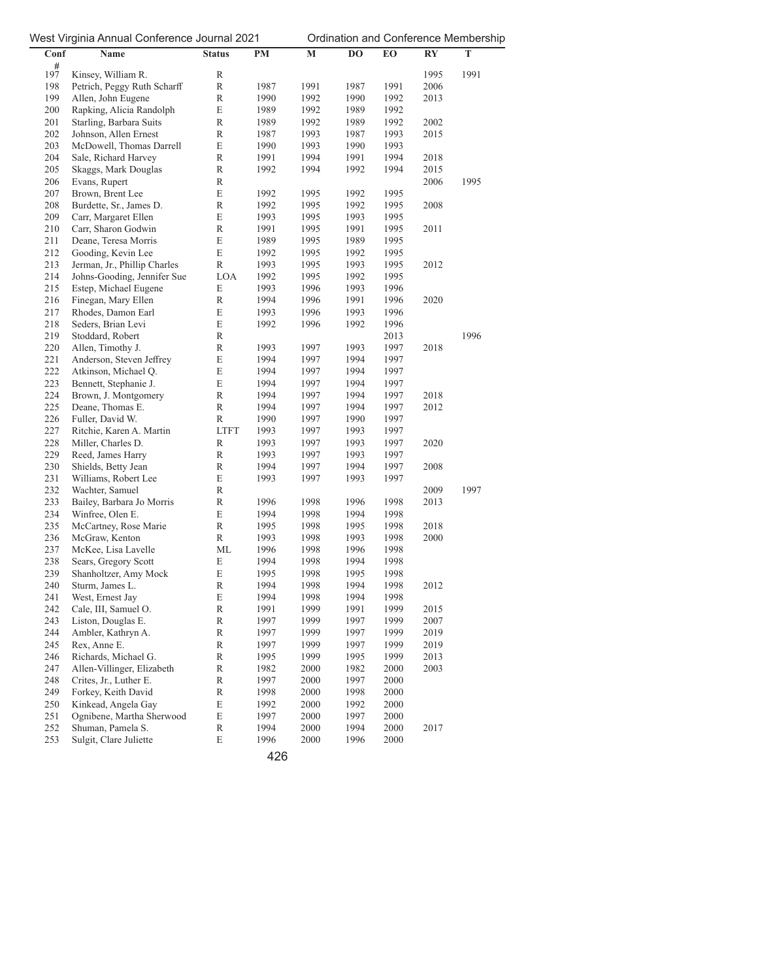| Conf       | Name                                             | <b>Status</b>    | PM           | $\mathbf M$  | DO           | EO           | <b>RY</b>    | T    |
|------------|--------------------------------------------------|------------------|--------------|--------------|--------------|--------------|--------------|------|
| 197        |                                                  |                  |              |              |              |              |              |      |
|            | Kinsey, William R.                               | R                |              |              |              |              | 1995         | 1991 |
| 198        | Petrich, Peggy Ruth Scharff                      | R                | 1987         | 1991         | 1987         | 1991         | 2006         |      |
| 199        | Allen, John Eugene                               | $\mathbb R$      | 1990         | 1992         | 1990         | 1992         | 2013         |      |
| 200        | Rapking, Alicia Randolph                         | E                | 1989         | 1992         | 1989         | 1992         |              |      |
| 201        | Starling, Barbara Suits                          | $\mathbb R$      | 1989         | 1992         | 1989         | 1992         | 2002         |      |
| 202        | Johnson, Allen Ernest                            | R                | 1987         | 1993         | 1987         | 1993         | 2015         |      |
| 203<br>204 | McDowell, Thomas Darrell                         | E<br>$\mathbb R$ | 1990         | 1993         | 1990         | 1993         |              |      |
| 205        | Sale, Richard Harvey                             | $\mathbb R$      | 1991         | 1994         | 1991         | 1994         | 2018<br>2015 |      |
| 206        | Skaggs, Mark Douglas<br>Evans, Rupert            | R                | 1992         | 1994         | 1992         | 1994         | 2006         | 1995 |
| 207        | Brown, Brent Lee                                 | E                | 1992         | 1995         | 1992         | 1995         |              |      |
| 208        | Burdette, Sr., James D.                          | R                | 1992         | 1995         | 1992         | 1995         | 2008         |      |
| 209        | Carr, Margaret Ellen                             | E                | 1993         | 1995         | 1993         | 1995         |              |      |
| 210        | Carr, Sharon Godwin                              | $\mathbb R$      | 1991         | 1995         | 1991         | 1995         | 2011         |      |
| 211        | Deane, Teresa Morris                             | E                | 1989         | 1995         | 1989         | 1995         |              |      |
| 212        | Gooding, Kevin Lee                               | E                | 1992         | 1995         | 1992         | 1995         |              |      |
| 213        | Jerman, Jr., Phillip Charles                     | R                | 1993         | 1995         | 1993         | 1995         | 2012         |      |
| 214        | Johns-Gooding, Jennifer Sue                      | LOA              | 1992         | 1995         | 1992         | 1995         |              |      |
| 215        | Estep, Michael Eugene                            | E                | 1993         | 1996         | 1993         | 1996         |              |      |
| 216        | Finegan, Mary Ellen                              | R                | 1994         | 1996         | 1991         | 1996         | 2020         |      |
| 217        | Rhodes, Damon Earl                               | E                | 1993         | 1996         | 1993         | 1996         |              |      |
| 218        | Seders, Brian Levi                               | E                | 1992         | 1996         | 1992         | 1996         |              |      |
| 219        | Stoddard, Robert                                 | $\mathbb R$      |              |              |              | 2013         |              | 1996 |
| 220        | Allen, Timothy J.                                | $\mathbb R$      | 1993         | 1997         | 1993         | 1997         | 2018         |      |
| 221        | Anderson, Steven Jeffrey                         | E                | 1994         | 1997         | 1994         | 1997         |              |      |
| 222        | Atkinson, Michael Q.                             | E                | 1994         | 1997         | 1994         | 1997         |              |      |
| 223        | Bennett, Stephanie J.                            | E                | 1994         | 1997         | 1994         | 1997         |              |      |
| 224        | Brown, J. Montgomery                             | $\mathbb R$      | 1994         | 1997         | 1994         | 1997         | 2018         |      |
| 225        | Deane, Thomas E.                                 | R                | 1994         | 1997         | 1994         | 1997         | 2012         |      |
| 226        | Fuller, David W.                                 | $\mathbb R$      | 1990         | 1997         | 1990         | 1997         |              |      |
| 227        | Ritchie, Karen A. Martin                         | <b>LTFT</b>      | 1993         | 1997         | 1993         | 1997         |              |      |
| 228        | Miller, Charles D.                               | R                | 1993         | 1997         | 1993         | 1997         | 2020         |      |
| 229        | Reed, James Harry                                | $\mathbb R$      | 1993         | 1997         | 1993         | 1997         |              |      |
| 230        | Shields, Betty Jean                              | $\mathbb R$      | 1994         | 1997         | 1994         | 1997         | 2008         |      |
| 231        | Williams, Robert Lee                             | E                | 1993         | 1997         | 1993         | 1997         |              |      |
| 232        | Wachter, Samuel                                  | R                |              |              |              |              | 2009         | 1997 |
| 233        | Bailey, Barbara Jo Morris                        | R                | 1996         | 1998         | 1996         | 1998         | 2013         |      |
| 234        | Winfree, Olen E.                                 | E                | 1994         | 1998         | 1994         | 1998         |              |      |
| 235        | McCartney, Rose Marie                            | $\mathbb R$      | 1995         | 1998         | 1995         | 1998         | 2018         |      |
| 236        | McGraw, Kenton                                   | $\mathbb R$      | 1993         | 1998         | 1993         | 1998         | 2000         |      |
| 237        | McKee, Lisa Lavelle                              | МL               | 1996         | 1998         | 1996         | 1998         |              |      |
| 238        | Sears, Gregory Scott                             | E                | 1994         | 1998         | 1994         | 1998         |              |      |
| 239        | Shanholtzer, Amy Mock                            | E                | 1995         | 1998         | 1995         | 1998         |              |      |
| 240        | Sturm, James L.                                  | R                | 1994         | 1998         | 1994         | 1998         | 2012         |      |
| 241        | West, Ernest Jay                                 | E                | 1994         | 1998         | 1994         | 1998         |              |      |
| 242        | Cale, III, Samuel O.                             | R                | 1991         | 1999         | 1991         | 1999         | 2015         |      |
| 243        | Liston, Douglas E.                               | R                | 1997         | 1999         | 1997         | 1999         | 2007         |      |
| 244        | Ambler, Kathryn A.                               | R                | 1997         | 1999         | 1997         | 1999         | 2019         |      |
| 245        | Rex, Anne E.                                     | $\mathbb R$      | 1997         | 1999         | 1997         | 1999         | 2019         |      |
| 246        | Richards, Michael G.                             | R                | 1995         | 1999         | 1995         | 1999         | 2013         |      |
| 247        | Allen-Villinger, Elizabeth                       | R                | 1982         | 2000         | 1982         | 2000         | 2003         |      |
| 248        | Crites, Jr., Luther E.                           | R                | 1997         | 2000         | 1997         | 2000         |              |      |
| 249<br>250 | Forkey, Keith David                              | R<br>E           | 1998         | 2000<br>2000 | 1998         | 2000<br>2000 |              |      |
| 251        | Kinkead, Angela Gay<br>Ognibene, Martha Sherwood | E                | 1992<br>1997 | 2000         | 1992<br>1997 | 2000         |              |      |
| 252        | Shuman, Pamela S.                                | R                | 1994         | 2000         | 1994         | 2000         | 2017         |      |
| 253        | Sulgit, Clare Juliette                           | E                | 1996         | 2000         | 1996         | 2000         |              |      |
|            |                                                  |                  |              |              |              |              |              |      |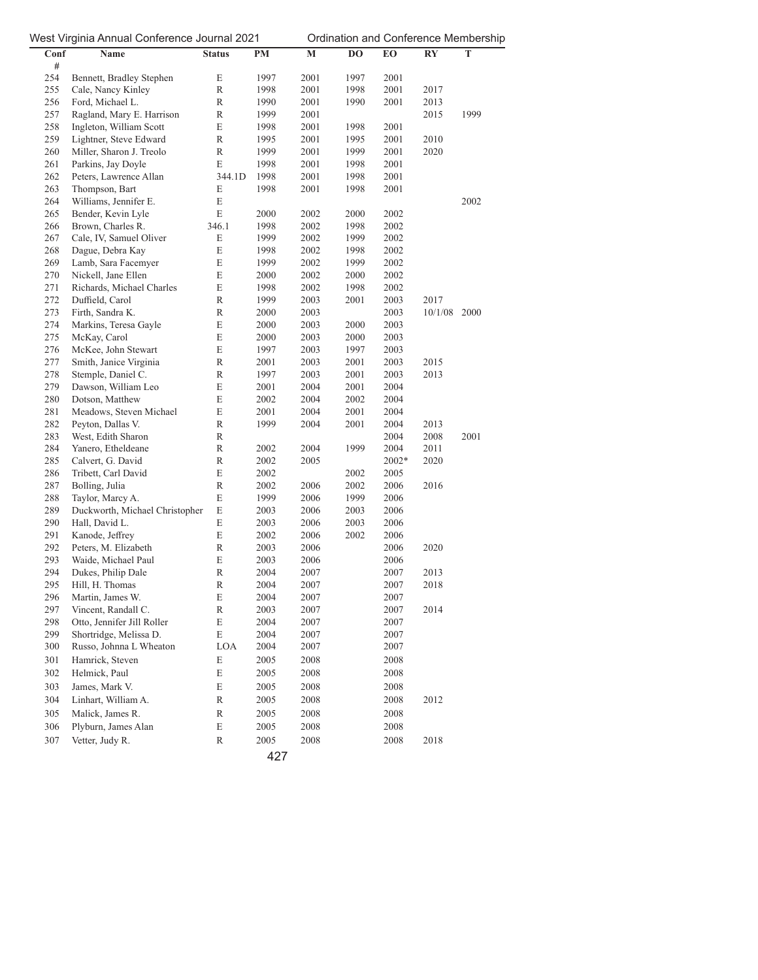|            | ∽ີ. ∙ <b>.</b> ອ.                      |               |           |              |              |              |         |             |
|------------|----------------------------------------|---------------|-----------|--------------|--------------|--------------|---------|-------------|
| Conf       | Name                                   | <b>Status</b> | <b>PM</b> | M            | DO           | EO           | RY      | $\mathbf T$ |
| #          |                                        |               |           |              |              |              |         |             |
| 254<br>255 | Bennett, Bradley Stephen               | E<br>R        | 1997      | 2001<br>2001 | 1997<br>1998 | 2001<br>2001 |         |             |
|            | Cale, Nancy Kinley<br>Ford, Michael L. |               | 1998      |              |              |              | 2017    |             |
| 256        |                                        | $\mathbb R$   | 1990      | 2001         | 1990         | 2001         | 2013    |             |
| 257        | Ragland, Mary E. Harrison              | $\mathbb R$   | 1999      | 2001         |              |              | 2015    | 1999        |
| 258        | Ingleton, William Scott                | E             | 1998      | 2001         | 1998         | 2001         |         |             |
| 259        | Lightner, Steve Edward                 | $\mathbb R$   | 1995      | 2001         | 1995         | 2001         | 2010    |             |
| 260        | Miller, Sharon J. Treolo               | R             | 1999      | 2001         | 1999         | 2001         | 2020    |             |
| 261        | Parkins, Jay Doyle                     | E             | 1998      | 2001         | 1998         | 2001         |         |             |
| 262        | Peters, Lawrence Allan                 | 344.1D        | 1998      | 2001         | 1998         | 2001         |         |             |
| 263        | Thompson, Bart                         | E             | 1998      | 2001         | 1998         | 2001         |         |             |
| 264        | Williams, Jennifer E.                  | E             |           |              |              |              |         | 2002        |
| 265        | Bender, Kevin Lyle                     | E             | 2000      | 2002         | 2000         | 2002         |         |             |
| 266        | Brown, Charles R.                      | 346.1         | 1998      | 2002         | 1998         | 2002         |         |             |
| 267        | Cale, IV, Samuel Oliver                | E             | 1999      | 2002         | 1999         | 2002         |         |             |
| 268        | Dague, Debra Kay                       | E             | 1998      | 2002         | 1998         | 2002         |         |             |
| 269        | Lamb, Sara Facemyer                    | E             | 1999      | 2002         | 1999         | 2002         |         |             |
| 270        | Nickell, Jane Ellen                    | E             | 2000      | 2002         | 2000         | 2002         |         |             |
| 271        | Richards, Michael Charles              | E             | 1998      | 2002         | 1998         | 2002         |         |             |
| 272        | Duffield, Carol                        | R             | 1999      | 2003         | 2001         | 2003         | 2017    |             |
| 273        | Firth, Sandra K.                       | $\mathbb R$   | 2000      | 2003         |              | 2003         | 10/1/08 | 2000        |
| 274        | Markins, Teresa Gayle                  | E             | 2000      | 2003         | 2000         | 2003         |         |             |
| 275        | McKay, Carol                           | E             | 2000      | 2003         | 2000         | 2003         |         |             |
| 276        | McKee, John Stewart                    | E             | 1997      | 2003         | 1997         | 2003         |         |             |
| 277        | Smith, Janice Virginia                 | $\mathbb R$   | 2001      | 2003         | 2001         | 2003         | 2015    |             |
| 278        | Stemple, Daniel C.                     | $\mathbb R$   | 1997      | 2003         | 2001         | 2003         | 2013    |             |
| 279        | Dawson, William Leo                    | E             | 2001      | 2004         | 2001         | 2004         |         |             |
| 280        | Dotson, Matthew                        | E             | 2002      | 2004         | 2002         | 2004         |         |             |
| 281        | Meadows, Steven Michael                | E             | 2001      | 2004         | 2001         | 2004         |         |             |
| 282        | Peyton, Dallas V.                      | $\mathbb R$   | 1999      | 2004         | 2001         | 2004         | 2013    |             |
| 283        | West, Edith Sharon                     | $\mathbb R$   |           |              |              | 2004         | 2008    | 2001        |
| 284        | Yanero, Etheldeane                     | $\mathbb R$   | 2002      | 2004         | 1999         | 2004         | 2011    |             |
| 285        | Calvert, G. David                      | $\mathbb R$   | 2002      | 2005         |              | 2002*        | 2020    |             |
| 286        | Tribett, Carl David                    | E             | 2002      |              | 2002         | 2005         |         |             |
| 287        | Bolling, Julia                         | $\mathbb R$   | 2002      | 2006         | 2002         | 2006         | 2016    |             |
| 288        | Taylor, Marcy A.                       | E             | 1999      | 2006         | 1999         | 2006         |         |             |
| 289        | Duckworth, Michael Christopher         | E             | 2003      | 2006         | 2003         | 2006         |         |             |
| 290        | Hall, David L.                         | E             | 2003      | 2006         | 2003         | 2006         |         |             |
| 291        | Kanode, Jeffrey                        | E             | 2002      | 2006         | 2002         | 2006         |         |             |
| 292        | Peters, M. Elizabeth                   | $\mathbb R$   | 2003      | 2006         |              | 2006         | 2020    |             |
| 293        | Waide, Michael Paul                    | E             | 2003      | 2006         |              | 2006         |         |             |
| 294        | Dukes, Philip Dale                     | $\mathbb R$   | 2004      | 2007         |              | 2007         | 2013    |             |
| 295        | Hill, H. Thomas                        | R             | 2004      | 2007         |              | 2007         | 2018    |             |
| 296        | Martin, James W.                       | E             | 2004      | 2007         |              | 2007         |         |             |
| 297        | Vincent, Randall C.                    | R             | 2003      | 2007         |              | 2007         | 2014    |             |
| 298        | Otto, Jennifer Jill Roller             | E             | 2004      | 2007         |              | 2007         |         |             |
| 299        | Shortridge, Melissa D.                 | E             | 2004      | 2007         |              | 2007         |         |             |
| 300        | Russo, Johnna L Wheaton                | LOA           | 2004      | 2007         |              | 2007         |         |             |
| 301        | Hamrick, Steven                        | E             | 2005      | 2008         |              | 2008         |         |             |
| 302        | Helmick, Paul                          | E             | 2005      | 2008         |              | 2008         |         |             |
| 303        | James, Mark V.                         | E             | 2005      | 2008         |              | 2008         |         |             |
| 304        | Linhart, William A.                    | R             | 2005      | 2008         |              | 2008         | 2012    |             |
|            | Malick, James R.                       |               |           |              |              |              |         |             |
| 305        |                                        | R             | 2005      | 2008         |              | 2008         |         |             |
| 306        | Plyburn, James Alan                    | E             | 2005      | 2008         |              | 2008         |         |             |
| 307        | Vetter, Judy R.                        | R             | 2005      | 2008         |              | 2008         | 2018    |             |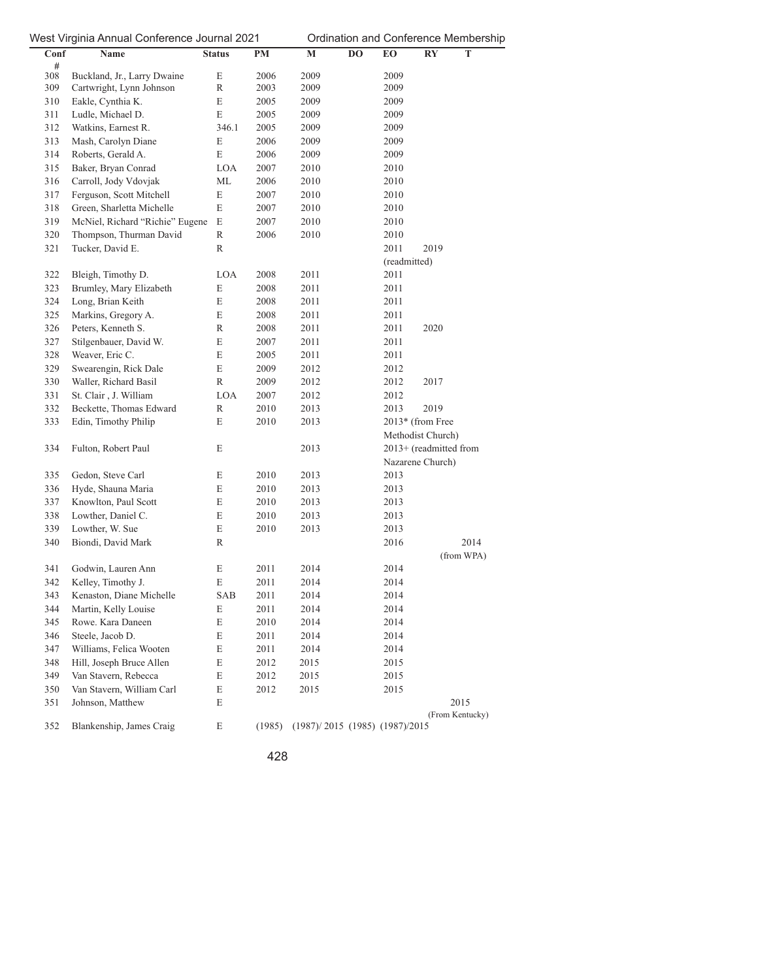| Conf<br># | Name                            | <b>Status</b> | PM     | $\mathbf M$                        | DO | EO                     | <b>RY</b> | $\mathbf T$     |
|-----------|---------------------------------|---------------|--------|------------------------------------|----|------------------------|-----------|-----------------|
| 308       | Buckland, Jr., Larry Dwaine     | E             | 2006   | 2009                               |    | 2009                   |           |                 |
| 309       | Cartwright, Lynn Johnson        | $\mathbb R$   | 2003   | 2009                               |    | 2009                   |           |                 |
| 310       | Eakle, Cynthia K.               | E             | 2005   | 2009                               |    | 2009                   |           |                 |
| 311       | Ludle, Michael D.               | E             | 2005   | 2009                               |    | 2009                   |           |                 |
| 312       | Watkins, Earnest R.             | 346.1         | 2005   | 2009                               |    | 2009                   |           |                 |
| 313       | Mash, Carolyn Diane             | E             | 2006   | 2009                               |    | 2009                   |           |                 |
| 314       | Roberts, Gerald A.              | E             | 2006   | 2009                               |    | 2009                   |           |                 |
| 315       | Baker, Bryan Conrad             | LOA           | 2007   | 2010                               |    | 2010                   |           |                 |
| 316       | Carroll, Jody Vdovjak           | МL            | 2006   | 2010                               |    | 2010                   |           |                 |
| 317       | Ferguson, Scott Mitchell        | E             | 2007   | 2010                               |    | 2010                   |           |                 |
| 318       | Green, Sharletta Michelle       | E             | 2007   | 2010                               |    | 2010                   |           |                 |
| 319       | McNiel, Richard "Richie" Eugene | E             | 2007   | 2010                               |    | 2010                   |           |                 |
| 320       | Thompson, Thurman David         | R             | 2006   | 2010                               |    | 2010                   |           |                 |
| 321       | Tucker, David E.                | R             |        |                                    |    | 2011                   | 2019      |                 |
|           |                                 |               |        |                                    |    | (readmitted)           |           |                 |
| 322       | Bleigh, Timothy D.              | LOA           | 2008   | 2011                               |    | 2011                   |           |                 |
| 323       | Brumley, Mary Elizabeth         | E             | 2008   | 2011                               |    | 2011                   |           |                 |
| 324       | Long, Brian Keith               | E             | 2008   | 2011                               |    | 2011                   |           |                 |
| 325       | Markins, Gregory A.             | E             | 2008   | 2011                               |    | 2011                   |           |                 |
| 326       | Peters, Kenneth S.              | R             | 2008   | 2011                               |    | 2011                   | 2020      |                 |
| 327       | Stilgenbauer, David W.          | E             | 2007   | 2011                               |    | 2011                   |           |                 |
| 328       | Weaver, Eric C.                 | E             | 2005   | 2011                               |    | 2011                   |           |                 |
| 329       | Swearengin, Rick Dale           | E             | 2009   | 2012                               |    | 2012                   |           |                 |
| 330       | Waller, Richard Basil           | R             | 2009   | 2012                               |    | 2012                   | 2017      |                 |
| 331       | St. Clair, J. William           | LOA           | 2007   | 2012                               |    | 2012                   |           |                 |
| 332       | Beckette, Thomas Edward         | R             | 2010   | 2013                               |    | 2013                   | 2019      |                 |
| 333       | Edin, Timothy Philip            | E             | 2010   | 2013                               |    | 2013* (from Free       |           |                 |
|           |                                 |               |        |                                    |    | Methodist Church)      |           |                 |
| 334       | Fulton, Robert Paul             | E             |        | 2013                               |    | 2013+ (readmitted from |           |                 |
|           |                                 |               |        |                                    |    | Nazarene Church)       |           |                 |
| 335       | Gedon, Steve Carl               | E             | 2010   | 2013                               |    | 2013                   |           |                 |
| 336       | Hyde, Shauna Maria              | E             | 2010   | 2013                               |    | 2013                   |           |                 |
| 337       | Knowlton, Paul Scott            | E             | 2010   | 2013                               |    | 2013                   |           |                 |
| 338       | Lowther, Daniel C.              | E             | 2010   | 2013                               |    | 2013                   |           |                 |
| 339       | Lowther, W. Sue                 | E             | 2010   | 2013                               |    | 2013                   |           |                 |
| 340       | Biondi, David Mark              | R             |        |                                    |    | 2016                   |           | 2014            |
|           |                                 |               |        |                                    |    |                        |           | (from WPA)      |
| 341       | Godwin, Lauren Ann              | E             | 2011   | 2014                               |    | 2014                   |           |                 |
| 342       | Kelley, Timothy J.              | E             | 2011   | 2014                               |    | 2014                   |           |                 |
| 343       | Kenaston, Diane Michelle        | SAB           | 2011   | 2014                               |    | 2014                   |           |                 |
| 344       | Martin, Kelly Louise            | E             | 2011   | 2014                               |    | 2014                   |           |                 |
| 345       | Rowe. Kara Daneen               | E             | 2010   | 2014                               |    | 2014                   |           |                 |
| 346       | Steele, Jacob D.                | E             | 2011   | 2014                               |    | 2014                   |           |                 |
| 347       | Williams, Felica Wooten         | E             | 2011   | 2014                               |    | 2014                   |           |                 |
| 348       | Hill, Joseph Bruce Allen        | E             | 2012   | 2015                               |    | 2015                   |           |                 |
| 349       | Van Stavern, Rebecca            | E             | 2012   | 2015                               |    | 2015                   |           |                 |
| 350       | Van Stavern, William Carl       | E             | 2012   | 2015                               |    | 2015                   |           |                 |
| 351       | Johnson, Matthew                | E             |        |                                    |    |                        |           | 2015            |
|           |                                 |               |        |                                    |    |                        |           | (From Kentucky) |
| 352       | Blankenship, James Craig        | E             | (1985) | $(1987)/2015$ (1985) $(1987)/2015$ |    |                        |           |                 |
|           |                                 |               |        |                                    |    |                        |           |                 |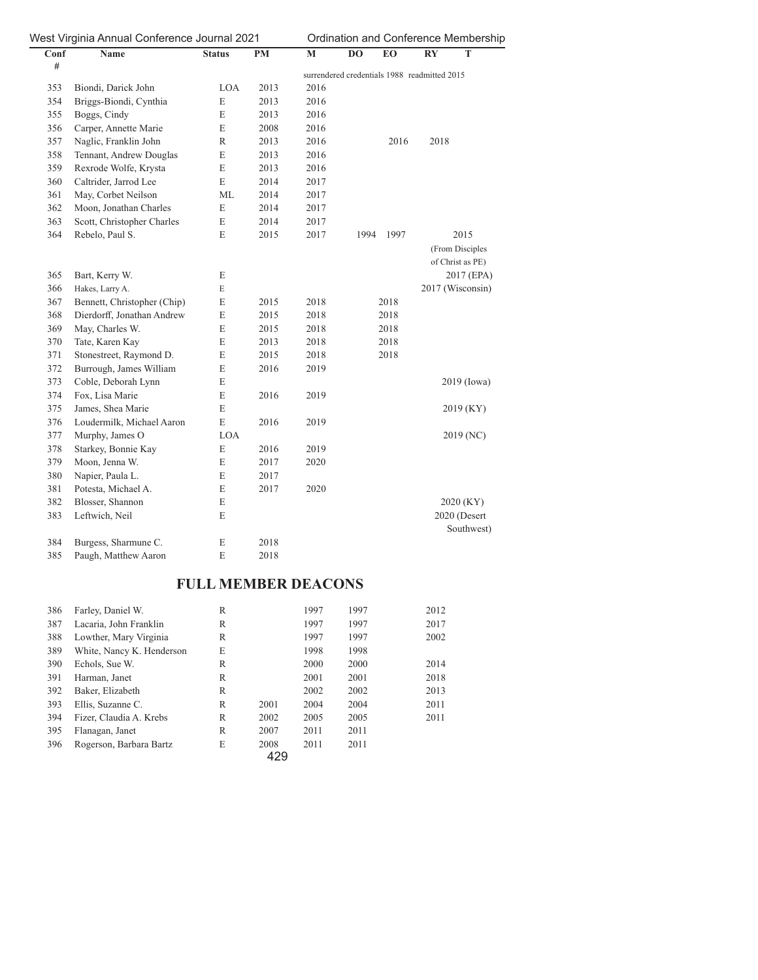|      | West Virginia Annual Conference Journal 2021 |               |           |      |                                              | Ordination and Conference Membership |                        |                  |  |
|------|----------------------------------------------|---------------|-----------|------|----------------------------------------------|--------------------------------------|------------------------|------------------|--|
| Conf | Name                                         | <b>Status</b> | <b>PM</b> | M    | DO                                           | EO                                   | $\mathbf{R}\mathbf{Y}$ | T                |  |
| $\#$ |                                              |               |           |      | surrendered credentials 1988 readmitted 2015 |                                      |                        |                  |  |
| 353  | Biondi, Darick John                          | LOA           | 2013      | 2016 |                                              |                                      |                        |                  |  |
| 354  | Briggs-Biondi, Cynthia                       | E             | 2013      | 2016 |                                              |                                      |                        |                  |  |
| 355  | Boggs, Cindy                                 | $\mathbf E$   | 2013      | 2016 |                                              |                                      |                        |                  |  |
| 356  | Carper, Annette Marie                        | E             | 2008      | 2016 |                                              |                                      |                        |                  |  |
| 357  | Naglic, Franklin John                        | R             | 2013      | 2016 |                                              | 2016                                 | 2018                   |                  |  |
| 358  | Tennant, Andrew Douglas                      | $\mathbf E$   | 2013      | 2016 |                                              |                                      |                        |                  |  |
| 359  | Rexrode Wolfe, Krysta                        | E             | 2013      | 2016 |                                              |                                      |                        |                  |  |
| 360  | Caltrider, Jarrod Lee                        | E             | 2014      | 2017 |                                              |                                      |                        |                  |  |
| 361  | May, Corbet Neilson                          | ML            | 2014      | 2017 |                                              |                                      |                        |                  |  |
| 362  | Moon, Jonathan Charles                       | $\mathbf E$   | 2014      | 2017 |                                              |                                      |                        |                  |  |
| 363  | Scott, Christopher Charles                   | E             | 2014      | 2017 |                                              |                                      |                        |                  |  |
| 364  | Rebelo, Paul S.                              | E             | 2015      | 2017 | 1994                                         | 1997                                 |                        | 2015             |  |
|      |                                              |               |           |      |                                              |                                      |                        | (From Disciples  |  |
|      |                                              |               |           |      |                                              |                                      |                        | of Christ as PE) |  |
| 365  | Bart, Kerry W.                               | E             |           |      |                                              |                                      |                        | 2017 (EPA)       |  |
| 366  | Hakes, Larry A.                              | E             |           |      |                                              |                                      |                        | 2017 (Wisconsin) |  |
| 367  | Bennett, Christopher (Chip)                  | $\mathbf E$   | 2015      | 2018 |                                              | 2018                                 |                        |                  |  |
| 368  | Dierdorff, Jonathan Andrew                   | $\mathbf E$   | 2015      | 2018 |                                              | 2018                                 |                        |                  |  |
| 369  | May, Charles W.                              | $\mathbf E$   | 2015      | 2018 |                                              | 2018                                 |                        |                  |  |
| 370  | Tate, Karen Kay                              | $\mathbf E$   | 2013      | 2018 |                                              | 2018                                 |                        |                  |  |
| 371  | Stonestreet, Raymond D.                      | E             | 2015      | 2018 |                                              | 2018                                 |                        |                  |  |
| 372  | Burrough, James William                      | $\mathbf E$   | 2016      | 2019 |                                              |                                      |                        |                  |  |
| 373  | Coble, Deborah Lynn                          | E             |           |      |                                              |                                      |                        | $2019$ (Iowa)    |  |
| 374  | Fox, Lisa Marie                              | E             | 2016      | 2019 |                                              |                                      |                        |                  |  |
| 375  | James, Shea Marie                            | E             |           |      |                                              |                                      |                        | 2019 (KY)        |  |
| 376  | Loudermilk, Michael Aaron                    | $\mathbf E$   | 2016      | 2019 |                                              |                                      |                        |                  |  |
| 377  | Murphy, James O                              | LOA           |           |      |                                              |                                      |                        | 2019 (NC)        |  |
| 378  | Starkey, Bonnie Kay                          | $\mathbf E$   | 2016      | 2019 |                                              |                                      |                        |                  |  |
| 379  | Moon, Jenna W.                               | $\mathbf E$   | 2017      | 2020 |                                              |                                      |                        |                  |  |
| 380  | Napier, Paula L.                             | $\mathbf E$   | 2017      |      |                                              |                                      |                        |                  |  |
| 381  | Potesta, Michael A.                          | $\mathbf E$   | 2017      | 2020 |                                              |                                      |                        |                  |  |
| 382  | Blosser, Shannon                             | E             |           |      |                                              |                                      |                        | 2020 (KY)        |  |
| 383  | Leftwich, Neil                               | E             |           |      |                                              |                                      |                        | 2020 (Desert     |  |
|      |                                              |               |           |      |                                              |                                      |                        | Southwest)       |  |
| 384  | Burgess, Sharmune C.                         | E             | 2018      |      |                                              |                                      |                        |                  |  |
| 385  | Paugh, Matthew Aaron                         | E             | 2018      |      |                                              |                                      |                        |                  |  |

# **FULL MEMBER DEACONS**

| 386 | Farley, Daniel W.         | R |      | 1997 | 1997 | 2012 |
|-----|---------------------------|---|------|------|------|------|
| 387 | Lacaria, John Franklin    | R |      | 1997 | 1997 | 2017 |
| 388 | Lowther, Mary Virginia    | R |      | 1997 | 1997 | 2002 |
| 389 | White, Nancy K. Henderson | E |      | 1998 | 1998 |      |
| 390 | Echols, Sue W.            | R |      | 2000 | 2000 | 2014 |
| 391 | Harman, Janet             | R |      | 2001 | 2001 | 2018 |
| 392 | Baker, Elizabeth          | R |      | 2002 | 2002 | 2013 |
| 393 | Ellis, Suzanne C.         | R | 2001 | 2004 | 2004 | 2011 |
| 394 | Fizer, Claudia A. Krebs   | R | 2002 | 2005 | 2005 | 2011 |
| 395 | Flanagan, Janet           | R | 2007 | 2011 | 2011 |      |
| 396 | Rogerson, Barbara Bartz   | E | 2008 | 2011 | 2011 |      |
|     |                           |   | 429  |      |      |      |

429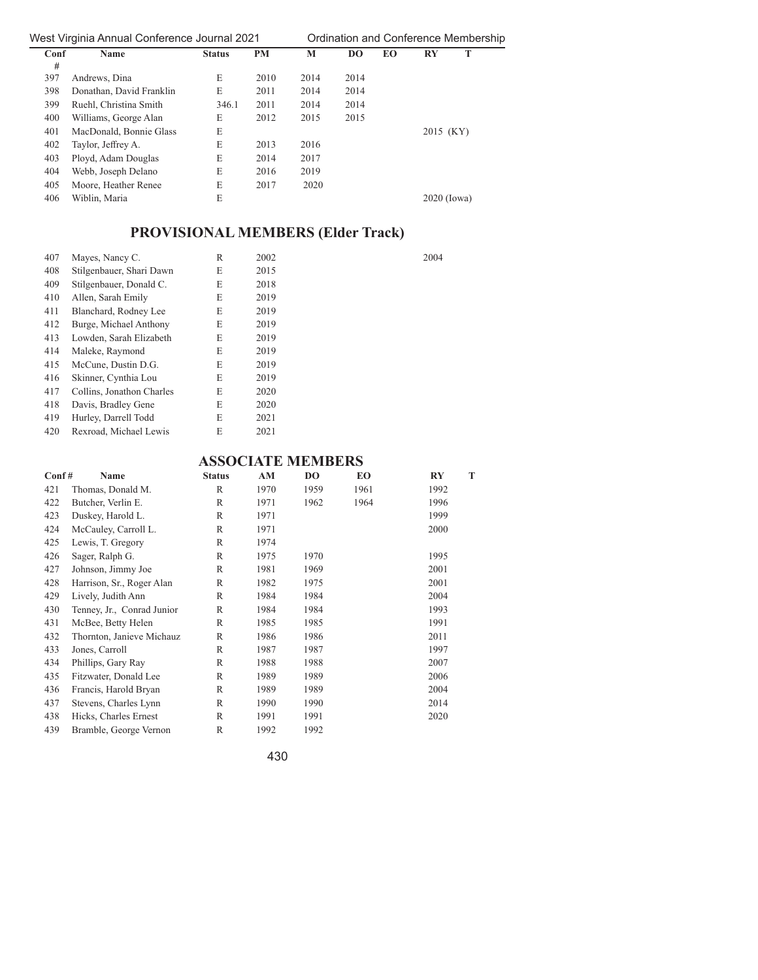| Ordination and Conference Membershi |  |  |  |  |
|-------------------------------------|--|--|--|--|
|-------------------------------------|--|--|--|--|

| Conf | Name                     | <b>Status</b> | <b>PM</b> | M    | <b>DO</b> | <b>EO</b> | т<br>$\mathbf{R}\mathbf{Y}$ |  |
|------|--------------------------|---------------|-----------|------|-----------|-----------|-----------------------------|--|
| #    |                          |               |           |      |           |           |                             |  |
| 397  | Andrews, Dina            | E             | 2010      | 2014 | 2014      |           |                             |  |
| 398  | Donathan, David Franklin | E             | 2011      | 2014 | 2014      |           |                             |  |
| 399  | Ruehl, Christina Smith   | 346.1         | 2011      | 2014 | 2014      |           |                             |  |
| 400  | Williams, George Alan    | E             | 2012      | 2015 | 2015      |           |                             |  |
| 401  | MacDonald, Bonnie Glass  | E             |           |      |           |           | 2015 (KY)                   |  |
| 402  | Taylor, Jeffrey A.       | E             | 2013      | 2016 |           |           |                             |  |
| 403  | Ployd, Adam Douglas      | E             | 2014      | 2017 |           |           |                             |  |
| 404  | Webb, Joseph Delano      | E             | 2016      | 2019 |           |           |                             |  |
| 405  | Moore, Heather Renee     | E             | 2017      | 2020 |           |           |                             |  |
| 406  | Wiblin, Maria            | E             |           |      |           |           | $2020$ (Iowa)               |  |

# **PROVISIONAL MEMBERS (Elder Track)**

| 407 | Mayes, Nancy C.           | $\mathbb{R}$ | 2002 | 2004 |
|-----|---------------------------|--------------|------|------|
| 408 | Stilgenbauer, Shari Dawn  | E            | 2015 |      |
| 409 | Stilgenbauer, Donald C.   | E            | 2018 |      |
| 410 | Allen, Sarah Emily        | E            | 2019 |      |
| 411 | Blanchard, Rodney Lee     | E            | 2019 |      |
| 412 | Burge, Michael Anthony    | E            | 2019 |      |
| 413 | Lowden, Sarah Elizabeth   | E            | 2019 |      |
| 414 | Maleke, Raymond           | E            | 2019 |      |
| 415 | McCune, Dustin D.G.       | E            | 2019 |      |
| 416 | Skinner, Cynthia Lou      | E            | 2019 |      |
| 417 | Collins, Jonathon Charles | E            | 2020 |      |
| 418 | Davis, Bradley Gene       | E            | 2020 |      |
| 419 | Hurley, Darrell Todd      | E            | 2021 |      |
| 420 | Rexroad, Michael Lewis    | E            | 2021 |      |

# **ASSOCIATE MEMBERS**

| $\text{Conf}$ # | Name                       | <b>Status</b> | AM   | D <sub>O</sub> | EO   | <b>RY</b> | T |
|-----------------|----------------------------|---------------|------|----------------|------|-----------|---|
| 421             | Thomas, Donald M.          | R             | 1970 | 1959           | 1961 | 1992      |   |
| 422             | Butcher, Verlin E.         | $\mathbb{R}$  | 1971 | 1962           | 1964 | 1996      |   |
| 423             | Duskey, Harold L.          | $\mathbb{R}$  | 1971 |                |      | 1999      |   |
| 424             | McCauley, Carroll L.       | $\mathbb{R}$  | 1971 |                |      | 2000      |   |
| 425             | Lewis, T. Gregory          | $\mathbb{R}$  | 1974 |                |      |           |   |
| 426             | Sager, Ralph G.            | $\mathbb{R}$  | 1975 | 1970           |      | 1995      |   |
| 427             | Johnson, Jimmy Joe         | $\mathbb{R}$  | 1981 | 1969           |      | 2001      |   |
| 428             | Harrison, Sr., Roger Alan  | R             | 1982 | 1975           |      | 2001      |   |
| 429             | Lively, Judith Ann         | $\mathbb{R}$  | 1984 | 1984           |      | 2004      |   |
| 430             | Tenney, Jr., Conrad Junior | $\mathbb{R}$  | 1984 | 1984           |      | 1993      |   |
| 431             | McBee, Betty Helen         | R             | 1985 | 1985           |      | 1991      |   |
| 432             | Thornton, Janieve Michauz  | $\mathbb{R}$  | 1986 | 1986           |      | 2011      |   |
| 433             | Jones, Carroll             | $\mathbb{R}$  | 1987 | 1987           |      | 1997      |   |
| 434             | Phillips, Gary Ray         | $\mathbb{R}$  | 1988 | 1988           |      | 2007      |   |
| 435             | Fitzwater, Donald Lee      | $\mathbb{R}$  | 1989 | 1989           |      | 2006      |   |
| 436             | Francis, Harold Bryan      | $\mathbb{R}$  | 1989 | 1989           |      | 2004      |   |
| 437             | Stevens, Charles Lynn      | $\mathbb{R}$  | 1990 | 1990           |      | 2014      |   |
| 438             | Hicks, Charles Ernest      | R             | 1991 | 1991           |      | 2020      |   |
| 439             | Bramble, George Vernon     | $\mathbb{R}$  | 1992 | 1992           |      |           |   |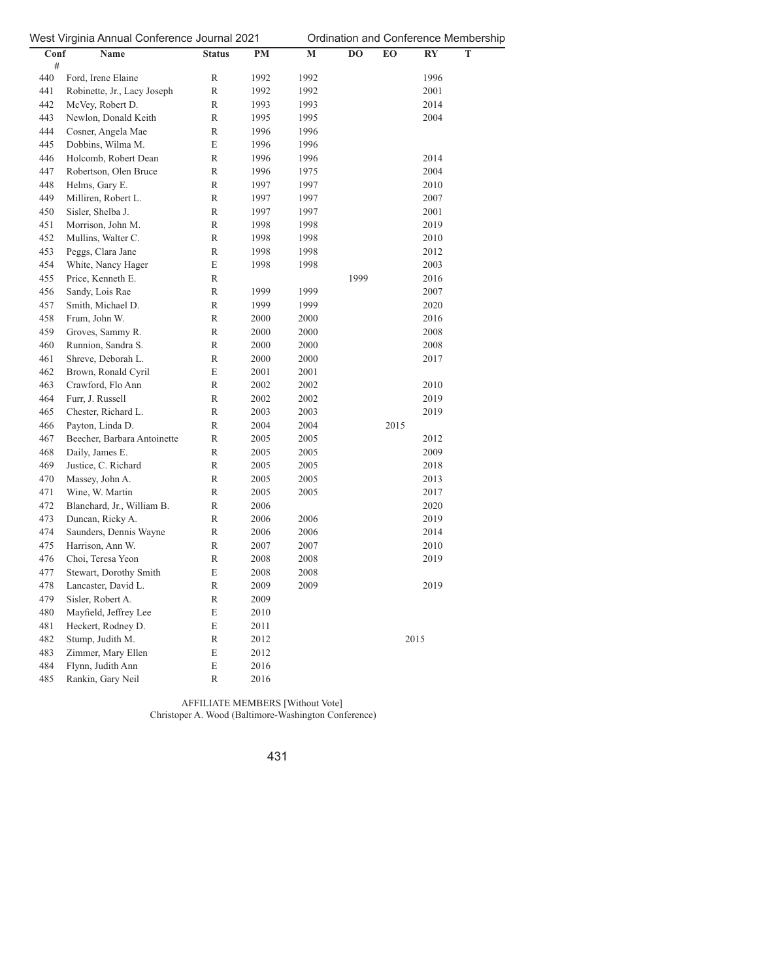| $   -$<br>Conf | ອ……<br>Name                 | <b>Status</b> | $PM$ | M    | DO   | EO   | RY   | T |
|----------------|-----------------------------|---------------|------|------|------|------|------|---|
| #              |                             |               |      |      |      |      |      |   |
| 440            | Ford, Irene Elaine          | R             | 1992 | 1992 |      |      | 1996 |   |
| 441            | Robinette, Jr., Lacy Joseph | R             | 1992 | 1992 |      |      | 2001 |   |
| 442            | McVey, Robert D.            | R             | 1993 | 1993 |      |      | 2014 |   |
| 443            | Newlon, Donald Keith        | R             | 1995 | 1995 |      |      | 2004 |   |
| 444            | Cosner, Angela Mae          | R             | 1996 | 1996 |      |      |      |   |
| 445            | Dobbins, Wilma M.           | E             | 1996 | 1996 |      |      |      |   |
| 446            | Holcomb, Robert Dean        | R             | 1996 | 1996 |      |      | 2014 |   |
| 447            | Robertson, Olen Bruce       | $\mathbb R$   | 1996 | 1975 |      |      | 2004 |   |
| 448            | Helms, Gary E.              | R             | 1997 | 1997 |      |      | 2010 |   |
| 449            | Milliren, Robert L.         | R             | 1997 | 1997 |      |      | 2007 |   |
| 450            | Sisler, Shelba J.           | $\mathbb{R}$  | 1997 | 1997 |      |      | 2001 |   |
| 451            | Morrison, John M.           | R             | 1998 | 1998 |      |      | 2019 |   |
| 452            | Mullins, Walter C.          | $\mathbb R$   | 1998 | 1998 |      |      | 2010 |   |
| 453            | Peggs, Clara Jane           | R             | 1998 | 1998 |      |      | 2012 |   |
| 454            | White, Nancy Hager          | E             | 1998 | 1998 |      |      | 2003 |   |
| 455            | Price, Kenneth E.           | R             |      |      | 1999 |      | 2016 |   |
| 456            | Sandy, Lois Rae             | R             | 1999 | 1999 |      |      | 2007 |   |
| 457            | Smith, Michael D.           | $\mathbb R$   | 1999 | 1999 |      |      | 2020 |   |
| 458            | Frum, John W.               | $\mathbb R$   | 2000 | 2000 |      |      | 2016 |   |
| 459            | Groves, Sammy R.            | $\mathbb{R}$  | 2000 | 2000 |      |      | 2008 |   |
| 460            | Runnion, Sandra S.          | $\mathbb R$   | 2000 | 2000 |      |      | 2008 |   |
| 461            | Shreve, Deborah L.          | R             | 2000 | 2000 |      |      | 2017 |   |
| 462            | Brown, Ronald Cyril         | E             | 2001 | 2001 |      |      |      |   |
| 463            | Crawford, Flo Ann           | R             | 2002 | 2002 |      |      | 2010 |   |
| 464            | Furr, J. Russell            | $\mathbb{R}$  | 2002 | 2002 |      |      | 2019 |   |
| 465            | Chester, Richard L.         | $\,$ R        | 2003 | 2003 |      |      | 2019 |   |
| 466            | Payton, Linda D.            | R             | 2004 | 2004 |      | 2015 |      |   |
| 467            | Beecher, Barbara Antoinette | R             | 2005 | 2005 |      |      | 2012 |   |
| 468            | Daily, James E.             | R             | 2005 | 2005 |      |      | 2009 |   |
| 469            | Justice, C. Richard         | R             | 2005 | 2005 |      |      | 2018 |   |
| 470            | Massey, John A.             | R             | 2005 | 2005 |      |      | 2013 |   |
| 471            | Wine, W. Martin             | R             | 2005 | 2005 |      |      | 2017 |   |
| 472            | Blanchard, Jr., William B.  | R             | 2006 |      |      |      | 2020 |   |
| 473            | Duncan, Ricky A.            | R             | 2006 | 2006 |      |      | 2019 |   |
| 474            | Saunders, Dennis Wayne      | $\,$ R        | 2006 | 2006 |      |      | 2014 |   |
| 475            | Harrison, Ann W.            | R             | 2007 | 2007 |      |      | 2010 |   |
| 476            | Choi, Teresa Yeon           | R             | 2008 | 2008 |      |      | 2019 |   |
| 477            | Stewart, Dorothy Smith      | E             | 2008 | 2008 |      |      |      |   |
| 478            | Lancaster, David L.         | R             | 2009 | 2009 |      |      | 2019 |   |
| 479            | Sisler, Robert A.           | R             | 2009 |      |      |      |      |   |
| 480            | Mayfield, Jeffrey Lee       | E             | 2010 |      |      |      |      |   |
| 481            | Heckert, Rodney D.          | E             | 2011 |      |      |      |      |   |
| 482            | Stump, Judith M.            | R             | 2012 |      |      |      | 2015 |   |
| 483            | Zimmer, Mary Ellen          | E             | 2012 |      |      |      |      |   |
| 484            | Flynn, Judith Ann           | E             | 2016 |      |      |      |      |   |
| 485            | Rankin, Gary Neil           | R             | 2016 |      |      |      |      |   |
|                |                             |               |      |      |      |      |      |   |

AFFILIATE MEMBERS [Without Vote] Christoper A. Wood (Baltimore-Washington Conference)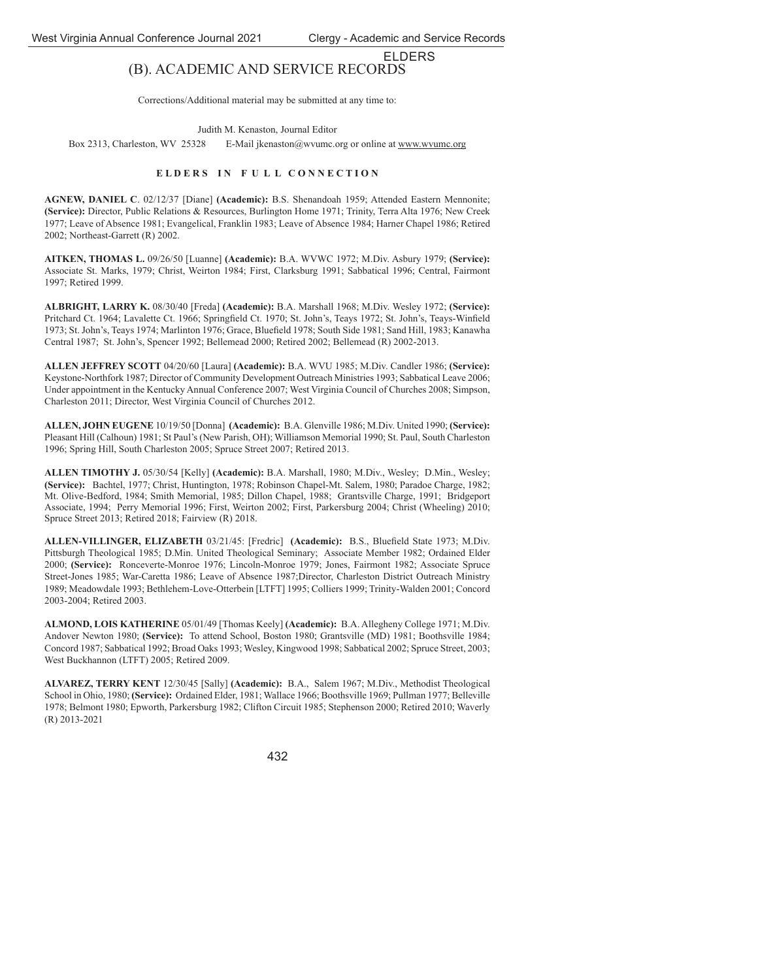## ELDERS (B). ACADEMIC AND SERVICE RECORDS

Corrections/Additional material may be submitted at any time to:

Judith M. Kenaston, Journal Editor

Box 2313, Charleston, WV 25328 E-Mail jkenaston@wvumc.org or online at www.wvumc.org

#### ELDERS IN FULL CONNECTION

**AGNEW, DANIEL C**. 02/12/37 [Diane] **(Academic):** B.S. Shenandoah 1959; Attended Eastern Mennonite; **(Service):** Director, Public Relations & Resources, Burlington Home 1971; Trinity, Terra Alta 1976; New Creek 1977; Leave of Absence 1981; Evangelical, Franklin 1983; Leave of Absence 1984; Harner Chapel 1986; Retired 2002; Northeast-Garrett (R) 2002.

**AITKEN, THOMAS L.** 09/26/50 [Luanne] **(Academic):** B.A. WVWC 1972; M.Div. Asbury 1979; **(Service):** Associate St. Marks, 1979; Christ, Weirton 1984; First, Clarksburg 1991; Sabbatical 1996; Central, Fairmont 1997; Retired 1999.

**ALBRIGHT, LARRY K.** 08/30/40 [Freda] **(Academic):** B.A. Marshall 1968; M.Div. Wesley 1972; **(Service):** Pritchard Ct. 1964; Lavalette Ct. 1966; Springfield Ct. 1970; St. John's, Teays 1972; St. John's, Teays-Winfield 1973; St. John's, Teays 1974; Marlinton 1976; Grace, Bluefield 1978; South Side 1981; Sand Hill, 1983; Kanawha Central 1987; St. John's, Spencer 1992; Bellemead 2000; Retired 2002; Bellemead (R) 2002-2013.

**ALLEN JEFFREY SCOTT** 04/20/60 [Laura] **(Academic):** B.A. WVU 1985; M.Div. Candler 1986; **(Service):** Keystone-Northfork 1987; Director of Community Development Outreach Ministries 1993; Sabbatical Leave 2006; Under appointment in the Kentucky Annual Conference 2007; West Virginia Council of Churches 2008; Simpson, Charleston 2011; Director, West Virginia Council of Churches 2012.

**ALLEN, JOHN EUGENE** 10/19/50 [Donna] **(Academic):** B.A. Glenville 1986; M.Div. United 1990; **(Service):** Pleasant Hill (Calhoun) 1981; St Paul's (New Parish, OH); Williamson Memorial 1990; St. Paul, South Charleston 1996; Spring Hill, South Charleston 2005; Spruce Street 2007; Retired 2013.

**ALLEN TIMOTHY J.** 05/30/54 [Kelly] **(Academic):** B.A. Marshall, 1980; M.Div., Wesley; D.Min., Wesley; **(Service):** Bachtel, 1977; Christ, Huntington, 1978; Robinson Chapel-Mt. Salem, 1980; Paradoe Charge, 1982; Mt. Olive-Bedford, 1984; Smith Memorial, 1985; Dillon Chapel, 1988; Grantsville Charge, 1991; Bridgeport Associate, 1994; Perry Memorial 1996; First, Weirton 2002; First, Parkersburg 2004; Christ (Wheeling) 2010; Spruce Street 2013; Retired 2018; Fairview (R) 2018.

**ALLEN-VILLINGER, ELIZABETH** 03/21/45: [Fredric] **(Academic):** B.S., Bluefield State 1973; M.Div. Pittsburgh Theological 1985; D.Min. United Theological Seminary; Associate Member 1982; Ordained Elder 2000; **(Service):** Ronceverte-Monroe 1976; Lincoln-Monroe 1979; Jones, Fairmont 1982; Associate Spruce Street-Jones 1985; War-Caretta 1986; Leave of Absence 1987;Director, Charleston District Outreach Ministry 1989; Meadowdale 1993; Bethlehem-Love-Otterbein [LTFT] 1995; Colliers 1999; Trinity-Walden 2001; Concord 2003-2004; Retired 2003.

**ALMOND, LOIS KATHERINE** 05/01/49 [Thomas Keely] **(Academic):** B.A. Allegheny College 1971; M.Div. Andover Newton 1980; **(Service):** To attend School, Boston 1980; Grantsville (MD) 1981; Boothsville 1984; Concord 1987; Sabbatical 1992; Broad Oaks 1993; Wesley, Kingwood 1998; Sabbatical 2002; Spruce Street, 2003; West Buckhannon (LTFT) 2005; Retired 2009.

**ALVAREZ, TERRY KENT** 12/30/45 [Sally] **(Academic):** B.A., Salem 1967; M.Div., Methodist Theological School in Ohio, 1980; **(Service):** Ordained Elder, 1981; Wallace 1966; Boothsville 1969; Pullman 1977; Belleville 1978; Belmont 1980; Epworth, Parkersburg 1982; Clifton Circuit 1985; Stephenson 2000; Retired 2010; Waverly (R) 2013-2021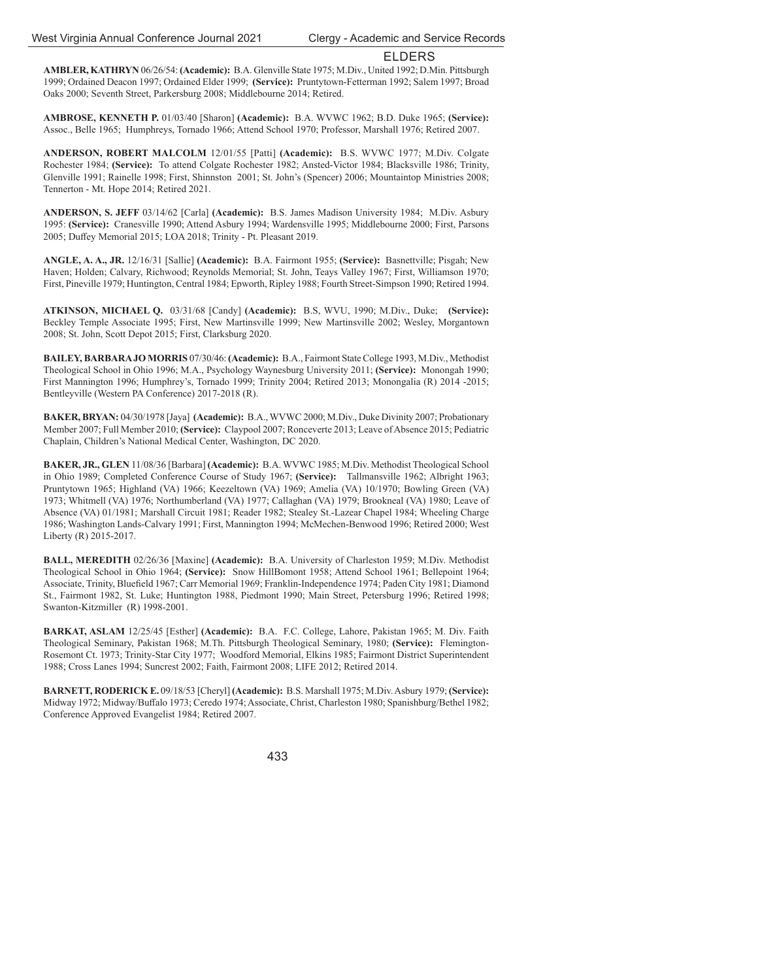**AMBLER, KATHRYN** 06/26/54: **(Academic):** B.A. Glenville State 1975; M.Div., United 1992; D.Min. Pittsburgh 1999; Ordained Deacon 1997; Ordained Elder 1999; **(Service):** Pruntytown-Fetterman 1992; Salem 1997; Broad Oaks 2000; Seventh Street, Parkersburg 2008; Middlebourne 2014; Retired.

**AMBROSE, KENNETH P.** 01/03/40 [Sharon] **(Academic):** B.A. WVWC 1962; B.D. Duke 1965; **(Service):** Assoc., Belle 1965; Humphreys, Tornado 1966; Attend School 1970; Professor, Marshall 1976; Retired 2007.

**ANDERSON, ROBERT MALCOLM** 12/01/55 [Patti] **(Academic):** B.S. WVWC 1977; M.Div. Colgate Rochester 1984; **(Service):** To attend Colgate Rochester 1982; Ansted-Victor 1984; Blacksville 1986; Trinity, Glenville 1991; Rainelle 1998; First, Shinnston 2001; St. John's (Spencer) 2006; Mountaintop Ministries 2008; Tennerton - Mt. Hope 2014; Retired 2021.

**ANDERSON, S. JEFF** 03/14/62 [Carla] **(Academic):** B.S. James Madison University 1984; M.Div. Asbury 1995: **(Service):** Cranesville 1990; Attend Asbury 1994; Wardensville 1995; Middlebourne 2000; First, Parsons 2005; Duffey Memorial 2015; LOA 2018; Trinity - Pt. Pleasant 2019.

**ANGLE, A. A., JR.** 12/16/31 [Sallie] **(Academic):** B.A. Fairmont 1955; **(Service):** Basnettville; Pisgah; New Haven; Holden; Calvary, Richwood; Reynolds Memorial; St. John, Teays Valley 1967; First, Williamson 1970; First, Pineville 1979; Huntington, Central 1984; Epworth, Ripley 1988; Fourth Street-Simpson 1990; Retired 1994.

**ATKINSON, MICHAEL Q.** 03/31/68 [Candy] **(Academic):** B.S, WVU, 1990; M.Div., Duke; **(Service):** Beckley Temple Associate 1995; First, New Martinsville 1999; New Martinsville 2002; Wesley, Morgantown 2008; St. John, Scott Depot 2015; First, Clarksburg 2020.

**BAILEY, BARBARA JO MORRIS** 07/30/46: **(Academic):** B.A., Fairmont State College 1993, M.Div., Methodist Theological School in Ohio 1996; M.A., Psychology Waynesburg University 2011; **(Service):** Monongah 1990; First Mannington 1996; Humphrey's, Tornado 1999; Trinity 2004; Retired 2013; Monongalia (R) 2014 -2015; Bentleyville (Western PA Conference) 2017-2018 (R).

**BAKER, BRYAN:** 04/30/1978 [Jaya] **(Academic):** B.A., WVWC 2000; M.Div., Duke Divinity 2007; Probationary Member 2007; Full Member 2010; **(Service):** Claypool 2007; Ronceverte 2013; Leave of Absence 2015; Pediatric Chaplain, Children's National Medical Center, Washington, DC 2020.

**BAKER, JR., GLEN** 11/08/36 [Barbara] **(Academic):** B.A. WVWC 1985; M.Div. Methodist Theological School in Ohio 1989; Completed Conference Course of Study 1967; **(Service):** Tallmansville 1962; Albright 1963; Pruntytown 1965; Highland (VA) 1966; Keezeltown (VA) 1969; Amelia (VA) 10/1970; Bowling Green (VA) 1973; Whitmell (VA) 1976; Northumberland (VA) 1977; Callaghan (VA) 1979; Brookneal (VA) 1980; Leave of Absence (VA) 01/1981; Marshall Circuit 1981; Reader 1982; Stealey St.-Lazear Chapel 1984; Wheeling Charge 1986; Washington Lands-Calvary 1991; First, Mannington 1994; McMechen-Benwood 1996; Retired 2000; West Liberty (R) 2015-2017.

**BALL, MEREDITH** 02/26/36 [Maxine] **(Academic):** B.A. University of Charleston 1959; M.Div. Methodist Theological School in Ohio 1964; **(Service):** Snow HillBomont 1958; Attend School 1961; Bellepoint 1964; Associate, Trinity, Bluefield 1967; Carr Memorial 1969; Franklin-Independence 1974; Paden City 1981; Diamond St., Fairmont 1982, St. Luke; Huntington 1988, Piedmont 1990; Main Street, Petersburg 1996; Retired 1998; Swanton-Kitzmiller (R) 1998-2001.

**BARKAT, ASLAM** 12/25/45 [Esther] **(Academic):** B.A. F.C. College, Lahore, Pakistan 1965; M. Div. Faith Theological Seminary, Pakistan 1968; M.Th. Pittsburgh Theological Seminary, 1980; **(Service):** Flemington-Rosemont Ct. 1973; Trinity-Star City 1977; Woodford Memorial, Elkins 1985; Fairmont District Superintendent 1988; Cross Lanes 1994; Suncrest 2002; Faith, Fairmont 2008; LIFE 2012; Retired 2014.

**BARNETT, RODERICK E.** 09/18/53 [Cheryl] **(Academic):** B.S. Marshall 1975; M.Div. Asbury 1979; **(Service):** Midway 1972; Midway/Buffalo 1973; Ceredo 1974; Associate, Christ, Charleston 1980; Spanishburg/Bethel 1982; Conference Approved Evangelist 1984; Retired 2007.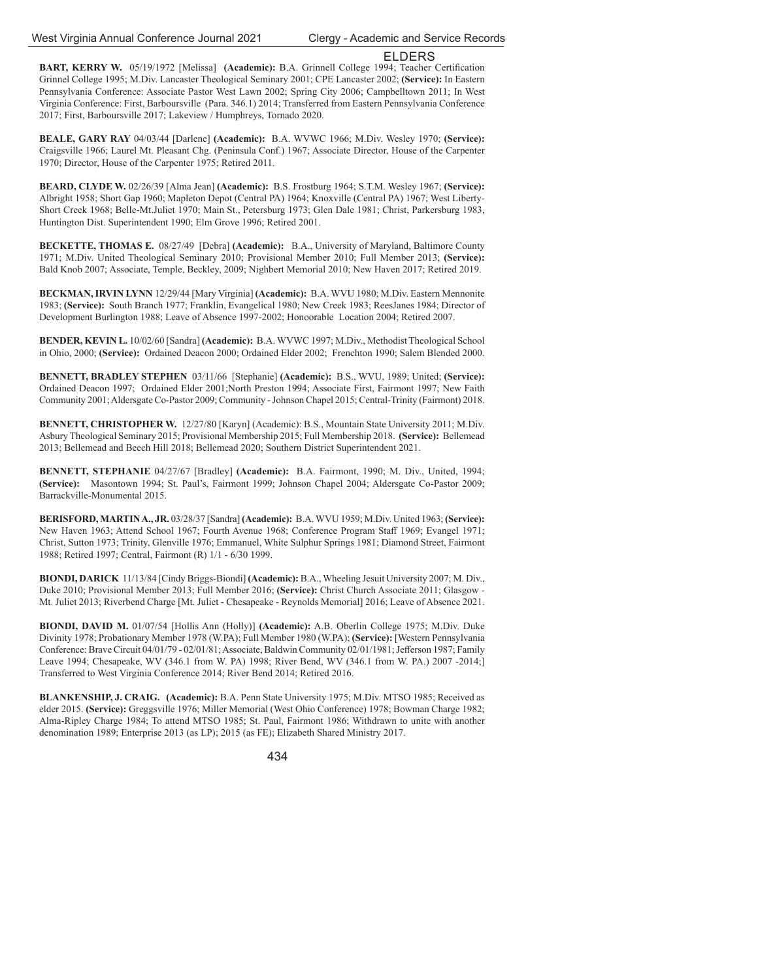BART, KERRY W. 05/19/1972 [Melissa] (Academic): B.A. Grinnell College 1994; Teacher Certification Grinnel College 1995; M.Div. Lancaster Theological Seminary 2001; CPE Lancaster 2002; **(Service):** In Eastern Pennsylvania Conference: Associate Pastor West Lawn 2002; Spring City 2006; Campbelltown 2011; In West Virginia Conference: First, Barboursville (Para. 346.1) 2014; Transferred from Eastern Pennsylvania Conference 2017; First, Barboursville 2017; Lakeview / Humphreys, Tornado 2020.

**BEALE, GARY RAY** 04/03/44 [Darlene] **(Academic):** B.A. WVWC 1966; M.Div. Wesley 1970; **(Service):** Craigsville 1966; Laurel Mt. Pleasant Chg. (Peninsula Conf.) 1967; Associate Director, House of the Carpenter 1970; Director, House of the Carpenter 1975; Retired 2011.

**BEARD, CLYDE W.** 02/26/39 [Alma Jean] **(Academic):** B.S. Frostburg 1964; S.T.M. Wesley 1967; **(Service):** Albright 1958; Short Gap 1960; Mapleton Depot (Central PA) 1964; Knoxville (Central PA) 1967; West Liberty-Short Creek 1968; Belle-Mt.Juliet 1970; Main St., Petersburg 1973; Glen Dale 1981; Christ, Parkersburg 1983, Huntington Dist. Superintendent 1990; Elm Grove 1996; Retired 2001.

**BECKETTE, THOMAS E.** 08/27/49 [Debra] **(Academic):** B.A., University of Maryland, Baltimore County 1971; M.Div. United Theological Seminary 2010; Provisional Member 2010; Full Member 2013; **(Service):** Bald Knob 2007; Associate, Temple, Beckley, 2009; Nighbert Memorial 2010; New Haven 2017; Retired 2019.

**BECKMAN, IRVIN LYNN** 12/29/44 [Mary Virginia] **(Academic):** B.A. WVU 1980; M.Div. Eastern Mennonite 1983; **(Service):** South Branch 1977; Franklin, Evangelical 1980; New Creek 1983; ReesJanes 1984; Director of Development Burlington 1988; Leave of Absence 1997-2002; Honoorable Location 2004; Retired 2007.

**BENDER, KEVIN L.** 10/02/60 [Sandra] **(Academic):** B.A. WVWC 1997; M.Div., Methodist Theological School in Ohio, 2000; **(Service):** Ordained Deacon 2000; Ordained Elder 2002; Frenchton 1990; Salem Blended 2000.

**BENNETT, BRADLEY STEPHEN** 03/11/66 [Stephanie] **(Academic):** B.S., WVU, 1989; United; **(Service):** Ordained Deacon 1997; Ordained Elder 2001;North Preston 1994; Associate First, Fairmont 1997; New Faith Community 2001; Aldersgate Co-Pastor 2009; Community - Johnson Chapel 2015; Central-Trinity (Fairmont) 2018.

**BENNETT, CHRISTOPHER W.** 12/27/80 [Karyn] (Academic): B.S., Mountain State University 2011; M.Div. Asbury Theological Seminary 2015; Provisional Membership 2015; Full Membership 2018. **(Service):** Bellemead 2013; Bellemead and Beech Hill 2018; Bellemead 2020; Southern District Superintendent 2021.

**BENNETT, STEPHANIE** 04/27/67 [Bradley] **(Academic):** B.A. Fairmont, 1990; M. Div., United, 1994; **(Service):** Masontown 1994; St. Paul's, Fairmont 1999; Johnson Chapel 2004; Aldersgate Co-Pastor 2009; Barrackville-Monumental 2015.

**BERISFORD, MARTIN A., JR.** 03/28/37 [Sandra] **(Academic):** B.A. WVU 1959; M.Div. United 1963; **(Service):** New Haven 1963; Attend School 1967; Fourth Avenue 1968; Conference Program Staff 1969; Evangel 1971; Christ, Sutton 1973; Trinity, Glenville 1976; Emmanuel, White Sulphur Springs 1981; Diamond Street, Fairmont 1988; Retired 1997; Central, Fairmont (R) 1/1 - 6/30 1999.

**BIONDI, DARICK** 11/13/84 [Cindy Briggs-Biondi] **(Academic):** B.A., Wheeling Jesuit University 2007; M. Div., Duke 2010; Provisional Member 2013; Full Member 2016; **(Service):** Christ Church Associate 2011; Glasgow - Mt. Juliet 2013; Riverbend Charge [Mt. Juliet - Chesapeake - Reynolds Memorial] 2016; Leave of Absence 2021.

**BIONDI, DAVID M.** 01/07/54 [Hollis Ann (Holly)] **(Academic):** A.B. Oberlin College 1975; M.Div. Duke Divinity 1978; Probationary Member 1978 (W.PA); Full Member 1980 (W.PA); **(Service):** [Western Pennsylvania Conference: Brave Circuit 04/01/79 - 02/01/81; Associate, Baldwin Community 02/01/1981; Jefferson 1987; Family Leave 1994; Chesapeake, WV (346.1 from W. PA) 1998; River Bend, WV (346.1 from W. PA.) 2007 -2014;] Transferred to West Virginia Conference 2014; River Bend 2014; Retired 2016.

**BLANKENSHIP, J. CRAIG. (Academic):** B.A. Penn State University 1975; M.Div. MTSO 1985; Received as elder 2015. **(Service):** Greggsville 1976; Miller Memorial (West Ohio Conference) 1978; Bowman Charge 1982; Alma-Ripley Charge 1984; To attend MTSO 1985; St. Paul, Fairmont 1986; Withdrawn to unite with another denomination 1989; Enterprise 2013 (as LP); 2015 (as FE); Elizabeth Shared Ministry 2017.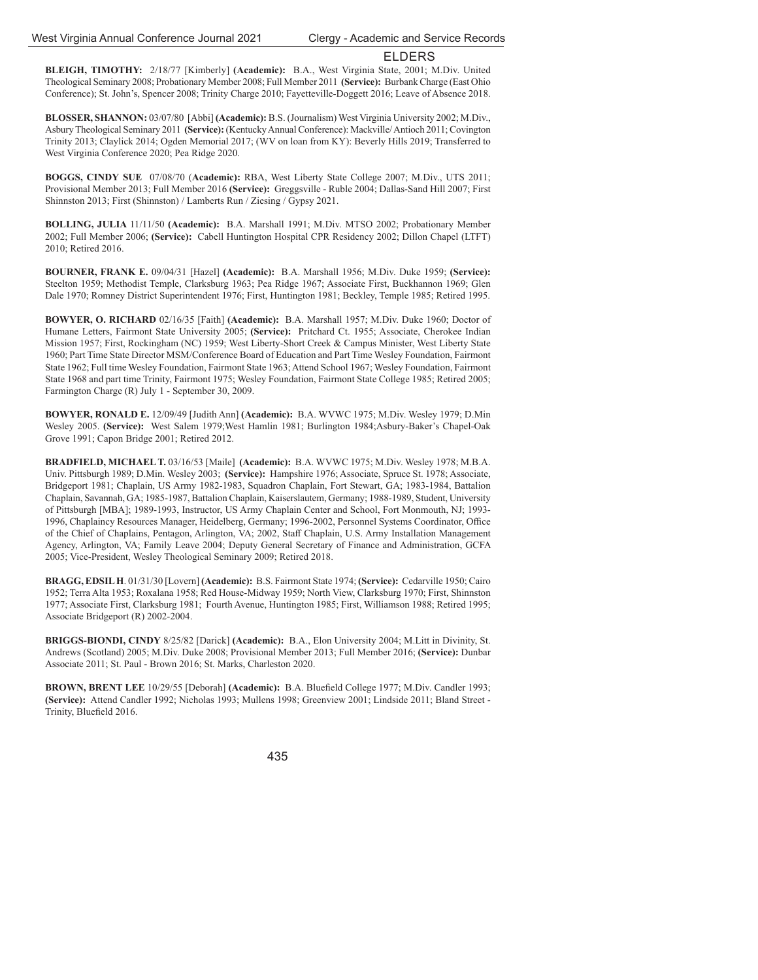**BLEIGH, TIMOTHY:** 2/18/77 [Kimberly] **(Academic):** B.A., West Virginia State, 2001; M.Div. United Theological Seminary 2008; Probationary Member 2008; Full Member 2011 **(Service):** Burbank Charge (East Ohio Conference); St. John's, Spencer 2008; Trinity Charge 2010; Fayetteville-Doggett 2016; Leave of Absence 2018.

**BLOSSER, SHANNON:** 03/07/80 [Abbi] **(Academic):** B.S. (Journalism) West Virginia University 2002; M.Div., Asbury Theological Seminary 2011 **(Service):** (Kentucky Annual Conference): Mackville/ Antioch 2011; Covington Trinity 2013; Claylick 2014; Ogden Memorial 2017; (WV on loan from KY): Beverly Hills 2019; Transferred to West Virginia Conference 2020; Pea Ridge 2020.

**BOGGS, CINDY SUE** 07/08/70 (**Academic):** RBA, West Liberty State College 2007; M.Div., UTS 2011; Provisional Member 2013; Full Member 2016 **(Service):** Greggsville - Ruble 2004; Dallas-Sand Hill 2007; First Shinnston 2013; First (Shinnston) / Lamberts Run / Ziesing / Gypsy 2021.

**BOLLING, JULIA** 11/11/50 **(Academic):** B.A. Marshall 1991; M.Div. MTSO 2002; Probationary Member 2002; Full Member 2006; **(Service):** Cabell Huntington Hospital CPR Residency 2002; Dillon Chapel (LTFT) 2010; Retired 2016.

**BOURNER, FRANK E.** 09/04/31 [Hazel] **(Academic):** B.A. Marshall 1956; M.Div. Duke 1959; **(Service):** Steelton 1959; Methodist Temple, Clarksburg 1963; Pea Ridge 1967; Associate First, Buckhannon 1969; Glen Dale 1970; Romney District Superintendent 1976; First, Huntington 1981; Beckley, Temple 1985; Retired 1995.

**BOWYER, O. RICHARD** 02/16/35 [Faith] **(Academic):** B.A. Marshall 1957; M.Div. Duke 1960; Doctor of Humane Letters, Fairmont State University 2005; **(Service):** Pritchard Ct. 1955; Associate, Cherokee Indian Mission 1957; First, Rockingham (NC) 1959; West Liberty-Short Creek & Campus Minister, West Liberty State 1960; Part Time State Director MSM/Conference Board of Education and Part Time Wesley Foundation, Fairmont State 1962; Full time Wesley Foundation, Fairmont State 1963; Attend School 1967; Wesley Foundation, Fairmont State 1968 and part time Trinity, Fairmont 1975; Wesley Foundation, Fairmont State College 1985; Retired 2005; Farmington Charge (R) July 1 - September 30, 2009.

**BOWYER, RONALD E.** 12/09/49 [Judith Ann] **(Academic):** B.A. WVWC 1975; M.Div. Wesley 1979; D.Min Wesley 2005. **(Service):** West Salem 1979;West Hamlin 1981; Burlington 1984;Asbury-Baker's Chapel-Oak Grove 1991; Capon Bridge 2001; Retired 2012.

**BRADFIELD, MICHAEL T.** 03/16/53 [Maile] **(Academic):** B.A. WVWC 1975; M.Div. Wesley 1978; M.B.A. Univ. Pittsburgh 1989; D.Min. Wesley 2003; **(Service):** Hampshire 1976; Associate, Spruce St. 1978; Associate, Bridgeport 1981; Chaplain, US Army 1982-1983, Squadron Chaplain, Fort Stewart, GA; 1983-1984, Battalion Chaplain, Savannah, GA; 1985-1987, Battalion Chaplain, Kaiserslautem, Germany; 1988-1989, Student, University of Pittsburgh [MBA]; 1989-1993, Instructor, US Army Chaplain Center and School, Fort Monmouth, NJ; 1993- 1996, Chaplaincy Resources Manager, Heidelberg, Germany; 1996-2002, Personnel Systems Coordinator, Office of the Chief of Chaplains, Pentagon, Arlington, VA; 2002, Staff Chaplain, U.S. Army Installation Management Agency, Arlington, VA; Family Leave 2004; Deputy General Secretary of Finance and Administration, GCFA 2005; Vice-President, Wesley Theological Seminary 2009; Retired 2018.

**BRAGG, EDSIL H**. 01/31/30 [Lovern] **(Academic):** B.S. Fairmont State 1974; **(Service):** Cedarville 1950; Cairo 1952; Terra Alta 1953; Roxalana 1958; Red House-Midway 1959; North View, Clarksburg 1970; First, Shinnston 1977; Associate First, Clarksburg 1981; Fourth Avenue, Huntington 1985; First, Williamson 1988; Retired 1995; Associate Bridgeport (R) 2002-2004.

**BRIGGS-BIONDI, CINDY** 8/25/82 [Darick] **(Academic):** B.A., Elon University 2004; M.Litt in Divinity, St. Andrews (Scotland) 2005; M.Div. Duke 2008; Provisional Member 2013; Full Member 2016; **(Service):** Dunbar Associate 2011; St. Paul - Brown 2016; St. Marks, Charleston 2020.

BROWN, BRENT LEE 10/29/55 [Deborah] (Academic): B.A. Bluefield College 1977; M.Div. Candler 1993; **(Service):** Attend Candler 1992; Nicholas 1993; Mullens 1998; Greenview 2001; Lindside 2011; Bland Street - Trinity, Bluefield 2016.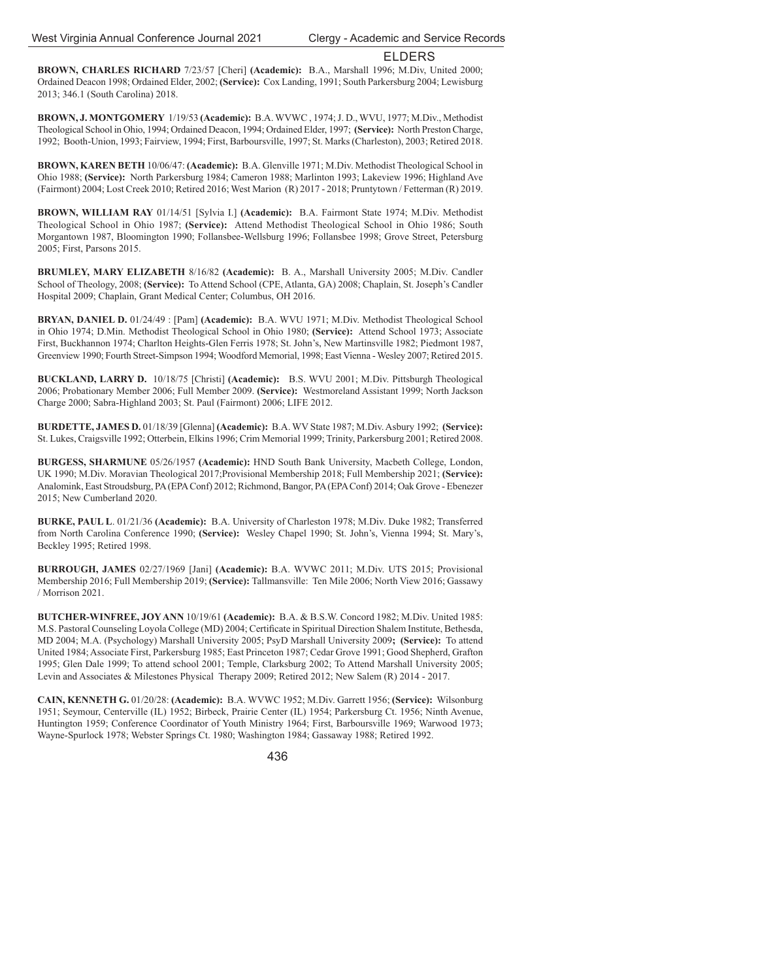**BROWN, CHARLES RICHARD** 7/23/57 [Cheri] **(Academic):** B.A., Marshall 1996; M.Div, United 2000; Ordained Deacon 1998; Ordained Elder, 2002; **(Service):** Cox Landing, 1991; South Parkersburg 2004; Lewisburg 2013; 346.1 (South Carolina) 2018.

**BROWN, J. MONTGOMERY** 1/19/53 **(Academic):** B.A. WVWC , 1974; J. D., WVU, 1977; M.Div., Methodist Theological School in Ohio, 1994; Ordained Deacon, 1994; Ordained Elder, 1997; **(Service):** North Preston Charge, 1992; Booth-Union, 1993; Fairview, 1994; First, Barboursville, 1997; St. Marks (Charleston), 2003; Retired 2018.

**BROWN, KAREN BETH** 10/06/47: **(Academic):** B.A. Glenville 1971; M.Div. Methodist Theological School in Ohio 1988; **(Service):** North Parkersburg 1984; Cameron 1988; Marlinton 1993; Lakeview 1996; Highland Ave (Fairmont) 2004; Lost Creek 2010; Retired 2016; West Marion (R) 2017 - 2018; Pruntytown / Fetterman (R) 2019.

**BROWN, WILLIAM RAY** 01/14/51 [Sylvia I.] **(Academic):** B.A. Fairmont State 1974; M.Div. Methodist Theological School in Ohio 1987; **(Service):** Attend Methodist Theological School in Ohio 1986; South Morgantown 1987, Bloomington 1990; Follansbee-Wellsburg 1996; Follansbee 1998; Grove Street, Petersburg 2005; First, Parsons 2015.

**BRUMLEY, MARY ELIZABETH** 8/16/82 **(Academic):** B. A., Marshall University 2005; M.Div. Candler School of Theology, 2008; **(Service):** To Attend School (CPE, Atlanta, GA) 2008; Chaplain, St. Joseph's Candler Hospital 2009; Chaplain, Grant Medical Center; Columbus, OH 2016.

**BRYAN, DANIEL D.** 01/24/49 : [Pam] **(Academic):** B.A. WVU 1971; M.Div. Methodist Theological School in Ohio 1974; D.Min. Methodist Theological School in Ohio 1980; **(Service):** Attend School 1973; Associate First, Buckhannon 1974; Charlton Heights-Glen Ferris 1978; St. John's, New Martinsville 1982; Piedmont 1987, Greenview 1990; Fourth Street-Simpson 1994; Woodford Memorial, 1998; East Vienna - Wesley 2007; Retired 2015.

**BUCKLAND, LARRY D.** 10/18/75 [Christi] **(Academic):** B.S. WVU 2001; M.Div. Pittsburgh Theological 2006; Probationary Member 2006; Full Member 2009. **(Service):** Westmoreland Assistant 1999; North Jackson Charge 2000; Sabra-Highland 2003; St. Paul (Fairmont) 2006; LIFE 2012.

**BURDETTE, JAMES D.** 01/18/39 [Glenna] **(Academic):** B.A. WV State 1987; M.Div. Asbury 1992; **(Service):** St. Lukes, Craigsville 1992; Otterbein, Elkins 1996; Crim Memorial 1999; Trinity, Parkersburg 2001; Retired 2008.

**BURGESS, SHARMUNE** 05/26/1957 **(Academic):** HND South Bank University, Macbeth College, London, UK 1990; M.Div. Moravian Theological 2017;Provisional Membership 2018; Full Membership 2021; **(Service):** Analomink, East Stroudsburg, PA (EPA Conf) 2012; Richmond, Bangor, PA (EPA Conf) 2014; Oak Grove - Ebenezer 2015; New Cumberland 2020.

**BURKE, PAUL L**. 01/21/36 **(Academic):** B.A. University of Charleston 1978; M.Div. Duke 1982; Transferred from North Carolina Conference 1990; **(Service):** Wesley Chapel 1990; St. John's, Vienna 1994; St. Mary's, Beckley 1995; Retired 1998.

**BURROUGH, JAMES** 02/27/1969 [Jani] **(Academic):** B.A. WVWC 2011; M.Div. UTS 2015; Provisional Membership 2016; Full Membership 2019; **(Service):** Tallmansville: Ten Mile 2006; North View 2016; Gassawy / Morrison 2021.

**BUTCHER-WINFREE, JOY ANN** 10/19/61 **(Academic):** B.A. & B.S.W. Concord 1982; M.Div. United 1985: M.S. Pastoral Counseling Loyola College (MD) 2004; Certificate in Spiritual Direction Shalem Institute, Bethesda, MD 2004; M.A. (Psychology) Marshall University 2005; PsyD Marshall University 2009**; (Service):** To attend United 1984; Associate First, Parkersburg 1985; East Princeton 1987; Cedar Grove 1991; Good Shepherd, Grafton 1995; Glen Dale 1999; To attend school 2001; Temple, Clarksburg 2002; To Attend Marshall University 2005; Levin and Associates & Milestones Physical Therapy 2009; Retired 2012; New Salem (R) 2014 - 2017.

**CAIN, KENNETH G.** 01/20/28: **(Academic):** B.A. WVWC 1952; M.Div. Garrett 1956; **(Service):** Wilsonburg 1951; Seymour, Centerville (IL) 1952; Birbeck, Prairie Center (IL) 1954; Parkersburg Ct. 1956; Ninth Avenue, Huntington 1959; Conference Coordinator of Youth Ministry 1964; First, Barboursville 1969; Warwood 1973; Wayne-Spurlock 1978; Webster Springs Ct. 1980; Washington 1984; Gassaway 1988; Retired 1992.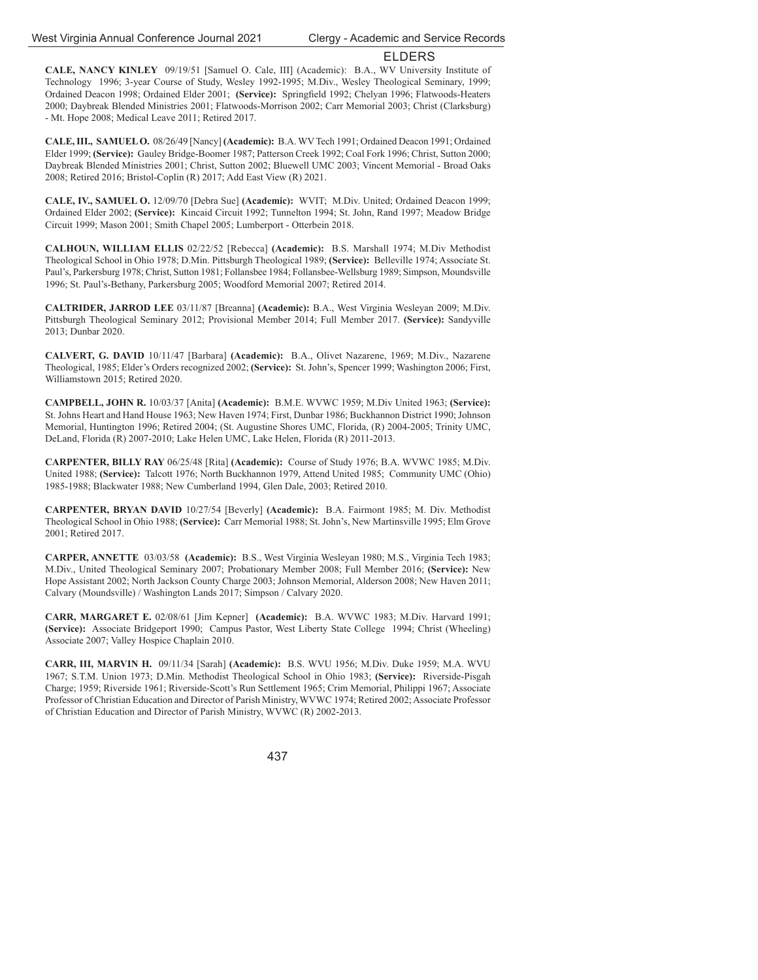**CALE, NANCY KINLEY** 09/19/51 [Samuel O. Cale, III] (Academic): B.A., WV University Institute of Technology 1996; 3-year Course of Study, Wesley 1992-1995; M.Div., Wesley Theological Seminary, 1999; Ordained Deacon 1998; Ordained Elder 2001; (Service): Springfield 1992; Chelyan 1996; Flatwoods-Heaters 2000; Daybreak Blended Ministries 2001; Flatwoods-Morrison 2002; Carr Memorial 2003; Christ (Clarksburg) - Mt. Hope 2008; Medical Leave 2011; Retired 2017.

**CALE, III., SAMUEL O.** 08/26/49 [Nancy] **(Academic):** B.A. WV Tech 1991; Ordained Deacon 1991; Ordained Elder 1999; **(Service):** Gauley Bridge-Boomer 1987; Patterson Creek 1992; Coal Fork 1996; Christ, Sutton 2000; Daybreak Blended Ministries 2001; Christ, Sutton 2002; Bluewell UMC 2003; Vincent Memorial - Broad Oaks 2008; Retired 2016; Bristol-Coplin (R) 2017; Add East View (R) 2021.

**CALE, IV., SAMUEL O.** 12/09/70 [Debra Sue] **(Academic):** WVIT; M.Div. United; Ordained Deacon 1999; Ordained Elder 2002; **(Service):** Kincaid Circuit 1992; Tunnelton 1994; St. John, Rand 1997; Meadow Bridge Circuit 1999; Mason 2001; Smith Chapel 2005; Lumberport - Otterbein 2018.

**CALHOUN, WILLIAM ELLIS** 02/22/52 [Rebecca] **(Academic):** B.S. Marshall 1974; M.Div Methodist Theological School in Ohio 1978; D.Min. Pittsburgh Theological 1989; **(Service):** Belleville 1974; Associate St. Paul's, Parkersburg 1978; Christ, Sutton 1981; Follansbee 1984; Follansbee-Wellsburg 1989; Simpson, Moundsville 1996; St. Paul's-Bethany, Parkersburg 2005; Woodford Memorial 2007; Retired 2014.

**CALTRIDER, JARROD LEE** 03/11/87 [Breanna] **(Academic):** B.A., West Virginia Wesleyan 2009; M.Div. Pittsburgh Theological Seminary 2012; Provisional Member 2014; Full Member 2017. **(Service):** Sandyville 2013; Dunbar 2020.

**CALVERT, G. DAVID** 10/11/47 [Barbara] **(Academic):** B.A., Olivet Nazarene, 1969; M.Div., Nazarene Theological, 1985; Elder's Orders recognized 2002; **(Service):** St. John's, Spencer 1999; Washington 2006; First, Williamstown 2015; Retired 2020.

**CAMPBELL, JOHN R.** 10/03/37 [Anita] **(Academic):** B.M.E. WVWC 1959; M.Div United 1963; **(Service):** St. Johns Heart and Hand House 1963; New Haven 1974; First, Dunbar 1986; Buckhannon District 1990; Johnson Memorial, Huntington 1996; Retired 2004; (St. Augustine Shores UMC, Florida, (R) 2004-2005; Trinity UMC, DeLand, Florida (R) 2007-2010; Lake Helen UMC, Lake Helen, Florida (R) 2011-2013.

**CARPENTER, BILLY RAY** 06/25/48 [Rita] **(Academic):** Course of Study 1976; B.A. WVWC 1985; M.Div. United 1988; **(Service):** Talcott 1976; North Buckhannon 1979, Attend United 1985; Community UMC (Ohio) 1985-1988; Blackwater 1988; New Cumberland 1994, Glen Dale, 2003; Retired 2010.

**CARPENTER, BRYAN DAVID** 10/27/54 [Beverly] **(Academic):** B.A. Fairmont 1985; M. Div. Methodist Theological School in Ohio 1988; **(Service):** Carr Memorial 1988; St. John's, New Martinsville 1995; Elm Grove 2001; Retired 2017.

**CARPER, ANNETTE** 03/03/58 **(Academic):** B.S., West Virginia Wesleyan 1980; M.S., Virginia Tech 1983; M.Div., United Theological Seminary 2007; Probationary Member 2008; Full Member 2016; **(Service):** New Hope Assistant 2002; North Jackson County Charge 2003; Johnson Memorial, Alderson 2008; New Haven 2011; Calvary (Moundsville) / Washington Lands 2017; Simpson / Calvary 2020.

**CARR, MARGARET E.** 02/08/61 [Jim Kepner] **(Academic):** B.A. WVWC 1983; M.Div. Harvard 1991; **(Service):** Associate Bridgeport 1990; Campus Pastor, West Liberty State College 1994; Christ (Wheeling) Associate 2007; Valley Hospice Chaplain 2010.

**CARR, III, MARVIN H.** 09/11/34 [Sarah] **(Academic):** B.S. WVU 1956; M.Div. Duke 1959; M.A. WVU 1967; S.T.M. Union 1973; D.Min. Methodist Theological School in Ohio 1983; **(Service):** Riverside-Pisgah Charge; 1959; Riverside 1961; Riverside-Scott's Run Settlement 1965; Crim Memorial, Philippi 1967; Associate Professor of Christian Education and Director of Parish Ministry, WVWC 1974; Retired 2002; Associate Professor of Christian Education and Director of Parish Ministry, WVWC (R) 2002-2013.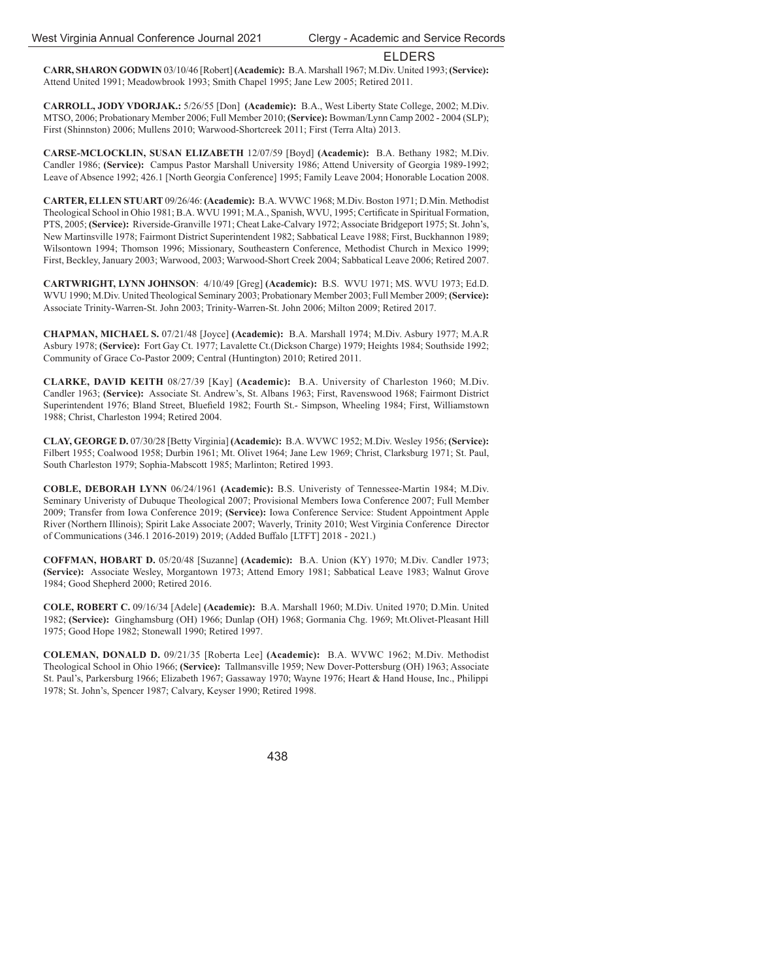**CARR, SHARON GODWIN** 03/10/46 [Robert] **(Academic):** B.A. Marshall 1967; M.Div. United 1993; **(Service):** Attend United 1991; Meadowbrook 1993; Smith Chapel 1995; Jane Lew 2005; Retired 2011.

**CARROLL, JODY VDORJAK.:** 5/26/55 [Don] **(Academic):** B.A., West Liberty State College, 2002; M.Div. MTSO, 2006; Probationary Member 2006; Full Member 2010; **(Service):** Bowman/Lynn Camp 2002 - 2004 (SLP); First (Shinnston) 2006; Mullens 2010; Warwood-Shortcreek 2011; First (Terra Alta) 2013.

**CARSE-MCLOCKLIN, SUSAN ELIZABETH** 12/07/59 [Boyd] **(Academic):** B.A. Bethany 1982; M.Div. Candler 1986; **(Service):** Campus Pastor Marshall University 1986; Attend University of Georgia 1989-1992; Leave of Absence 1992; 426.1 [North Georgia Conference] 1995; Family Leave 2004; Honorable Location 2008.

**CARTER, ELLEN STUART** 09/26/46: **(Academic):** B.A. WVWC 1968; M.Div. Boston 1971; D.Min. Methodist Theological School in Ohio 1981; B.A. WVU 1991; M.A., Spanish, WVU, 1995; Certificate in Spiritual Formation, PTS, 2005; **(Service):** Riverside-Granville 1971; Cheat Lake-Calvary 1972; Associate Bridgeport 1975; St. John's, New Martinsville 1978; Fairmont District Superintendent 1982; Sabbatical Leave 1988; First, Buckhannon 1989; Wilsontown 1994; Thomson 1996; Missionary, Southeastern Conference, Methodist Church in Mexico 1999; First, Beckley, January 2003; Warwood, 2003; Warwood-Short Creek 2004; Sabbatical Leave 2006; Retired 2007.

**CARTWRIGHT, LYNN JOHNSON**: 4/10/49 [Greg] **(Academic):** B.S. WVU 1971; MS. WVU 1973; Ed.D. WVU 1990; M.Div. United Theological Seminary 2003; Probationary Member 2003; Full Member 2009; **(Service):** Associate Trinity-Warren-St. John 2003; Trinity-Warren-St. John 2006; Milton 2009; Retired 2017.

**CHAPMAN, MICHAEL S.** 07/21/48 [Joyce] **(Academic):** B.A. Marshall 1974; M.Div. Asbury 1977; M.A.R Asbury 1978; **(Service):** Fort Gay Ct. 1977; Lavalette Ct.(Dickson Charge) 1979; Heights 1984; Southside 1992; Community of Grace Co-Pastor 2009; Central (Huntington) 2010; Retired 2011.

**CLARKE, DAVID KEITH** 08/27/39 [Kay] **(Academic):** B.A. University of Charleston 1960; M.Div. Candler 1963; **(Service):** Associate St. Andrew's, St. Albans 1963; First, Ravenswood 1968; Fairmont District Superintendent 1976; Bland Street, Bluefield 1982; Fourth St.- Simpson, Wheeling 1984; First, Williamstown 1988; Christ, Charleston 1994; Retired 2004.

**CLAY, GEORGE D.** 07/30/28 [Betty Virginia] **(Academic):** B.A. WVWC 1952; M.Div. Wesley 1956; **(Service):** Filbert 1955; Coalwood 1958; Durbin 1961; Mt. Olivet 1964; Jane Lew 1969; Christ, Clarksburg 1971; St. Paul, South Charleston 1979; Sophia-Mabscott 1985; Marlinton; Retired 1993.

**COBLE, DEBORAH LYNN** 06/24/1961 **(Academic):** B.S. Univeristy of Tennessee-Martin 1984; M.Div. Seminary Univeristy of Dubuque Theological 2007; Provisional Members Iowa Conference 2007; Full Member 2009; Transfer from Iowa Conference 2019; **(Service):** Iowa Conference Service: Student Appointment Apple River (Northern Illinois); Spirit Lake Associate 2007; Waverly, Trinity 2010; West Virginia Conference Director of Communications (346.1 2016-2019) 2019; (Added Buffalo [LTFT] 2018 - 2021.)

**COFFMAN, HOBART D.** 05/20/48 [Suzanne] **(Academic):** B.A. Union (KY) 1970; M.Div. Candler 1973; **(Service):** Associate Wesley, Morgantown 1973; Attend Emory 1981; Sabbatical Leave 1983; Walnut Grove 1984; Good Shepherd 2000; Retired 2016.

**COLE, ROBERT C.** 09/16/34 [Adele] **(Academic):** B.A. Marshall 1960; M.Div. United 1970; D.Min. United 1982; **(Service):** Ginghamsburg (OH) 1966; Dunlap (OH) 1968; Gormania Chg. 1969; Mt.Olivet-Pleasant Hill 1975; Good Hope 1982; Stonewall 1990; Retired 1997.

**COLEMAN, DONALD D.** 09/21/35 [Roberta Lee] **(Academic):** B.A. WVWC 1962; M.Div. Methodist Theological School in Ohio 1966; **(Service):** Tallmansville 1959; New Dover-Pottersburg (OH) 1963; Associate St. Paul's, Parkersburg 1966; Elizabeth 1967; Gassaway 1970; Wayne 1976; Heart & Hand House, Inc., Philippi 1978; St. John's, Spencer 1987; Calvary, Keyser 1990; Retired 1998.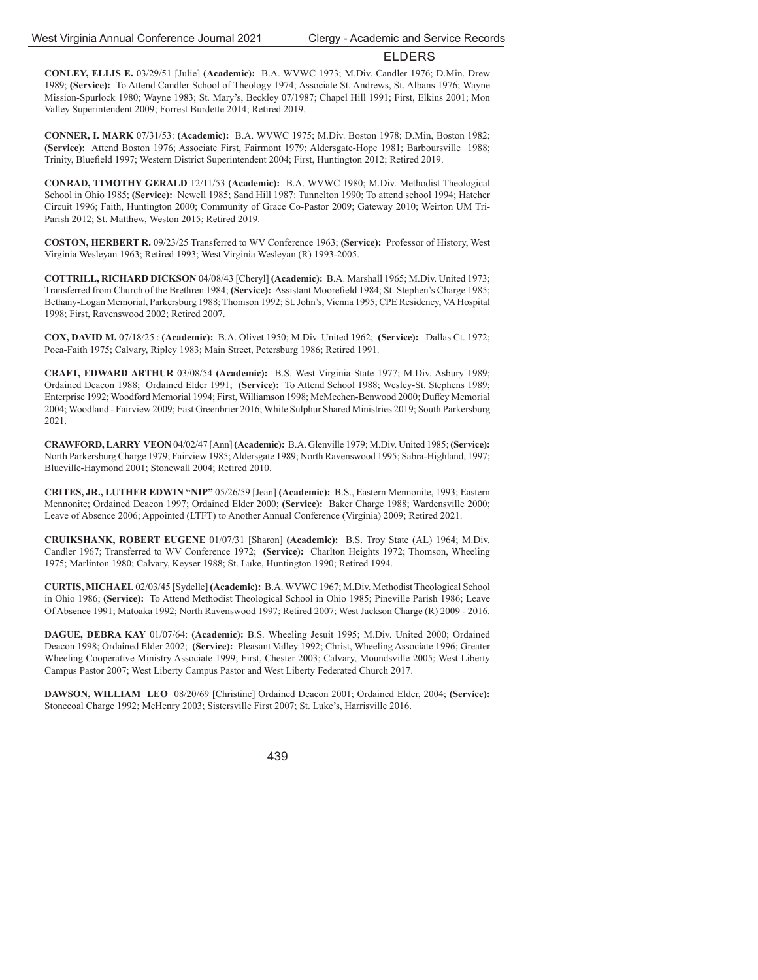**CONLEY, ELLIS E.** 03/29/51 [Julie] **(Academic):** B.A. WVWC 1973; M.Div. Candler 1976; D.Min. Drew 1989; **(Service):** To Attend Candler School of Theology 1974; Associate St. Andrews, St. Albans 1976; Wayne Mission-Spurlock 1980; Wayne 1983; St. Mary's, Beckley 07/1987; Chapel Hill 1991; First, Elkins 2001; Mon Valley Superintendent 2009; Forrest Burdette 2014; Retired 2019.

**CONNER, I. MARK** 07/31/53: **(Academic):** B.A. WVWC 1975; M.Div. Boston 1978; D.Min, Boston 1982; **(Service):** Attend Boston 1976; Associate First, Fairmont 1979; Aldersgate-Hope 1981; Barboursville 1988; Trinity, Bluefield 1997; Western District Superintendent 2004; First, Huntington 2012; Retired 2019.

**CONRAD, TIMOTHY GERALD** 12/11/53 **(Academic):** B.A. WVWC 1980; M.Div. Methodist Theological School in Ohio 1985; **(Service):** Newell 1985; Sand Hill 1987: Tunnelton 1990; To attend school 1994; Hatcher Circuit 1996; Faith, Huntington 2000; Community of Grace Co-Pastor 2009; Gateway 2010; Weirton UM Tri-Parish 2012; St. Matthew, Weston 2015; Retired 2019.

**COSTON, HERBERT R.** 09/23/25 Transferred to WV Conference 1963; **(Service):** Professor of History, West Virginia Wesleyan 1963; Retired 1993; West Virginia Wesleyan (R) 1993-2005.

**COTTRILL, RICHARD DICKSON** 04/08/43 [Cheryl] **(Academic):** B.A. Marshall 1965; M.Div. United 1973; Transferred from Church of the Brethren 1984; (Service): Assistant Moorefield 1984; St. Stephen's Charge 1985; Bethany-Logan Memorial, Parkersburg 1988; Thomson 1992; St. John's, Vienna 1995; CPE Residency, VA Hospital 1998; First, Ravenswood 2002; Retired 2007.

**COX, DAVID M.** 07/18/25 : **(Academic):** B.A. Olivet 1950; M.Div. United 1962; **(Service):** Dallas Ct. 1972; Poca-Faith 1975; Calvary, Ripley 1983; Main Street, Petersburg 1986; Retired 1991.

**CRAFT, EDWARD ARTHUR** 03/08/54 **(Academic):** B.S. West Virginia State 1977; M.Div. Asbury 1989; Ordained Deacon 1988; Ordained Elder 1991; **(Service):** To Attend School 1988; Wesley-St. Stephens 1989; Enterprise 1992; Woodford Memorial 1994; First, Williamson 1998; McMechen-Benwood 2000; Duffey Memorial 2004; Woodland - Fairview 2009; East Greenbrier 2016; White Sulphur Shared Ministries 2019; South Parkersburg 2021.

**CRAWFORD, LARRY VEON** 04/02/47 [Ann] **(Academic):** B.A. Glenville 1979; M.Div. United 1985; **(Service):** North Parkersburg Charge 1979; Fairview 1985; Aldersgate 1989; North Ravenswood 1995; Sabra-Highland, 1997; Blueville-Haymond 2001; Stonewall 2004; Retired 2010.

**CRITES, JR., LUTHER EDWIN "NIP"** 05/26/59 [Jean] **(Academic):** B.S., Eastern Mennonite, 1993; Eastern Mennonite; Ordained Deacon 1997; Ordained Elder 2000; **(Service):** Baker Charge 1988; Wardensville 2000; Leave of Absence 2006; Appointed (LTFT) to Another Annual Conference (Virginia) 2009; Retired 2021.

**CRUIKSHANK, ROBERT EUGENE** 01/07/31 [Sharon] **(Academic):** B.S. Troy State (AL) 1964; M.Div. Candler 1967; Transferred to WV Conference 1972; **(Service):** Charlton Heights 1972; Thomson, Wheeling 1975; Marlinton 1980; Calvary, Keyser 1988; St. Luke, Huntington 1990; Retired 1994.

**CURTIS, MICHAEL** 02/03/45 [Sydelle] **(Academic):** B.A. WVWC 1967; M.Div. Methodist Theological School in Ohio 1986; **(Service):** To Attend Methodist Theological School in Ohio 1985; Pineville Parish 1986; Leave Of Absence 1991; Matoaka 1992; North Ravenswood 1997; Retired 2007; West Jackson Charge (R) 2009 - 2016.

**DAGUE, DEBRA KAY** 01/07/64: **(Academic):** B.S. Wheeling Jesuit 1995; M.Div. United 2000; Ordained Deacon 1998; Ordained Elder 2002; **(Service):** Pleasant Valley 1992; Christ, Wheeling Associate 1996; Greater Wheeling Cooperative Ministry Associate 1999; First, Chester 2003; Calvary, Moundsville 2005; West Liberty Campus Pastor 2007; West Liberty Campus Pastor and West Liberty Federated Church 2017.

**DAWSON, WILLIAM LEO** 08/20/69 [Christine] Ordained Deacon 2001; Ordained Elder, 2004; **(Service):** Stonecoal Charge 1992; McHenry 2003; Sistersville First 2007; St. Luke's, Harrisville 2016.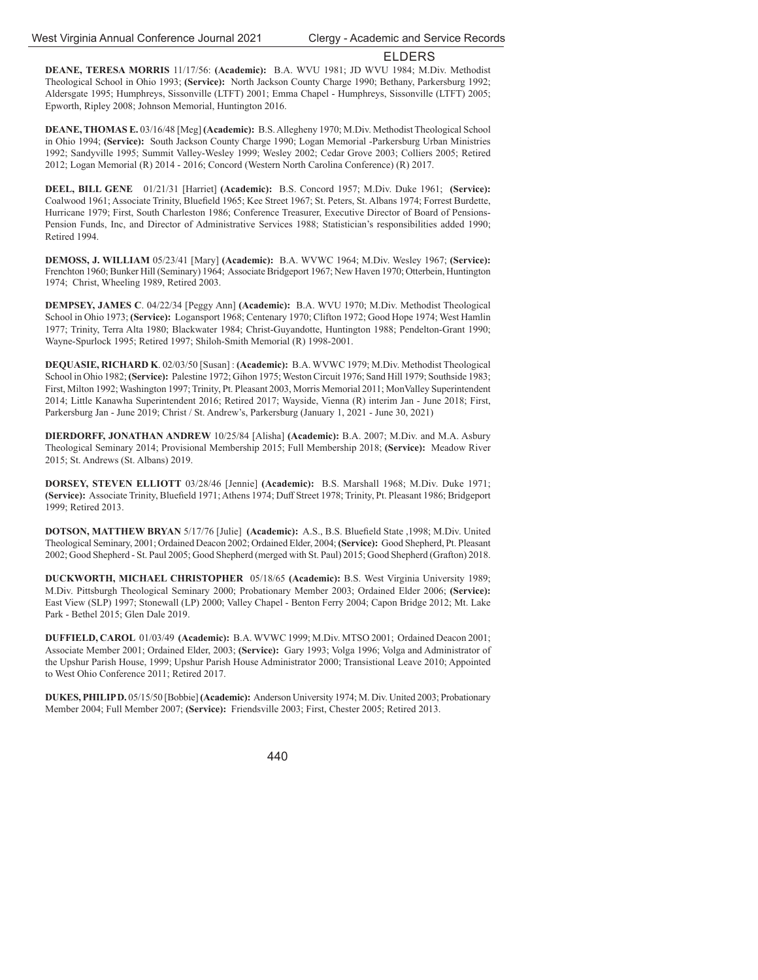**DEANE, TERESA MORRIS** 11/17/56: **(Academic):** B.A. WVU 1981; JD WVU 1984; M.Div. Methodist Theological School in Ohio 1993; **(Service):** North Jackson County Charge 1990; Bethany, Parkersburg 1992; Aldersgate 1995; Humphreys, Sissonville (LTFT) 2001; Emma Chapel - Humphreys, Sissonville (LTFT) 2005; Epworth, Ripley 2008; Johnson Memorial, Huntington 2016.

**DEANE, THOMAS E.** 03/16/48 [Meg] **(Academic):** B.S. Allegheny 1970; M.Div. Methodist Theological School in Ohio 1994; **(Service):** South Jackson County Charge 1990; Logan Memorial -Parkersburg Urban Ministries 1992; Sandyville 1995; Summit Valley-Wesley 1999; Wesley 2002; Cedar Grove 2003; Colliers 2005; Retired 2012; Logan Memorial (R) 2014 - 2016; Concord (Western North Carolina Conference) (R) 2017.

**DEEL, BILL GENE** 01/21/31 [Harriet] **(Academic):** B.S. Concord 1957; M.Div. Duke 1961; **(Service):** Coalwood 1961; Associate Trinity, Bluefield 1965; Kee Street 1967; St. Peters, St. Albans 1974; Forrest Burdette, Hurricane 1979; First, South Charleston 1986; Conference Treasurer, Executive Director of Board of Pensions-Pension Funds, Inc, and Director of Administrative Services 1988; Statistician's responsibilities added 1990; Retired 1994.

**DEMOSS, J. WILLIAM** 05/23/41 [Mary] **(Academic):** B.A. WVWC 1964; M.Div. Wesley 1967; **(Service):** Frenchton 1960; Bunker Hill (Seminary) 1964; Associate Bridgeport 1967; New Haven 1970; Otterbein, Huntington 1974; Christ, Wheeling 1989, Retired 2003.

**DEMPSEY, JAMES C**. 04/22/34 [Peggy Ann] **(Academic):** B.A. WVU 1970; M.Div. Methodist Theological School in Ohio 1973; **(Service):** Logansport 1968; Centenary 1970; Clifton 1972; Good Hope 1974; West Hamlin 1977; Trinity, Terra Alta 1980; Blackwater 1984; Christ-Guyandotte, Huntington 1988; Pendelton-Grant 1990; Wayne-Spurlock 1995; Retired 1997; Shiloh-Smith Memorial (R) 1998-2001.

**DEQUASIE, RICHARD K**. 02/03/50 [Susan] : **(Academic):** B.A. WVWC 1979; M.Div. Methodist Theological School in Ohio 1982; **(Service):** Palestine 1972; Gihon 1975; Weston Circuit 1976; Sand Hill 1979; Southside 1983; First, Milton 1992; Washington 1997; Trinity, Pt. Pleasant 2003, Morris Memorial 2011; MonValley Superintendent 2014; Little Kanawha Superintendent 2016; Retired 2017; Wayside, Vienna (R) interim Jan - June 2018; First, Parkersburg Jan - June 2019; Christ / St. Andrew's, Parkersburg (January 1, 2021 - June 30, 2021)

**DIERDORFF, JONATHAN ANDREW** 10/25/84 [Alisha] **(Academic):** B.A. 2007; M.Div. and M.A. Asbury Theological Seminary 2014; Provisional Membership 2015; Full Membership 2018; **(Service):** Meadow River 2015; St. Andrews (St. Albans) 2019.

**DORSEY, STEVEN ELLIOTT** 03/28/46 [Jennie] **(Academic):** B.S. Marshall 1968; M.Div. Duke 1971; (Service): Associate Trinity, Bluefield 1971; Athens 1974; Duff Street 1978; Trinity, Pt. Pleasant 1986; Bridgeport 1999; Retired 2013.

**DOTSON, MATTHEW BRYAN 5/17/76 [Julie] (Academic):** A.S., B.S. Bluefield State ,1998; M.Div. United Theological Seminary, 2001; Ordained Deacon 2002; Ordained Elder, 2004; **(Service):** Good Shepherd, Pt. Pleasant 2002; Good Shepherd - St. Paul 2005; Good Shepherd (merged with St. Paul) 2015; Good Shepherd (Grafton) 2018.

**DUCKWORTH, MICHAEL CHRISTOPHER** 05/18/65 **(Academic):** B.S. West Virginia University 1989; M.Div. Pittsburgh Theological Seminary 2000; Probationary Member 2003; Ordained Elder 2006; **(Service):**  East View (SLP) 1997; Stonewall (LP) 2000; Valley Chapel - Benton Ferry 2004; Capon Bridge 2012; Mt. Lake Park - Bethel 2015; Glen Dale 2019.

**DUFFIELD, CAROL** 01/03/49 **(Academic):** B.A. WVWC 1999; M.Div. MTSO 2001; Ordained Deacon 2001; Associate Member 2001; Ordained Elder, 2003; **(Service):** Gary 1993; Volga 1996; Volga and Administrator of the Upshur Parish House, 1999; Upshur Parish House Administrator 2000; Transistional Leave 2010; Appointed to West Ohio Conference 2011; Retired 2017.

**DUKES, PHILIP D.** 05/15/50 [Bobbie] **(Academic):** Anderson University 1974; M. Div. United 2003; Probationary Member 2004; Full Member 2007; **(Service):** Friendsville 2003; First, Chester 2005; Retired 2013.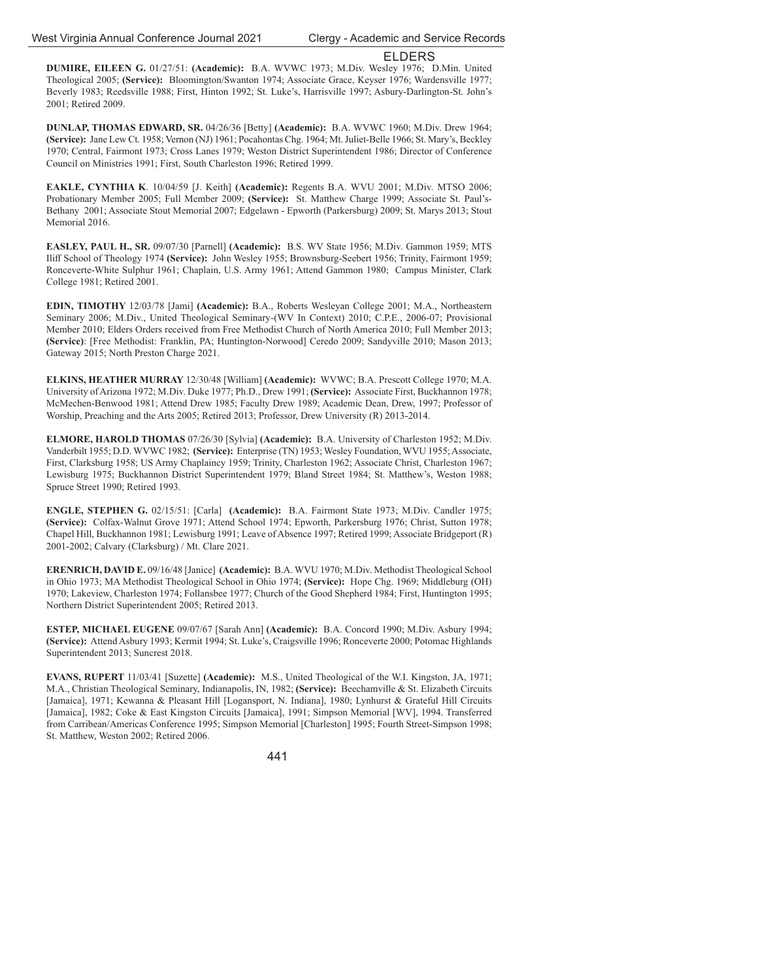**DUMIRE, EILEEN G.** 01/27/51: **(Academic):** B.A. WVWC 1973; M.Div. Wesley 1976; D.Min. United Theological 2005; **(Service):** Bloomington/Swanton 1974; Associate Grace, Keyser 1976; Wardensville 1977; Beverly 1983; Reedsville 1988; First, Hinton 1992; St. Luke's, Harrisville 1997; Asbury-Darlington-St. John's 2001; Retired 2009.

**DUNLAP, THOMAS EDWARD, SR.** 04/26/36 [Betty] **(Academic):** B.A. WVWC 1960; M.Div. Drew 1964; **(Service):** Jane Lew Ct. 1958; Vernon (NJ) 1961; Pocahontas Chg. 1964; Mt. Juliet-Belle 1966; St. Mary's, Beckley 1970; Central, Fairmont 1973; Cross Lanes 1979; Weston District Superintendent 1986; Director of Conference Council on Ministries 1991; First, South Charleston 1996; Retired 1999.

**EAKLE, CYNTHIA K**. 10/04/59 [J. Keith] **(Academic):** Regents B.A. WVU 2001; M.Div. MTSO 2006; Probationary Member 2005; Full Member 2009; **(Service):** St. Matthew Charge 1999; Associate St. Paul's-Bethany 2001; Associate Stout Memorial 2007; Edgelawn - Epworth (Parkersburg) 2009; St. Marys 2013; Stout Memorial 2016.

**EASLEY, PAUL H., SR.** 09/07/30 [Parnell] **(Academic):** B.S. WV State 1956; M.Div. Gammon 1959; MTS Iliff School of Theology 1974 **(Service):** John Wesley 1955; Brownsburg-Seebert 1956; Trinity, Fairmont 1959; Ronceverte-White Sulphur 1961; Chaplain, U.S. Army 1961; Attend Gammon 1980; Campus Minister, Clark College 1981; Retired 2001.

**EDIN, TIMOTHY** 12/03/78 [Jami] **(Academic):** B.A., Roberts Wesleyan College 2001; M.A., Northeastern Seminary 2006; M.Div., United Theological Seminary-(WV In Context) 2010; C.P.E., 2006-07; Provisional Member 2010; Elders Orders received from Free Methodist Church of North America 2010; Full Member 2013; **(Service)**: [Free Methodist: Franklin, PA; Huntington-Norwood] Ceredo 2009; Sandyville 2010; Mason 2013; Gateway 2015; North Preston Charge 2021.

**ELKINS, HEATHER MURRAY** 12/30/48 [William] **(Academic):** WVWC; B.A. Prescott College 1970; M.A. University of Arizona 1972; M.Div. Duke 1977; Ph.D., Drew 1991; **(Service):** Associate First, Buckhannon 1978; McMechen-Benwood 1981; Attend Drew 1985; Faculty Drew 1989; Academic Dean, Drew, 1997; Professor of Worship, Preaching and the Arts 2005; Retired 2013; Professor, Drew University (R) 2013-2014.

**ELMORE, HAROLD THOMAS** 07/26/30 [Sylvia] **(Academic):** B.A. University of Charleston 1952; M.Div. Vanderbilt 1955; D.D. WVWC 1982; **(Service):** Enterprise (TN) 1953; Wesley Foundation, WVU 1955; Associate, First, Clarksburg 1958; US Army Chaplaincy 1959; Trinity, Charleston 1962; Associate Christ, Charleston 1967; Lewisburg 1975; Buckhannon District Superintendent 1979; Bland Street 1984; St. Matthew's, Weston 1988; Spruce Street 1990; Retired 1993.

**ENGLE, STEPHEN G.** 02/15/51: [Carla] **(Academic):** B.A. Fairmont State 1973; M.Div. Candler 1975; **(Service):** Colfax-Walnut Grove 1971; Attend School 1974; Epworth, Parkersburg 1976; Christ, Sutton 1978; Chapel Hill, Buckhannon 1981; Lewisburg 1991; Leave of Absence 1997; Retired 1999; Associate Bridgeport (R) 2001-2002; Calvary (Clarksburg) / Mt. Clare 2021.

**ERENRICH, DAVID E.** 09/16/48 [Janice] **(Academic):** B.A. WVU 1970; M.Div. Methodist Theological School in Ohio 1973; MA Methodist Theological School in Ohio 1974; **(Service):** Hope Chg. 1969; Middleburg (OH) 1970; Lakeview, Charleston 1974; Follansbee 1977; Church of the Good Shepherd 1984; First, Huntington 1995; Northern District Superintendent 2005; Retired 2013.

**ESTEP, MICHAEL EUGENE** 09/07/67 [Sarah Ann] **(Academic):** B.A. Concord 1990; M.Div. Asbury 1994; **(Service):** Attend Asbury 1993; Kermit 1994; St. Luke's, Craigsville 1996; Ronceverte 2000; Potomac Highlands Superintendent 2013; Suncrest 2018.

**EVANS, RUPERT** 11/03/41 [Suzette] **(Academic):** M.S., United Theological of the W.I. Kingston, JA, 1971; M.A., Christian Theological Seminary, Indianapolis, IN, 1982; **(Service):** Beechamville & St. Elizabeth Circuits [Jamaica], 1971; Kewanna & Pleasant Hill [Logansport, N. Indiana], 1980; Lynhurst & Grateful Hill Circuits [Jamaica], 1982; Coke & East Kingston Circuits [Jamaica], 1991; Simpson Memorial [WV], 1994. Transferred from Carribean/Americas Conference 1995; Simpson Memorial [Charleston] 1995; Fourth Street-Simpson 1998; St. Matthew, Weston 2002; Retired 2006.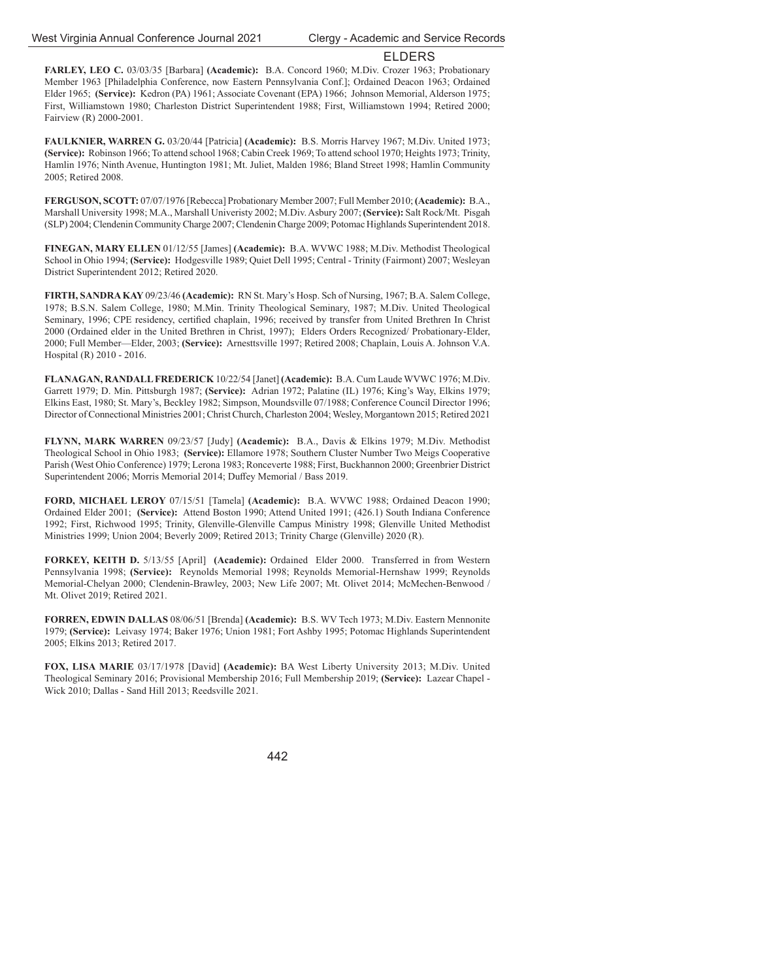**FARLEY, LEO C.** 03/03/35 [Barbara] **(Academic):** B.A. Concord 1960; M.Div. Crozer 1963; Probationary Member 1963 [Philadelphia Conference, now Eastern Pennsylvania Conf.]; Ordained Deacon 1963; Ordained Elder 1965; **(Service):** Kedron (PA) 1961; Associate Covenant (EPA) 1966; Johnson Memorial, Alderson 1975; First, Williamstown 1980; Charleston District Superintendent 1988; First, Williamstown 1994; Retired 2000; Fairview (R) 2000-2001.

**FAULKNIER, WARREN G.** 03/20/44 [Patricia] **(Academic):** B.S. Morris Harvey 1967; M.Div. United 1973; **(Service):** Robinson 1966; To attend school 1968; Cabin Creek 1969; To attend school 1970; Heights 1973; Trinity, Hamlin 1976; Ninth Avenue, Huntington 1981; Mt. Juliet, Malden 1986; Bland Street 1998; Hamlin Community 2005; Retired 2008.

**FERGUSON, SCOTT:** 07/07/1976 [Rebecca] Probationary Member 2007; Full Member 2010; **(Academic):** B.A., Marshall University 1998; M.A., Marshall Univeristy 2002; M.Div. Asbury 2007; **(Service):** Salt Rock/Mt. Pisgah (SLP) 2004; Clendenin Community Charge 2007; Clendenin Charge 2009; Potomac Highlands Superintendent 2018.

**FINEGAN, MARY ELLEN** 01/12/55 [James] **(Academic):** B.A. WVWC 1988; M.Div. Methodist Theological School in Ohio 1994; **(Service):** Hodgesville 1989; Quiet Dell 1995; Central - Trinity (Fairmont) 2007; Wesleyan District Superintendent 2012; Retired 2020.

**FIRTH, SANDRA KAY** 09/23/46 **(Academic):** RN St. Mary's Hosp. Sch of Nursing, 1967; B.A. Salem College, 1978; B.S.N. Salem College, 1980; M.Min. Trinity Theological Seminary, 1987; M.Div. United Theological Seminary, 1996; CPE residency, certified chaplain, 1996; received by transfer from United Brethren In Christ 2000 (Ordained elder in the United Brethren in Christ, 1997); Elders Orders Recognized/ Probationary-Elder, 2000; Full Member—Elder, 2003; **(Service):** Arnesttsville 1997; Retired 2008; Chaplain, Louis A. Johnson V.A. Hospital (R) 2010 - 2016.

**FLANAGAN, RANDALL FREDERICK** 10/22/54 [Janet] **(Academic):** B.A. Cum Laude WVWC 1976; M.Div. Garrett 1979; D. Min. Pittsburgh 1987; **(Service):** Adrian 1972; Palatine (IL) 1976; King's Way, Elkins 1979; Elkins East, 1980; St. Mary's, Beckley 1982; Simpson, Moundsville 07/1988; Conference Council Director 1996; Director of Connectional Ministries 2001; Christ Church, Charleston 2004; Wesley, Morgantown 2015; Retired 2021

**FLYNN, MARK WARREN** 09/23/57 [Judy] **(Academic):** B.A., Davis & Elkins 1979; M.Div. Methodist Theological School in Ohio 1983; **(Service):** Ellamore 1978; Southern Cluster Number Two Meigs Cooperative Parish (West Ohio Conference) 1979; Lerona 1983; Ronceverte 1988; First, Buckhannon 2000; Greenbrier District Superintendent 2006; Morris Memorial 2014; Duffey Memorial / Bass 2019.

**FORD, MICHAEL LEROY** 07/15/51 [Tamela] **(Academic):** B.A. WVWC 1988; Ordained Deacon 1990; Ordained Elder 2001; **(Service):** Attend Boston 1990; Attend United 1991; (426.1) South Indiana Conference 1992; First, Richwood 1995; Trinity, Glenville-Glenville Campus Ministry 1998; Glenville United Methodist Ministries 1999; Union 2004; Beverly 2009; Retired 2013; Trinity Charge (Glenville) 2020 (R).

**FORKEY, KEITH D.** 5/13/55 [April] **(Academic):** Ordained Elder 2000. Transferred in from Western Pennsylvania 1998; **(Service):** Reynolds Memorial 1998; Reynolds Memorial-Hernshaw 1999; Reynolds Memorial-Chelyan 2000; Clendenin-Brawley, 2003; New Life 2007; Mt. Olivet 2014; McMechen-Benwood / Mt. Olivet 2019; Retired 2021.

**FORREN, EDWIN DALLAS** 08/06/51 [Brenda] **(Academic):** B.S. WV Tech 1973; M.Div. Eastern Mennonite 1979; **(Service):** Leivasy 1974; Baker 1976; Union 1981; Fort Ashby 1995; Potomac Highlands Superintendent 2005; Elkins 2013; Retired 2017.

**FOX, LISA MARIE** 03/17/1978 [David] **(Academic):** BA West Liberty University 2013; M.Div. United Theological Seminary 2016; Provisional Membership 2016; Full Membership 2019; **(Service):** Lazear Chapel - Wick 2010; Dallas - Sand Hill 2013; Reedsville 2021.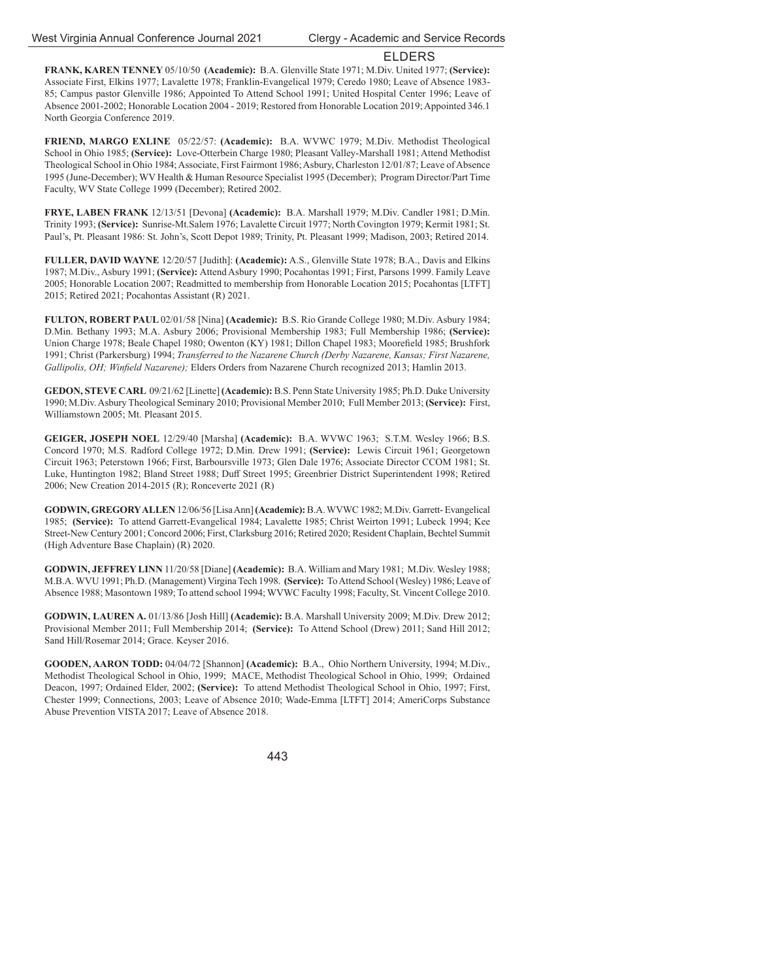**FRANK, KAREN TENNEY** 05/10/50 **(Academic):** B.A. Glenville State 1971; M.Div. United 1977; **(Service):** Associate First, Elkins 1977; Lavalette 1978; Franklin-Evangelical 1979; Ceredo 1980; Leave of Absence 1983- 85; Campus pastor Glenville 1986; Appointed To Attend School 1991; United Hospital Center 1996; Leave of Absence 2001-2002; Honorable Location 2004 - 2019; Restored from Honorable Location 2019; Appointed 346.1 North Georgia Conference 2019.

**FRIEND, MARGO EXLINE** 05/22/57: **(Academic):** B.A. WVWC 1979; M.Div. Methodist Theological School in Ohio 1985; **(Service):** Love-Otterbein Charge 1980; Pleasant Valley-Marshall 1981; Attend Methodist Theological School in Ohio 1984; Associate, First Fairmont 1986; Asbury, Charleston 12/01/87; Leave of Absence 1995 (June-December); WV Health & Human Resource Specialist 1995 (December); Program Director/Part Time Faculty, WV State College 1999 (December); Retired 2002.

**FRYE, LABEN FRANK** 12/13/51 [Devona] **(Academic):** B.A. Marshall 1979; M.Div. Candler 1981; D.Min. Trinity 1993; **(Service):** Sunrise-Mt.Salem 1976; Lavalette Circuit 1977; North Covington 1979; Kermit 1981; St. Paul's, Pt. Pleasant 1986: St. John's, Scott Depot 1989; Trinity, Pt. Pleasant 1999; Madison, 2003; Retired 2014.

**FULLER, DAVID WAYNE** 12/20/57 [Judith]: **(Academic):** A.S., Glenville State 1978; B.A., Davis and Elkins 1987; M.Div., Asbury 1991; **(Service):** Attend Asbury 1990; Pocahontas 1991; First, Parsons 1999. Family Leave 2005; Honorable Location 2007; Readmitted to membership from Honorable Location 2015; Pocahontas [LTFT] 2015; Retired 2021; Pocahontas Assistant (R) 2021.

**FULTON, ROBERT PAUL** 02/01/58 [Nina] **(Academic):** B.S. Rio Grande College 1980; M.Div. Asbury 1984; D.Min. Bethany 1993; M.A. Asbury 2006; Provisional Membership 1983; Full Membership 1986; **(Service):**  Union Charge 1978; Beale Chapel 1980; Owenton (KY) 1981; Dillon Chapel 1983; Moorefield 1985; Brushfork 1991; Christ (Parkersburg) 1994; *Transferred to the Nazarene Church (Derby Nazarene, Kansas; First Nazarene,*  Gallipolis, OH; Winfield Nazarene); Elders Orders from Nazarene Church recognized 2013; Hamlin 2013.

**GEDON, STEVE CARL** 09/21/62 [Linette] **(Academic):** B.S. Penn State University 1985; Ph.D. Duke University 1990; M.Div. Asbury Theological Seminary 2010; Provisional Member 2010; Full Member 2013; **(Service):** First, Williamstown 2005; Mt. Pleasant 2015.

**GEIGER, JOSEPH NOEL** 12/29/40 [Marsha] **(Academic):** B.A. WVWC 1963; S.T.M. Wesley 1966; B.S. Concord 1970; M.S. Radford College 1972; D.Min. Drew 1991; **(Service):** Lewis Circuit 1961; Georgetown Circuit 1963; Peterstown 1966; First, Barboursville 1973; Glen Dale 1976; Associate Director CCOM 1981; St. Luke, Huntington 1982; Bland Street 1988; Duff Street 1995; Greenbrier District Superintendent 1998; Retired 2006; New Creation 2014-2015 (R); Ronceverte 2021 (R)

**GODWIN, GREGORY ALLEN** 12/06/56 [Lisa Ann] **(Academic):** B.A. WVWC 1982; M.Div. Garrett- Evangelical 1985; **(Service):** To attend Garrett-Evangelical 1984; Lavalette 1985; Christ Weirton 1991; Lubeck 1994; Kee Street-New Century 2001; Concord 2006; First, Clarksburg 2016; Retired 2020; Resident Chaplain, Bechtel Summit (High Adventure Base Chaplain) (R) 2020.

**GODWIN, JEFFREY LINN** 11/20/58 [Diane] **(Academic):** B.A. William and Mary 1981; M.Div. Wesley 1988; M.B.A. WVU 1991; Ph.D. (Management) Virgina Tech 1998. **(Service):** To Attend School (Wesley) 1986; Leave of Absence 1988; Masontown 1989; To attend school 1994; WVWC Faculty 1998; Faculty, St. Vincent College 2010.

**GODWIN, LAUREN A.** 01/13/86 [Josh Hill] **(Academic):** B.A. Marshall University 2009; M.Div. Drew 2012; Provisional Member 2011; Full Membership 2014; **(Service):** To Attend School (Drew) 2011; Sand Hill 2012; Sand Hill/Rosemar 2014; Grace. Keyser 2016.

**GOODEN, AARON TODD:** 04/04/72 [Shannon] **(Academic):** B.A., Ohio Northern University, 1994; M.Div., Methodist Theological School in Ohio, 1999; MACE, Methodist Theological School in Ohio, 1999; Ordained Deacon, 1997; Ordained Elder, 2002; **(Service):** To attend Methodist Theological School in Ohio, 1997; First, Chester 1999; Connections, 2003; Leave of Absence 2010; Wade-Emma [LTFT] 2014; AmeriCorps Substance Abuse Prevention VISTA 2017; Leave of Absence 2018.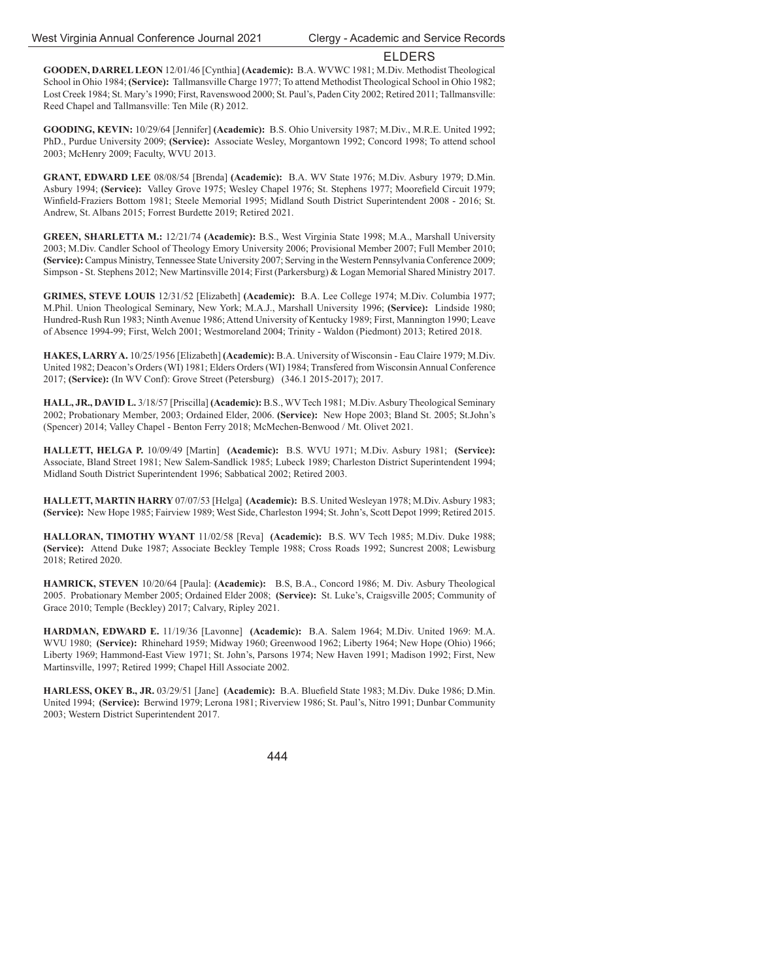**GOODEN, DARREL LEON** 12/01/46 [Cynthia] **(Academic):** B.A. WVWC 1981; M.Div. Methodist Theological School in Ohio 1984; **(Service):** Tallmansville Charge 1977; To attend Methodist Theological School in Ohio 1982; Lost Creek 1984; St. Mary's 1990; First, Ravenswood 2000; St. Paul's, Paden City 2002; Retired 2011; Tallmansville: Reed Chapel and Tallmansville: Ten Mile (R) 2012.

**GOODING, KEVIN:** 10/29/64 [Jennifer] **(Academic):** B.S. Ohio University 1987; M.Div., M.R.E. United 1992; PhD., Purdue University 2009; **(Service):** Associate Wesley, Morgantown 1992; Concord 1998; To attend school 2003; McHenry 2009; Faculty, WVU 2013.

**GRANT, EDWARD LEE** 08/08/54 [Brenda] **(Academic):** B.A. WV State 1976; M.Div. Asbury 1979; D.Min. Asbury 1994; **(Service):** Valley Grove 1975; Wesley Chapel 1976; St. Stephens 1977; Moorefield Circuit 1979; Winfield-Fraziers Bottom 1981; Steele Memorial 1995; Midland South District Superintendent 2008 - 2016; St. Andrew, St. Albans 2015; Forrest Burdette 2019; Retired 2021.

**GREEN, SHARLETTA M.:** 12/21/74 **(Academic):** B.S., West Virginia State 1998; M.A., Marshall University 2003; M.Div. Candler School of Theology Emory University 2006; Provisional Member 2007; Full Member 2010; **(Service):** Campus Ministry, Tennessee State University 2007; Serving in the Western Pennsylvania Conference 2009; Simpson - St. Stephens 2012; New Martinsville 2014; First (Parkersburg) & Logan Memorial Shared Ministry 2017.

**GRIMES, STEVE LOUIS** 12/31/52 [Elizabeth] **(Academic):** B.A. Lee College 1974; M.Div. Columbia 1977; M.Phil. Union Theological Seminary, New York; M.A.J., Marshall University 1996; **(Service):** Lindside 1980; Hundred-Rush Run 1983; Ninth Avenue 1986; Attend University of Kentucky 1989; First, Mannington 1990; Leave of Absence 1994-99; First, Welch 2001; Westmoreland 2004; Trinity - Waldon (Piedmont) 2013; Retired 2018.

**HAKES, LARRY A.** 10/25/1956 [Elizabeth] **(Academic):** B.A. University of Wisconsin - Eau Claire 1979; M.Div. United 1982; Deacon's Orders (WI) 1981; Elders Orders (WI) 1984; Transfered from Wisconsin Annual Conference 2017; **(Service):** (In WV Conf): Grove Street (Petersburg) (346.1 2015-2017); 2017.

**HALL, JR., DAVID L.** 3/18/57 [Priscilla] **(Academic):** B.S., WV Tech 1981; M.Div. Asbury Theological Seminary 2002; Probationary Member, 2003; Ordained Elder, 2006. **(Service):** New Hope 2003; Bland St. 2005; St.John's (Spencer) 2014; Valley Chapel - Benton Ferry 2018; McMechen-Benwood / Mt. Olivet 2021.

**HALLETT, HELGA P.** 10/09/49 [Martin] **(Academic):** B.S. WVU 1971; M.Div. Asbury 1981; **(Service):** Associate, Bland Street 1981; New Salem-Sandlick 1985; Lubeck 1989; Charleston District Superintendent 1994; Midland South District Superintendent 1996; Sabbatical 2002; Retired 2003.

**HALLETT, MARTIN HARRY** 07/07/53 [Helga] **(Academic):** B.S. United Wesleyan 1978; M.Div. Asbury 1983; **(Service):** New Hope 1985; Fairview 1989; West Side, Charleston 1994; St. John's, Scott Depot 1999; Retired 2015.

**HALLORAN, TIMOTHY WYANT** 11/02/58 [Reva] **(Academic):** B.S. WV Tech 1985; M.Div. Duke 1988; **(Service):** Attend Duke 1987; Associate Beckley Temple 1988; Cross Roads 1992; Suncrest 2008; Lewisburg 2018; Retired 2020.

**HAMRICK, STEVEN** 10/20/64 [Paula]: **(Academic):** B.S, B.A., Concord 1986; M. Div. Asbury Theological 2005. Probationary Member 2005; Ordained Elder 2008; **(Service):** St. Luke's, Craigsville 2005; Community of Grace 2010; Temple (Beckley) 2017; Calvary, Ripley 2021.

**HARDMAN, EDWARD E.** 11/19/36 [Lavonne] **(Academic):** B.A. Salem 1964; M.Div. United 1969: M.A. WVU 1980; **(Service):** Rhinehard 1959; Midway 1960; Greenwood 1962; Liberty 1964; New Hope (Ohio) 1966; Liberty 1969; Hammond-East View 1971; St. John's, Parsons 1974; New Haven 1991; Madison 1992; First, New Martinsville, 1997; Retired 1999; Chapel Hill Associate 2002.

HARLESS, OKEY B., JR. 03/29/51 [Jane] (Academic): B.A. Bluefield State 1983; M.Div. Duke 1986; D.Min. United 1994; **(Service):** Berwind 1979; Lerona 1981; Riverview 1986; St. Paul's, Nitro 1991; Dunbar Community 2003; Western District Superintendent 2017.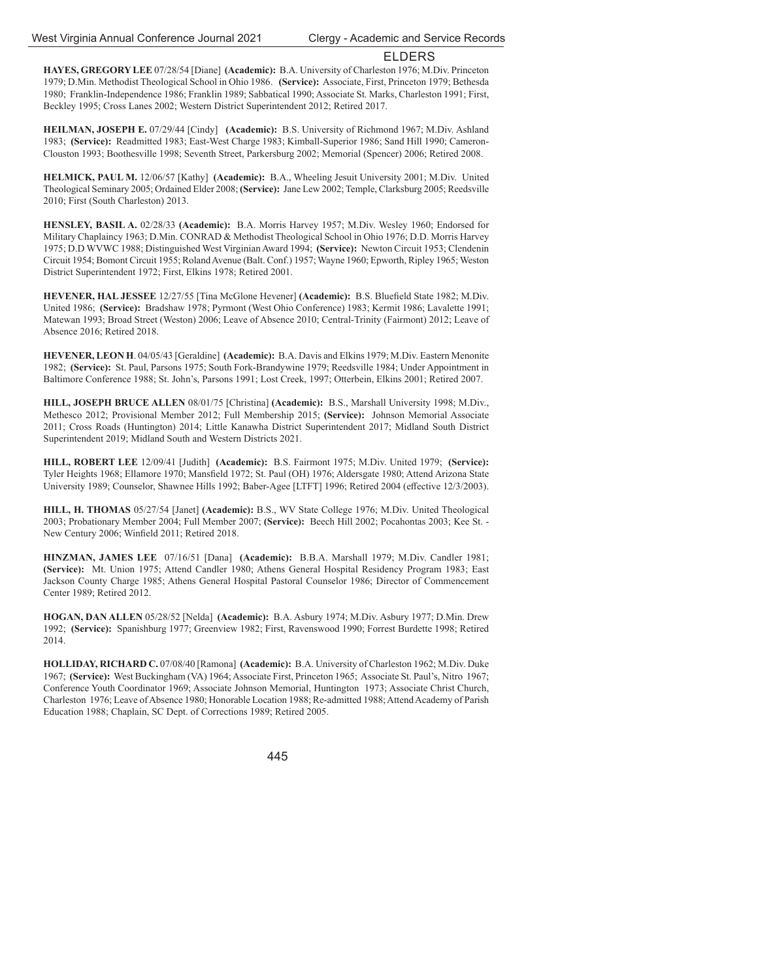**HAYES, GREGORY LEE** 07/28/54 [Diane] **(Academic):** B.A. University of Charleston 1976; M.Div. Princeton 1979; D.Min. Methodist Theological School in Ohio 1986. **(Service):** Associate, First, Princeton 1979; Bethesda 1980; Franklin-Independence 1986; Franklin 1989; Sabbatical 1990; Associate St. Marks, Charleston 1991; First, Beckley 1995; Cross Lanes 2002; Western District Superintendent 2012; Retired 2017.

**HEILMAN, JOSEPH E.** 07/29/44 [Cindy] **(Academic):** B.S. University of Richmond 1967; M.Div. Ashland 1983; **(Service):** Readmitted 1983; East-West Charge 1983; Kimball-Superior 1986; Sand Hill 1990; Cameron-Clouston 1993; Boothesville 1998; Seventh Street, Parkersburg 2002; Memorial (Spencer) 2006; Retired 2008.

**HELMICK, PAUL M.** 12/06/57 [Kathy] **(Academic):** B.A., Wheeling Jesuit University 2001; M.Div. United Theological Seminary 2005; Ordained Elder 2008; **(Service):** Jane Lew 2002; Temple, Clarksburg 2005; Reedsville 2010; First (South Charleston) 2013.

**HENSLEY, BASIL A.** 02/28/33 **(Academic):** B.A. Morris Harvey 1957; M.Div. Wesley 1960; Endorsed for Military Chaplaincy 1963; D.Min. CONRAD & Methodist Theological School in Ohio 1976; D.D. Morris Harvey 1975; D.D WVWC 1988; Distinguished West Virginian Award 1994; **(Service):** Newton Circuit 1953; Clendenin Circuit 1954; Bomont Circuit 1955; Roland Avenue (Balt. Conf.) 1957; Wayne 1960; Epworth, Ripley 1965; Weston District Superintendent 1972; First, Elkins 1978; Retired 2001.

**HEVENER, HAL JESSEE** 12/27/55 [Tina McGlone Hevener] **(Academic):** B.S. Bluefield State 1982; M.Div. United 1986; **(Service):** Bradshaw 1978; Pyrmont (West Ohio Conference) 1983; Kermit 1986; Lavalette 1991; Matewan 1993; Broad Street (Weston) 2006; Leave of Absence 2010; Central-Trinity (Fairmont) 2012; Leave of Absence 2016; Retired 2018.

**HEVENER, LEON H**. 04/05/43 [Geraldine] **(Academic):** B.A. Davis and Elkins 1979; M.Div. Eastern Menonite 1982; **(Service):** St. Paul, Parsons 1975; South Fork-Brandywine 1979; Reedsville 1984; Under Appointment in Baltimore Conference 1988; St. John's, Parsons 1991; Lost Creek, 1997; Otterbein, Elkins 2001; Retired 2007.

**HILL, JOSEPH BRUCE ALLEN** 08/01/75 [Christina] **(Academic):** B.S., Marshall University 1998; M.Div., Methesco 2012; Provisional Member 2012; Full Membership 2015; **(Service):** Johnson Memorial Associate 2011; Cross Roads (Huntington) 2014; Little Kanawha District Superintendent 2017; Midland South District Superintendent 2019; Midland South and Western Districts 2021.

**HILL, ROBERT LEE** 12/09/41 [Judith] **(Academic):** B.S. Fairmont 1975; M.Div. United 1979; **(Service):** Tyler Heights 1968; Ellamore 1970; Mansfield 1972; St. Paul (OH) 1976; Aldersgate 1980; Attend Arizona State University 1989; Counselor, Shawnee Hills 1992; Baber-Agee [LTFT] 1996; Retired 2004 (effective 12/3/2003).

**HILL, H. THOMAS** 05/27/54 [Janet] **(Academic):** B.S., WV State College 1976; M.Div. United Theological 2003; Probationary Member 2004; Full Member 2007; **(Service):** Beech Hill 2002; Pocahontas 2003; Kee St. - New Century 2006; Winfield 2011; Retired 2018.

**HINZMAN, JAMES LEE** 07/16/51 [Dana] **(Academic):** B.B.A. Marshall 1979; M.Div. Candler 1981; **(Service):** Mt. Union 1975; Attend Candler 1980; Athens General Hospital Residency Program 1983; East Jackson County Charge 1985; Athens General Hospital Pastoral Counselor 1986; Director of Commencement Center 1989; Retired 2012.

**HOGAN, DAN ALLEN** 05/28/52 [Nelda] **(Academic):** B.A. Asbury 1974; M.Div. Asbury 1977; D.Min. Drew 1992; **(Service):** Spanishburg 1977; Greenview 1982; First, Ravenswood 1990; Forrest Burdette 1998; Retired 2014.

**HOLLIDAY, RICHARD C.** 07/08/40 [Ramona] **(Academic):** B.A. University of Charleston 1962; M.Div. Duke 1967; **(Service):** West Buckingham (VA) 1964; Associate First, Princeton 1965; Associate St. Paul's, Nitro 1967; Conference Youth Coordinator 1969; Associate Johnson Memorial, Huntington 1973; Associate Christ Church, Charleston 1976; Leave of Absence 1980; Honorable Location 1988; Re-admitted 1988; Attend Academy of Parish Education 1988; Chaplain, SC Dept. of Corrections 1989; Retired 2005.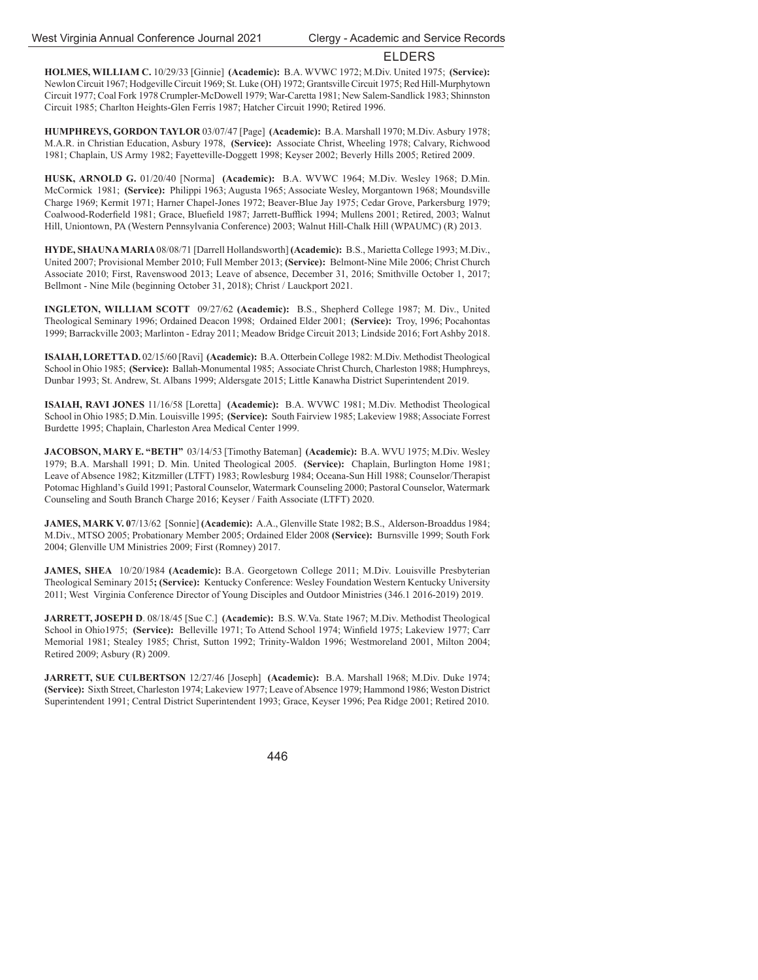**HOLMES, WILLIAM C.** 10/29/33 [Ginnie] **(Academic):** B.A. WVWC 1972; M.Div. United 1975; **(Service):** Newlon Circuit 1967; Hodgeville Circuit 1969; St. Luke (OH) 1972; Grantsville Circuit 1975; Red Hill-Murphytown Circuit 1977; Coal Fork 1978 Crumpler-McDowell 1979; War-Caretta 1981; New Salem-Sandlick 1983; Shinnston Circuit 1985; Charlton Heights-Glen Ferris 1987; Hatcher Circuit 1990; Retired 1996.

**HUMPHREYS, GORDON TAYLOR** 03/07/47 [Page] **(Academic):** B.A. Marshall 1970; M.Div. Asbury 1978; M.A.R. in Christian Education, Asbury 1978, **(Service):** Associate Christ, Wheeling 1978; Calvary, Richwood 1981; Chaplain, US Army 1982; Fayetteville-Doggett 1998; Keyser 2002; Beverly Hills 2005; Retired 2009.

**HUSK, ARNOLD G.** 01/20/40 [Norma] **(Academic):** B.A. WVWC 1964; M.Div. Wesley 1968; D.Min. McCormick 1981; **(Service):** Philippi 1963; Augusta 1965; Associate Wesley, Morgantown 1968; Moundsville Charge 1969; Kermit 1971; Harner Chapel-Jones 1972; Beaver-Blue Jay 1975; Cedar Grove, Parkersburg 1979; Coalwood-Roderfield 1981; Grace, Bluefield 1987; Jarrett-Bufflick 1994; Mullens 2001; Retired, 2003; Walnut Hill, Uniontown, PA (Western Pennsylvania Conference) 2003; Walnut Hill-Chalk Hill (WPAUMC) (R) 2013.

**HYDE, SHAUNA MARIA** 08/08/71 [Darrell Hollandsworth] **(Academic):** B.S., Marietta College 1993; M.Div., United 2007; Provisional Member 2010; Full Member 2013; **(Service):** Belmont-Nine Mile 2006; Christ Church Associate 2010; First, Ravenswood 2013; Leave of absence, December 31, 2016; Smithville October 1, 2017; Bellmont - Nine Mile (beginning October 31, 2018); Christ / Lauckport 2021.

**INGLETON, WILLIAM SCOTT** 09/27/62 **(Academic):** B.S., Shepherd College 1987; M. Div., United Theological Seminary 1996; Ordained Deacon 1998; Ordained Elder 2001; **(Service):** Troy, 1996; Pocahontas 1999; Barrackville 2003; Marlinton - Edray 2011; Meadow Bridge Circuit 2013; Lindside 2016; Fort Ashby 2018.

**ISAIAH, LORETTA D.** 02/15/60 [Ravi] **(Academic):** B.A. Otterbein College 1982: M.Div. Methodist Theological School in Ohio 1985; **(Service):** Ballah-Monumental 1985; Associate Christ Church, Charleston 1988; Humphreys, Dunbar 1993; St. Andrew, St. Albans 1999; Aldersgate 2015; Little Kanawha District Superintendent 2019.

**ISAIAH, RAVI JONES** 11/16/58 [Loretta] **(Academic):** B.A. WVWC 1981; M.Div. Methodist Theological School in Ohio 1985; D.Min. Louisville 1995; **(Service):** South Fairview 1985; Lakeview 1988; Associate Forrest Burdette 1995; Chaplain, Charleston Area Medical Center 1999.

**JACOBSON, MARY E. "BETH"** 03/14/53 [Timothy Bateman] **(Academic):** B.A. WVU 1975; M.Div. Wesley 1979; B.A. Marshall 1991; D. Min. United Theological 2005. **(Service):** Chaplain, Burlington Home 1981; Leave of Absence 1982; Kitzmiller (LTFT) 1983; Rowlesburg 1984; Oceana-Sun Hill 1988; Counselor/Therapist Potomac Highland's Guild 1991; Pastoral Counselor, Watermark Counseling 2000; Pastoral Counselor, Watermark Counseling and South Branch Charge 2016; Keyser / Faith Associate (LTFT) 2020.

**JAMES, MARK V. 0**7/13/62 [Sonnie] **(Academic):** A.A., Glenville State 1982; B.S., Alderson-Broaddus 1984; M.Div., MTSO 2005; Probationary Member 2005; Ordained Elder 2008 **(Service):** Burnsville 1999; South Fork 2004; Glenville UM Ministries 2009; First (Romney) 2017.

**JAMES, SHEA** 10/20/1984 **(Academic):** B.A. Georgetown College 2011; M.Div. Louisville Presbyterian Theological Seminary 2015**; (Service):** Kentucky Conference: Wesley Foundation Western Kentucky University 2011; West Virginia Conference Director of Young Disciples and Outdoor Ministries (346.1 2016-2019) 2019.

**JARRETT, JOSEPH D**. 08/18/45 [Sue C.] **(Academic):** B.S. W.Va. State 1967; M.Div. Methodist Theological School in Ohio1975; (Service): Belleville 1971; To Attend School 1974; Winfield 1975; Lakeview 1977; Carr Memorial 1981; Stealey 1985; Christ, Sutton 1992; Trinity-Waldon 1996; Westmoreland 2001, Milton 2004; Retired 2009; Asbury (R) 2009.

**JARRETT, SUE CULBERTSON** 12/27/46 [Joseph] **(Academic):** B.A. Marshall 1968; M.Div. Duke 1974; **(Service):** Sixth Street, Charleston 1974; Lakeview 1977; Leave of Absence 1979; Hammond 1986; Weston District Superintendent 1991; Central District Superintendent 1993; Grace, Keyser 1996; Pea Ridge 2001; Retired 2010.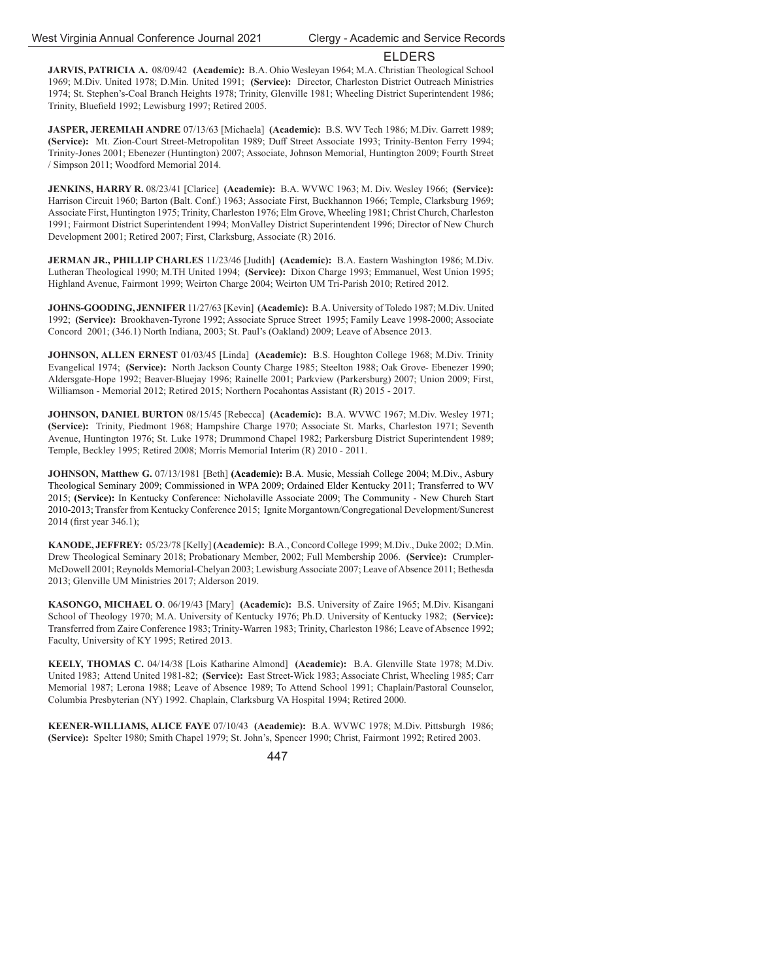**JARVIS, PATRICIA A.** 08/09/42 **(Academic):** B.A. Ohio Wesleyan 1964; M.A. Christian Theological School 1969; M.Div. United 1978; D.Min. United 1991; **(Service):** Director, Charleston District Outreach Ministries 1974; St. Stephen's-Coal Branch Heights 1978; Trinity, Glenville 1981; Wheeling District Superintendent 1986; Trinity, Bluefield 1992; Lewisburg 1997; Retired 2005.

**JASPER, JEREMIAH ANDRE** 07/13/63 [Michaela] **(Academic):** B.S. WV Tech 1986; M.Div. Garrett 1989; **(Service):** Mt. Zion-Court Street-Metropolitan 1989; Duff Street Associate 1993; Trinity-Benton Ferry 1994; Trinity-Jones 2001; Ebenezer (Huntington) 2007; Associate, Johnson Memorial, Huntington 2009; Fourth Street / Simpson 2011; Woodford Memorial 2014.

**JENKINS, HARRY R.** 08/23/41 [Clarice] **(Academic):** B.A. WVWC 1963; M. Div. Wesley 1966; **(Service):** Harrison Circuit 1960; Barton (Balt. Conf.) 1963; Associate First, Buckhannon 1966; Temple, Clarksburg 1969; Associate First, Huntington 1975; Trinity, Charleston 1976; Elm Grove, Wheeling 1981; Christ Church, Charleston 1991; Fairmont District Superintendent 1994; MonValley District Superintendent 1996; Director of New Church Development 2001; Retired 2007; First, Clarksburg, Associate (R) 2016.

**JERMAN JR., PHILLIP CHARLES** 11/23/46 [Judith] **(Academic):** B.A. Eastern Washington 1986; M.Div. Lutheran Theological 1990; M.TH United 1994; **(Service):** Dixon Charge 1993; Emmanuel, West Union 1995; Highland Avenue, Fairmont 1999; Weirton Charge 2004; Weirton UM Tri-Parish 2010; Retired 2012.

**JOHNS-GOODING, JENNIFER** 11/27/63 [Kevin] **(Academic):** B.A. University of Toledo 1987; M.Div. United 1992; **(Service):** Brookhaven-Tyrone 1992; Associate Spruce Street 1995; Family Leave 1998-2000; Associate Concord 2001; (346.1) North Indiana, 2003; St. Paul's (Oakland) 2009; Leave of Absence 2013.

**JOHNSON, ALLEN ERNEST** 01/03/45 [Linda] **(Academic):** B.S. Houghton College 1968; M.Div. Trinity Evangelical 1974; **(Service):** North Jackson County Charge 1985; Steelton 1988; Oak Grove- Ebenezer 1990; Aldersgate-Hope 1992; Beaver-Bluejay 1996; Rainelle 2001; Parkview (Parkersburg) 2007; Union 2009; First, Williamson - Memorial 2012; Retired 2015; Northern Pocahontas Assistant (R) 2015 - 2017.

**JOHNSON, DANIEL BURTON** 08/15/45 [Rebecca] **(Academic):** B.A. WVWC 1967; M.Div. Wesley 1971; **(Service):** Trinity, Piedmont 1968; Hampshire Charge 1970; Associate St. Marks, Charleston 1971; Seventh Avenue, Huntington 1976; St. Luke 1978; Drummond Chapel 1982; Parkersburg District Superintendent 1989; Temple, Beckley 1995; Retired 2008; Morris Memorial Interim (R) 2010 - 2011.

**JOHNSON, Matthew G.** 07/13/1981 [Beth] **(Academic):** B.A. Music, Messiah College 2004; M.Div., Asbury Theological Seminary 2009; Commissioned in WPA 2009; Ordained Elder Kentucky 2011; Transferred to WV 2015; **(Service):** In Kentucky Conference: Nicholaville Associate 2009; The Community - New Church Start 2010-2013; Transfer from Kentucky Conference 2015; Ignite Morgantown/Congregational Development/Suncrest 2014 (first year 346.1);

**KANODE, JEFFREY:** 05/23/78 [Kelly] **(Academic):** B.A., Concord College 1999; M.Div., Duke 2002; D.Min. Drew Theological Seminary 2018; Probationary Member, 2002; Full Membership 2006. **(Service):** Crumpler-McDowell 2001; Reynolds Memorial-Chelyan 2003; Lewisburg Associate 2007; Leave of Absence 2011; Bethesda 2013; Glenville UM Ministries 2017; Alderson 2019.

**KASONGO, MICHAEL O**. 06/19/43 [Mary] **(Academic):** B.S. University of Zaire 1965; M.Div. Kisangani School of Theology 1970; M.A. University of Kentucky 1976; Ph.D. University of Kentucky 1982; **(Service):** Transferred from Zaire Conference 1983; Trinity-Warren 1983; Trinity, Charleston 1986; Leave of Absence 1992; Faculty, University of KY 1995; Retired 2013.

**KEELY, THOMAS C.** 04/14/38 [Lois Katharine Almond] **(Academic):** B.A. Glenville State 1978; M.Div. United 1983; Attend United 1981-82; **(Service):** East Street-Wick 1983; Associate Christ, Wheeling 1985; Carr Memorial 1987; Lerona 1988; Leave of Absence 1989; To Attend School 1991; Chaplain/Pastoral Counselor, Columbia Presbyterian (NY) 1992. Chaplain, Clarksburg VA Hospital 1994; Retired 2000.

**KEENER-WILLIAMS, ALICE FAYE** 07/10/43 **(Academic):** B.A. WVWC 1978; M.Div. Pittsburgh 1986; **(Service):** Spelter 1980; Smith Chapel 1979; St. John's, Spencer 1990; Christ, Fairmont 1992; Retired 2003.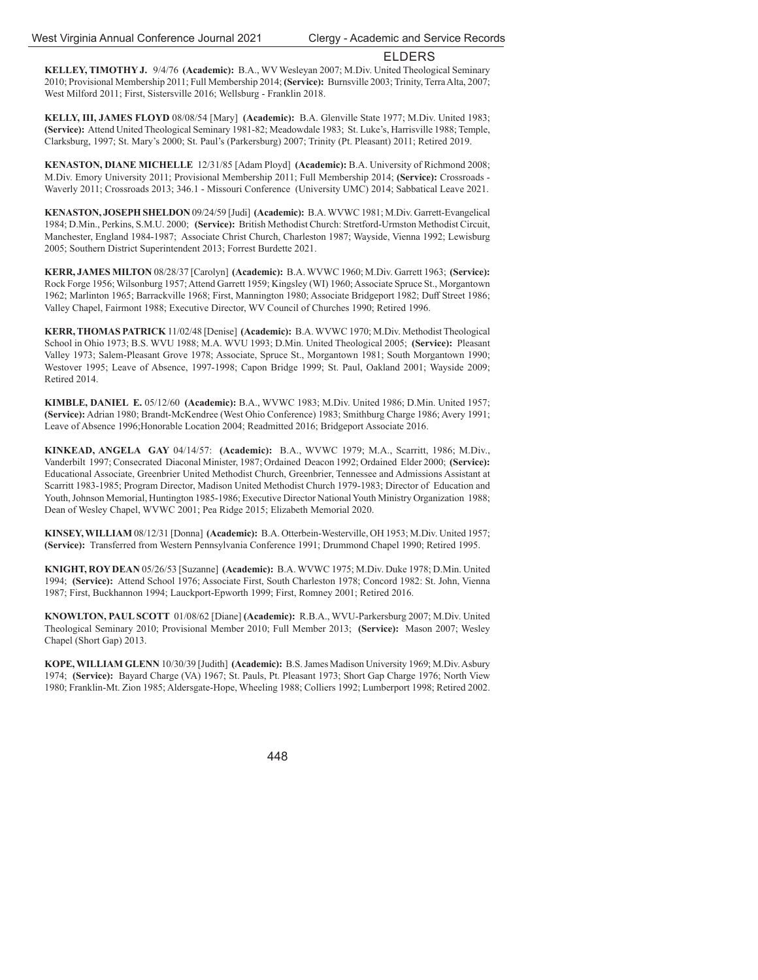**KELLEY, TIMOTHY J.** 9/4/76 **(Academic):** B.A., WV Wesleyan 2007; M.Div. United Theological Seminary 2010; Provisional Membership 2011; Full Membership 2014; **(Service):** Burnsville 2003; Trinity, Terra Alta, 2007; West Milford 2011; First, Sistersville 2016; Wellsburg - Franklin 2018.

**KELLY, III, JAMES FLOYD** 08/08/54 [Mary] **(Academic):** B.A. Glenville State 1977; M.Div. United 1983; **(Service):** Attend United Theological Seminary 1981-82; Meadowdale 1983; St. Luke's, Harrisville 1988; Temple, Clarksburg, 1997; St. Mary's 2000; St. Paul's (Parkersburg) 2007; Trinity (Pt. Pleasant) 2011; Retired 2019.

**KENASTON, DIANE MICHELLE** 12/31/85 [Adam Ployd] **(Academic):** B.A. University of Richmond 2008; M.Div. Emory University 2011; Provisional Membership 2011; Full Membership 2014; **(Service):** Crossroads - Waverly 2011; Crossroads 2013; 346.1 - Missouri Conference (University UMC) 2014; Sabbatical Leave 2021.

**KENASTON, JOSEPH SHELDON** 09/24/59 [Judi] **(Academic):** B.A. WVWC 1981; M.Div. Garrett-Evangelical 1984; D.Min., Perkins, S.M.U. 2000; **(Service):** British Methodist Church: Stretford-Urmston Methodist Circuit, Manchester, England 1984-1987; Associate Christ Church, Charleston 1987; Wayside, Vienna 1992; Lewisburg 2005; Southern District Superintendent 2013; Forrest Burdette 2021.

**KERR, JAMES MILTON** 08/28/37 [Carolyn] **(Academic):** B.A. WVWC 1960; M.Div. Garrett 1963; **(Service):** Rock Forge 1956; Wilsonburg 1957; Attend Garrett 1959; Kingsley (WI) 1960; Associate Spruce St., Morgantown 1962; Marlinton 1965; Barrackville 1968; First, Mannington 1980; Associate Bridgeport 1982; Duff Street 1986; Valley Chapel, Fairmont 1988; Executive Director, WV Council of Churches 1990; Retired 1996.

**KERR, THOMAS PATRICK** 11/02/48 [Denise] **(Academic):** B.A. WVWC 1970; M.Div. Methodist Theological School in Ohio 1973; B.S. WVU 1988; M.A. WVU 1993; D.Min. United Theological 2005; **(Service):** Pleasant Valley 1973; Salem-Pleasant Grove 1978; Associate, Spruce St., Morgantown 1981; South Morgantown 1990; Westover 1995; Leave of Absence, 1997-1998; Capon Bridge 1999; St. Paul, Oakland 2001; Wayside 2009; Retired 2014.

**KIMBLE, DANIEL E.** 05/12/60 **(Academic):** B.A., WVWC 1983; M.Div. United 1986; D.Min. United 1957; **(Service):** Adrian 1980; Brandt-McKendree (West Ohio Conference) 1983; Smithburg Charge 1986; Avery 1991; Leave of Absence 1996;Honorable Location 2004; Readmitted 2016; Bridgeport Associate 2016.

**KINKEAD, ANGELA GAY** 04/14/57: **(Academic):** B.A., WVWC 1979; M.A., Scarritt, 1986; M.Div., Vanderbilt 1997; Consecrated Diaconal Minister, 1987; Ordained Deacon 1992; Ordained Elder 2000; **(Service):** Educational Associate, Greenbrier United Methodist Church, Greenbrier, Tennessee and Admissions Assistant at Scarritt 1983-1985; Program Director, Madison United Methodist Church 1979-1983; Director of Education and Youth, Johnson Memorial, Huntington 1985-1986; Executive Director National Youth Ministry Organization 1988; Dean of Wesley Chapel, WVWC 2001; Pea Ridge 2015; Elizabeth Memorial 2020.

**KINSEY, WILLIAM** 08/12/31 [Donna] **(Academic):** B.A. Otterbein-Westerville, OH 1953; M.Div. United 1957; **(Service):** Transferred from Western Pennsylvania Conference 1991; Drummond Chapel 1990; Retired 1995.

**KNIGHT, ROY DEAN** 05/26/53 [Suzanne] **(Academic):** B.A. WVWC 1975; M.Div. Duke 1978; D.Min. United 1994; **(Service):** Attend School 1976; Associate First, South Charleston 1978; Concord 1982: St. John, Vienna 1987; First, Buckhannon 1994; Lauckport-Epworth 1999; First, Romney 2001; Retired 2016.

**KNOWLTON, PAUL SCOTT** 01/08/62 [Diane] **(Academic):** R.B.A., WVU-Parkersburg 2007; M.Div. United Theological Seminary 2010; Provisional Member 2010; Full Member 2013; **(Service):** Mason 2007; Wesley Chapel (Short Gap) 2013.

**KOPE, WILLIAM GLENN** 10/30/39 [Judith] **(Academic):** B.S. James Madison University 1969; M.Div. Asbury 1974; **(Service):** Bayard Charge (VA) 1967; St. Pauls, Pt. Pleasant 1973; Short Gap Charge 1976; North View 1980; Franklin-Mt. Zion 1985; Aldersgate-Hope, Wheeling 1988; Colliers 1992; Lumberport 1998; Retired 2002.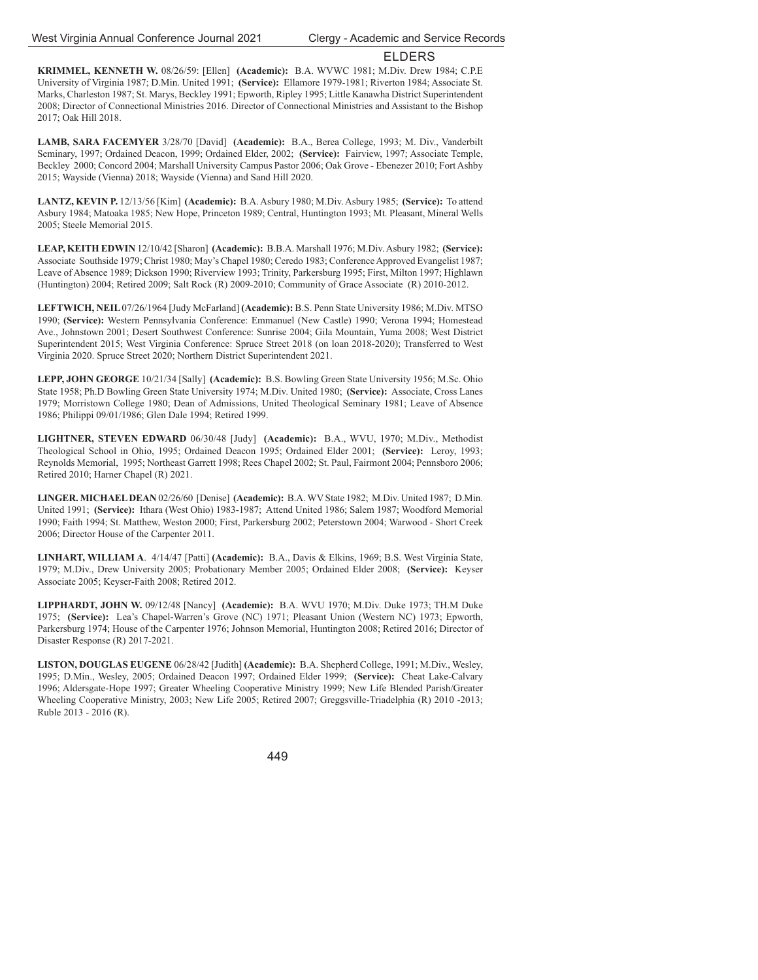**KRIMMEL, KENNETH W.** 08/26/59: [Ellen] **(Academic):** B.A. WVWC 1981; M.Div. Drew 1984; C.P.E University of Virginia 1987; D.Min. United 1991; **(Service):** Ellamore 1979-1981; Riverton 1984; Associate St. Marks, Charleston 1987; St. Marys, Beckley 1991; Epworth, Ripley 1995; Little Kanawha District Superintendent 2008; Director of Connectional Ministries 2016. Director of Connectional Ministries and Assistant to the Bishop 2017; Oak Hill 2018.

**LAMB, SARA FACEMYER** 3/28/70 [David] **(Academic):** B.A., Berea College, 1993; M. Div., Vanderbilt Seminary, 1997; Ordained Deacon, 1999; Ordained Elder, 2002; **(Service):** Fairview, 1997; Associate Temple, Beckley 2000; Concord 2004; Marshall University Campus Pastor 2006; Oak Grove - Ebenezer 2010; Fort Ashby 2015; Wayside (Vienna) 2018; Wayside (Vienna) and Sand Hill 2020.

**LANTZ, KEVIN P.** 12/13/56 [Kim] **(Academic):** B.A. Asbury 1980; M.Div. Asbury 1985; **(Service):** To attend Asbury 1984; Matoaka 1985; New Hope, Princeton 1989; Central, Huntington 1993; Mt. Pleasant, Mineral Wells 2005; Steele Memorial 2015.

**LEAP, KEITH EDWIN** 12/10/42 [Sharon] **(Academic):** B.B.A. Marshall 1976; M.Div. Asbury 1982; **(Service):** Associate Southside 1979; Christ 1980; May's Chapel 1980; Ceredo 1983; Conference Approved Evangelist 1987; Leave of Absence 1989; Dickson 1990; Riverview 1993; Trinity, Parkersburg 1995; First, Milton 1997; Highlawn (Huntington) 2004; Retired 2009; Salt Rock (R) 2009-2010; Community of Grace Associate (R) 2010-2012.

**LEFTWICH, NEIL** 07/26/1964 [Judy McFarland] **(Academic):** B.S. Penn State University 1986; M.Div. MTSO 1990; **(Service):** Western Pennsylvania Conference: Emmanuel (New Castle) 1990; Verona 1994; Homestead Ave., Johnstown 2001; Desert Southwest Conference: Sunrise 2004; Gila Mountain, Yuma 2008; West District Superintendent 2015; West Virginia Conference: Spruce Street 2018 (on loan 2018-2020); Transferred to West Virginia 2020. Spruce Street 2020; Northern District Superintendent 2021.

**LEPP, JOHN GEORGE** 10/21/34 [Sally] **(Academic):** B.S. Bowling Green State University 1956; M.Sc. Ohio State 1958; Ph.D Bowling Green State University 1974; M.Div. United 1980; **(Service):** Associate, Cross Lanes 1979; Morristown College 1980; Dean of Admissions, United Theological Seminary 1981; Leave of Absence 1986; Philippi 09/01/1986; Glen Dale 1994; Retired 1999.

**LIGHTNER, STEVEN EDWARD** 06/30/48 [Judy] **(Academic):** B.A., WVU, 1970; M.Div., Methodist Theological School in Ohio, 1995; Ordained Deacon 1995; Ordained Elder 2001; **(Service):** Leroy, 1993; Reynolds Memorial, 1995; Northeast Garrett 1998; Rees Chapel 2002; St. Paul, Fairmont 2004; Pennsboro 2006; Retired 2010; Harner Chapel (R) 2021.

**LINGER. MICHAEL DEAN** 02/26/60 [Denise] **(Academic):** B.A. WV State 1982; M.Div. United 1987; D.Min. United 1991; **(Service):** Ithara (West Ohio) 1983-1987; Attend United 1986; Salem 1987; Woodford Memorial 1990; Faith 1994; St. Matthew, Weston 2000; First, Parkersburg 2002; Peterstown 2004; Warwood - Short Creek 2006; Director House of the Carpenter 2011.

**LINHART, WILLIAM A**. 4/14/47 [Patti] **(Academic):** B.A., Davis & Elkins, 1969; B.S. West Virginia State, 1979; M.Div., Drew University 2005; Probationary Member 2005; Ordained Elder 2008; **(Service):** Keyser Associate 2005; Keyser-Faith 2008; Retired 2012.

**LIPPHARDT, JOHN W.** 09/12/48 [Nancy] **(Academic):** B.A. WVU 1970; M.Div. Duke 1973; TH.M Duke 1975; **(Service):** Lea's Chapel-Warren's Grove (NC) 1971; Pleasant Union (Western NC) 1973; Epworth, Parkersburg 1974; House of the Carpenter 1976; Johnson Memorial, Huntington 2008; Retired 2016; Director of Disaster Response (R) 2017-2021.

**LISTON, DOUGLAS EUGENE** 06/28/42 [Judith] **(Academic):** B.A. Shepherd College, 1991; M.Div., Wesley, 1995; D.Min., Wesley, 2005; Ordained Deacon 1997; Ordained Elder 1999; **(Service):** Cheat Lake-Calvary 1996; Aldersgate-Hope 1997; Greater Wheeling Cooperative Ministry 1999; New Life Blended Parish/Greater Wheeling Cooperative Ministry, 2003; New Life 2005; Retired 2007; Greggsville-Triadelphia (R) 2010 -2013; Ruble 2013 - 2016 (R).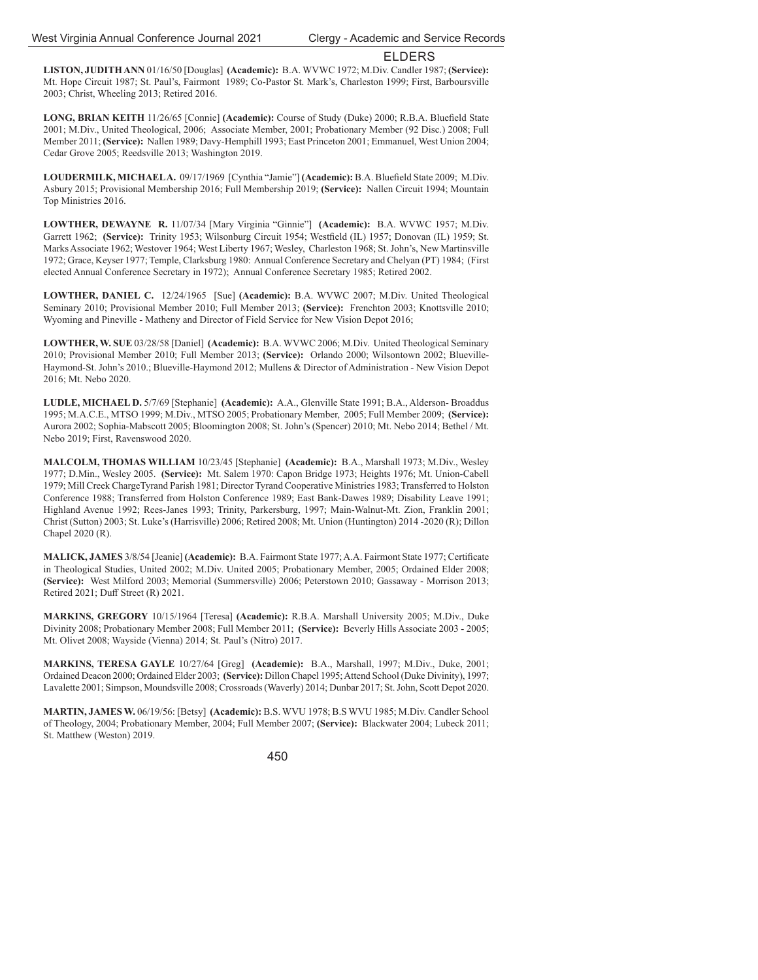**LISTON, JUDITH ANN** 01/16/50 [Douglas] **(Academic):** B.A. WVWC 1972; M.Div. Candler 1987; **(Service):** Mt. Hope Circuit 1987; St. Paul's, Fairmont 1989; Co-Pastor St. Mark's, Charleston 1999; First, Barboursville 2003; Christ, Wheeling 2013; Retired 2016.

**LONG, BRIAN KEITH** 11/26/65 [Connie] **(Academic):** Course of Study (Duke) 2000; R.B.A. Bluefield State 2001; M.Div., United Theological, 2006; Associate Member, 2001; Probationary Member (92 Disc.) 2008; Full Member 2011; **(Service):** Nallen 1989; Davy-Hemphill 1993; East Princeton 2001; Emmanuel, West Union 2004; Cedar Grove 2005; Reedsville 2013; Washington 2019.

LOUDERMILK, MICHAELA. 09/17/1969 [Cynthia "Jamie"] (Academic): B.A. Bluefield State 2009; M.Div. Asbury 2015; Provisional Membership 2016; Full Membership 2019; **(Service):** Nallen Circuit 1994; Mountain Top Ministries 2016.

**LOWTHER, DEWAYNE R.** 11/07/34 [Mary Virginia "Ginnie"] **(Academic):** B.A. WVWC 1957; M.Div. Garrett 1962; **(Service):** Trinity 1953; Wilsonburg Circuit 1954; Westfield (IL) 1957; Donovan (IL) 1959; St. Marks Associate 1962; Westover 1964; West Liberty 1967; Wesley, Charleston 1968; St. John's, New Martinsville 1972; Grace, Keyser 1977; Temple, Clarksburg 1980: Annual Conference Secretary and Chelyan (PT) 1984; (First elected Annual Conference Secretary in 1972); Annual Conference Secretary 1985; Retired 2002.

**LOWTHER, DANIEL C.** 12/24/1965 [Sue] **(Academic):** B.A. WVWC 2007; M.Div. United Theological Seminary 2010; Provisional Member 2010; Full Member 2013; **(Service):** Frenchton 2003; Knottsville 2010; Wyoming and Pineville - Matheny and Director of Field Service for New Vision Depot 2016;

**LOWTHER, W. SUE** 03/28/58 [Daniel] **(Academic):** B.A. WVWC 2006; M.Div. United Theological Seminary 2010; Provisional Member 2010; Full Member 2013; **(Service):** Orlando 2000; Wilsontown 2002; Blueville-Haymond-St. John's 2010.; Blueville-Haymond 2012; Mullens & Director of Administration - New Vision Depot 2016; Mt. Nebo 2020.

**LUDLE, MICHAEL D.** 5/7/69 [Stephanie] **(Academic):** A.A., Glenville State 1991; B.A., Alderson- Broaddus 1995; M.A.C.E., MTSO 1999; M.Div., MTSO 2005; Probationary Member, 2005; Full Member 2009; **(Service):** Aurora 2002; Sophia-Mabscott 2005; Bloomington 2008; St. John's (Spencer) 2010; Mt. Nebo 2014; Bethel / Mt. Nebo 2019; First, Ravenswood 2020.

**MALCOLM, THOMAS WILLIAM** 10/23/45 [Stephanie] **(Academic):** B.A., Marshall 1973; M.Div., Wesley 1977; D.Min., Wesley 2005. **(Service):** Mt. Salem 1970: Capon Bridge 1973; Heights 1976; Mt. Union-Cabell 1979; Mill Creek ChargeTyrand Parish 1981; Director Tyrand Cooperative Ministries 1983; Transferred to Holston Conference 1988; Transferred from Holston Conference 1989; East Bank-Dawes 1989; Disability Leave 1991; Highland Avenue 1992; Rees-Janes 1993; Trinity, Parkersburg, 1997; Main-Walnut-Mt. Zion, Franklin 2001; Christ (Sutton) 2003; St. Luke's (Harrisville) 2006; Retired 2008; Mt. Union (Huntington) 2014 -2020 (R); Dillon Chapel 2020 (R).

**MALICK, JAMES 3/8/54 [Jeanie] <b>(Academic):** B.A. Fairmont State 1977; A.A. Fairmont State 1977; Certificate in Theological Studies, United 2002; M.Div. United 2005; Probationary Member, 2005; Ordained Elder 2008; **(Service):** West Milford 2003; Memorial (Summersville) 2006; Peterstown 2010; Gassaway - Morrison 2013; Retired 2021; Duff Street (R) 2021.

**MARKINS, GREGORY** 10/15/1964 [Teresa] **(Academic):** R.B.A. Marshall University 2005; M.Div., Duke Divinity 2008; Probationary Member 2008; Full Member 2011; **(Service):** Beverly Hills Associate 2003 - 2005; Mt. Olivet 2008; Wayside (Vienna) 2014; St. Paul's (Nitro) 2017.

**MARKINS, TERESA GAYLE** 10/27/64 [Greg] **(Academic):** B.A., Marshall, 1997; M.Div., Duke, 2001; Ordained Deacon 2000; Ordained Elder 2003; **(Service):** Dillon Chapel 1995; Attend School (Duke Divinity), 1997; Lavalette 2001; Simpson, Moundsville 2008; Crossroads (Waverly) 2014; Dunbar 2017; St. John, Scott Depot 2020.

**MARTIN, JAMES W.** 06/19/56: [Betsy] **(Academic):** B.S. WVU 1978; B.S WVU 1985; M.Div. Candler School of Theology, 2004; Probationary Member, 2004; Full Member 2007; **(Service):** Blackwater 2004; Lubeck 2011; St. Matthew (Weston) 2019.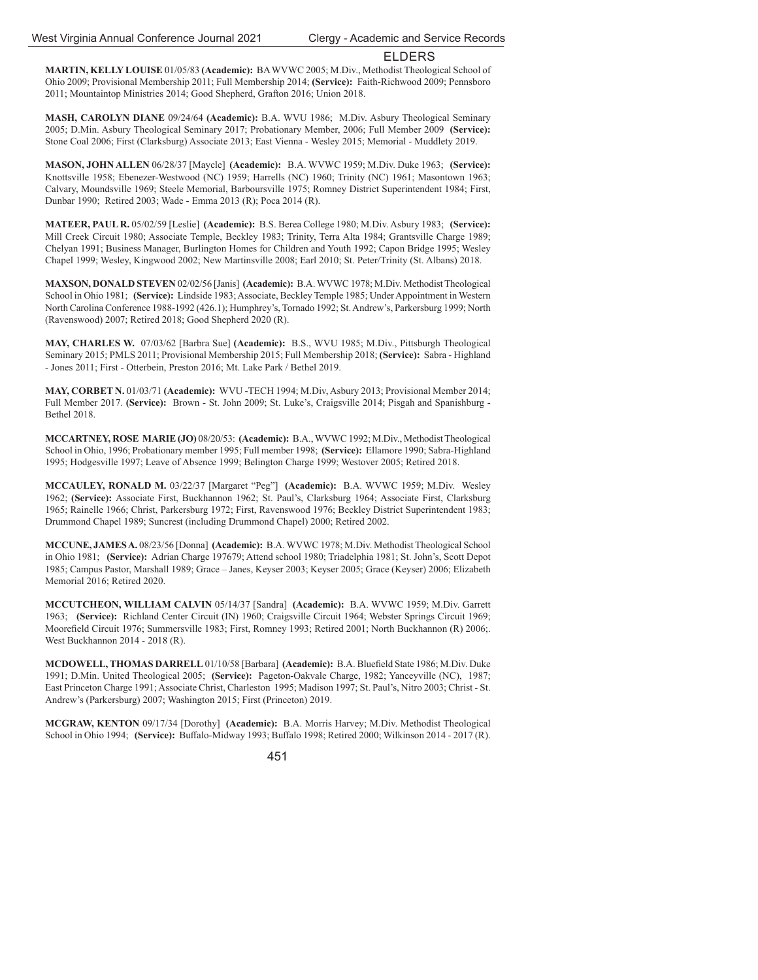**MARTIN, KELLY LOUISE** 01/05/83 **(Academic):** BA WVWC 2005; M.Div., Methodist Theological School of Ohio 2009; Provisional Membership 2011; Full Membership 2014; **(Service):** Faith-Richwood 2009; Pennsboro 2011; Mountaintop Ministries 2014; Good Shepherd, Grafton 2016; Union 2018.

**MASH, CAROLYN DIANE** 09/24/64 **(Academic):** B.A. WVU 1986;M.Div. Asbury Theological Seminary 2005; D.Min. Asbury Theological Seminary 2017; Probationary Member, 2006; Full Member 2009 **(Service):**  Stone Coal 2006; First (Clarksburg) Associate 2013; East Vienna - Wesley 2015; Memorial - Muddlety 2019.

**MASON, JOHN ALLEN** 06/28/37 [Maycle] **(Academic):** B.A. WVWC 1959; M.Div. Duke 1963; **(Service):** Knottsville 1958; Ebenezer-Westwood (NC) 1959; Harrells (NC) 1960; Trinity (NC) 1961; Masontown 1963; Calvary, Moundsville 1969; Steele Memorial, Barboursville 1975; Romney District Superintendent 1984; First, Dunbar 1990; Retired 2003; Wade - Emma 2013 (R); Poca 2014 (R).

**MATEER, PAUL R.** 05/02/59 [Leslie] **(Academic):** B.S. Berea College 1980; M.Div. Asbury 1983; **(Service):** Mill Creek Circuit 1980; Associate Temple, Beckley 1983; Trinity, Terra Alta 1984; Grantsville Charge 1989; Chelyan 1991; Business Manager, Burlington Homes for Children and Youth 1992; Capon Bridge 1995; Wesley Chapel 1999; Wesley, Kingwood 2002; New Martinsville 2008; Earl 2010; St. Peter/Trinity (St. Albans) 2018.

**MAXSON, DONALD STEVEN** 02/02/56 [Janis] **(Academic):** B.A. WVWC 1978; M.Div. Methodist Theological School in Ohio 1981; **(Service):** Lindside 1983; Associate, Beckley Temple 1985; Under Appointment in Western North Carolina Conference 1988-1992 (426.1); Humphrey's, Tornado 1992; St. Andrew's, Parkersburg 1999; North (Ravenswood) 2007; Retired 2018; Good Shepherd 2020 (R).

**MAY, CHARLES W.** 07/03/62 [Barbra Sue] **(Academic):** B.S., WVU 1985; M.Div., Pittsburgh Theological Seminary 2015; PMLS 2011; Provisional Membership 2015; Full Membership 2018; **(Service):** Sabra - Highland - Jones 2011; First - Otterbein, Preston 2016; Mt. Lake Park / Bethel 2019.

**MAY, CORBET N.** 01/03/71 **(Academic):** WVU -TECH 1994; M.Div, Asbury 2013; Provisional Member 2014; Full Member 2017. **(Service):** Brown - St. John 2009; St. Luke's, Craigsville 2014; Pisgah and Spanishburg - Bethel 2018.

**MCCARTNEY, ROSE MARIE(JO)** 08/20/53: **(Academic):** B.A., WVWC 1992; M.Div., Methodist Theological School in Ohio, 1996; Probationary member 1995; Full member 1998; **(Service):** Ellamore 1990; Sabra-Highland 1995; Hodgesville 1997; Leave of Absence 1999; Belington Charge 1999; Westover 2005; Retired 2018.

**MCCAULEY, RONALD M.** 03/22/37 [Margaret "Peg"] **(Academic):** B.A. WVWC 1959; M.Div. Wesley 1962; **(Service):** Associate First, Buckhannon 1962; St. Paul's, Clarksburg 1964; Associate First, Clarksburg 1965; Rainelle 1966; Christ, Parkersburg 1972; First, Ravenswood 1976; Beckley District Superintendent 1983; Drummond Chapel 1989; Suncrest (including Drummond Chapel) 2000; Retired 2002.

**MCCUNE, JAMES A.** 08/23/56 [Donna] **(Academic):** B.A. WVWC 1978; M.Div. Methodist Theological School in Ohio 1981; **(Service):** Adrian Charge 197679; Attend school 1980; Triadelphia 1981; St. John's, Scott Depot 1985; Campus Pastor, Marshall 1989; Grace – Janes, Keyser 2003; Keyser 2005; Grace (Keyser) 2006; Elizabeth Memorial 2016; Retired 2020.

**MCCUTCHEON, WILLIAM CALVIN** 05/14/37 [Sandra] **(Academic):** B.A. WVWC 1959; M.Div. Garrett 1963; **(Service):** Richland Center Circuit (IN) 1960; Craigsville Circuit 1964; Webster Springs Circuit 1969; Moorefield Circuit 1976; Summersville 1983; First, Romney 1993; Retired 2001; North Buckhannon (R) 2006;. West Buckhannon 2014 - 2018 (R).

**MCDOWELL, THOMAS DARRELL** 01/10/58 [Barbara] **(Academic):** B.A. Bluefield State 1986; M.Div. Duke 1991; D.Min. United Theological 2005; **(Service):** Pageton-Oakvale Charge, 1982; Yanceyville (NC), 1987; East Princeton Charge 1991; Associate Christ, Charleston 1995; Madison 1997; St. Paul's, Nitro 2003; Christ - St. Andrew's (Parkersburg) 2007; Washington 2015; First (Princeton) 2019.

**MCGRAW, KENTON** 09/17/34 [Dorothy] **(Academic):** B.A. Morris Harvey; M.Div. Methodist Theological School in Ohio 1994; **(Service):** Buffalo-Midway 1993; Buffalo 1998; Retired 2000; Wilkinson 2014 - 2017 (R).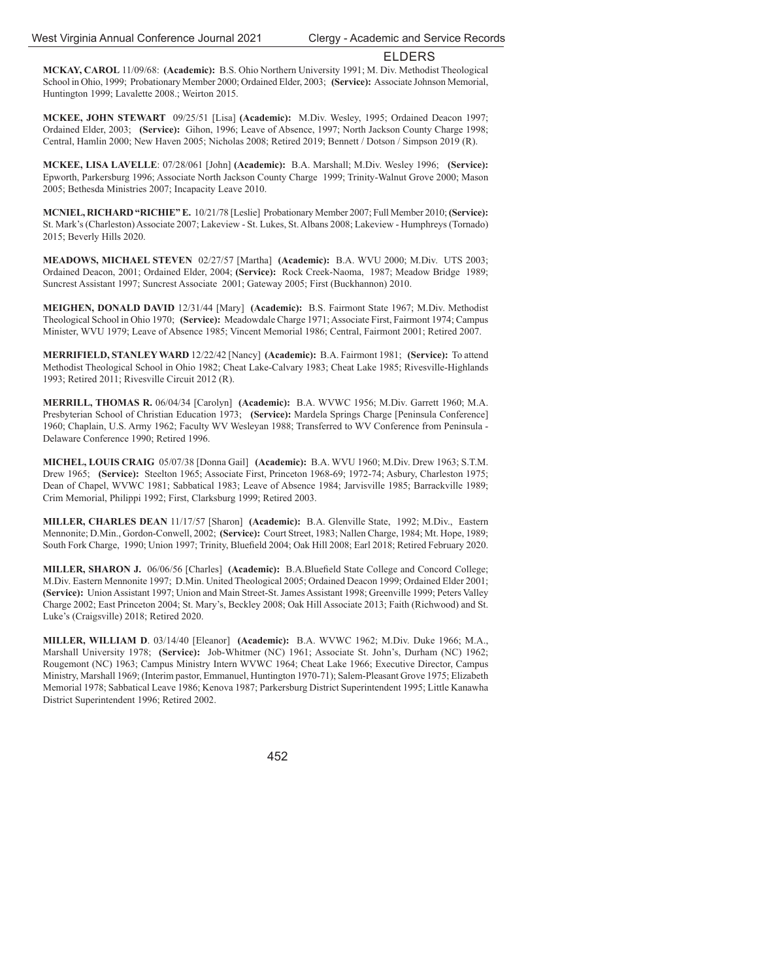**MCKAY, CAROL** 11/09/68: **(Academic):** B.S. Ohio Northern University 1991; M. Div. Methodist Theological School in Ohio, 1999; Probationary Member 2000; Ordained Elder, 2003; **(Service):** Associate Johnson Memorial, Huntington 1999; Lavalette 2008.; Weirton 2015.

**MCKEE, JOHN STEWART** 09/25/51 [Lisa] **(Academic):** M.Div. Wesley, 1995; Ordained Deacon 1997; Ordained Elder, 2003; **(Service):** Gihon, 1996; Leave of Absence, 1997; North Jackson County Charge 1998; Central, Hamlin 2000; New Haven 2005; Nicholas 2008; Retired 2019; Bennett / Dotson / Simpson 2019 (R).

**MCKEE, LISA LAVELLE**: 07/28/061 [John] **(Academic):** B.A. Marshall; M.Div. Wesley 1996; **(Service):** Epworth, Parkersburg 1996; Associate North Jackson County Charge 1999; Trinity-Walnut Grove 2000; Mason 2005; Bethesda Ministries 2007; Incapacity Leave 2010.

**MCNIEL, RICHARD "RICHIE" E.** 10/21/78 [Leslie] Probationary Member 2007; Full Member 2010; **(Service):** St. Mark's (Charleston) Associate 2007; Lakeview - St. Lukes, St. Albans 2008; Lakeview - Humphreys (Tornado) 2015; Beverly Hills 2020.

**MEADOWS, MICHAEL STEVEN** 02/27/57 [Martha] **(Academic):** B.A. WVU 2000; M.Div. UTS 2003; Ordained Deacon, 2001; Ordained Elder, 2004; **(Service):** Rock Creek-Naoma, 1987; Meadow Bridge 1989; Suncrest Assistant 1997; Suncrest Associate 2001; Gateway 2005; First (Buckhannon) 2010.

**MEIGHEN, DONALD DAVID** 12/31/44 [Mary] **(Academic):** B.S. Fairmont State 1967; M.Div. Methodist Theological School in Ohio 1970; **(Service):** Meadowdale Charge 1971; Associate First, Fairmont 1974; Campus Minister, WVU 1979; Leave of Absence 1985; Vincent Memorial 1986; Central, Fairmont 2001; Retired 2007.

**MERRIFIELD, STANLEY WARD** 12/22/42 [Nancy] **(Academic):** B.A. Fairmont 1981; **(Service):** To attend Methodist Theological School in Ohio 1982; Cheat Lake-Calvary 1983; Cheat Lake 1985; Rivesville-Highlands 1993; Retired 2011; Rivesville Circuit 2012 (R).

**MERRILL, THOMAS R.** 06/04/34 [Carolyn] **(Academic):** B.A. WVWC 1956; M.Div. Garrett 1960; M.A. Presbyterian School of Christian Education 1973; **(Service):** Mardela Springs Charge [Peninsula Conference] 1960; Chaplain, U.S. Army 1962; Faculty WV Wesleyan 1988; Transferred to WV Conference from Peninsula - Delaware Conference 1990; Retired 1996.

**MICHEL, LOUIS CRAIG** 05/07/38 [Donna Gail] **(Academic):** B.A. WVU 1960; M.Div. Drew 1963; S.T.M. Drew 1965; **(Service):** Steelton 1965; Associate First, Princeton 1968-69; 1972-74; Asbury, Charleston 1975; Dean of Chapel, WVWC 1981; Sabbatical 1983; Leave of Absence 1984; Jarvisville 1985; Barrackville 1989; Crim Memorial, Philippi 1992; First, Clarksburg 1999; Retired 2003.

**MILLER, CHARLES DEAN** 11/17/57 [Sharon] **(Academic):** B.A. Glenville State, 1992; M.Div., Eastern Mennonite; D.Min., Gordon-Conwell, 2002; **(Service):** Court Street, 1983; Nallen Charge, 1984; Mt. Hope, 1989; South Fork Charge, 1990; Union 1997; Trinity, Bluefield 2004; Oak Hill 2008; Earl 2018; Retired February 2020.

**MILLER, SHARON J.** 06/06/56 [Charles] (Academic): B.A.Bluefield State College and Concord College; M.Div. Eastern Mennonite 1997; D.Min. United Theological 2005; Ordained Deacon 1999; Ordained Elder 2001; **(Service):** Union Assistant 1997; Union and Main Street-St. James Assistant 1998; Greenville 1999; Peters Valley Charge 2002; East Princeton 2004; St. Mary's, Beckley 2008; Oak Hill Associate 2013; Faith (Richwood) and St. Luke's (Craigsville) 2018; Retired 2020.

**MILLER, WILLIAM D**. 03/14/40 [Eleanor] **(Academic):** B.A. WVWC 1962; M.Div. Duke 1966; M.A., Marshall University 1978; **(Service):** Job-Whitmer (NC) 1961; Associate St. John's, Durham (NC) 1962; Rougemont (NC) 1963; Campus Ministry Intern WVWC 1964; Cheat Lake 1966; Executive Director, Campus Ministry, Marshall 1969; (Interim pastor, Emmanuel, Huntington 1970-71); Salem-Pleasant Grove 1975; Elizabeth Memorial 1978; Sabbatical Leave 1986; Kenova 1987; Parkersburg District Superintendent 1995; Little Kanawha District Superintendent 1996; Retired 2002.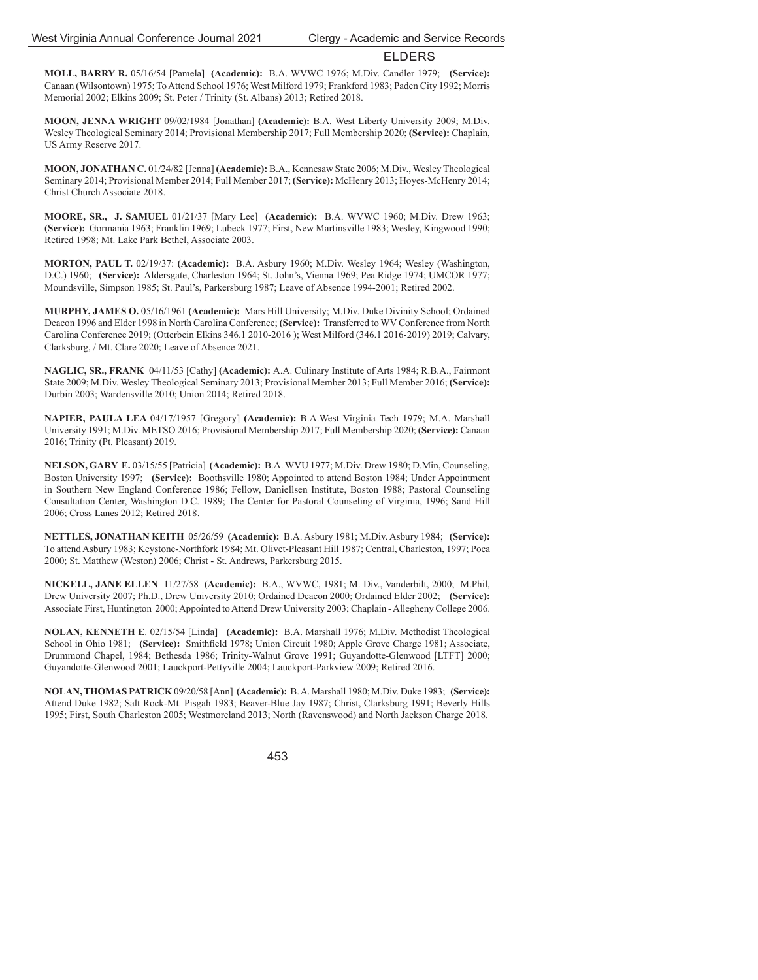**MOLL, BARRY R.** 05/16/54 [Pamela] **(Academic):** B.A. WVWC 1976; M.Div. Candler 1979; **(Service):** Canaan (Wilsontown) 1975; To Attend School 1976; West Milford 1979; Frankford 1983; Paden City 1992; Morris Memorial 2002; Elkins 2009; St. Peter / Trinity (St. Albans) 2013; Retired 2018.

**MOON, JENNA WRIGHT** 09/02/1984 [Jonathan] **(Academic):** B.A. West Liberty University 2009; M.Div. Wesley Theological Seminary 2014; Provisional Membership 2017; Full Membership 2020; **(Service):** Chaplain, US Army Reserve 2017.

**MOON, JONATHAN C.** 01/24/82 [Jenna] **(Academic):** B.A., Kennesaw State 2006; M.Div., Wesley Theological Seminary 2014; Provisional Member 2014; Full Member 2017; **(Service):** McHenry 2013; Hoyes-McHenry 2014; Christ Church Associate 2018.

**MOORE, SR., J. SAMUEL** 01/21/37 [Mary Lee] **(Academic):** B.A. WVWC 1960; M.Div. Drew 1963; **(Service):** Gormania 1963; Franklin 1969; Lubeck 1977; First, New Martinsville 1983; Wesley, Kingwood 1990; Retired 1998; Mt. Lake Park Bethel, Associate 2003.

**MORTON, PAUL T.** 02/19/37: **(Academic):** B.A. Asbury 1960; M.Div. Wesley 1964; Wesley (Washington, D.C.) 1960; **(Service):** Aldersgate, Charleston 1964; St. John's, Vienna 1969; Pea Ridge 1974; UMCOR 1977; Moundsville, Simpson 1985; St. Paul's, Parkersburg 1987; Leave of Absence 1994-2001; Retired 2002.

**MURPHY, JAMES O.** 05/16/1961 **(Academic):** Mars Hill University; M.Div. Duke Divinity School; Ordained Deacon 1996 and Elder 1998 in North Carolina Conference; **(Service):** Transferred to WV Conference from North Carolina Conference 2019; (Otterbein Elkins 346.1 2010-2016 ); West Milford (346.1 2016-2019) 2019; Calvary, Clarksburg, / Mt. Clare 2020; Leave of Absence 2021.

**NAGLIC, SR., FRANK** 04/11/53 [Cathy] **(Academic):** A.A. Culinary Institute of Arts 1984; R.B.A., Fairmont State 2009; M.Div. Wesley Theological Seminary 2013; Provisional Member 2013; Full Member 2016; **(Service):**  Durbin 2003; Wardensville 2010; Union 2014; Retired 2018.

**NAPIER, PAULA LEA** 04/17/1957 [Gregory] **(Academic):** B.A.West Virginia Tech 1979; M.A. Marshall University 1991; M.Div. METSO 2016; Provisional Membership 2017; Full Membership 2020; **(Service):** Canaan 2016; Trinity (Pt. Pleasant) 2019.

**NELSON, GARY E.** 03/15/55 [Patricia] **(Academic):** B.A. WVU 1977; M.Div. Drew 1980; D.Min, Counseling, Boston University 1997; **(Service):** Boothsville 1980; Appointed to attend Boston 1984; Under Appointment in Southern New England Conference 1986; Fellow, Daniellsen Institute, Boston 1988; Pastoral Counseling Consultation Center, Washington D.C. 1989; The Center for Pastoral Counseling of Virginia, 1996; Sand Hill 2006; Cross Lanes 2012; Retired 2018.

**NETTLES, JONATHAN KEITH** 05/26/59 **(Academic):** B.A. Asbury 1981; M.Div. Asbury 1984; **(Service):** To attend Asbury 1983; Keystone-Northfork 1984; Mt. Olivet-Pleasant Hill 1987; Central, Charleston, 1997; Poca 2000; St. Matthew (Weston) 2006; Christ - St. Andrews, Parkersburg 2015.

**NICKELL, JANE ELLEN** 11/27/58 **(Academic):** B.A., WVWC, 1981; M. Div., Vanderbilt, 2000; M.Phil, Drew University 2007; Ph.D., Drew University 2010; Ordained Deacon 2000; Ordained Elder 2002; **(Service):** Associate First, Huntington 2000; Appointed to Attend Drew University 2003; Chaplain - Allegheny College 2006.

**NOLAN, KENNETH E**. 02/15/54 [Linda] **(Academic):** B.A. Marshall 1976; M.Div. Methodist Theological School in Ohio 1981; **(Service):** Smithfield 1978; Union Circuit 1980; Apple Grove Charge 1981; Associate, Drummond Chapel, 1984; Bethesda 1986; Trinity-Walnut Grove 1991; Guyandotte-Glenwood [LTFT] 2000; Guyandotte-Glenwood 2001; Lauckport-Pettyville 2004; Lauckport-Parkview 2009; Retired 2016.

**NOLAN, THOMAS PATRICK** 09/20/58 [Ann] **(Academic):** B. A. Marshall 1980; M.Div. Duke 1983; **(Service):** Attend Duke 1982; Salt Rock-Mt. Pisgah 1983; Beaver-Blue Jay 1987; Christ, Clarksburg 1991; Beverly Hills 1995; First, South Charleston 2005; Westmoreland 2013; North (Ravenswood) and North Jackson Charge 2018.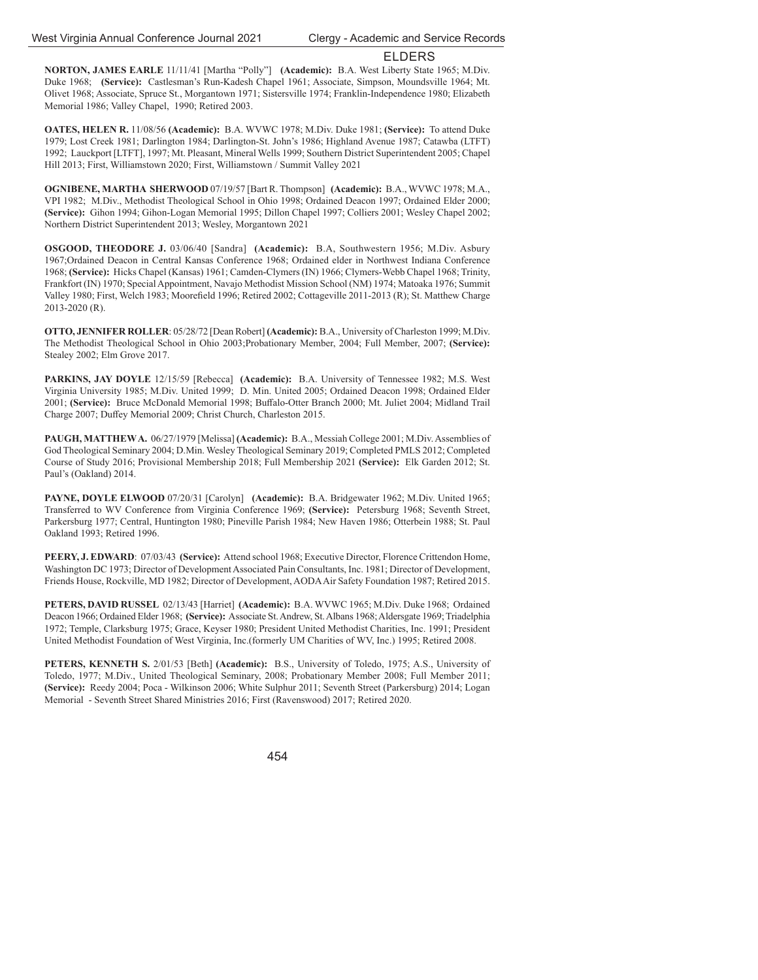**NORTON, JAMES EARLE** 11/11/41 [Martha "Polly"] **(Academic):** B.A. West Liberty State 1965; M.Div. Duke 1968; **(Service):** Castlesman's Run-Kadesh Chapel 1961; Associate, Simpson, Moundsville 1964; Mt. Olivet 1968; Associate, Spruce St., Morgantown 1971; Sistersville 1974; Franklin-Independence 1980; Elizabeth Memorial 1986; Valley Chapel, 1990; Retired 2003.

**OATES, HELEN R.** 11/08/56 **(Academic):** B.A. WVWC 1978; M.Div. Duke 1981; **(Service):** To attend Duke 1979; Lost Creek 1981; Darlington 1984; Darlington-St. John's 1986; Highland Avenue 1987; Catawba (LTFT) 1992; Lauckport [LTFT], 1997; Mt. Pleasant, Mineral Wells 1999; Southern District Superintendent 2005; Chapel Hill 2013; First, Williamstown 2020; First, Williamstown / Summit Valley 2021

**OGNIBENE, MARTHA SHERWOOD** 07/19/57 [Bart R. Thompson] **(Academic):** B.A., WVWC 1978; M.A., VPI 1982; M.Div., Methodist Theological School in Ohio 1998; Ordained Deacon 1997; Ordained Elder 2000; **(Service):** Gihon 1994; Gihon-Logan Memorial 1995; Dillon Chapel 1997; Colliers 2001; Wesley Chapel 2002; Northern District Superintendent 2013; Wesley, Morgantown 2021

**OSGOOD, THEODORE J.** 03/06/40 [Sandra] **(Academic):** B.A, Southwestern 1956; M.Div. Asbury 1967;Ordained Deacon in Central Kansas Conference 1968; Ordained elder in Northwest Indiana Conference 1968; **(Service):** Hicks Chapel (Kansas) 1961; Camden-Clymers (IN) 1966; Clymers-Webb Chapel 1968; Trinity, Frankfort (IN) 1970; Special Appointment, Navajo Methodist Mission School (NM) 1974; Matoaka 1976; Summit Valley 1980; First, Welch 1983; Moorefield 1996; Retired 2002; Cottageville 2011-2013 (R); St. Matthew Charge 2013-2020 (R).

**OTTO, JENNIFER ROLLER**: 05/28/72 [Dean Robert] **(Academic):** B.A., University of Charleston 1999; M.Div. The Methodist Theological School in Ohio 2003;Probationary Member, 2004; Full Member, 2007; **(Service):** Stealey 2002; Elm Grove 2017.

**PARKINS, JAY DOYLE** 12/15/59 [Rebecca] **(Academic):** B.A. University of Tennessee 1982; M.S. West Virginia University 1985; M.Div. United 1999; D. Min. United 2005; Ordained Deacon 1998; Ordained Elder 2001; **(Service):** Bruce McDonald Memorial 1998; Buff alo-Otter Branch 2000; Mt. Juliet 2004; Midland Trail Charge 2007; Duffey Memorial 2009; Christ Church, Charleston 2015.

**PAUGH, MATTHEW A.** 06/27/1979 [Melissa] **(Academic):** B.A., Messiah College 2001; M.Div. Assemblies of God Theological Seminary 2004; D.Min. Wesley Theological Seminary 2019; Completed PMLS 2012; Completed Course of Study 2016; Provisional Membership 2018; Full Membership 2021 **(Service):** Elk Garden 2012; St. Paul's (Oakland) 2014.

**PAYNE, DOYLE ELWOOD** 07/20/31 [Carolyn] **(Academic):** B.A. Bridgewater 1962; M.Div. United 1965; Transferred to WV Conference from Virginia Conference 1969; **(Service):** Petersburg 1968; Seventh Street, Parkersburg 1977; Central, Huntington 1980; Pineville Parish 1984; New Haven 1986; Otterbein 1988; St. Paul Oakland 1993; Retired 1996.

**PEERY, J. EDWARD**: 07/03/43 **(Service):** Attend school 1968; Executive Director, Florence Crittendon Home, Washington DC 1973; Director of Development Associated Pain Consultants, Inc. 1981; Director of Development, Friends House, Rockville, MD 1982; Director of Development, AODA Air Safety Foundation 1987; Retired 2015.

**PETERS, DAVID RUSSEL** 02/13/43 [Harriet] **(Academic):** B.A. WVWC 1965; M.Div. Duke 1968; Ordained Deacon 1966; Ordained Elder 1968; **(Service):** Associate St. Andrew, St. Albans 1968; Aldersgate 1969; Triadelphia 1972; Temple, Clarksburg 1975; Grace, Keyser 1980; President United Methodist Charities, Inc. 1991; President United Methodist Foundation of West Virginia, Inc.(formerly UM Charities of WV, Inc.) 1995; Retired 2008.

**PETERS, KENNETH S.** 2/01/53 [Beth] **(Academic):** B.S., University of Toledo, 1975; A.S., University of Toledo, 1977; M.Div., United Theological Seminary, 2008; Probationary Member 2008; Full Member 2011; **(Service):** Reedy 2004; Poca - Wilkinson 2006; White Sulphur 2011; Seventh Street (Parkersburg) 2014; Logan Memorial - Seventh Street Shared Ministries 2016; First (Ravenswood) 2017; Retired 2020.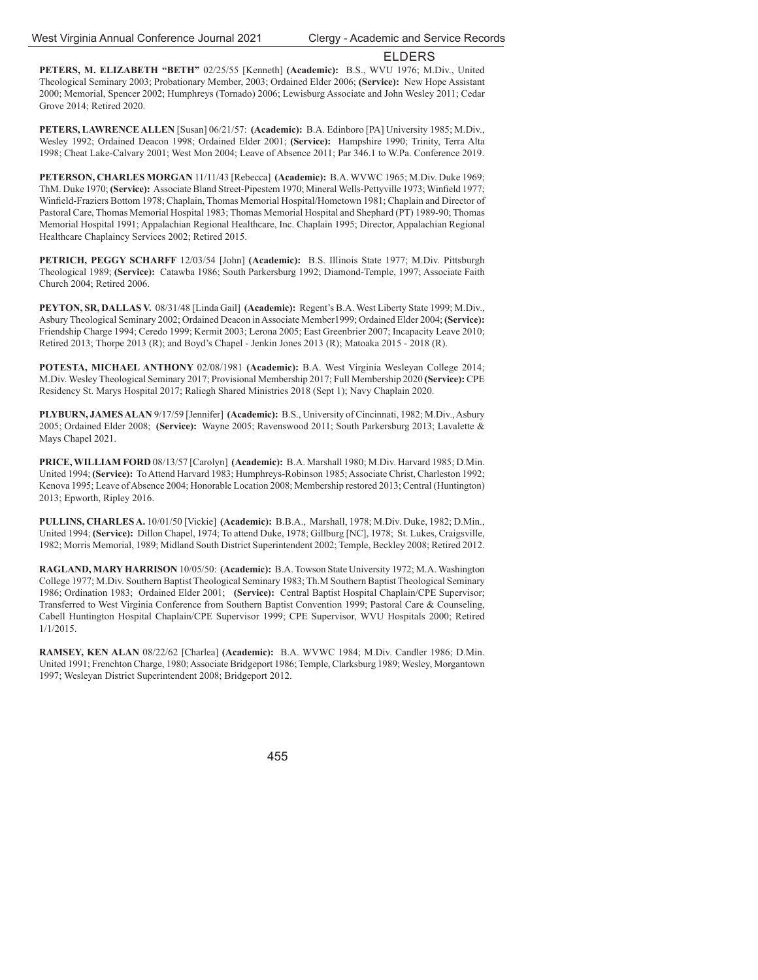**PETERS, M. ELIZABETH "BETH"** 02/25/55 [Kenneth] **(Academic):** B.S., WVU 1976; M.Div., United Theological Seminary 2003; Probationary Member, 2003; Ordained Elder 2006; **(Service):** New Hope Assistant 2000; Memorial, Spencer 2002; Humphreys (Tornado) 2006; Lewisburg Associate and John Wesley 2011; Cedar Grove 2014; Retired 2020.

**PETERS, LAWRENCE ALLEN** [Susan] 06/21/57: **(Academic):** B.A. Edinboro [PA] University 1985; M.Div., Wesley 1992; Ordained Deacon 1998; Ordained Elder 2001; **(Service):** Hampshire 1990; Trinity, Terra Alta 1998; Cheat Lake-Calvary 2001; West Mon 2004; Leave of Absence 2011; Par 346.1 to W.Pa. Conference 2019.

**PETERSON, CHARLES MORGAN** 11/11/43 [Rebecca] **(Academic):** B.A. WVWC 1965; M.Div. Duke 1969; ThM. Duke 1970; **(Service):** Associate Bland Street-Pipestem 1970; Mineral Wells-Pettyville 1973; Winfield 1977; Winfield-Fraziers Bottom 1978; Chaplain, Thomas Memorial Hospital/Hometown 1981; Chaplain and Director of Pastoral Care, Thomas Memorial Hospital 1983; Thomas Memorial Hospital and Shephard (PT) 1989-90; Thomas Memorial Hospital 1991; Appalachian Regional Healthcare, Inc. Chaplain 1995; Director, Appalachian Regional Healthcare Chaplaincy Services 2002; Retired 2015.

**PETRICH, PEGGY SCHARFF** 12/03/54 [John] **(Academic):** B.S. Illinois State 1977; M.Div. Pittsburgh Theological 1989; **(Service):** Catawba 1986; South Parkersburg 1992; Diamond-Temple, 1997; Associate Faith Church 2004; Retired 2006.

**PEYTON, SR, DALLAS V.** 08/31/48 [Linda Gail] **(Academic):** Regent's B.A. West Liberty State 1999; M.Div., Asbury Theological Seminary 2002; Ordained Deacon in Associate Member1999; Ordained Elder 2004; **(Service):** Friendship Charge 1994; Ceredo 1999; Kermit 2003; Lerona 2005; East Greenbrier 2007; Incapacity Leave 2010; Retired 2013; Thorpe 2013 (R); and Boyd's Chapel - Jenkin Jones 2013 (R); Matoaka 2015 - 2018 (R).

**POTESTA, MICHAEL ANTHONY** 02/08/1981 **(Academic):** B.A. West Virginia Wesleyan College 2014; M.Div. Wesley Theological Seminary 2017; Provisional Membership 2017; Full Membership 2020 **(Service):** CPE Residency St. Marys Hospital 2017; Raliegh Shared Ministries 2018 (Sept 1); Navy Chaplain 2020.

**PLYBURN, JAMES ALAN** 9/17/59 [Jennifer] **(Academic):** B.S., University of Cincinnati, 1982; M.Div., Asbury 2005; Ordained Elder 2008; **(Service):** Wayne 2005; Ravenswood 2011; South Parkersburg 2013; Lavalette & Mays Chapel 2021.

**PRICE, WILLIAM FORD** 08/13/57 [Carolyn] **(Academic):** B.A. Marshall 1980; M.Div. Harvard 1985; D.Min. United 1994; **(Service):** To Attend Harvard 1983; Humphreys-Robinson 1985; Associate Christ, Charleston 1992; Kenova 1995; Leave of Absence 2004; Honorable Location 2008; Membership restored 2013; Central (Huntington) 2013; Epworth, Ripley 2016.

**PULLINS, CHARLES A.** 10/01/50 [Vickie] **(Academic):** B.B.A., Marshall, 1978; M.Div. Duke, 1982; D.Min., United 1994; **(Service):** Dillon Chapel, 1974; To attend Duke, 1978; Gillburg [NC], 1978; St. Lukes, Craigsville, 1982; Morris Memorial, 1989; Midland South District Superintendent 2002; Temple, Beckley 2008; Retired 2012.

**RAGLAND, MARY HARRISON** 10/05/50: **(Academic):** B.A. Towson State University 1972; M.A. Washington College 1977; M.Div. Southern Baptist Theological Seminary 1983; Th.M Southern Baptist Theological Seminary 1986; Ordination 1983; Ordained Elder 2001; **(Service):** Central Baptist Hospital Chaplain/CPE Supervisor; Transferred to West Virginia Conference from Southern Baptist Convention 1999; Pastoral Care & Counseling, Cabell Huntington Hospital Chaplain/CPE Supervisor 1999; CPE Supervisor, WVU Hospitals 2000; Retired 1/1/2015.

**RAMSEY, KEN ALAN** 08/22/62 [Charlea] **(Academic):** B.A. WVWC 1984; M.Div. Candler 1986; D.Min. United 1991; Frenchton Charge, 1980; Associate Bridgeport 1986; Temple, Clarksburg 1989; Wesley, Morgantown 1997; Wesleyan District Superintendent 2008; Bridgeport 2012.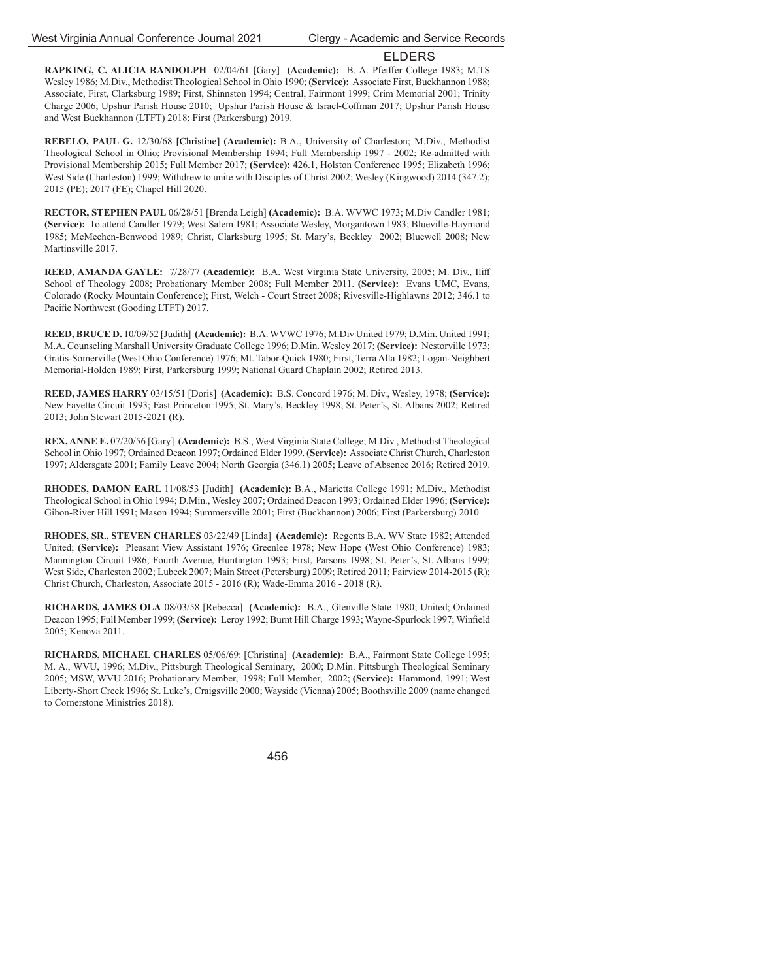**RAPKING, C. ALICIA RANDOLPH** 02/04/61 [Gary] (Academic): B. A. Pfeiffer College 1983; M.TS Wesley 1986; M.Div., Methodist Theological School in Ohio 1990; **(Service):** Associate First, Buckhannon 1988; Associate, First, Clarksburg 1989; First, Shinnston 1994; Central, Fairmont 1999; Crim Memorial 2001; Trinity Charge 2006; Upshur Parish House 2010; Upshur Parish House & Israel-Coffman 2017; Upshur Parish House and West Buckhannon (LTFT) 2018; First (Parkersburg) 2019.

**REBELO, PAUL G.** 12/30/68 [Christine] **(Academic):** B.A., University of Charleston; M.Div., Methodist Theological School in Ohio; Provisional Membership 1994; Full Membership 1997 - 2002; Re-admitted with Provisional Membership 2015; Full Member 2017; **(Service):** 426.1, Holston Conference 1995; Elizabeth 1996; West Side (Charleston) 1999; Withdrew to unite with Disciples of Christ 2002; Wesley (Kingwood) 2014 (347.2); 2015 (PE); 2017 (FE); Chapel Hill 2020.

**RECTOR, STEPHEN PAUL** 06/28/51 [Brenda Leigh] **(Academic):** B.A. WVWC 1973; M.Div Candler 1981; **(Service):** To attend Candler 1979; West Salem 1981; Associate Wesley, Morgantown 1983; Blueville-Haymond 1985; McMechen-Benwood 1989; Christ, Clarksburg 1995; St. Mary's, Beckley 2002; Bluewell 2008; New Martinsville 2017.

**REED, AMANDA GAYLE:** 7/28/77 **(Academic):** B.A. West Virginia State University, 2005; M. Div., Iliff School of Theology 2008; Probationary Member 2008; Full Member 2011. **(Service):** Evans UMC, Evans, Colorado (Rocky Mountain Conference); First, Welch - Court Street 2008; Rivesville-Highlawns 2012; 346.1 to Pacific Northwest (Gooding LTFT) 2017.

**REED, BRUCE D.** 10/09/52 [Judith] **(Academic):** B.A. WVWC 1976; M.Div United 1979; D.Min. United 1991; M.A. Counseling Marshall University Graduate College 1996; D.Min. Wesley 2017; **(Service):** Nestorville 1973; Gratis-Somerville (West Ohio Conference) 1976; Mt. Tabor-Quick 1980; First, Terra Alta 1982; Logan-Neighbert Memorial-Holden 1989; First, Parkersburg 1999; National Guard Chaplain 2002; Retired 2013.

**REED, JAMES HARRY** 03/15/51 [Doris] **(Academic):** B.S. Concord 1976; M. Div., Wesley, 1978; **(Service):** New Fayette Circuit 1993; East Princeton 1995; St. Mary's, Beckley 1998; St. Peter's, St. Albans 2002; Retired 2013; John Stewart 2015-2021 (R).

**REX, ANNE E.** 07/20/56 [Gary] **(Academic):** B.S., West Virginia State College; M.Div., Methodist Theological School in Ohio 1997; Ordained Deacon 1997; Ordained Elder 1999. **(Service):** Associate Christ Church, Charleston 1997; Aldersgate 2001; Family Leave 2004; North Georgia (346.1) 2005; Leave of Absence 2016; Retired 2019.

**RHODES, DAMON EARL** 11/08/53 [Judith] **(Academic):** B.A., Marietta College 1991; M.Div., Methodist Theological School in Ohio 1994; D.Min., Wesley 2007; Ordained Deacon 1993; Ordained Elder 1996; **(Service):** Gihon-River Hill 1991; Mason 1994; Summersville 2001; First (Buckhannon) 2006; First (Parkersburg) 2010.

**RHODES, SR., STEVEN CHARLES** 03/22/49 [Linda] **(Academic):** Regents B.A. WV State 1982; Attended United; **(Service):** Pleasant View Assistant 1976; Greenlee 1978; New Hope (West Ohio Conference) 1983; Mannington Circuit 1986; Fourth Avenue, Huntington 1993; First, Parsons 1998; St. Peter's, St. Albans 1999; West Side, Charleston 2002; Lubeck 2007; Main Street (Petersburg) 2009; Retired 2011; Fairview 2014-2015 (R); Christ Church, Charleston, Associate 2015 - 2016 (R); Wade-Emma 2016 - 2018 (R).

**RICHARDS, JAMES OLA** 08/03/58 [Rebecca] **(Academic):** B.A., Glenville State 1980; United; Ordained Deacon 1995; Full Member 1999; **(Service):** Leroy 1992; Burnt Hill Charge 1993; Wayne-Spurlock 1997; Winfield 2005; Kenova 2011.

**RICHARDS, MICHAEL CHARLES** 05/06/69: [Christina] **(Academic):** B.A., Fairmont State College 1995; M. A., WVU, 1996; M.Div., Pittsburgh Theological Seminary, 2000; D.Min. Pittsburgh Theological Seminary 2005; MSW, WVU 2016; Probationary Member, 1998; Full Member, 2002; **(Service):** Hammond, 1991; West Liberty-Short Creek 1996; St. Luke's, Craigsville 2000; Wayside (Vienna) 2005; Boothsville 2009 (name changed to Cornerstone Ministries 2018).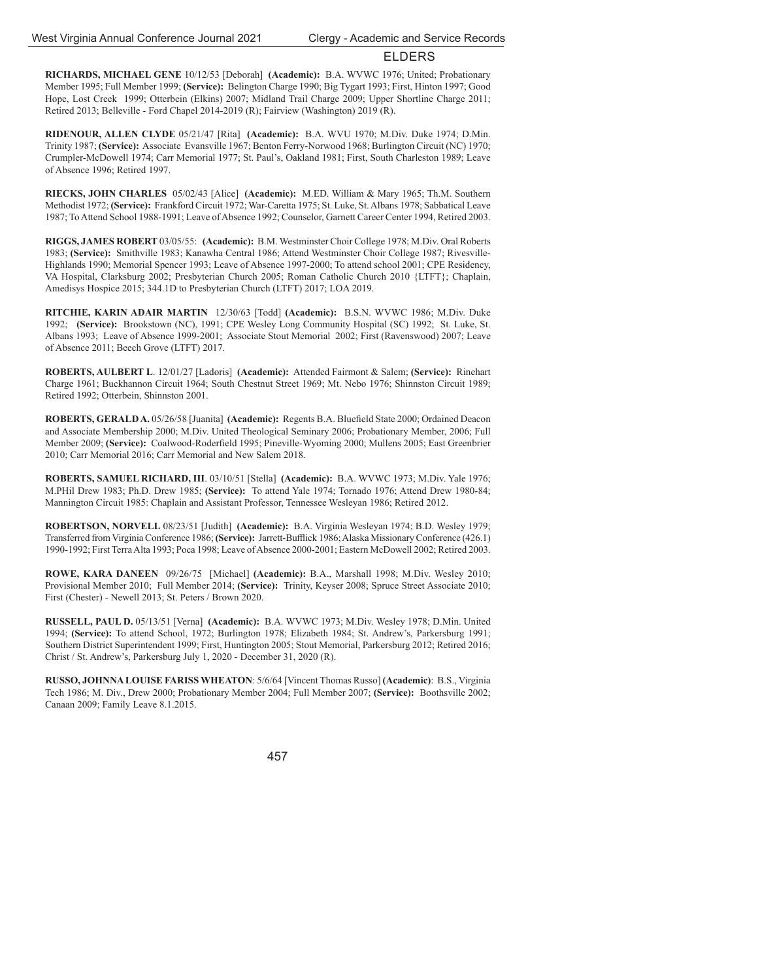**RICHARDS, MICHAEL GENE** 10/12/53 [Deborah] **(Academic):** B.A. WVWC 1976; United; Probationary Member 1995; Full Member 1999; **(Service):** Belington Charge 1990; Big Tygart 1993; First, Hinton 1997; Good Hope, Lost Creek 1999; Otterbein (Elkins) 2007; Midland Trail Charge 2009; Upper Shortline Charge 2011; Retired 2013; Belleville - Ford Chapel 2014-2019 (R); Fairview (Washington) 2019 (R).

**RIDENOUR, ALLEN CLYDE** 05/21/47 [Rita] **(Academic):** B.A. WVU 1970; M.Div. Duke 1974; D.Min. Trinity 1987; **(Service):** Associate Evansville 1967; Benton Ferry-Norwood 1968; Burlington Circuit (NC) 1970; Crumpler-McDowell 1974; Carr Memorial 1977; St. Paul's, Oakland 1981; First, South Charleston 1989; Leave of Absence 1996; Retired 1997.

**RIECKS, JOHN CHARLES** 05/02/43 [Alice] **(Academic):** M.ED. William & Mary 1965; Th.M. Southern Methodist 1972; **(Service):** Frankford Circuit 1972; War-Caretta 1975; St. Luke, St. Albans 1978; Sabbatical Leave 1987; To Attend School 1988-1991; Leave of Absence 1992; Counselor, Garnett Career Center 1994, Retired 2003.

**RIGGS, JAMES ROBERT** 03/05/55: **(Academic):** B.M. Westminster Choir College 1978; M.Div. Oral Roberts 1983; **(Service):** Smithville 1983; Kanawha Central 1986; Attend Westminster Choir College 1987; Rivesville-Highlands 1990; Memorial Spencer 1993; Leave of Absence 1997-2000; To attend school 2001; CPE Residency, VA Hospital, Clarksburg 2002; Presbyterian Church 2005; Roman Catholic Church 2010 {LTFT}; Chaplain, Amedisys Hospice 2015; 344.1D to Presbyterian Church (LTFT) 2017; LOA 2019.

**RITCHIE, KARIN ADAIR MARTIN** 12/30/63 [Todd] **(Academic):** B.S.N. WVWC 1986; M.Div. Duke 1992; **(Service):** Brookstown (NC), 1991; CPE Wesley Long Community Hospital (SC) 1992; St. Luke, St. Albans 1993; Leave of Absence 1999-2001; Associate Stout Memorial 2002; First (Ravenswood) 2007; Leave of Absence 2011; Beech Grove (LTFT) 2017.

**ROBERTS, AULBERT L**. 12/01/27 [Ladoris] **(Academic):** Attended Fairmont & Salem; **(Service):** Rinehart Charge 1961; Buckhannon Circuit 1964; South Chestnut Street 1969; Mt. Nebo 1976; Shinnston Circuit 1989; Retired 1992; Otterbein, Shinnston 2001.

**ROBERTS, GERALD A.** 05/26/58 [Juanita] **(Academic):** Regents B.A. Bluefield State 2000; Ordained Deacon and Associate Membership 2000; M.Div. United Theological Seminary 2006; Probationary Member, 2006; Full Member 2009; (Service): Coalwood-Roderfield 1995; Pineville-Wyoming 2000; Mullens 2005; East Greenbrier 2010; Carr Memorial 2016; Carr Memorial and New Salem 2018.

**ROBERTS, SAMUEL RICHARD, III**. 03/10/51 [Stella] **(Academic):** B.A. WVWC 1973; M.Div. Yale 1976; M.PHil Drew 1983; Ph.D. Drew 1985; **(Service):** To attend Yale 1974; Tornado 1976; Attend Drew 1980-84; Mannington Circuit 1985: Chaplain and Assistant Professor, Tennessee Wesleyan 1986; Retired 2012.

**ROBERTSON, NORVELL** 08/23/51 [Judith] **(Academic):** B.A. Virginia Wesleyan 1974; B.D. Wesley 1979; Transferred from Virginia Conference 1986; (Service): Jarrett-Bufflick 1986; Alaska Missionary Conference (426.1) 1990-1992; First Terra Alta 1993; Poca 1998; Leave of Absence 2000-2001; Eastern McDowell 2002; Retired 2003.

**ROWE, KARA DANEEN** 09/26/75 [Michael] **(Academic):** B.A., Marshall 1998; M.Div. Wesley 2010; Provisional Member 2010; Full Member 2014; **(Service):** Trinity, Keyser 2008; Spruce Street Associate 2010; First (Chester) - Newell 2013; St. Peters / Brown 2020.

**RUSSELL, PAUL D.** 05/13/51 [Verna] **(Academic):** B.A. WVWC 1973; M.Div. Wesley 1978; D.Min. United 1994; **(Service):** To attend School, 1972; Burlington 1978; Elizabeth 1984; St. Andrew's, Parkersburg 1991; Southern District Superintendent 1999; First, Huntington 2005; Stout Memorial, Parkersburg 2012; Retired 2016; Christ / St. Andrew's, Parkersburg July 1, 2020 - December 31, 2020 (R).

**RUSSO, JOHNNA LOUISE FARISS WHEATON**: 5/6/64 [Vincent Thomas Russo] **(Academic)**: B.S., Virginia Tech 1986; M. Div., Drew 2000; Probationary Member 2004; Full Member 2007; **(Service):** Boothsville 2002; Canaan 2009; Family Leave 8.1.2015.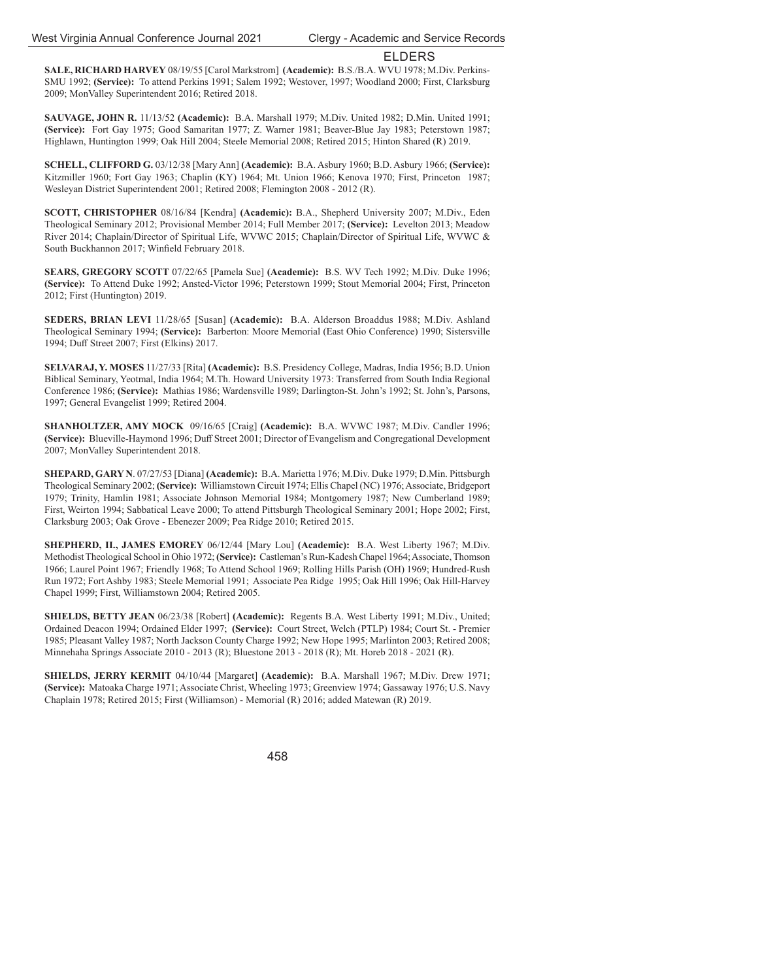**SALE, RICHARD HARVEY** 08/19/55 [Carol Markstrom] **(Academic):** B.S./B.A. WVU 1978; M.Div. Perkins-SMU 1992; **(Service):** To attend Perkins 1991; Salem 1992; Westover, 1997; Woodland 2000; First, Clarksburg 2009; MonValley Superintendent 2016; Retired 2018.

**SAUVAGE, JOHN R.** 11/13/52 **(Academic):** B.A. Marshall 1979; M.Div. United 1982; D.Min. United 1991; **(Service):** Fort Gay 1975; Good Samaritan 1977; Z. Warner 1981; Beaver-Blue Jay 1983; Peterstown 1987; Highlawn, Huntington 1999; Oak Hill 2004; Steele Memorial 2008; Retired 2015; Hinton Shared (R) 2019.

**SCHELL, CLIFFORD G.** 03/12/38 [Mary Ann] **(Academic):** B.A. Asbury 1960; B.D. Asbury 1966; **(Service):** Kitzmiller 1960; Fort Gay 1963; Chaplin (KY) 1964; Mt. Union 1966; Kenova 1970; First, Princeton 1987; Wesleyan District Superintendent 2001; Retired 2008; Flemington 2008 - 2012 (R).

**SCOTT, CHRISTOPHER** 08/16/84 [Kendra] **(Academic):** B.A., Shepherd University 2007; M.Div., Eden Theological Seminary 2012; Provisional Member 2014; Full Member 2017; **(Service):** Levelton 2013; Meadow River 2014; Chaplain/Director of Spiritual Life, WVWC 2015; Chaplain/Director of Spiritual Life, WVWC & South Buckhannon 2017; Winfield February 2018.

**SEARS, GREGORY SCOTT** 07/22/65 [Pamela Sue] **(Academic):** B.S. WV Tech 1992; M.Div. Duke 1996; **(Service):** To Attend Duke 1992; Ansted-Victor 1996; Peterstown 1999; Stout Memorial 2004; First, Princeton 2012; First (Huntington) 2019.

**SEDERS, BRIAN LEVI** 11/28/65 [Susan] **(Academic):** B.A. Alderson Broaddus 1988; M.Div. Ashland Theological Seminary 1994; **(Service):** Barberton: Moore Memorial (East Ohio Conference) 1990; Sistersville 1994; Duff Street 2007; First (Elkins) 2017.

**SELVARAJ, Y. MOSES** 11/27/33 [Rita] **(Academic):** B.S. Presidency College, Madras, India 1956; B.D. Union Biblical Seminary, Yeotmal, India 1964; M.Th. Howard University 1973: Transferred from South India Regional Conference 1986; **(Service):** Mathias 1986; Wardensville 1989; Darlington-St. John's 1992; St. John's, Parsons, 1997; General Evangelist 1999; Retired 2004.

**SHANHOLTZER, AMY MOCK** 09/16/65 [Craig] **(Academic):** B.A. WVWC 1987; M.Div. Candler 1996; **(Service):** Blueville-Haymond 1996; Duff Street 2001; Director of Evangelism and Congregational Development 2007; MonValley Superintendent 2018.

**SHEPARD, GARY N**. 07/27/53 [Diana] **(Academic):** B.A. Marietta 1976; M.Div. Duke 1979; D.Min. Pittsburgh Theological Seminary 2002; **(Service):** Williamstown Circuit 1974; Ellis Chapel (NC) 1976; Associate, Bridgeport 1979; Trinity, Hamlin 1981; Associate Johnson Memorial 1984; Montgomery 1987; New Cumberland 1989; First, Weirton 1994; Sabbatical Leave 2000; To attend Pittsburgh Theological Seminary 2001; Hope 2002; First, Clarksburg 2003; Oak Grove - Ebenezer 2009; Pea Ridge 2010; Retired 2015.

**SHEPHERD, II., JAMES EMOREY** 06/12/44 [Mary Lou] **(Academic):** B.A. West Liberty 1967; M.Div. Methodist Theological School in Ohio 1972; **(Service):** Castleman's Run-Kadesh Chapel 1964; Associate, Thomson 1966; Laurel Point 1967; Friendly 1968; To Attend School 1969; Rolling Hills Parish (OH) 1969; Hundred-Rush Run 1972; Fort Ashby 1983; Steele Memorial 1991; Associate Pea Ridge 1995; Oak Hill 1996; Oak Hill-Harvey Chapel 1999; First, Williamstown 2004; Retired 2005.

**SHIELDS, BETTY JEAN** 06/23/38 [Robert] **(Academic):** Regents B.A. West Liberty 1991; M.Div., United; Ordained Deacon 1994; Ordained Elder 1997; **(Service):** Court Street, Welch (PTLP) 1984; Court St. - Premier 1985; Pleasant Valley 1987; North Jackson County Charge 1992; New Hope 1995; Marlinton 2003; Retired 2008; Minnehaha Springs Associate 2010 - 2013 (R); Bluestone 2013 - 2018 (R); Mt. Horeb 2018 - 2021 (R).

**SHIELDS, JERRY KERMIT** 04/10/44 [Margaret] **(Academic):** B.A. Marshall 1967; M.Div. Drew 1971; **(Service):** Matoaka Charge 1971; Associate Christ, Wheeling 1973; Greenview 1974; Gassaway 1976; U.S. Navy Chaplain 1978; Retired 2015; First (Williamson) - Memorial (R) 2016; added Matewan (R) 2019.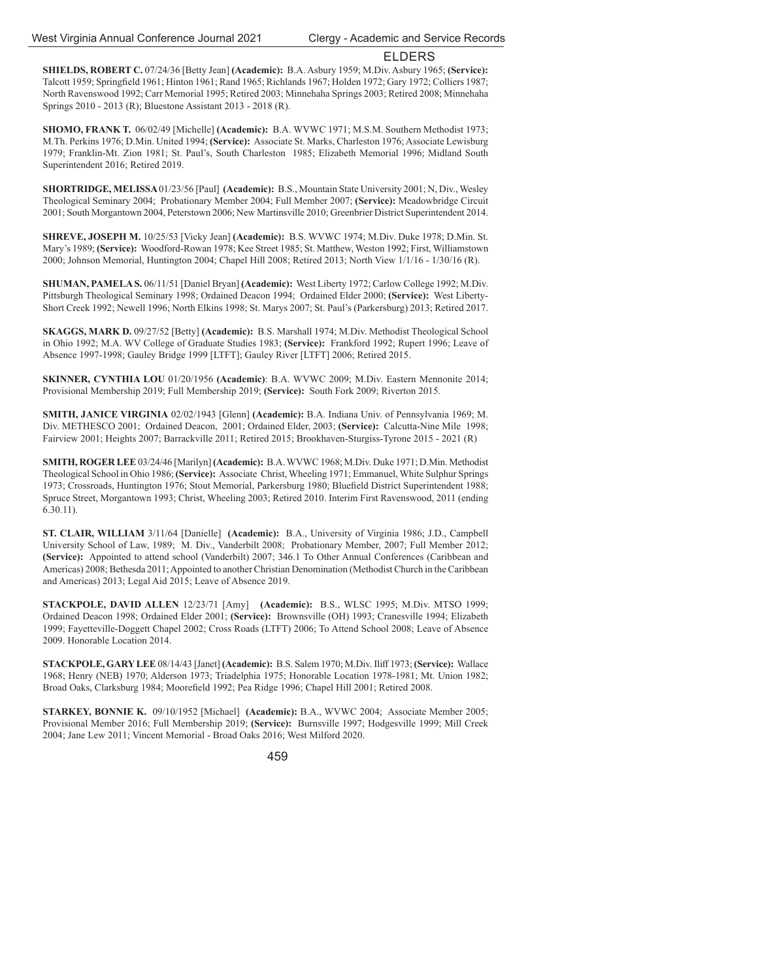**SHIELDS, ROBERT C.** 07/24/36 [Betty Jean] **(Academic):** B.A. Asbury 1959; M.Div. Asbury 1965; **(Service):** Talcott 1959; Springfield 1961; Hinton 1961; Rand 1965; Richlands 1967; Holden 1972; Gary 1972; Colliers 1987; North Ravenswood 1992; Carr Memorial 1995; Retired 2003; Minnehaha Springs 2003; Retired 2008; Minnehaha Springs 2010 - 2013 (R); Bluestone Assistant 2013 - 2018 (R).

**SHOMO, FRANK T.** 06/02/49 [Michelle] **(Academic):** B.A. WVWC 1971; M.S.M. Southern Methodist 1973; M.Th. Perkins 1976; D.Min. United 1994; **(Service):** Associate St. Marks, Charleston 1976; Associate Lewisburg 1979; Franklin-Mt. Zion 1981; St. Paul's, South Charleston 1985; Elizabeth Memorial 1996; Midland South Superintendent 2016; Retired 2019.

**SHORTRIDGE, MELISSA** 01/23/56 [Paul] **(Academic):** B.S., Mountain State University 2001; N, Div., Wesley Theological Seminary 2004; Probationary Member 2004; Full Member 2007; **(Service):** Meadowbridge Circuit 2001; South Morgantown 2004, Peterstown 2006; New Martinsville 2010; Greenbrier District Superintendent 2014.

**SHREVE, JOSEPH M.** 10/25/53 [Vicky Jean] **(Academic):** B.S. WVWC 1974; M.Div. Duke 1978; D.Min. St. Mary's 1989; **(Service):** Woodford-Rowan 1978; Kee Street 1985; St. Matthew, Weston 1992; First, Williamstown 2000; Johnson Memorial, Huntington 2004; Chapel Hill 2008; Retired 2013; North View 1/1/16 - 1/30/16 (R).

**SHUMAN, PAMELA S.** 06/11/51 [Daniel Bryan] **(Academic):** West Liberty 1972; Carlow College 1992; M.Div. Pittsburgh Theological Seminary 1998; Ordained Deacon 1994; Ordained Elder 2000; **(Service):** West Liberty-Short Creek 1992; Newell 1996; North Elkins 1998; St. Marys 2007; St. Paul's (Parkersburg) 2013; Retired 2017.

**SKAGGS, MARK D.** 09/27/52 [Betty] **(Academic):** B.S. Marshall 1974; M.Div. Methodist Theological School in Ohio 1992; M.A. WV College of Graduate Studies 1983; **(Service):** Frankford 1992; Rupert 1996; Leave of Absence 1997-1998; Gauley Bridge 1999 [LTFT]; Gauley River [LTFT] 2006; Retired 2015.

**SKINNER, CYNTHIA LOU** 01/20/1956 **(Academic)**: B.A. WVWC 2009; M.Div. Eastern Mennonite 2014; Provisional Membership 2019; Full Membership 2019; **(Service):** South Fork 2009; Riverton 2015.

**SMITH, JANICE VIRGINIA** 02/02/1943 [Glenn] **(Academic):** B.A. Indiana Univ. of Pennsylvania 1969; M. Div. METHESCO 2001; Ordained Deacon, 2001; Ordained Elder, 2003; **(Service):** Calcutta-Nine Mile 1998; Fairview 2001; Heights 2007; Barrackville 2011; Retired 2015; Brookhaven-Sturgiss-Tyrone 2015 - 2021 (R)

**SMITH, ROGER LEE** 03/24/46 [Marilyn] **(Academic):** B.A. WVWC 1968; M.Div. Duke 1971; D.Min. Methodist Theological School in Ohio 1986; **(Service):** Associate Christ, Wheeling 1971; Emmanuel, White Sulphur Springs 1973; Crossroads, Huntington 1976; Stout Memorial, Parkersburg 1980; Bluefield District Superintendent 1988; Spruce Street, Morgantown 1993; Christ, Wheeling 2003; Retired 2010. Interim First Ravenswood, 2011 (ending 6.30.11).

**ST. CLAIR, WILLIAM** 3/11/64 [Danielle] **(Academic):** B.A., University of Virginia 1986; J.D., Campbell University School of Law, 1989; M. Div., Vanderbilt 2008; Probationary Member, 2007; Full Member 2012; **(Service):** Appointed to attend school (Vanderbilt) 2007; 346.1 To Other Annual Conferences (Caribbean and Americas) 2008; Bethesda 2011; Appointed to another Christian Denomination (Methodist Church in the Caribbean and Americas) 2013; Legal Aid 2015; Leave of Absence 2019.

**STACKPOLE, DAVID ALLEN** 12/23/71 [Amy] **(Academic):** B.S., WLSC 1995; M.Div. MTSO 1999; Ordained Deacon 1998; Ordained Elder 2001; **(Service):** Brownsville (OH) 1993; Cranesville 1994; Elizabeth 1999; Fayetteville-Doggett Chapel 2002; Cross Roads (LTFT) 2006; To Attend School 2008; Leave of Absence 2009. Honorable Location 2014.

**STACKPOLE, GARY LEE** 08/14/43 [Janet] **(Academic):** B.S. Salem 1970; M.Div. Iliff 1973; **(Service):** Wallace 1968; Henry (NEB) 1970; Alderson 1973; Triadelphia 1975; Honorable Location 1978-1981; Mt. Union 1982; Broad Oaks, Clarksburg 1984; Moorefield 1992; Pea Ridge 1996; Chapel Hill 2001; Retired 2008.

**STARKEY, BONNIE K.** 09/10/1952 [Michael] **(Academic):** B.A., WVWC 2004; Associate Member 2005; Provisional Member 2016; Full Membership 2019; **(Service):** Burnsville 1997; Hodgesville 1999; Mill Creek 2004; Jane Lew 2011; Vincent Memorial - Broad Oaks 2016; West Milford 2020.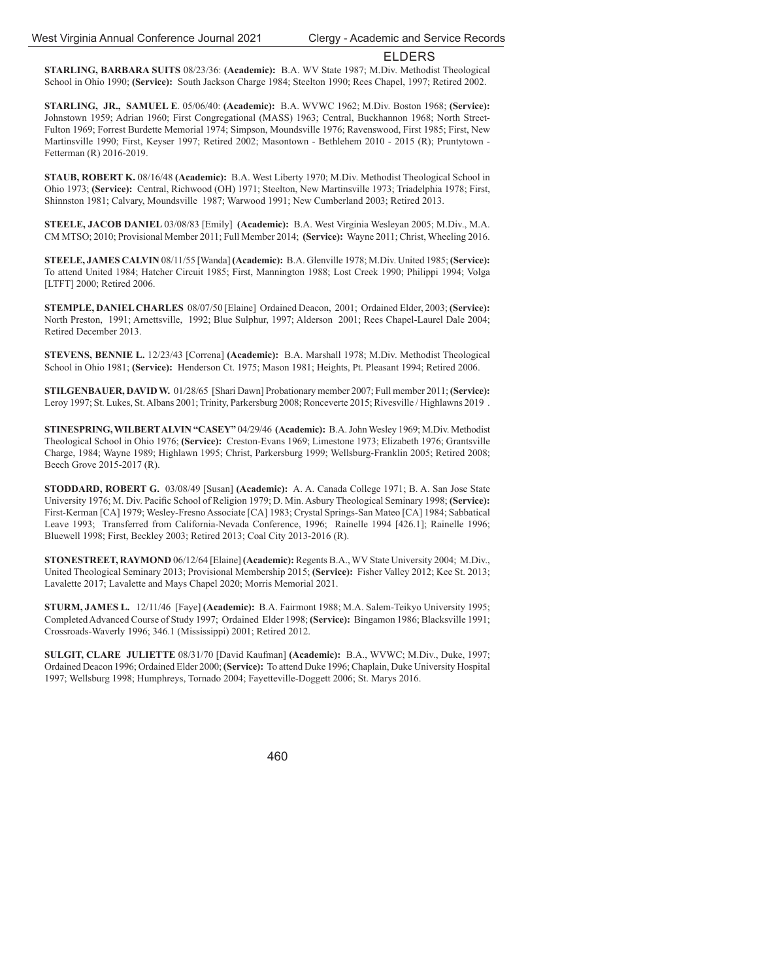**STARLING, BARBARA SUITS** 08/23/36: **(Academic):** B.A. WV State 1987; M.Div. Methodist Theological School in Ohio 1990; **(Service):** South Jackson Charge 1984; Steelton 1990; Rees Chapel, 1997; Retired 2002.

**STARLING, JR., SAMUEL E**. 05/06/40: **(Academic):** B.A. WVWC 1962; M.Div. Boston 1968; **(Service):** Johnstown 1959; Adrian 1960; First Congregational (MASS) 1963; Central, Buckhannon 1968; North Street-Fulton 1969; Forrest Burdette Memorial 1974; Simpson, Moundsville 1976; Ravenswood, First 1985; First, New Martinsville 1990; First, Keyser 1997; Retired 2002; Masontown - Bethlehem 2010 - 2015 (R); Pruntytown - Fetterman (R) 2016-2019.

**STAUB, ROBERT K.** 08/16/48 **(Academic):** B.A. West Liberty 1970; M.Div. Methodist Theological School in Ohio 1973; **(Service):** Central, Richwood (OH) 1971; Steelton, New Martinsville 1973; Triadelphia 1978; First, Shinnston 1981; Calvary, Moundsville 1987; Warwood 1991; New Cumberland 2003; Retired 2013.

**STEELE, JACOB DANIEL** 03/08/83 [Emily] **(Academic):** B.A. West Virginia Wesleyan 2005; M.Div., M.A. CM MTSO; 2010; Provisional Member 2011; Full Member 2014; **(Service):** Wayne 2011; Christ, Wheeling 2016.

**STEELE, JAMES CALVIN** 08/11/55 [Wanda] **(Academic):** B.A. Glenville 1978; M.Div. United 1985; **(Service):** To attend United 1984; Hatcher Circuit 1985; First, Mannington 1988; Lost Creek 1990; Philippi 1994; Volga [LTFT] 2000; Retired 2006.

**STEMPLE, DANIEL CHARLES** 08/07/50 [Elaine] Ordained Deacon, 2001; Ordained Elder, 2003; **(Service):** North Preston, 1991; Arnettsville, 1992; Blue Sulphur, 1997; Alderson 2001; Rees Chapel-Laurel Dale 2004; Retired December 2013.

**STEVENS, BENNIE L.** 12/23/43 [Correna] **(Academic):** B.A. Marshall 1978; M.Div. Methodist Theological School in Ohio 1981; **(Service):** Henderson Ct. 1975; Mason 1981; Heights, Pt. Pleasant 1994; Retired 2006.

**STILGENBAUER, DAVID W.** 01/28/65 [Shari Dawn] Probationary member 2007; Full member 2011; **(Service):**  Leroy 1997; St. Lukes, St. Albans 2001; Trinity, Parkersburg 2008; Ronceverte 2015; Rivesville / Highlawns 2019 .

**STINESPRING, WILBERT ALVIN "CASEY"** 04/29/46 **(Academic):** B.A. John Wesley 1969; M.Div. Methodist Theological School in Ohio 1976; **(Service):** Creston-Evans 1969; Limestone 1973; Elizabeth 1976; Grantsville Charge, 1984; Wayne 1989; Highlawn 1995; Christ, Parkersburg 1999; Wellsburg-Franklin 2005; Retired 2008; Beech Grove 2015-2017 (R).

**STODDARD, ROBERT G.** 03/08/49 [Susan] **(Academic):** A. A. Canada College 1971; B. A. San Jose State University 1976; M. Div. Pacific School of Religion 1979; D. Min. Asbury Theological Seminary 1998; (Service): First-Kerman [CA] 1979; Wesley-Fresno Associate [CA] 1983; Crystal Springs-San Mateo [CA] 1984; Sabbatical Leave 1993; Transferred from California-Nevada Conference, 1996; Rainelle 1994 [426.1]; Rainelle 1996; Bluewell 1998; First, Beckley 2003; Retired 2013; Coal City 2013-2016 (R).

**STONESTREET, RAYMOND** 06/12/64 [Elaine] **(Academic):** Regents B.A., WV State University 2004; M.Div., United Theological Seminary 2013; Provisional Membership 2015; **(Service):** Fisher Valley 2012; Kee St. 2013; Lavalette 2017; Lavalette and Mays Chapel 2020; Morris Memorial 2021.

**STURM, JAMES L.** 12/11/46 [Faye] **(Academic):** B.A. Fairmont 1988; M.A. Salem-Teikyo University 1995; Completed Advanced Course of Study 1997; Ordained Elder 1998; **(Service):** Bingamon 1986; Blacksville 1991; Crossroads-Waverly 1996; 346.1 (Mississippi) 2001; Retired 2012.

**SULGIT, CLARE JULIETTE** 08/31/70 [David Kaufman] **(Academic):** B.A., WVWC; M.Div., Duke, 1997; Ordained Deacon 1996; Ordained Elder 2000; **(Service):** To attend Duke 1996; Chaplain, Duke University Hospital 1997; Wellsburg 1998; Humphreys, Tornado 2004; Fayetteville-Doggett 2006; St. Marys 2016.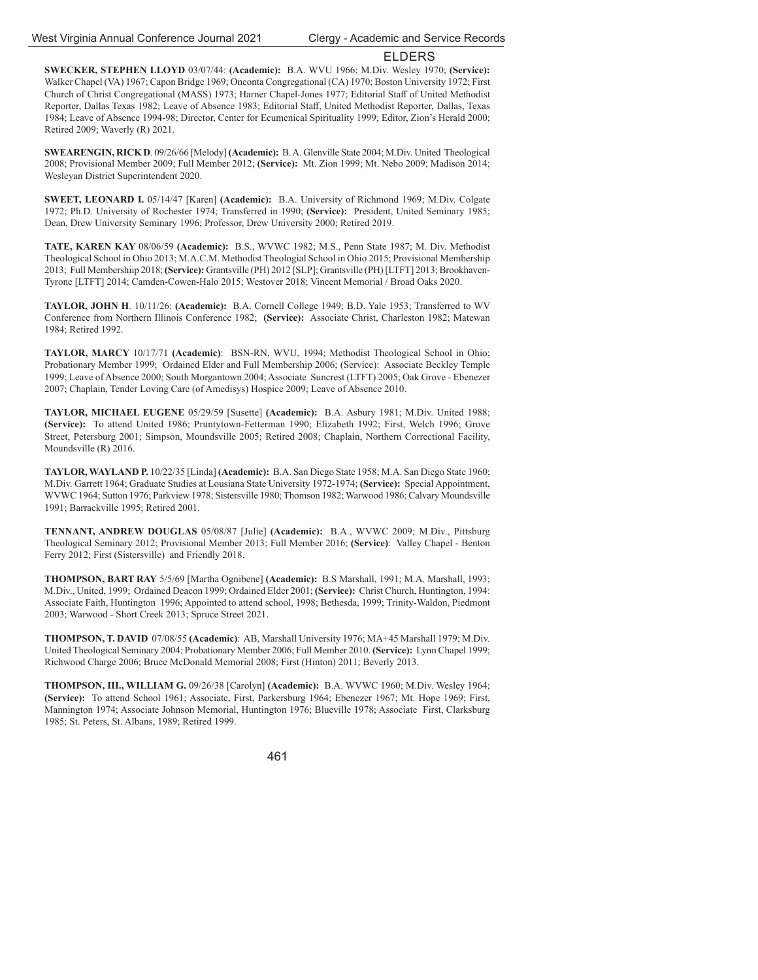**SWECKER, STEPHEN LLOYD** 03/07/44: **(Academic):** B.A. WVU 1966; M.Div. Wesley 1970; **(Service):** Walker Chapel (VA) 1967; Capon Bridge 1969; Oneonta Congregational (CA) 1970; Boston University 1972; First Church of Christ Congregational (MASS) 1973; Harner Chapel-Jones 1977; Editorial Staff of United Methodist Reporter, Dallas Texas 1982; Leave of Absence 1983; Editorial Staff, United Methodist Reporter, Dallas, Texas 1984; Leave of Absence 1994-98; Director, Center for Ecumenical Spirituality 1999; Editor, Zion's Herald 2000; Retired 2009; Waverly (R) 2021.

**SWEARENGIN, RICK D**. 09/26/66 [Melody] **(Academic):** B. A. Glenville State 2004; M.Div. United Theological 2008; Provisional Member 2009; Full Member 2012; **(Service):** Mt. Zion 1999; Mt. Nebo 2009; Madison 2014; Wesleyan District Superintendent 2020.

**SWEET, LEONARD I.** 05/14/47 [Karen] **(Academic):** B.A. University of Richmond 1969; M.Div. Colgate 1972; Ph.D. University of Rochester 1974; Transferred in 1990; **(Service):** President, United Seminary 1985; Dean, Drew University Seminary 1996; Professor, Drew University 2000; Retired 2019.

**TATE, KAREN KAY** 08/06/59 **(Academic):** B.S., WVWC 1982; M.S., Penn State 1987; M. Div. Methodist Theological School in Ohio 2013; M.A.C.M. Methodist Theologial School in Ohio 2015; Provisional Membership 2013; Full Membershiip 2018; **(Service):** Grantsville (PH) 2012 [SLP]; Grantsville (PH) [LTFT] 2013; Brookhaven-Tyrone [LTFT] 2014; Camden-Cowen-Halo 2015; Westover 2018; Vincent Memorial / Broad Oaks 2020.

**TAYLOR, JOHN H**. 10/11/26: **(Academic):** B.A. Cornell College 1949; B.D. Yale 1953; Transferred to WV Conference from Northern Illinois Conference 1982; **(Service):** Associate Christ, Charleston 1982; Matewan 1984; Retired 1992.

**TAYLOR, MARCY** 10/17/71 **(Academic)**: BSN-RN, WVU, 1994; Methodist Theological School in Ohio; Probationary Member 1999; Ordained Elder and Full Membership 2006; (Service): Associate Beckley Temple 1999; Leave of Absence 2000; South Morgantown 2004; Associate Suncrest (LTFT) 2005; Oak Grove - Ebenezer 2007; Chaplain, Tender Loving Care (of Amedisys) Hospice 2009; Leave of Absence 2010.

**TAYLOR, MICHAEL EUGENE** 05/29/59 [Susette] **(Academic):** B.A. Asbury 1981; M.Div. United 1988; **(Service):** To attend United 1986; Pruntytown-Fetterman 1990; Elizabeth 1992; First, Welch 1996; Grove Street, Petersburg 2001; Simpson, Moundsville 2005; Retired 2008; Chaplain, Northern Correctional Facility, Moundsville (R) 2016.

**TAYLOR, WAYLAND P.** 10/22/35 [Linda] **(Academic):** B.A. San Diego State 1958; M.A. San Diego State 1960; M.Div. Garrett 1964; Graduate Studies at Lousiana State University 1972-1974; **(Service):** Special Appointment, WVWC 1964; Sutton 1976; Parkview 1978; Sistersville 1980; Thomson 1982; Warwood 1986; Calvary Moundsville 1991; Barrackville 1995; Retired 2001.

**TENNANT, ANDREW DOUGLAS** 05/08/87 [Julie] **(Academic):** B.A., WVWC 2009; M.Div., Pittsburg Theological Seminary 2012; Provisional Member 2013; Full Member 2016; **(Service)**: Valley Chapel - Benton Ferry 2012; First (Sistersville) and Friendly 2018.

**THOMPSON, BART RAY** 5/5/69 [Martha Ognibene] **(Academic):** B.S Marshall, 1991; M.A. Marshall, 1993; M.Div., United, 1999; Ordained Deacon 1999; Ordained Elder 2001; **(Service):** Christ Church, Huntington, 1994: Associate Faith, Huntington 1996; Appointed to attend school, 1998; Bethesda, 1999; Trinity-Waldon, Piedmont 2003; Warwood - Short Creek 2013; Spruce Street 2021.

**THOMPSON, T. DAVID** 07/08/55 **(Academic)**: AB, Marshall University 1976; MA+45 Marshall 1979; M.Div. United Theological Seminary 2004; Probationary Member 2006; Full Member 2010. **(Service):** Lynn Chapel 1999; Richwood Charge 2006; Bruce McDonald Memorial 2008; First (Hinton) 2011; Beverly 2013.

**THOMPSON, III., WILLIAM G.** 09/26/38 [Carolyn] **(Academic):** B.A. WVWC 1960; M.Div. Wesley 1964; **(Service):** To attend School 1961; Associate, First, Parkersburg 1964; Ebenezer 1967; Mt. Hope 1969; First, Mannington 1974; Associate Johnson Memorial, Huntington 1976; Blueville 1978; Associate First, Clarksburg 1985; St. Peters, St. Albans, 1989; Retired 1999.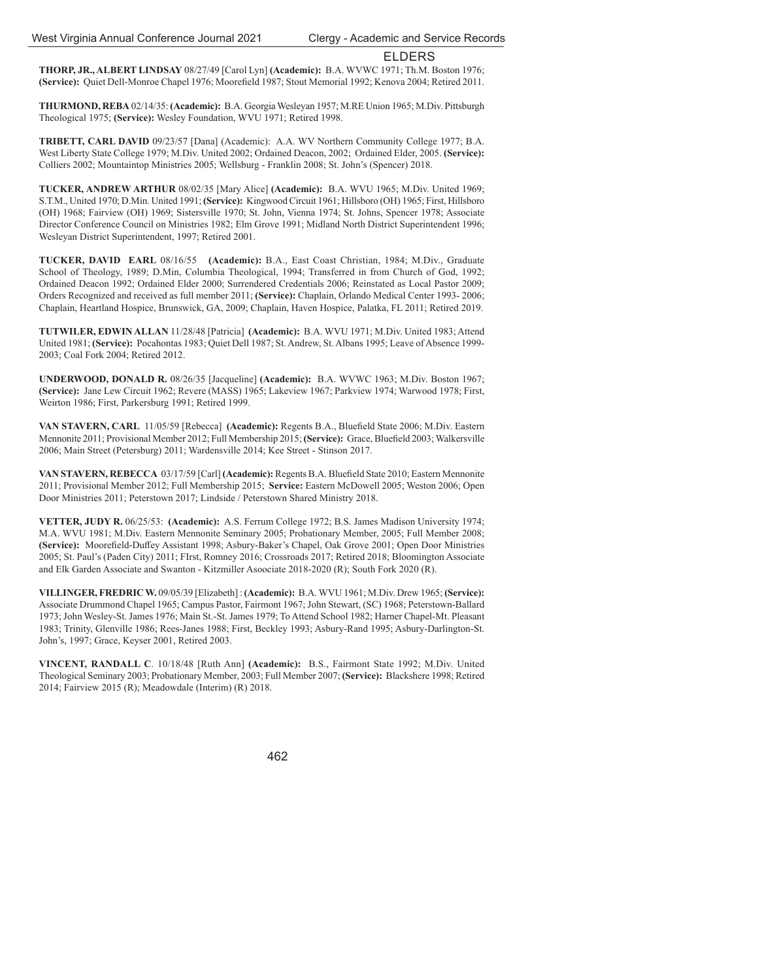**THORP, JR., ALBERT LINDSAY** 08/27/49 [Carol Lyn] **(Academic):** B.A. WVWC 1971; Th.M. Boston 1976; (Service): Quiet Dell-Monroe Chapel 1976; Moorefield 1987; Stout Memorial 1992; Kenova 2004; Retired 2011.

**THURMOND, REBA** 02/14/35: **(Academic):** B.A. Georgia Wesleyan 1957; M.RE Union 1965; M.Div. Pittsburgh Theological 1975; **(Service):** Wesley Foundation, WVU 1971; Retired 1998.

**TRIBETT, CARL DAVID** 09/23/57 [Dana] (Academic): A.A. WV Northern Community College 1977; B.A. West Liberty State College 1979; M.Div. United 2002; Ordained Deacon, 2002; Ordained Elder, 2005. **(Service):** Colliers 2002; Mountaintop Ministries 2005; Wellsburg - Franklin 2008; St. John's (Spencer) 2018.

**TUCKER, ANDREW ARTHUR** 08/02/35 [Mary Alice] **(Academic):** B.A. WVU 1965; M.Div. United 1969; S.T.M., United 1970; D.Min. United 1991; **(Service):** Kingwood Circuit 1961; Hillsboro (OH) 1965; First, Hillsboro (OH) 1968; Fairview (OH) 1969; Sistersville 1970; St. John, Vienna 1974; St. Johns, Spencer 1978; Associate Director Conference Council on Ministries 1982; Elm Grove 1991; Midland North District Superintendent 1996; Wesleyan District Superintendent, 1997; Retired 2001.

**TUCKER, DAVID EARL** 08/16/55 **(Academic):** B.A., East Coast Christian, 1984; M.Div., Graduate School of Theology, 1989; D.Min, Columbia Theological, 1994; Transferred in from Church of God, 1992; Ordained Deacon 1992; Ordained Elder 2000; Surrendered Credentials 2006; Reinstated as Local Pastor 2009; Orders Recognized and received as full member 2011; **(Service):** Chaplain, Orlando Medical Center 1993- 2006; Chaplain, Heartland Hospice, Brunswick, GA, 2009; Chaplain, Haven Hospice, Palatka, FL 2011; Retired 2019.

**TUTWILER, EDWIN ALLAN** 11/28/48 [Patricia] **(Academic):** B.A. WVU 1971; M.Div. United 1983; Attend United 1981; **(Service):** Pocahontas 1983; Quiet Dell 1987; St. Andrew, St. Albans 1995; Leave of Absence 1999- 2003; Coal Fork 2004; Retired 2012.

**UNDERWOOD, DONALD R.** 08/26/35 [Jacqueline] **(Academic):** B.A. WVWC 1963; M.Div. Boston 1967; **(Service):** Jane Lew Circuit 1962; Revere (MASS) 1965; Lakeview 1967; Parkview 1974; Warwood 1978; First, Weirton 1986; First, Parkersburg 1991; Retired 1999.

VAN STAVERN, CARL 11/05/59 [Rebecca] (Academic): Regents B.A., Bluefield State 2006; M.Div. Eastern Mennonite 2011; Provisional Member 2012; Full Membership 2015; (Service): Grace, Bluefield 2003; Walkersville 2006; Main Street (Petersburg) 2011; Wardensville 2014; Kee Street - Stinson 2017.

VAN STAVERN, REBECCA 03/17/59 [Carl] **(Academic):** Regents B.A. Bluefield State 2010; Eastern Mennonite 2011; Provisional Member 2012; Full Membership 2015; **Service:** Eastern McDowell 2005; Weston 2006; Open Door Ministries 2011; Peterstown 2017; Lindside / Peterstown Shared Ministry 2018.

**VETTER, JUDY R.** 06/25/53: **(Academic):** A.S. Ferrum College 1972; B.S. James Madison University 1974; M.A. WVU 1981; M.Div. Eastern Mennonite Seminary 2005; Probationary Member, 2005; Full Member 2008; **(Service):** Moorefield-Duffey Assistant 1998; Asbury-Baker's Chapel, Oak Grove 2001; Open Door Ministries 2005; St. Paul's (Paden City) 2011; FIrst, Romney 2016; Crossroads 2017; Retired 2018; Bloomington Associate and Elk Garden Associate and Swanton - Kitzmiller Asoociate 2018-2020 (R); South Fork 2020 (R).

**VILLINGER, FREDRIC W.** 09/05/39 [Elizabeth] : **(Academic):** B.A. WVU 1961; M.Div. Drew 1965; **(Service):** Associate Drummond Chapel 1965; Campus Pastor, Fairmont 1967; John Stewart, (SC) 1968; Peterstown-Ballard 1973; John Wesley-St. James 1976; Main St.-St. James 1979; To Attend School 1982; Harner Chapel-Mt. Pleasant 1983; Trinity, Glenville 1986; Rees-Janes 1988; First, Beckley 1993; Asbury-Rand 1995; Asbury-Darlington-St. John's, 1997; Grace, Keyser 2001, Retired 2003.

**VINCENT, RANDALL C**. 10/18/48 [Ruth Ann] **(Academic):** B.S., Fairmont State 1992; M.Div. United Theological Seminary 2003; Probationary Member, 2003; Full Member 2007; **(Service):** Blackshere 1998; Retired 2014; Fairview 2015 (R); Meadowdale (Interim) (R) 2018.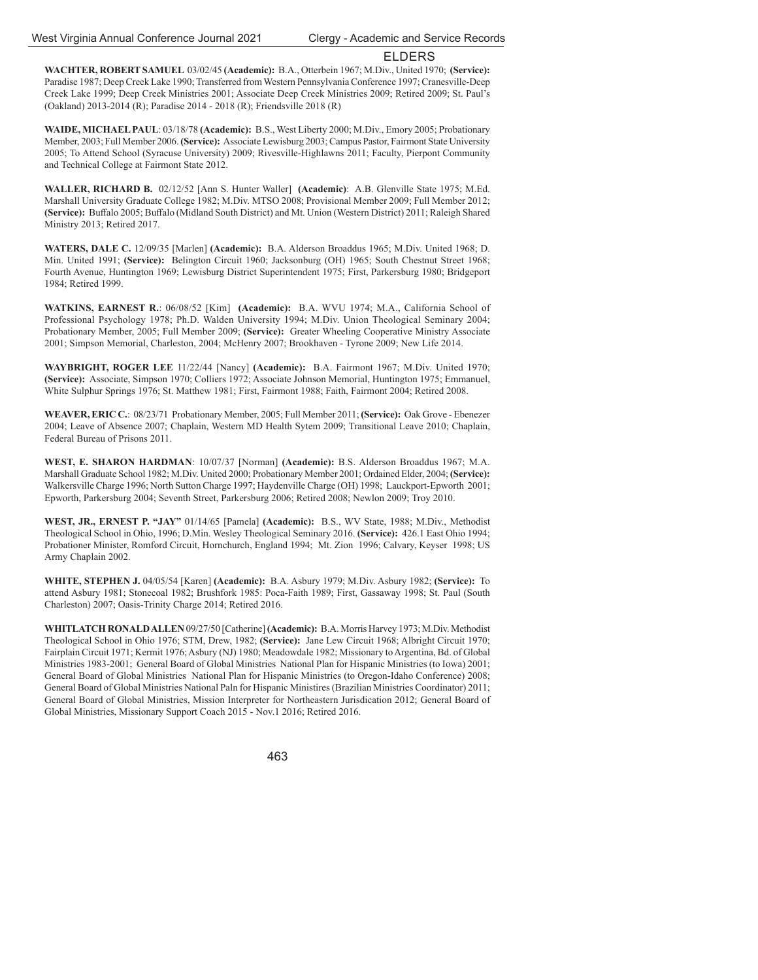**WACHTER, ROBERT SAMUEL** 03/02/45 **(Academic):** B.A., Otterbein 1967; M.Div., United 1970; **(Service):** Paradise 1987; Deep Creek Lake 1990; Transferred from Western Pennsylvania Conference 1997; Cranesville-Deep Creek Lake 1999; Deep Creek Ministries 2001; Associate Deep Creek Ministries 2009; Retired 2009; St. Paul's (Oakland) 2013-2014 (R); Paradise 2014 - 2018 (R); Friendsville 2018 (R)

**WAIDE, MICHAEL PAUL**: 03/18/78 **(Academic):** B.S., West Liberty 2000; M.Div., Emory 2005; Probationary Member, 2003; Full Member 2006. **(Service):** Associate Lewisburg 2003; Campus Pastor, Fairmont State University 2005; To Attend School (Syracuse University) 2009; Rivesville-Highlawns 2011; Faculty, Pierpont Community and Technical College at Fairmont State 2012.

**WALLER, RICHARD B.** 02/12/52 [Ann S. Hunter Waller] **(Academic)**: A.B. Glenville State 1975; M.Ed. Marshall University Graduate College 1982; M.Div. MTSO 2008; Provisional Member 2009; Full Member 2012; **(Service):** Buffalo 2005; Buffalo (Midland South District) and Mt. Union (Western District) 2011; Raleigh Shared Ministry 2013; Retired 2017.

**WATERS, DALE C.** 12/09/35 [Marlen] **(Academic):** B.A. Alderson Broaddus 1965; M.Div. United 1968; D. Min. United 1991; **(Service):** Belington Circuit 1960; Jacksonburg (OH) 1965; South Chestnut Street 1968; Fourth Avenue, Huntington 1969; Lewisburg District Superintendent 1975; First, Parkersburg 1980; Bridgeport 1984; Retired 1999.

**WATKINS, EARNEST R.**: 06/08/52 [Kim] **(Academic):** B.A. WVU 1974; M.A., California School of Professional Psychology 1978; Ph.D. Walden University 1994; M.Div. Union Theological Seminary 2004; Probationary Member, 2005; Full Member 2009; **(Service):** Greater Wheeling Cooperative Ministry Associate 2001; Simpson Memorial, Charleston, 2004; McHenry 2007; Brookhaven - Tyrone 2009; New Life 2014.

**WAYBRIGHT, ROGER LEE** 11/22/44 [Nancy] **(Academic):** B.A. Fairmont 1967; M.Div. United 1970; **(Service):** Associate, Simpson 1970; Colliers 1972; Associate Johnson Memorial, Huntington 1975; Emmanuel, White Sulphur Springs 1976; St. Matthew 1981; First, Fairmont 1988; Faith, Fairmont 2004; Retired 2008.

**WEAVER, ERIC C.**: 08/23/71 Probationary Member, 2005; Full Member 2011; **(Service):** Oak Grove - Ebenezer 2004; Leave of Absence 2007; Chaplain, Western MD Health Sytem 2009; Transitional Leave 2010; Chaplain, Federal Bureau of Prisons 2011.

**WEST, E. SHARON HARDMAN**: 10/07/37 [Norman] **(Academic):** B.S. Alderson Broaddus 1967; M.A. Marshall Graduate School 1982; M.Div. United 2000; Probationary Member 2001; Ordained Elder, 2004; **(Service):**  Walkersville Charge 1996; North Sutton Charge 1997; Haydenville Charge (OH) 1998; Lauckport-Epworth 2001; Epworth, Parkersburg 2004; Seventh Street, Parkersburg 2006; Retired 2008; Newlon 2009; Troy 2010.

**WEST, JR., ERNEST P. "JAY"** 01/14/65 [Pamela] **(Academic):** B.S., WV State, 1988; M.Div., Methodist Theological School in Ohio, 1996; D.Min. Wesley Theological Seminary 2016. **(Service):** 426.1 East Ohio 1994; Probationer Minister, Romford Circuit, Hornchurch, England 1994; Mt. Zion 1996; Calvary, Keyser 1998; US Army Chaplain 2002.

**WHITE, STEPHEN J.** 04/05/54 [Karen] **(Academic):** B.A. Asbury 1979; M.Div. Asbury 1982; **(Service):** To attend Asbury 1981; Stonecoal 1982; Brushfork 1985: Poca-Faith 1989; First, Gassaway 1998; St. Paul (South Charleston) 2007; Oasis-Trinity Charge 2014; Retired 2016.

**WHITLATCH RONALD ALLEN** 09/27/50 [Catherine] **(Academic):** B.A. Morris Harvey 1973; M.Div. Methodist Theological School in Ohio 1976; STM, Drew, 1982; **(Service):** Jane Lew Circuit 1968; Albright Circuit 1970; Fairplain Circuit 1971; Kermit 1976; Asbury (NJ) 1980; Meadowdale 1982; Missionary to Argentina, Bd. of Global Ministries 1983-2001; General Board of Global Ministries National Plan for Hispanic Ministries (to Iowa) 2001; General Board of Global Ministries National Plan for Hispanic Ministries (to Oregon-Idaho Conference) 2008; General Board of Global Ministries National Paln for Hispanic Ministires (Brazilian Ministries Coordinator) 2011; General Board of Global Ministries, Mission Interpreter for Northeastern Jurisdication 2012; General Board of Global Ministries, Missionary Support Coach 2015 - Nov.1 2016; Retired 2016.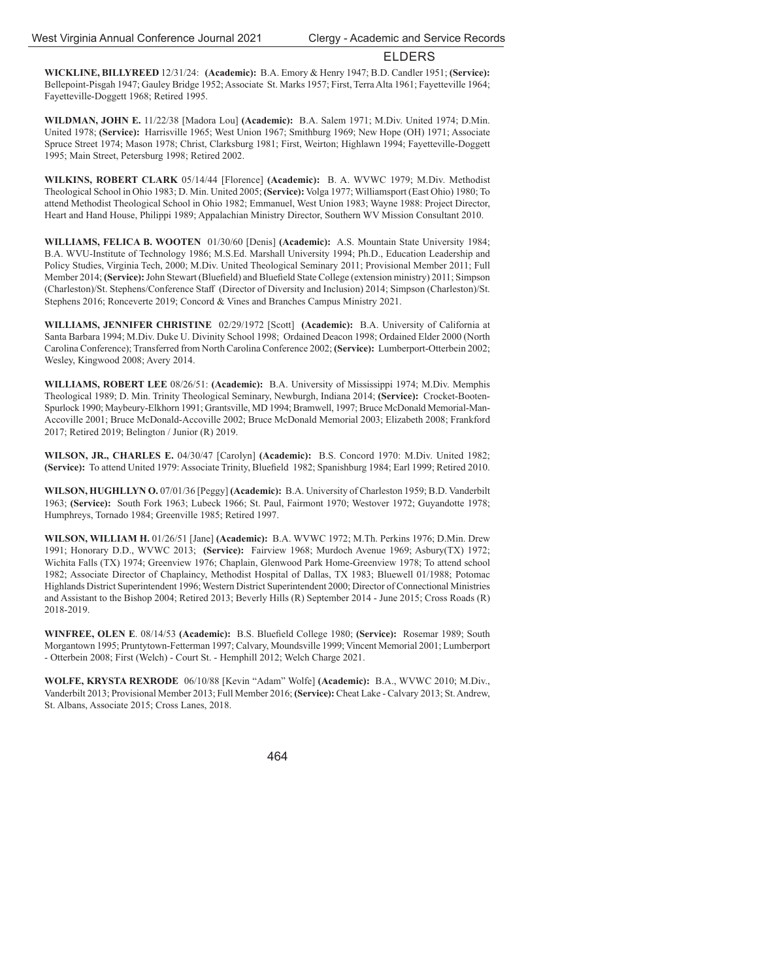**WICKLINE, BILLYREED** 12/31/24: **(Academic):** B.A. Emory & Henry 1947; B.D. Candler 1951; **(Service):** Bellepoint-Pisgah 1947; Gauley Bridge 1952; Associate St. Marks 1957; First, Terra Alta 1961; Fayetteville 1964; Fayetteville-Doggett 1968; Retired 1995.

**WILDMAN, JOHN E.** 11/22/38 [Madora Lou] **(Academic):** B.A. Salem 1971; M.Div. United 1974; D.Min. United 1978; **(Service):** Harrisville 1965; West Union 1967; Smithburg 1969; New Hope (OH) 1971; Associate Spruce Street 1974; Mason 1978; Christ, Clarksburg 1981; First, Weirton; Highlawn 1994; Fayetteville-Doggett 1995; Main Street, Petersburg 1998; Retired 2002.

**WILKINS, ROBERT CLARK** 05/14/44 [Florence] **(Academic):** B. A. WVWC 1979; M.Div. Methodist Theological School in Ohio 1983; D. Min. United 2005; **(Service):** Volga 1977; Williamsport (East Ohio) 1980; To attend Methodist Theological School in Ohio 1982; Emmanuel, West Union 1983; Wayne 1988: Project Director, Heart and Hand House, Philippi 1989; Appalachian Ministry Director, Southern WV Mission Consultant 2010.

**WILLIAMS, FELICA B. WOOTEN** 01/30/60 [Denis] **(Academic):** A.S. Mountain State University 1984; B.A. WVU-Institute of Technology 1986; M.S.Ed. Marshall University 1994; Ph.D., Education Leadership and Policy Studies, Virginia Tech, 2000; M.Div. United Theological Seminary 2011; Provisional Member 2011; Full Member 2014; **(Service):** John Stewart (Bluefield) and Bluefield State College (extension ministry) 2011; Simpson (Charleston)/St. Stephens/Conference Staff (Director of Diversity and Inclusion) 2014; Simpson (Charleston)/St. Stephens 2016; Ronceverte 2019; Concord & Vines and Branches Campus Ministry 2021.

**WILLIAMS, JENNIFER CHRISTINE** 02/29/1972 [Scott] **(Academic):** B.A. University of California at Santa Barbara 1994; M.Div. Duke U. Divinity School 1998; Ordained Deacon 1998; Ordained Elder 2000 (North Carolina Conference); Transferred from North Carolina Conference 2002; **(Service):** Lumberport-Otterbein 2002; Wesley, Kingwood 2008; Avery 2014.

**WILLIAMS, ROBERT LEE** 08/26/51: **(Academic):** B.A. University of Mississippi 1974; M.Div. Memphis Theological 1989; D. Min. Trinity Theological Seminary, Newburgh, Indiana 2014; **(Service):** Crocket-Booten-Spurlock 1990; Maybeury-Elkhorn 1991; Grantsville, MD 1994; Bramwell, 1997; Bruce McDonald Memorial-Man-Accoville 2001; Bruce McDonald-Accoville 2002; Bruce McDonald Memorial 2003; Elizabeth 2008; Frankford 2017; Retired 2019; Belington / Junior (R) 2019.

**WILSON, JR., CHARLES E.** 04/30/47 [Carolyn] **(Academic):** B.S. Concord 1970: M.Div. United 1982; **(Service):** To attend United 1979: Associate Trinity, Bluefield 1982; Spanishburg 1984; Earl 1999; Retired 2010.

**WILSON, HUGHLLYN O.** 07/01/36 [Peggy] **(Academic):** B.A. University of Charleston 1959; B.D. Vanderbilt 1963; **(Service):** South Fork 1963; Lubeck 1966; St. Paul, Fairmont 1970; Westover 1972; Guyandotte 1978; Humphreys, Tornado 1984; Greenville 1985; Retired 1997.

**WILSON, WILLIAM H.** 01/26/51 [Jane] **(Academic):** B.A. WVWC 1972; M.Th. Perkins 1976; D.Min. Drew 1991; Honorary D.D., WVWC 2013; **(Service):** Fairview 1968; Murdoch Avenue 1969; Asbury(TX) 1972; Wichita Falls (TX) 1974; Greenview 1976; Chaplain, Glenwood Park Home-Greenview 1978; To attend school 1982; Associate Director of Chaplaincy, Methodist Hospital of Dallas, TX 1983; Bluewell 01/1988; Potomac Highlands District Superintendent 1996; Western District Superintendent 2000; Director of Connectional Ministries and Assistant to the Bishop 2004; Retired 2013; Beverly Hills (R) September 2014 - June 2015; Cross Roads (R) 2018-2019.

**WINFREE, OLEN E.** 08/14/53 **(Academic):** B.S. Bluefield College 1980; **(Service):** Rosemar 1989; South Morgantown 1995; Pruntytown-Fetterman 1997; Calvary, Moundsville 1999; Vincent Memorial 2001; Lumberport - Otterbein 2008; First (Welch) - Court St. - Hemphill 2012; Welch Charge 2021.

**WOLFE, KRYSTA REXRODE** 06/10/88 [Kevin "Adam" Wolfe] **(Academic):** B.A., WVWC 2010; M.Div., Vanderbilt 2013; Provisional Member 2013; Full Member 2016; **(Service):** Cheat Lake - Calvary 2013; St. Andrew, St. Albans, Associate 2015; Cross Lanes, 2018.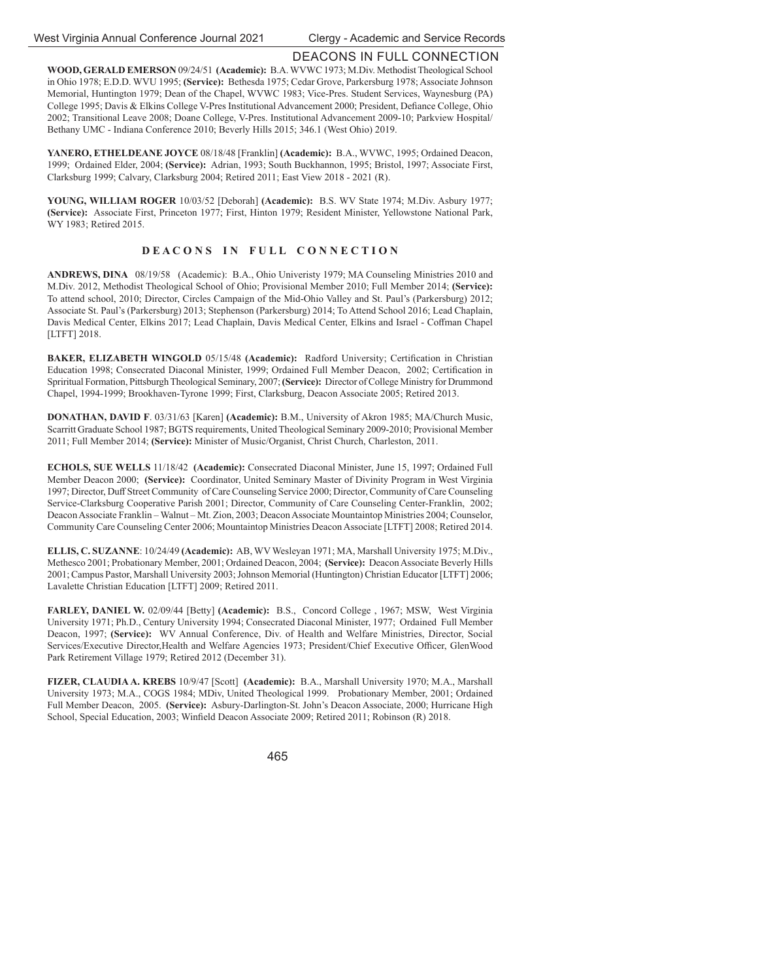# DEACONS IN FULL CONNECTION

**WOOD, GERALD EMERSON** 09/24/51 **(Academic):** B.A. WVWC 1973; M.Div. Methodist Theological School in Ohio 1978; E.D.D. WVU 1995; **(Service):** Bethesda 1975; Cedar Grove, Parkersburg 1978; Associate Johnson Memorial, Huntington 1979; Dean of the Chapel, WVWC 1983; Vice-Pres. Student Services, Waynesburg (PA) College 1995; Davis & Elkins College V-Pres Institutional Advancement 2000; President, Defiance College, Ohio 2002; Transitional Leave 2008; Doane College, V-Pres. Institutional Advancement 2009-10; Parkview Hospital/ Bethany UMC - Indiana Conference 2010; Beverly Hills 2015; 346.1 (West Ohio) 2019.

**YANERO, ETHELDEANE JOYCE** 08/18/48 [Franklin] **(Academic):** B.A., WVWC, 1995; Ordained Deacon, 1999; Ordained Elder, 2004; **(Service):** Adrian, 1993; South Buckhannon, 1995; Bristol, 1997; Associate First, Clarksburg 1999; Calvary, Clarksburg 2004; Retired 2011; East View 2018 - 2021 (R).

**YOUNG, WILLIAM ROGER** 10/03/52 [Deborah] **(Academic):** B.S. WV State 1974; M.Div. Asbury 1977; **(Service):** Associate First, Princeton 1977; First, Hinton 1979; Resident Minister, Yellowstone National Park, WY 1983; Retired 2015.

## **DEACONS IN FULL CONNECTION**

**ANDREWS, DINA** 08/19/58 (Academic): B.A., Ohio Univeristy 1979; MA Counseling Ministries 2010 and M.Div. 2012, Methodist Theological School of Ohio; Provisional Member 2010; Full Member 2014; **(Service):**  To attend school, 2010; Director, Circles Campaign of the Mid-Ohio Valley and St. Paul's (Parkersburg) 2012; Associate St. Paul's (Parkersburg) 2013; Stephenson (Parkersburg) 2014; To Attend School 2016; Lead Chaplain, Davis Medical Center, Elkins 2017; Lead Chaplain, Davis Medical Center, Elkins and Israel - Coffman Chapel [LTFT] 2018.

**BAKER, ELIZABETH WINGOLD** 05/15/48 (Academic): Radford University; Certification in Christian Education 1998; Consecrated Diaconal Minister, 1999; Ordained Full Member Deacon, 2002; Certification in Spriritual Formation, Pittsburgh Theological Seminary, 2007; **(Service):** Director of College Ministry for Drummond Chapel, 1994-1999; Brookhaven-Tyrone 1999; First, Clarksburg, Deacon Associate 2005; Retired 2013.

**DONATHAN, DAVID F**. 03/31/63 [Karen] **(Academic):** B.M., University of Akron 1985; MA/Church Music, Scarritt Graduate School 1987; BGTS requirements, United Theological Seminary 2009-2010; Provisional Member 2011; Full Member 2014; **(Service):** Minister of Music/Organist, Christ Church, Charleston, 2011.

**ECHOLS, SUE WELLS** 11/18/42 **(Academic):** Consecrated Diaconal Minister, June 15, 1997; Ordained Full Member Deacon 2000; **(Service):** Coordinator, United Seminary Master of Divinity Program in West Virginia 1997; Director, Duff Street Community of Care Counseling Service 2000; Director, Community of Care Counseling Service-Clarksburg Cooperative Parish 2001; Director, Community of Care Counseling Center-Franklin, 2002; Deacon Associate Franklin – Walnut – Mt. Zion, 2003; Deacon Associate Mountaintop Ministries 2004; Counselor, Community Care Counseling Center 2006; Mountaintop Ministries Deacon Associate [LTFT] 2008; Retired 2014.

**ELLIS, C. SUZANNE**: 10/24/49 **(Academic):** AB, WV Wesleyan 1971; MA, Marshall University 1975; M.Div., Methesco 2001; Probationary Member, 2001; Ordained Deacon, 2004; **(Service):** Deacon Associate Beverly Hills 2001; Campus Pastor, Marshall University 2003; Johnson Memorial (Huntington) Christian Educator [LTFT] 2006; Lavalette Christian Education [LTFT] 2009; Retired 2011.

**FARLEY, DANIEL W.** 02/09/44 [Betty] **(Academic):** B.S., Concord College , 1967; MSW, West Virginia University 1971; Ph.D., Century University 1994; Consecrated Diaconal Minister, 1977; Ordained Full Member Deacon, 1997; **(Service):** WV Annual Conference, Div. of Health and Welfare Ministries, Director, Social Services/Executive Director, Health and Welfare Agencies 1973; President/Chief Executive Officer, GlenWood Park Retirement Village 1979; Retired 2012 (December 31).

**FIZER, CLAUDIA A. KREBS** 10/9/47 [Scott] **(Academic):** B.A., Marshall University 1970; M.A., Marshall University 1973; M.A., COGS 1984; MDiv, United Theological 1999. Probationary Member, 2001; Ordained Full Member Deacon, 2005. **(Service):** Asbury-Darlington-St. John's Deacon Associate, 2000; Hurricane High School, Special Education, 2003; Winfield Deacon Associate 2009; Retired 2011; Robinson (R) 2018.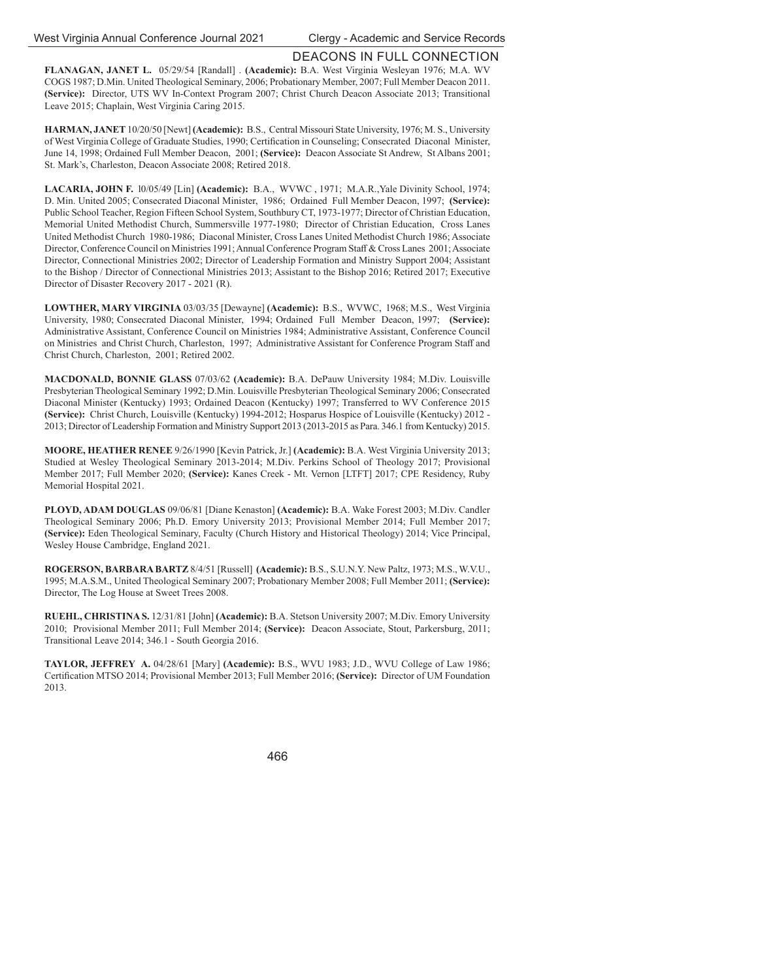## DEACONS IN FULL CONNECTION

**FLANAGAN, JANET L.** 05/29/54 [Randall] . **(Academic):** B.A. West Virginia Wesleyan 1976; M.A. WV COGS 1987; D.Min. United Theological Seminary, 2006; Probationary Member, 2007; Full Member Deacon 2011. **(Service):** Director, UTS WV In-Context Program 2007; Christ Church Deacon Associate 2013; Transitional Leave 2015; Chaplain, West Virginia Caring 2015.

**HARMAN, JANET** 10/20/50 [Newt] **(Academic):** B.S., Central Missouri State University, 1976; M. S., University of West Virginia College of Graduate Studies, 1990; Certification in Counseling; Consecrated Diaconal Minister, June 14, 1998; Ordained Full Member Deacon, 2001; **(Service):** Deacon Associate St Andrew, St Albans 2001; St. Mark's, Charleston, Deacon Associate 2008; Retired 2018.

**LACARIA, JOHN F.** l0/05/49 [Lin] **(Academic):** B.A., WVWC , 1971; M.A.R.,Yale Divinity School, 1974; D. Min. United 2005; Consecrated Diaconal Minister, 1986; Ordained Full Member Deacon, 1997; **(Service):** Public School Teacher, Region Fifteen School System, Southbury CT, 1973-1977; Director of Christian Education, Memorial United Methodist Church, Summersville 1977-1980; Director of Christian Education, Cross Lanes United Methodist Church 1980-1986; Diaconal Minister, Cross Lanes United Methodist Church 1986; Associate Director, Conference Council on Ministries 1991; Annual Conference Program Staff & Cross Lanes 2001; Associate Director, Connectional Ministries 2002; Director of Leadership Formation and Ministry Support 2004; Assistant to the Bishop / Director of Connectional Ministries 2013; Assistant to the Bishop 2016; Retired 2017; Executive Director of Disaster Recovery 2017 - 2021 (R).

**LOWTHER, MARY VIRGINIA** 03/03/35 [Dewayne] **(Academic):** B.S., WVWC, 1968; M.S., West Virginia University, 1980; Consecrated Diaconal Minister, 1994; Ordained Full Member Deacon, 1997; **(Service):** Administrative Assistant, Conference Council on Ministries 1984; Administrative Assistant, Conference Council on Ministries and Christ Church, Charleston, 1997; Administrative Assistant for Conference Program Staff and Christ Church, Charleston, 2001; Retired 2002.

**MACDONALD, BONNIE GLASS** 07/03/62 **(Academic):** B.A. DePauw University 1984; M.Div. Louisville Presbyterian Theological Seminary 1992; D.Min. Louisville Presbyterian Theological Seminary 2006; Consecrated Diaconal Minister (Kentucky) 1993; Ordained Deacon (Kentucky) 1997; Transferred to WV Conference 2015 **(Service):** Christ Church, Louisville (Kentucky) 1994-2012; Hosparus Hospice of Louisville (Kentucky) 2012 - 2013; Director of Leadership Formation and Ministry Support 2013 (2013-2015 as Para. 346.1 from Kentucky) 2015.

**MOORE, HEATHER RENEE** 9/26/1990 [Kevin Patrick, Jr.] **(Academic):** B.A. West Virginia University 2013; Studied at Wesley Theological Seminary 2013-2014; M.Div. Perkins School of Theology 2017; Provisional Member 2017; Full Member 2020; **(Service):** Kanes Creek - Mt. Vernon [LTFT] 2017; CPE Residency, Ruby Memorial Hospital 2021.

**PLOYD, ADAM DOUGLAS** 09/06/81 [Diane Kenaston] **(Academic):** B.A. Wake Forest 2003; M.Div. Candler Theological Seminary 2006; Ph.D. Emory University 2013; Provisional Member 2014; Full Member 2017; **(Service):** Eden Theological Seminary, Faculty (Church History and Historical Theology) 2014; Vice Principal, Wesley House Cambridge, England 2021.

**ROGERSON, BARBARA BARTZ** 8/4/51 [Russell] **(Academic):** B.S., S.U.N.Y. New Paltz, 1973; M.S., W.V.U., 1995; M.A.S.M., United Theological Seminary 2007; Probationary Member 2008; Full Member 2011; **(Service):**  Director, The Log House at Sweet Trees 2008.

**RUEHL, CHRISTINA S.** 12/31/81 [John] **(Academic):** B.A. Stetson University 2007; M.Div. Emory University 2010; Provisional Member 2011; Full Member 2014; **(Service):** Deacon Associate, Stout, Parkersburg, 2011; Transitional Leave 2014; 346.1 - South Georgia 2016.

**TAYLOR, JEFFREY A.** 04/28/61 [Mary] **(Academic):** B.S., WVU 1983; J.D., WVU College of Law 1986; Certification MTSO 2014; Provisional Member 2013; Full Member 2016; **(Service):** Director of UM Foundation 2013.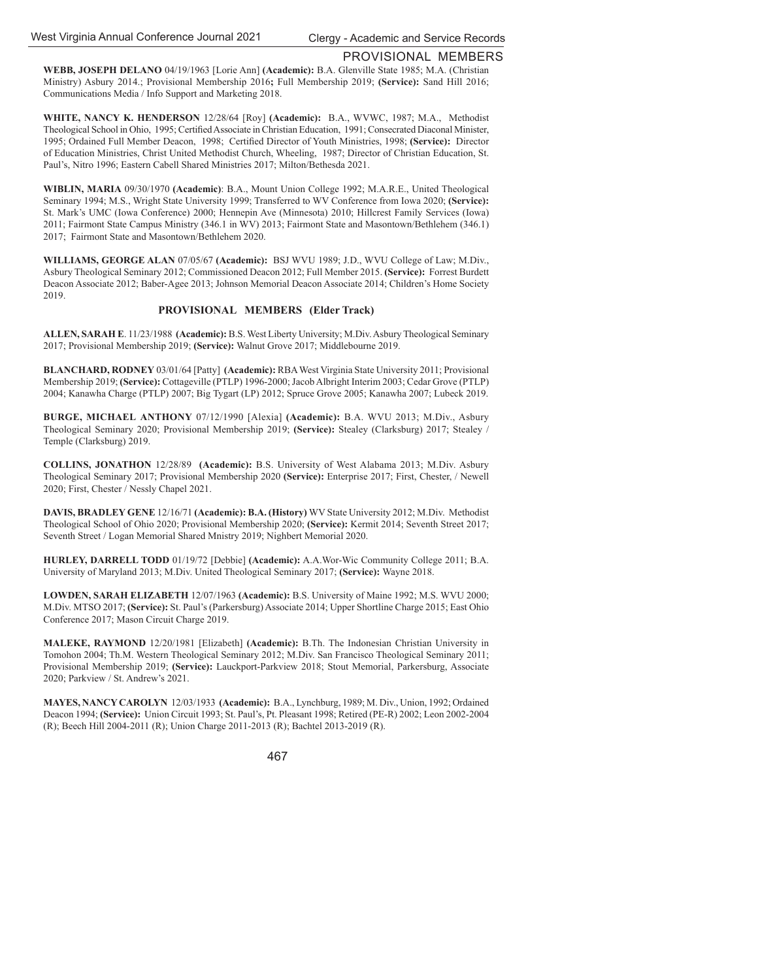## PROVISIONAL MEMBERS

**WEBB, JOSEPH DELANO** 04/19/1963 [Lorie Ann] **(Academic):** B.A. Glenville State 1985; M.A. (Christian Ministry) Asbury 2014.; Provisional Membership 2016**;** Full Membership 2019; **(Service):** Sand Hill 2016; Communications Media / Info Support and Marketing 2018.

**WHITE, NANCY K. HENDERSON** 12/28/64 [Roy] **(Academic):** B.A., WVWC, 1987; M.A., Methodist Theological School in Ohio, 1995; Certified Associate in Christian Education, 1991; Consecrated Diaconal Minister, 1995; Ordained Full Member Deacon, 1998; Certified Director of Youth Ministries, 1998; (Service): Director of Education Ministries, Christ United Methodist Church, Wheeling, 1987; Director of Christian Education, St. Paul's, Nitro 1996; Eastern Cabell Shared Ministries 2017; Milton/Bethesda 2021.

**WIBLIN, MARIA** 09/30/1970 **(Academic)**: B.A., Mount Union College 1992; M.A.R.E., United Theological Seminary 1994; M.S., Wright State University 1999; Transferred to WV Conference from Iowa 2020; **(Service):**  St. Mark's UMC (Iowa Conference) 2000; Hennepin Ave (Minnesota) 2010; Hillcrest Family Services (Iowa) 2011; Fairmont State Campus Ministry (346.1 in WV) 2013; Fairmont State and Masontown/Bethlehem (346.1) 2017; Fairmont State and Masontown/Bethlehem 2020.

**WILLIAMS, GEORGE ALAN** 07/05/67 **(Academic):** BSJ WVU 1989; J.D., WVU College of Law; M.Div., Asbury Theological Seminary 2012; Commissioned Deacon 2012; Full Member 2015. **(Service):** Forrest Burdett Deacon Associate 2012; Baber-Agee 2013; Johnson Memorial Deacon Associate 2014; Children's Home Society 2019.

## **PROVISIONAL MEMBERS (Elder Track)**

**ALLEN, SARAH E**. 11/23/1988 **(Academic):** B.S. West Liberty University; M.Div. Asbury Theological Seminary 2017; Provisional Membership 2019; **(Service):** Walnut Grove 2017; Middlebourne 2019.

**BLANCHARD, RODNEY** 03/01/64 [Patty] **(Academic):** RBA West Virginia State University 2011; Provisional Membership 2019; **(Service):** Cottageville (PTLP) 1996-2000; Jacob Albright Interim 2003; Cedar Grove (PTLP) 2004; Kanawha Charge (PTLP) 2007; Big Tygart (LP) 2012; Spruce Grove 2005; Kanawha 2007; Lubeck 2019.

**BURGE, MICHAEL ANTHONY** 07/12/1990 [Alexia] **(Academic):** B.A. WVU 2013; M.Div., Asbury Theological Seminary 2020; Provisional Membership 2019; **(Service):** Stealey (Clarksburg) 2017; Stealey / Temple (Clarksburg) 2019.

**COLLINS, JONATHON** 12/28/89 **(Academic):** B.S. University of West Alabama 2013; M.Div. Asbury Theological Seminary 2017; Provisional Membership 2020 **(Service):** Enterprise 2017; First, Chester, / Newell 2020; First, Chester / Nessly Chapel 2021.

**DAVIS, BRADLEY GENE** 12/16/71 **(Academic): B.A. (History)** WV State University 2012; M.Div. Methodist Theological School of Ohio 2020; Provisional Membership 2020; **(Service):** Kermit 2014; Seventh Street 2017; Seventh Street / Logan Memorial Shared Mnistry 2019; Nighbert Memorial 2020.

**HURLEY, DARRELL TODD** 01/19/72 [Debbie] **(Academic):** A.A.Wor-Wic Community College 2011; B.A. University of Maryland 2013; M.Div. United Theological Seminary 2017; **(Service):** Wayne 2018.

**LOWDEN, SARAH ELIZABETH** 12/07/1963 **(Academic):** B.S. University of Maine 1992; M.S. WVU 2000; M.Div. MTSO 2017; **(Service):** St. Paul's (Parkersburg) Associate 2014; Upper Shortline Charge 2015; East Ohio Conference 2017; Mason Circuit Charge 2019.

**MALEKE, RAYMOND** 12/20/1981 [Elizabeth] **(Academic):** B.Th. The Indonesian Christian University in Tomohon 2004; Th.M. Western Theological Seminary 2012; M.Div. San Francisco Theological Seminary 2011; Provisional Membership 2019; **(Service):** Lauckport-Parkview 2018; Stout Memorial, Parkersburg, Associate 2020; Parkview / St. Andrew's 2021.

**MAYES, NANCY CAROLYN** 12/03/1933 **(Academic):** B.A., Lynchburg, 1989; M. Div., Union, 1992; Ordained Deacon 1994; **(Service):** Union Circuit 1993; St. Paul's, Pt. Pleasant 1998; Retired (PE-R) 2002; Leon 2002-2004 (R); Beech Hill 2004-2011 (R); Union Charge 2011-2013 (R); Bachtel 2013-2019 (R).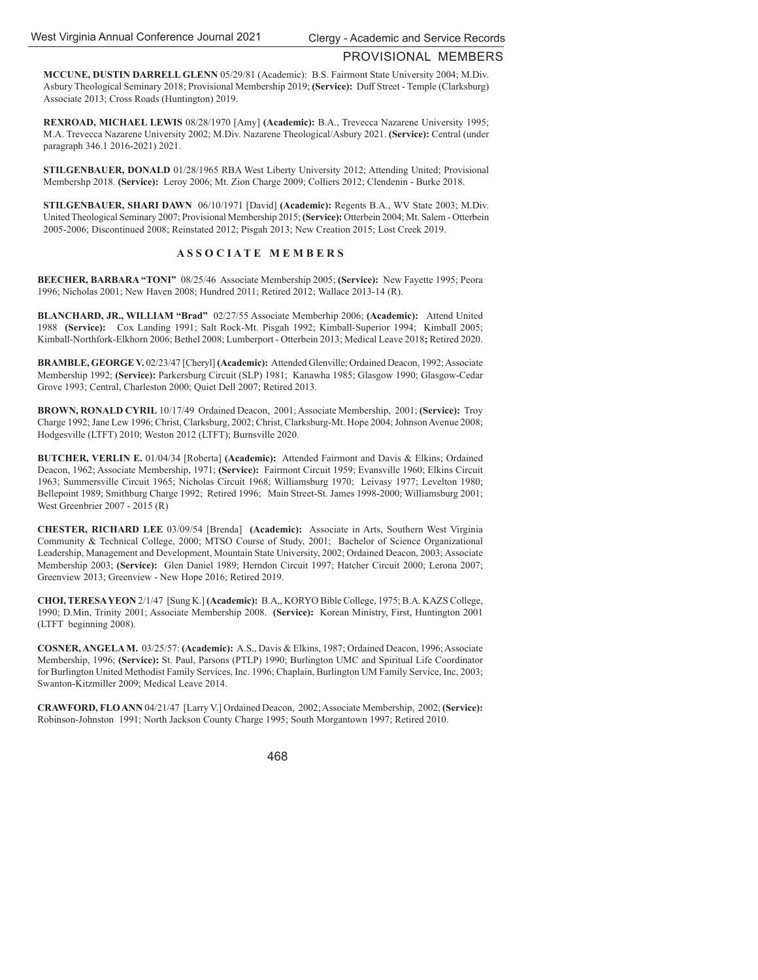## PROVISIONAL MEMBERS

**MCCUNE, DUSTIN DARRELL GLENN** 05/29/81 (Academic): B.S. Fairmont State University 2004; M.Div. Asbury Theological Seminary 2018; Provisional Membership 2019; **(Service):** Duff Street - Temple (Clarksburg) Associate 2013; Cross Roads (Huntington) 2019.

**REXROAD, MICHAEL LEWIS** 08/28/1970 [Amy] **(Academic):** B.A., Trevecca Nazarene University 1995; M.A. Trevecca Nazarene University 2002; M.Div. Nazarene Theological/Asbury 2021. **(Service):** Central (under paragraph 346.1 2016-2021) 2021.

**STILGENBAUER, DONALD** 01/28/1965 RBA West Liberty University 2012; Attending United; Provisional Membershp 2018. **(Service):** Leroy 2006; Mt. Zion Charge 2009; Colliers 2012; Clendenin - Burke 2018.

**STILGENBAUER, SHARI DAWN** 06/10/1971 [David] **(Academic):** Regents B.A., WV State 2003; M.Div. United Theological Seminary 2007; Provisional Membership 2015; **(Service):** Otterbein 2004; Mt. Salem - Otterbein 2005-2006; Discontinued 2008; Reinstated 2012; Pisgah 2013; New Creation 2015; Lost Creek 2019.

## **A S S O C I A T E M E M B E R S**

**BEECHER, BARBARA "TONI"** 08/25/46 Associate Membership 2005; **(Service):** New Fayette 1995; Peora 1996; Nicholas 2001; New Haven 2008; Hundred 2011; Retired 2012; Wallace 2013-14 (R).

**BLANCHARD, JR., WILLIAM "Brad"** 02/27/55 Associate Memberhip 2006; **(Academic):** Attend United 1988 **(Service):** Cox Landing 1991; Salt Rock-Mt. Pisgah 1992; Kimball-Superior 1994; Kimball 2005; Kimball-Northfork-Elkhorn 2006; Bethel 2008; Lumberport - Otterbein 2013; Medical Leave 2018**;** Retired 2020.

**BRAMBLE, GEORGE V.** 02/23/47 [Cheryl] **(Academic):** Attended Glenville; Ordained Deacon, 1992; Associate Membership 1992; **(Service):** Parkersburg Circuit (SLP) 1981;Kanawha 1985; Glasgow 1990; Glasgow-Cedar Grove 1993; Central, Charleston 2000; Quiet Dell 2007; Retired 2013.

**BROWN, RONALD CYRIL** 10/17/49 Ordained Deacon, 2001; Associate Membership, 2001; **(Service):** Troy Charge 1992; Jane Lew 1996; Christ, Clarksburg, 2002; Christ, Clarksburg-Mt. Hope 2004; Johnson Avenue 2008; Hodgesville (LTFT) 2010; Weston 2012 (LTFT); Burnsville 2020.

**BUTCHER, VERLIN E.** 01/04/34 [Roberta] **(Academic):** Attended Fairmont and Davis & Elkins; Ordained Deacon, 1962; Associate Membership, 1971; **(Service):** Fairmont Circuit 1959; Evansville 1960; Elkins Circuit 1963; Summersville Circuit 1965; Nicholas Circuit 1968; Williamsburg 1970; Leivasy 1977; Levelton 1980; Bellepoint 1989; Smithburg Charge 1992; Retired 1996; Main Street-St. James 1998-2000; Williamsburg 2001; West Greenbrier 2007 - 2015 (R)

**CHESTER, RICHARD LEE** 03/09/54 [Brenda] **(Academic):** Associate in Arts, Southern West Virginia Community & Technical College, 2000; MTSO Course of Study, 2001; Bachelor of Science Organizational Leadership, Management and Development, Mountain State University, 2002; Ordained Deacon, 2003; Associate Membership 2003; **(Service):** Glen Daniel 1989; Herndon Circuit 1997; Hatcher Circuit 2000; Lerona 2007; Greenview 2013; Greenview - New Hope 2016; Retired 2019.

**CHOI, TERESA YEON** 2/1/47 [Sung K.] **(Academic):** B.A,, KORYO Bible College, 1975; B.A. KAZS College, 1990; D.Min, Trinity 2001; Associate Membership 2008. **(Service):** Korean Ministry, First, Huntington 2001 (LTFT beginning 2008).

**COSNER, ANGELA M.** 03/25/57: **(Academic):** A.S., Davis & Elkins, 1987; Ordained Deacon, 1996; Associate Membership, 1996; **(Service):** St. Paul, Parsons (PTLP) 1990; Burlington UMC and Spiritual Life Coordinator for Burlington United Methodist Family Services, Inc. 1996; Chaplain, Burlington UM Family Service, Inc, 2003; Swanton-Kitzmiller 2009; Medical Leave 2014.

**CRAWFORD, FLO ANN** 04/21/47 [Larry V.] Ordained Deacon, 2002; Associate Membership, 2002; **(Service):**  Robinson-Johnston 1991; North Jackson County Charge 1995; South Morgantown 1997; Retired 2010.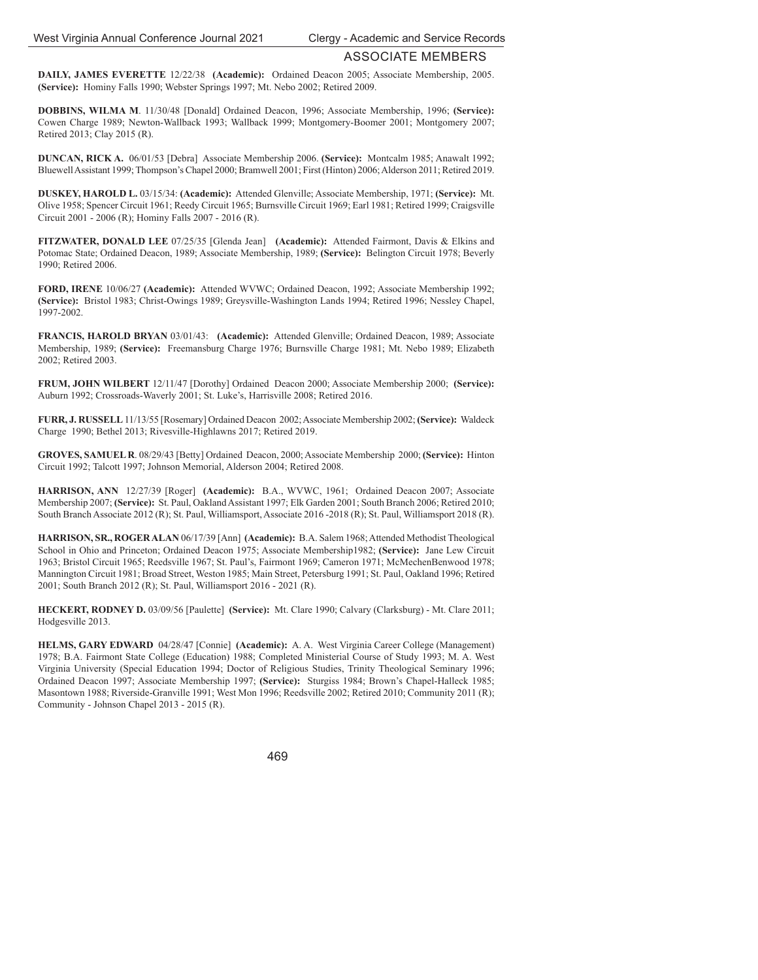**DAILY, JAMES EVERETTE** 12/22/38 **(Academic):** Ordained Deacon 2005; Associate Membership, 2005. **(Service):** Hominy Falls 1990; Webster Springs 1997; Mt. Nebo 2002; Retired 2009.

**DOBBINS, WILMA M**. 11/30/48 [Donald] Ordained Deacon, 1996; Associate Membership, 1996; **(Service):**  Cowen Charge 1989; Newton-Wallback 1993; Wallback 1999; Montgomery-Boomer 2001; Montgomery 2007; Retired 2013; Clay 2015 (R).

**DUNCAN, RICK A.** 06/01/53 [Debra] Associate Membership 2006. **(Service):** Montcalm 1985; Anawalt 1992; Bluewell Assistant 1999; Thompson's Chapel 2000; Bramwell 2001; First (Hinton) 2006; Alderson 2011; Retired 2019.

**DUSKEY, HAROLD L.** 03/15/34: **(Academic):** Attended Glenville; Associate Membership, 1971; **(Service):** Mt. Olive 1958; Spencer Circuit 1961; Reedy Circuit 1965; Burnsville Circuit 1969; Earl 1981; Retired 1999; Craigsville Circuit 2001 - 2006 (R); Hominy Falls 2007 - 2016 (R).

**FITZWATER, DONALD LEE** 07/25/35 [Glenda Jean] **(Academic):** Attended Fairmont, Davis & Elkins and Potomac State; Ordained Deacon, 1989; Associate Membership, 1989; **(Service):** Belington Circuit 1978; Beverly 1990; Retired 2006.

**FORD, IRENE** 10/06/27 **(Academic):** Attended WVWC; Ordained Deacon, 1992; Associate Membership 1992; **(Service):** Bristol 1983; Christ-Owings 1989; Greysville-Washington Lands 1994; Retired 1996; Nessley Chapel, 1997-2002.

**FRANCIS, HAROLD BRYAN** 03/01/43: **(Academic):** Attended Glenville; Ordained Deacon, 1989; Associate Membership, 1989; **(Service):** Freemansburg Charge 1976; Burnsville Charge 1981; Mt. Nebo 1989; Elizabeth 2002; Retired 2003.

**FRUM, JOHN WILBERT** 12/11/47 [Dorothy] Ordained Deacon 2000; Associate Membership 2000; **(Service):**  Auburn 1992; Crossroads-Waverly 2001; St. Luke's, Harrisville 2008; Retired 2016.

**FURR, J. RUSSELL** 11/13/55 [Rosemary] Ordained Deacon 2002; Associate Membership 2002; **(Service):** Waldeck Charge 1990; Bethel 2013; Rivesville-Highlawns 2017; Retired 2019.

**GROVES, SAMUEL R**. 08/29/43 [Betty] Ordained Deacon, 2000; Associate Membership 2000; **(Service):** Hinton Circuit 1992; Talcott 1997; Johnson Memorial, Alderson 2004; Retired 2008.

**HARRISON, ANN** 12/27/39 [Roger] **(Academic):** B.A., WVWC, 1961; Ordained Deacon 2007; Associate Membership 2007; **(Service):** St. Paul, Oakland Assistant 1997; Elk Garden 2001; South Branch 2006; Retired 2010; South Branch Associate 2012 (R); St. Paul, Williamsport, Associate 2016 -2018 (R); St. Paul, Williamsport 2018 (R).

**HARRISON, SR., ROGER ALAN** 06/17/39 [Ann] **(Academic):** B.A. Salem 1968; Attended Methodist Theological School in Ohio and Princeton; Ordained Deacon 1975; Associate Membership1982; **(Service):** Jane Lew Circuit 1963; Bristol Circuit 1965; Reedsville 1967; St. Paul's, Fairmont 1969; Cameron 1971; McMechenBenwood 1978; Mannington Circuit 1981; Broad Street, Weston 1985; Main Street, Petersburg 1991; St. Paul, Oakland 1996; Retired 2001; South Branch 2012 (R); St. Paul, Williamsport 2016 - 2021 (R).

**HECKERT, RODNEY D.** 03/09/56 [Paulette] **(Service):** Mt. Clare 1990; Calvary (Clarksburg) - Mt. Clare 2011; Hodgesville 2013.

**HELMS, GARY EDWARD** 04/28/47 [Connie] **(Academic):** A. A. West Virginia Career College (Management) 1978; B.A. Fairmont State College (Education) 1988; Completed Ministerial Course of Study 1993; M. A. West Virginia University (Special Education 1994; Doctor of Religious Studies, Trinity Theological Seminary 1996; Ordained Deacon 1997; Associate Membership 1997; **(Service):** Sturgiss 1984; Brown's Chapel-Halleck 1985; Masontown 1988; Riverside-Granville 1991; West Mon 1996; Reedsville 2002; Retired 2010; Community 2011 (R); Community - Johnson Chapel 2013 - 2015 (R).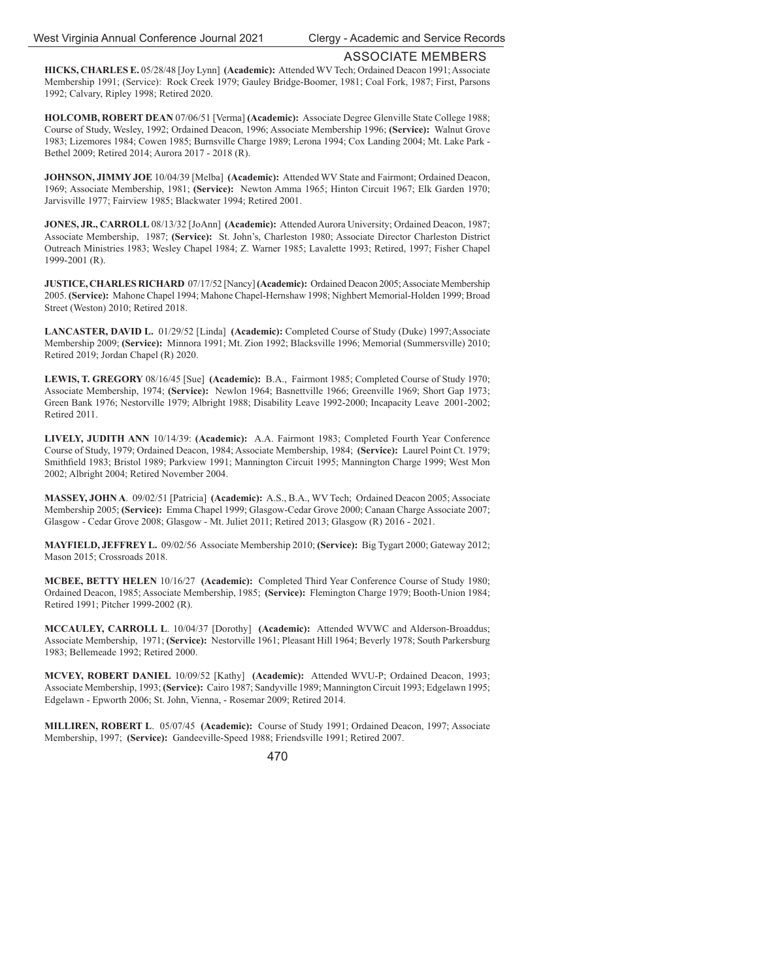**HICKS, CHARLES E.** 05/28/48 [Joy Lynn] **(Academic):** Attended WV Tech; Ordained Deacon 1991; Associate Membership 1991; (Service): Rock Creek 1979; Gauley Bridge-Boomer, 1981; Coal Fork, 1987; First, Parsons 1992; Calvary, Ripley 1998; Retired 2020.

**HOLCOMB, ROBERT DEAN** 07/06/51 [Verma] **(Academic):** Associate Degree Glenville State College 1988; Course of Study, Wesley, 1992; Ordained Deacon, 1996; Associate Membership 1996; **(Service):** Walnut Grove 1983; Lizemores 1984; Cowen 1985; Burnsville Charge 1989; Lerona 1994; Cox Landing 2004; Mt. Lake Park - Bethel 2009; Retired 2014; Aurora 2017 - 2018 (R).

**JOHNSON, JIMMY JOE** 10/04/39 [Melba] **(Academic):** Attended WV State and Fairmont; Ordained Deacon, 1969; Associate Membership, 1981; **(Service):** Newton Amma 1965; Hinton Circuit 1967; Elk Garden 1970; Jarvisville 1977; Fairview 1985; Blackwater 1994; Retired 2001.

**JONES, JR., CARROLL** 08/13/32 [JoAnn] **(Academic):** Attended Aurora University; Ordained Deacon, 1987; Associate Membership, 1987; **(Service):** St. John's, Charleston 1980; Associate Director Charleston District Outreach Ministries 1983; Wesley Chapel 1984; Z. Warner 1985; Lavalette 1993; Retired, 1997; Fisher Chapel 1999-2001 (R).

**JUSTICE, CHARLES RICHARD** 07/17/52 [Nancy] **(Academic):** Ordained Deacon 2005; Associate Membership 2005. **(Service):** Mahone Chapel 1994; Mahone Chapel-Hernshaw 1998; Nighbert Memorial-Holden 1999; Broad Street (Weston) 2010; Retired 2018.

**LANCASTER, DAVID L.** 01/29/52 [Linda] **(Academic):** Completed Course of Study (Duke) 1997;Associate Membership 2009; **(Service):** Minnora 1991; Mt. Zion 1992; Blacksville 1996; Memorial (Summersville) 2010; Retired 2019; Jordan Chapel (R) 2020.

**LEWIS, T. GREGORY** 08/16/45 [Sue] **(Academic):** B.A., Fairmont 1985; Completed Course of Study 1970; Associate Membership, 1974; **(Service):** Newlon 1964; Basnettville 1966; Greenville 1969; Short Gap 1973; Green Bank 1976; Nestorville 1979; Albright 1988; Disability Leave 1992-2000; Incapacity Leave 2001-2002; Retired 2011.

**LIVELY, JUDITH ANN** 10/14/39: **(Academic):** A.A. Fairmont 1983; Completed Fourth Year Conference Course of Study, 1979; Ordained Deacon, 1984; Associate Membership, 1984; **(Service):** Laurel Point Ct. 1979; Smithfield 1983; Bristol 1989; Parkview 1991; Mannington Circuit 1995; Mannington Charge 1999; West Mon 2002; Albright 2004; Retired November 2004.

**MASSEY, JOHN A**. 09/02/51 [Patricia] **(Academic):** A.S., B.A., WV Tech; Ordained Deacon 2005; Associate Membership 2005; **(Service):** Emma Chapel 1999; Glasgow-Cedar Grove 2000; Canaan Charge Associate 2007; Glasgow - Cedar Grove 2008; Glasgow - Mt. Juliet 2011; Retired 2013; Glasgow (R) 2016 - 2021.

**MAYFIELD, JEFFREY L.** 09/02/56 Associate Membership 2010; **(Service):** Big Tygart 2000; Gateway 2012; Mason 2015; Crossroads 2018.

**MCBEE, BETTY HELEN** 10/16/27 **(Academic):** Completed Third Year Conference Course of Study 1980; Ordained Deacon, 1985; Associate Membership, 1985; **(Service):** Flemington Charge 1979; Booth-Union 1984; Retired 1991; Pitcher 1999-2002 (R).

**MCCAULEY, CARROLL L**. 10/04/37 [Dorothy] **(Academic):** Attended WVWC and Alderson-Broaddus; Associate Membership, 1971; **(Service):** Nestorville 1961; Pleasant Hill 1964; Beverly 1978; South Parkersburg 1983; Bellemeade 1992; Retired 2000.

**MCVEY, ROBERT DANIEL** 10/09/52 [Kathy] **(Academic):** Attended WVU-P; Ordained Deacon, 1993; Associate Membership, 1993; **(Service):** Cairo 1987; Sandyville 1989; Mannington Circuit 1993; Edgelawn 1995; Edgelawn - Epworth 2006; St. John, Vienna, - Rosemar 2009; Retired 2014.

**MILLIREN, ROBERT L**. 05/07/45 **(Academic):** Course of Study 1991; Ordained Deacon, 1997; Associate Membership, 1997; **(Service):** Gandeeville-Speed 1988; Friendsville 1991; Retired 2007.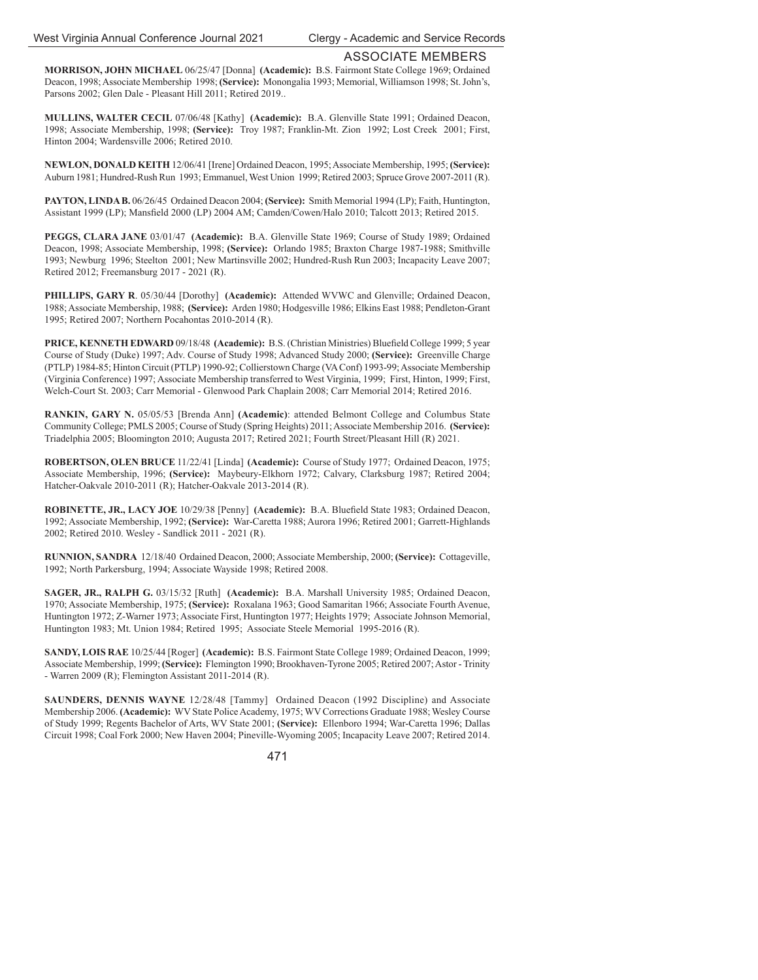**MORRISON, JOHN MICHAEL** 06/25/47 [Donna] **(Academic):** B.S. Fairmont State College 1969; Ordained Deacon, 1998; Associate Membership 1998; **(Service):** Monongalia 1993; Memorial, Williamson 1998; St. John's, Parsons 2002; Glen Dale - Pleasant Hill 2011; Retired 2019..

**MULLINS, WALTER CECIL** 07/06/48 [Kathy] **(Academic):** B.A. Glenville State 1991; Ordained Deacon, 1998; Associate Membership, 1998; **(Service):** Troy 1987; Franklin-Mt. Zion 1992; Lost Creek 2001; First, Hinton 2004; Wardensville 2006; Retired 2010.

**NEWLON, DONALD KEITH** 12/06/41 [Irene] Ordained Deacon, 1995; Associate Membership, 1995; **(Service):**  Auburn 1981; Hundred-Rush Run 1993; Emmanuel, West Union 1999; Retired 2003; Spruce Grove 2007-2011 (R).

**PAYTON, LINDA B.** 06/26/45 Ordained Deacon 2004; **(Service):** Smith Memorial 1994 (LP); Faith, Huntington, Assistant 1999 (LP); Mansfield 2000 (LP) 2004 AM; Camden/Cowen/Halo 2010; Talcott 2013; Retired 2015.

**PEGGS, CLARA JANE** 03/01/47 **(Academic):** B.A. Glenville State 1969; Course of Study 1989; Ordained Deacon, 1998; Associate Membership, 1998; **(Service):** Orlando 1985; Braxton Charge 1987-1988; Smithville 1993; Newburg 1996; Steelton 2001; New Martinsville 2002; Hundred-Rush Run 2003; Incapacity Leave 2007; Retired 2012; Freemansburg 2017 - 2021 (R).

**PHILLIPS, GARY R**. 05/30/44 [Dorothy] **(Academic):** Attended WVWC and Glenville; Ordained Deacon, 1988; Associate Membership, 1988; **(Service):** Arden 1980; Hodgesville 1986; Elkins East 1988; Pendleton-Grant 1995; Retired 2007; Northern Pocahontas 2010-2014 (R).

PRICE, KENNETH EDWARD 09/18/48 (Academic): B.S. (Christian Ministries) Bluefield College 1999; 5 year Course of Study (Duke) 1997; Adv. Course of Study 1998; Advanced Study 2000; **(Service):** Greenville Charge (PTLP) 1984-85; Hinton Circuit (PTLP) 1990-92; Collierstown Charge (VA Conf) 1993-99; Associate Membership (Virginia Conference) 1997; Associate Membership transferred to West Virginia, 1999; First, Hinton, 1999; First, Welch-Court St. 2003; Carr Memorial - Glenwood Park Chaplain 2008; Carr Memorial 2014; Retired 2016.

**RANKIN, GARY N.** 05/05/53 [Brenda Ann] **(Academic)**: attended Belmont College and Columbus State Community College; PMLS 2005; Course of Study (Spring Heights) 2011; Associate Membership 2016. **(Service):** Triadelphia 2005; Bloomington 2010; Augusta 2017; Retired 2021; Fourth Street/Pleasant Hill (R) 2021.

**ROBERTSON, OLEN BRUCE** 11/22/41 [Linda] **(Academic):** Course of Study 1977; Ordained Deacon, 1975; Associate Membership, 1996; **(Service):** Maybeury-Elkhorn 1972; Calvary, Clarksburg 1987; Retired 2004; Hatcher-Oakvale 2010-2011 (R); Hatcher-Oakvale 2013-2014 (R).

**ROBINETTE, JR., LACY JOE** 10/29/38 [Penny] **(Academic):** B.A. Bluefield State 1983; Ordained Deacon, 1992; Associate Membership, 1992; **(Service):** War-Caretta 1988; Aurora 1996; Retired 2001; Garrett-Highlands 2002; Retired 2010. Wesley - Sandlick 2011 - 2021 (R).

**RUNNION, SANDRA** 12/18/40 Ordained Deacon, 2000; Associate Membership, 2000; **(Service):** Cottageville, 1992; North Parkersburg, 1994; Associate Wayside 1998; Retired 2008.

**SAGER, JR., RALPH G.** 03/15/32 [Ruth] **(Academic):** B.A. Marshall University 1985; Ordained Deacon, 1970; Associate Membership, 1975; **(Service):** Roxalana 1963; Good Samaritan 1966; Associate Fourth Avenue, Huntington 1972; Z-Warner 1973; Associate First, Huntington 1977; Heights 1979; Associate Johnson Memorial, Huntington 1983; Mt. Union 1984; Retired 1995; Associate Steele Memorial 1995-2016 (R).

**SANDY, LOIS RAE** 10/25/44 [Roger] **(Academic):** B.S. Fairmont State College 1989; Ordained Deacon, 1999; Associate Membership, 1999; **(Service):** Flemington 1990; Brookhaven-Tyrone 2005; Retired 2007; Astor - Trinity - Warren 2009 (R); Flemington Assistant 2011-2014 (R).

**SAUNDERS, DENNIS WAYNE** 12/28/48 [Tammy] Ordained Deacon (1992 Discipline) and Associate Membership 2006. **(Academic):** WV State Police Academy, 1975; WV Corrections Graduate 1988; Wesley Course of Study 1999; Regents Bachelor of Arts, WV State 2001; **(Service):** Ellenboro 1994; War-Caretta 1996; Dallas Circuit 1998; Coal Fork 2000; New Haven 2004; Pineville-Wyoming 2005; Incapacity Leave 2007; Retired 2014.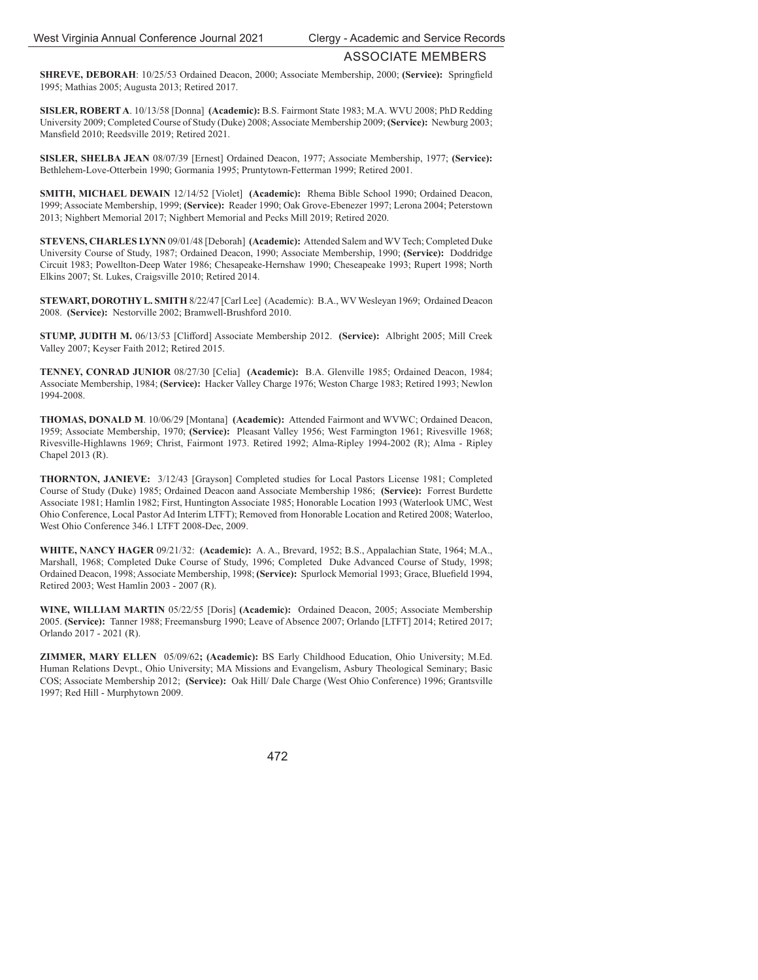**SHREVE, DEBORAH**: 10/25/53 Ordained Deacon, 2000; Associate Membership, 2000; **(Service):** Springfield 1995; Mathias 2005; Augusta 2013; Retired 2017.

**SISLER, ROBERT A**. 10/13/58 [Donna] **(Academic):** B.S. Fairmont State 1983; M.A. WVU 2008; PhD Redding University 2009; Completed Course of Study (Duke) 2008; Associate Membership 2009; **(Service):** Newburg 2003; Mansfield 2010; Reedsville 2019; Retired 2021.

**SISLER, SHELBA JEAN** 08/07/39 [Ernest] Ordained Deacon, 1977; Associate Membership, 1977; **(Service):**  Bethlehem-Love-Otterbein 1990; Gormania 1995; Pruntytown-Fetterman 1999; Retired 2001.

**SMITH, MICHAEL DEWAIN** 12/14/52 [Violet] **(Academic):** Rhema Bible School 1990; Ordained Deacon, 1999; Associate Membership, 1999; **(Service):** Reader 1990; Oak Grove-Ebenezer 1997; Lerona 2004; Peterstown 2013; Nighbert Memorial 2017; Nighbert Memorial and Pecks Mill 2019; Retired 2020.

**STEVENS, CHARLES LYNN** 09/01/48 [Deborah] **(Academic):** Attended Salem and WV Tech; Completed Duke University Course of Study, 1987; Ordained Deacon, 1990; Associate Membership, 1990; **(Service):** Doddridge Circuit 1983; Powellton-Deep Water 1986; Chesapeake-Hernshaw 1990; Cheseapeake 1993; Rupert 1998; North Elkins 2007; St. Lukes, Craigsville 2010; Retired 2014.

**STEWART, DOROTHY L. SMITH** 8/22/47 [Carl Lee] (Academic): B.A., WV Wesleyan 1969; Ordained Deacon 2008. **(Service):** Nestorville 2002; Bramwell-Brushford 2010.

**STUMP, JUDITH M.** 06/13/53 [Clifford] Associate Membership 2012. **(Service):** Albright 2005; Mill Creek Valley 2007; Keyser Faith 2012; Retired 2015.

**TENNEY, CONRAD JUNIOR** 08/27/30 [Celia] **(Academic):** B.A. Glenville 1985; Ordained Deacon, 1984; Associate Membership, 1984; **(Service):** Hacker Valley Charge 1976; Weston Charge 1983; Retired 1993; Newlon 1994-2008.

**THOMAS, DONALD M**. 10/06/29 [Montana] **(Academic):** Attended Fairmont and WVWC; Ordained Deacon, 1959; Associate Membership, 1970; **(Service):** Pleasant Valley 1956; West Farmington 1961; Rivesville 1968; Rivesville-Highlawns 1969; Christ, Fairmont 1973. Retired 1992; Alma-Ripley 1994-2002 (R); Alma - Ripley Chapel 2013 (R).

**THORNTON, JANIEVE:** 3/12/43 [Grayson] Completed studies for Local Pastors License 1981; Completed Course of Study (Duke) 1985; Ordained Deacon aand Associate Membership 1986; **(Service):** Forrest Burdette Associate 1981; Hamlin 1982; First, Huntington Associate 1985; Honorable Location 1993 (Waterlook UMC, West Ohio Conference, Local Pastor Ad Interim LTFT); Removed from Honorable Location and Retired 2008; Waterloo, West Ohio Conference 346.1 LTFT 2008-Dec, 2009.

**WHITE, NANCY HAGER** 09/21/32: **(Academic):** A. A., Brevard, 1952; B.S., Appalachian State, 1964; M.A., Marshall, 1968; Completed Duke Course of Study, 1996; Completed Duke Advanced Course of Study, 1998; Ordained Deacon, 1998; Associate Membership, 1998; **(Service):** Spurlock Memorial 1993; Grace, Bluefield 1994, Retired 2003; West Hamlin 2003 - 2007 (R).

**WINE, WILLIAM MARTIN** 05/22/55 [Doris] **(Academic):** Ordained Deacon, 2005; Associate Membership 2005. **(Service):** Tanner 1988; Freemansburg 1990; Leave of Absence 2007; Orlando [LTFT] 2014; Retired 2017; Orlando 2017 - 2021 (R).

**ZIMMER, MARY ELLEN** 05/09/62**; (Academic):** BS Early Childhood Education, Ohio University; M.Ed. Human Relations Devpt., Ohio University; MA Missions and Evangelism, Asbury Theological Seminary; Basic COS; Associate Membership 2012; **(Service):** Oak Hill/ Dale Charge (West Ohio Conference) 1996; Grantsville 1997; Red Hill - Murphytown 2009.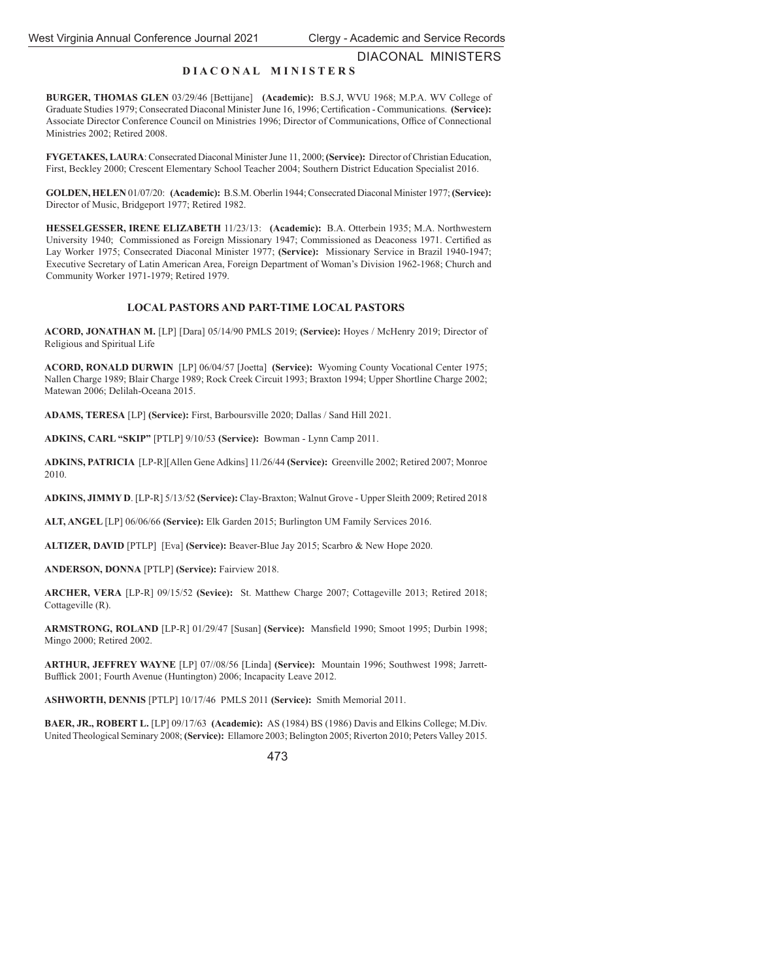DIACONAL MINISTERS

## **D I A C O N A L M I N I S T E R S**

**BURGER, THOMAS GLEN** 03/29/46 [Bettijane] **(Academic):** B.S.J, WVU 1968; M.P.A. WV College of Graduate Studies 1979; Consecrated Diaconal Minister June 16, 1996; Certification - Communications. (Service): Associate Director Conference Council on Ministries 1996; Director of Communications, Office of Connectional Ministries 2002; Retired 2008.

**FYGETAKES, LAURA**: Consecrated Diaconal Minister June 11, 2000; **(Service):** Director of Christian Education, First, Beckley 2000; Crescent Elementary School Teacher 2004; Southern District Education Specialist 2016.

**GOLDEN, HELEN** 01/07/20: **(Academic):** B.S.M. Oberlin 1944; Consecrated Diaconal Minister 1977; **(Service):**  Director of Music, Bridgeport 1977; Retired 1982.

**HESSELGESSER, IRENE ELIZABETH** 11/23/13: **(Academic):** B.A. Otterbein 1935; M.A. Northwestern University 1940; Commissioned as Foreign Missionary 1947; Commissioned as Deaconess 1971. Certified as Lay Worker 1975; Consecrated Diaconal Minister 1977; **(Service):** Missionary Service in Brazil 1940-1947; Executive Secretary of Latin American Area, Foreign Department of Woman's Division 1962-1968; Church and Community Worker 1971-1979; Retired 1979.

## **LOCAL PASTORS AND PART-TIME LOCAL PASTORS**

**ACORD, JONATHAN M.** [LP] [Dara] 05/14/90 PMLS 2019; **(Service):** Hoyes / McHenry 2019; Director of Religious and Spiritual Life

**ACORD, RONALD DURWIN** [LP] 06/04/57 [Joetta] **(Service):** Wyoming County Vocational Center 1975; Nallen Charge 1989; Blair Charge 1989; Rock Creek Circuit 1993; Braxton 1994; Upper Shortline Charge 2002; Matewan 2006; Delilah-Oceana 2015.

**ADAMS, TERESA** [LP] **(Service):** First, Barboursville 2020; Dallas / Sand Hill 2021.

**ADKINS, CARL "SKIP"** [PTLP] 9/10/53 **(Service):** Bowman - Lynn Camp 2011.

**ADKINS, PATRICIA** [LP-R][Allen Gene Adkins] 11/26/44 **(Service):** Greenville 2002; Retired 2007; Monroe 2010.

**ADKINS, JIMMY D**. [LP-R] 5/13/52 **(Service):** Clay-Braxton; Walnut Grove - Upper Sleith 2009; Retired 2018

**ALT, ANGEL** [LP] 06/06/66 **(Service):** Elk Garden 2015; Burlington UM Family Services 2016.

**ALTIZER, DAVID** [PTLP] [Eva] **(Service):** Beaver-Blue Jay 2015; Scarbro & New Hope 2020.

**ANDERSON, DONNA** [PTLP] **(Service):** Fairview 2018.

**ARCHER, VERA** [LP-R] 09/15/52 **(Sevice):** St. Matthew Charge 2007; Cottageville 2013; Retired 2018; Cottageville (R).

**ARMSTRONG, ROLAND** [LP-R] 01/29/47 [Susan] **(Service):** Mansfield 1990; Smoot 1995; Durbin 1998; Mingo 2000; Retired 2002.

**ARTHUR, JEFFREY WAYNE** [LP] 07//08/56 [Linda] **(Service):** Mountain 1996; Southwest 1998; Jarrett-Bufflick 2001; Fourth Avenue (Huntington) 2006; Incapacity Leave 2012.

**ASHWORTH, DENNIS** [PTLP] 10/17/46 PMLS 2011 **(Service):** Smith Memorial 2011.

**BAER, JR., ROBERT L.** [LP] 09/17/63 **(Academic):** AS (1984) BS (1986) Davis and Elkins College; M.Div. United Theological Seminary 2008; **(Service):** Ellamore 2003; Belington 2005; Riverton 2010; Peters Valley 2015.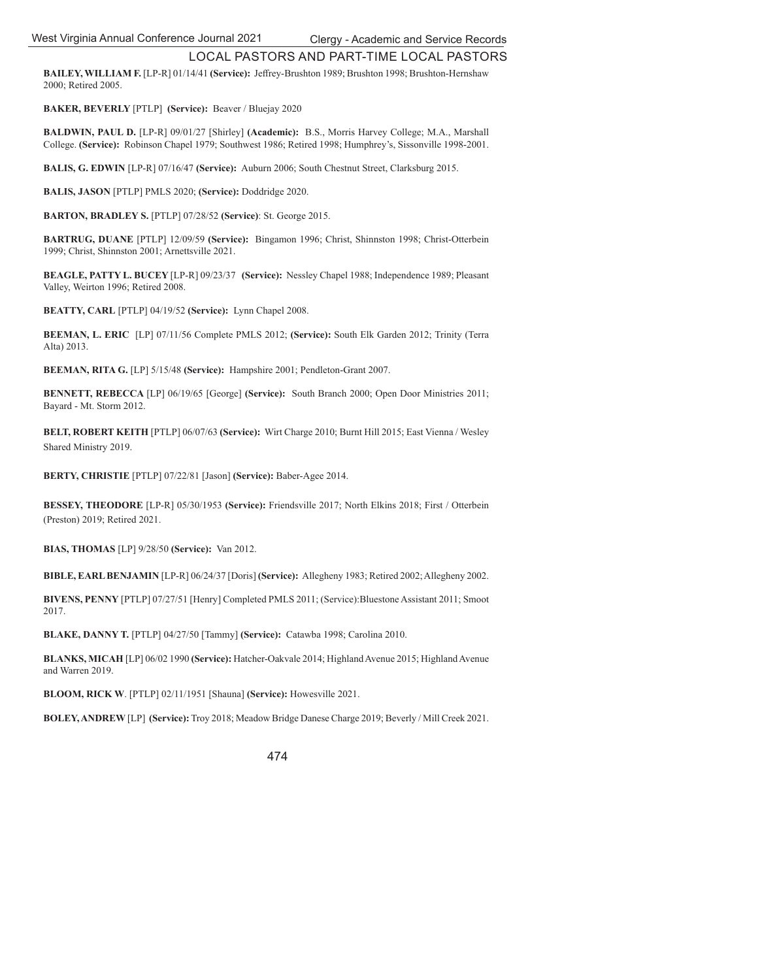**BAILEY, WILLIAM F.** [LP-R] 01/14/41 (Service): Jeffrey-Brushton 1989; Brushton 1998; Brushton-Hernshaw 2000; Retired 2005.

**BAKER, BEVERLY** [PTLP] **(Service):** Beaver / Bluejay 2020

**BALDWIN, PAUL D.** [LP-R] 09/01/27 [Shirley] **(Academic):** B.S., Morris Harvey College; M.A., Marshall College. **(Service):** Robinson Chapel 1979; Southwest 1986; Retired 1998; Humphrey's, Sissonville 1998-2001.

**BALIS, G. EDWIN** [LP-R] 07/16/47 **(Service):** Auburn 2006; South Chestnut Street, Clarksburg 2015.

**BALIS, JASON** [PTLP] PMLS 2020; **(Service):** Doddridge 2020.

**BARTON, BRADLEY S.** [PTLP] 07/28/52 **(Service)**: St. George 2015.

**BARTRUG, DUANE** [PTLP] 12/09/59 **(Service):** Bingamon 1996; Christ, Shinnston 1998; Christ-Otterbein 1999; Christ, Shinnston 2001; Arnettsville 2021.

**BEAGLE, PATTY L. BUCEY** [LP-R] 09/23/37 **(Service):** Nessley Chapel 1988; Independence 1989; Pleasant Valley, Weirton 1996; Retired 2008.

**BEATTY, CARL** [PTLP] 04/19/52 **(Service):** Lynn Chapel 2008.

**BEEMAN, L. ERIC** [LP] 07/11/56 Complete PMLS 2012; **(Service):** South Elk Garden 2012; Trinity (Terra Alta) 2013.

**BEEMAN, RITA G.** [LP] 5/15/48 **(Service):** Hampshire 2001; Pendleton-Grant 2007.

**BENNETT, REBECCA** [LP] 06/19/65 [George] **(Service):** South Branch 2000; Open Door Ministries 2011; Bayard - Mt. Storm 2012.

**BELT, ROBERT KEITH** [PTLP] 06/07/63 **(Service):** Wirt Charge 2010; Burnt Hill 2015; East Vienna / Wesley Shared Ministry 2019.

**BERTY, CHRISTIE** [PTLP] 07/22/81 [Jason] **(Service):** Baber-Agee 2014.

**BESSEY, THEODORE** [LP-R] 05/30/1953 **(Service):** Friendsville 2017; North Elkins 2018; First / Otterbein (Preston) 2019; Retired 2021.

**BIAS, THOMAS** [LP] 9/28/50 **(Service):** Van 2012.

**BIBLE, EARL BENJAMIN** [LP-R] 06/24/37 [Doris] **(Service):** Allegheny 1983; Retired 2002; Allegheny 2002.

**BIVENS, PENNY** [PTLP] 07/27/51 [Henry] Completed PMLS 2011; (Service):Bluestone Assistant 2011; Smoot 2017.

**BLAKE, DANNY T.** [PTLP] 04/27/50 [Tammy] **(Service):** Catawba 1998; Carolina 2010.

**BLANKS, MICAH** [LP] 06/02 1990 **(Service):** Hatcher-Oakvale 2014; Highland Avenue 2015; Highland Avenue and Warren 2019.

**BLOOM, RICK W**. [PTLP] 02/11/1951 [Shauna] **(Service):** Howesville 2021.

**BOLEY, ANDREW** [LP] **(Service):** Troy 2018; Meadow Bridge Danese Charge 2019; Beverly / Mill Creek 2021.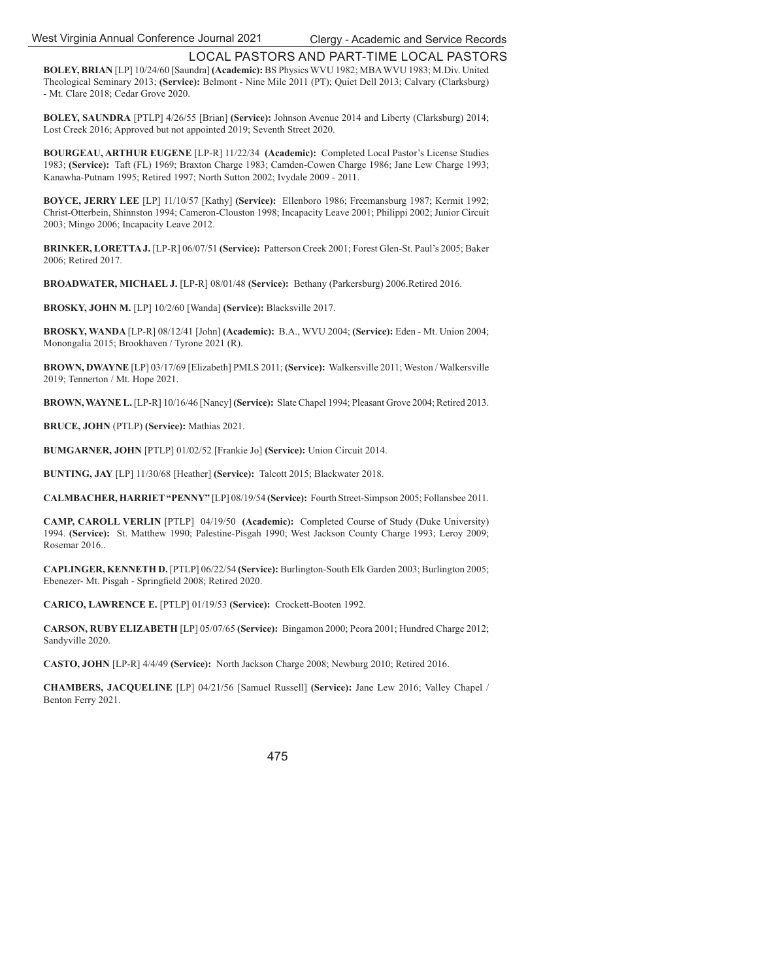**BOLEY, BRIAN** [LP] 10/24/60 [Saundra] **(Academic):** BS Physics WVU 1982; MBA WVU 1983; M.Div. United Theological Seminary 2013; **(Service):** Belmont - Nine Mile 2011 (PT); Quiet Dell 2013; Calvary (Clarksburg) - Mt. Clare 2018; Cedar Grove 2020.

**BOLEY, SAUNDRA** [PTLP] 4/26/55 [Brian] **(Service):** Johnson Avenue 2014 and Liberty (Clarksburg) 2014; Lost Creek 2016; Approved but not appointed 2019; Seventh Street 2020.

**BOURGEAU, ARTHUR EUGENE** [LP-R] 11/22/34 **(Academic):** Completed Local Pastor's License Studies 1983; **(Service):** Taft (FL) 1969; Braxton Charge 1983; Camden-Cowen Charge 1986; Jane Lew Charge 1993; Kanawha-Putnam 1995; Retired 1997; North Sutton 2002; Ivydale 2009 - 2011.

**BOYCE, JERRY LEE** [LP] 11/10/57 [Kathy] **(Service):** Ellenboro 1986; Freemansburg 1987; Kermit 1992; Christ-Otterbein, Shinnston 1994; Cameron-Clouston 1998; Incapacity Leave 2001; Philippi 2002; Junior Circuit 2003; Mingo 2006; Incapacity Leave 2012.

**BRINKER, LORETTA J.** [LP-R] 06/07/51 **(Service):** Patterson Creek 2001; Forest Glen-St. Paul's 2005; Baker 2006; Retired 2017.

**BROADWATER, MICHAEL J.** [LP-R] 08/01/48 **(Service):** Bethany (Parkersburg) 2006.Retired 2016.

**BROSKY, JOHN M.** [LP] 10/2/60 [Wanda] **(Service):** Blacksville 2017.

**BROSKY, WANDA** [LP-R] 08/12/41 [John] **(Academic):** B.A., WVU 2004; **(Service):** Eden - Mt. Union 2004; Monongalia 2015; Brookhaven / Tyrone 2021 (R).

**BROWN, DWAYNE** [LP] 03/17/69 [Elizabeth] PMLS 2011; **(Service):** Walkersville 2011; Weston / Walkersville 2019; Tennerton / Mt. Hope 2021.

**BROWN, WAYNE L.** [LP-R] 10/16/46 [Nancy] **(Service):** Slate Chapel 1994; Pleasant Grove 2004; Retired 2013.

**BRUCE, JOHN** (PTLP) **(Service):** Mathias 2021.

**BUMGARNER, JOHN** [PTLP] 01/02/52 [Frankie Jo] **(Service):** Union Circuit 2014.

**BUNTING, JAY** [LP] 11/30/68 [Heather] **(Service):** Talcott 2015; Blackwater 2018.

**CALMBACHER, HARRIET "PENNY"** [LP] 08/19/54 **(Service):** Fourth Street-Simpson 2005; Follansbee 2011.

**CAMP, CAROLL VERLIN** [PTLP] 04/19/50 **(Academic):** Completed Course of Study (Duke University) 1994. **(Service):** St. Matthew 1990; Palestine-Pisgah 1990; West Jackson County Charge 1993; Leroy 2009; Rosemar 2016..

**CAPLINGER, KENNETH D.** [PTLP] 06/22/54 **(Service):** Burlington-South Elk Garden 2003; Burlington 2005; Ebenezer- Mt. Pisgah - Springfield 2008; Retired 2020.

**CARICO, LAWRENCE E.** [PTLP] 01/19/53 **(Service):** Crockett-Booten 1992.

**CARSON, RUBY ELIZABETH** [LP] 05/07/65 **(Service):** Bingamon 2000; Peora 2001; Hundred Charge 2012; Sandyville 2020.

**CASTO, JOHN** [LP-R] 4/4/49 **(Service):** North Jackson Charge 2008; Newburg 2010; Retired 2016.

**CHAMBERS, JACQUELINE** [LP] 04/21/56 [Samuel Russell] **(Service):** Jane Lew 2016; Valley Chapel / Benton Ferry 2021.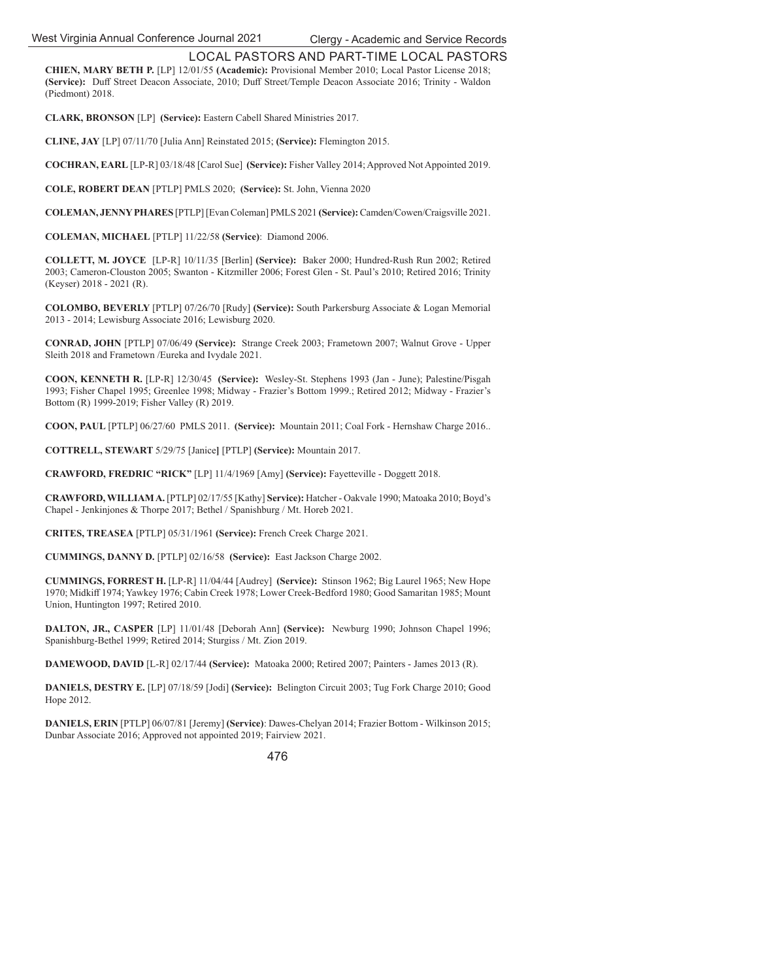**CHIEN, MARY BETH P.** [LP] 12/01/55 **(Academic):** Provisional Member 2010; Local Pastor License 2018; **(Service):** Duff Street Deacon Associate, 2010; Duff Street/Temple Deacon Associate 2016; Trinity - Waldon (Piedmont) 2018.

**CLARK, BRONSON** [LP] **(Service):** Eastern Cabell Shared Ministries 2017.

**CLINE, JAY** [LP] 07/11/70 [Julia Ann] Reinstated 2015; **(Service):** Flemington 2015.

**COCHRAN, EARL** [LP-R] 03/18/48 [Carol Sue] **(Service):** Fisher Valley 2014; Approved Not Appointed 2019.

**COLE, ROBERT DEAN** [PTLP] PMLS 2020; **(Service):** St. John, Vienna 2020

**COLEMAN, JENNY PHARES** [PTLP] [Evan Coleman] PMLS 2021 **(Service):** Camden/Cowen/Craigsville 2021.

**COLEMAN, MICHAEL** [PTLP] 11/22/58 **(Service)**: Diamond 2006.

**COLLETT, M. JOYCE** [LP-R] 10/11/35 [Berlin] **(Service):** Baker 2000; Hundred-Rush Run 2002; Retired 2003; Cameron-Clouston 2005; Swanton - Kitzmiller 2006; Forest Glen - St. Paul's 2010; Retired 2016; Trinity (Keyser) 2018 - 2021 (R).

**COLOMBO, BEVERLY** [PTLP] 07/26/70 [Rudy] **(Service):** South Parkersburg Associate & Logan Memorial 2013 - 2014; Lewisburg Associate 2016; Lewisburg 2020.

**CONRAD, JOHN** [PTLP] 07/06/49 **(Service):** Strange Creek 2003; Frametown 2007; Walnut Grove - Upper Sleith 2018 and Frametown /Eureka and Ivydale 2021.

**COON, KENNETH R.** [LP-R] 12/30/45 **(Service):** Wesley-St. Stephens 1993 (Jan - June); Palestine/Pisgah 1993; Fisher Chapel 1995; Greenlee 1998; Midway - Frazier's Bottom 1999.; Retired 2012; Midway - Frazier's Bottom (R) 1999-2019; Fisher Valley (R) 2019.

**COON, PAUL** [PTLP] 06/27/60 PMLS 2011. **(Service):** Mountain 2011; Coal Fork - Hernshaw Charge 2016..

**COTTRELL, STEWART** 5/29/75 [Janice**]** [PTLP] **(Service):** Mountain 2017.

**CRAWFORD, FREDRIC "RICK"** [LP] 11/4/1969 [Amy] **(Service):** Fayetteville - Doggett 2018.

**CRAWFORD, WILLIAM A.** [PTLP] 02/17/55 [Kathy] **Service):** Hatcher - Oakvale 1990; Matoaka 2010; Boyd's Chapel - Jenkinjones & Thorpe 2017; Bethel / Spanishburg / Mt. Horeb 2021.

**CRITES, TREASEA** [PTLP] 05/31/1961 **(Service):** French Creek Charge 2021.

**CUMMINGS, DANNY D.** [PTLP] 02/16/58 **(Service):** East Jackson Charge 2002.

**CUMMINGS, FORREST H.** [LP-R] 11/04/44 [Audrey] **(Service):** Stinson 1962; Big Laurel 1965; New Hope 1970; Midkiff 1974; Yawkey 1976; Cabin Creek 1978; Lower Creek-Bedford 1980; Good Samaritan 1985; Mount Union, Huntington 1997; Retired 2010.

**DALTON, JR., CASPER** [LP] 11/01/48 [Deborah Ann] **(Service):** Newburg 1990; Johnson Chapel 1996; Spanishburg-Bethel 1999; Retired 2014; Sturgiss / Mt. Zion 2019.

**DAMEWOOD, DAVID** [L-R] 02/17/44 **(Service):** Matoaka 2000; Retired 2007; Painters - James 2013 (R).

**DANIELS, DESTRY E.** [LP] 07/18/59 [Jodi] **(Service):** Belington Circuit 2003; Tug Fork Charge 2010; Good Hope 2012.

**DANIELS, ERIN** [PTLP] 06/07/81 [Jeremy] **(Service)**: Dawes-Chelyan 2014; Frazier Bottom - Wilkinson 2015; Dunbar Associate 2016; Approved not appointed 2019; Fairview 2021.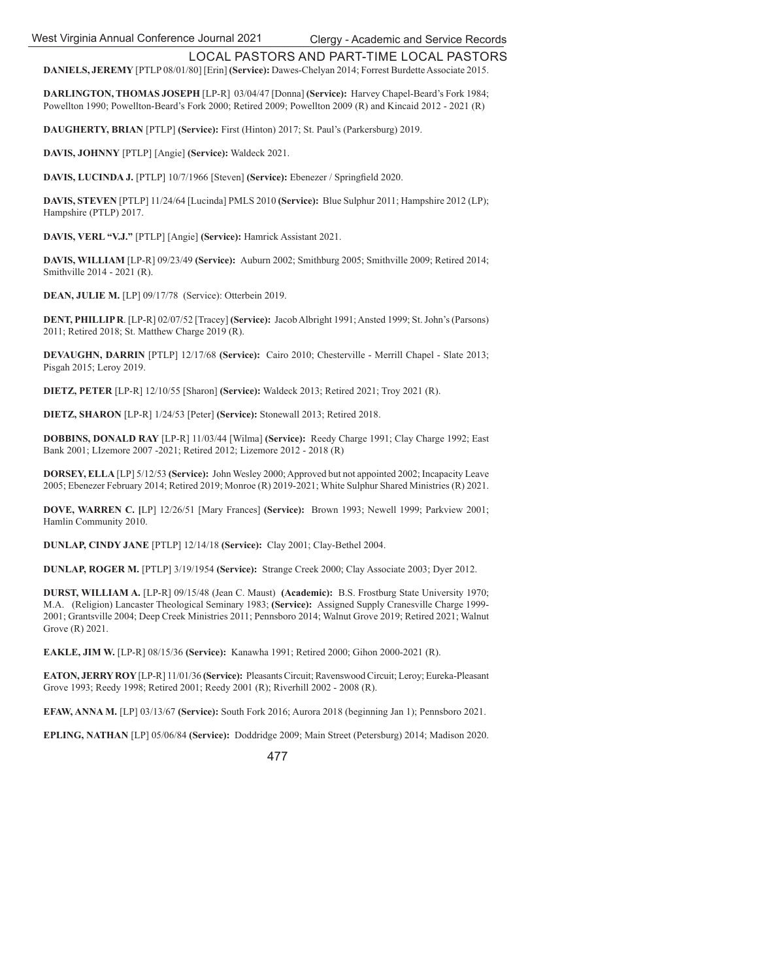**DANIELS, JEREMY** [PTLP 08/01/80] [Erin] **(Service):** Dawes-Chelyan 2014; Forrest Burdette Associate 2015.

**DARLINGTON, THOMAS JOSEPH** [LP-R] 03/04/47 [Donna] **(Service):** Harvey Chapel-Beard's Fork 1984; Powellton 1990; Powellton-Beard's Fork 2000; Retired 2009; Powellton 2009 (R) and Kincaid 2012 - 2021 (R)

**DAUGHERTY, BRIAN** [PTLP] **(Service):** First (Hinton) 2017; St. Paul's (Parkersburg) 2019.

**DAVIS, JOHNNY** [PTLP] [Angie] **(Service):** Waldeck 2021.

**DAVIS, LUCINDA J.** [PTLP] 10/7/1966 [Steven] **(Service):** Ebenezer / Springfield 2020.

**DAVIS, STEVEN** [PTLP] 11/24/64 [Lucinda] PMLS 2010 **(Service):** Blue Sulphur 2011; Hampshire 2012 (LP); Hampshire (PTLP) 2017.

**DAVIS, VERL "V.J."** [PTLP] [Angie] **(Service):** Hamrick Assistant 2021.

**DAVIS, WILLIAM** [LP-R] 09/23/49 **(Service):** Auburn 2002; Smithburg 2005; Smithville 2009; Retired 2014; Smithville 2014 - 2021 (R).

**DEAN, JULIE M.** [LP] 09/17/78 (Service): Otterbein 2019.

**DENT, PHILLIP R**. [LP-R] 02/07/52 [Tracey] **(Service):** Jacob Albright 1991; Ansted 1999; St. John's (Parsons) 2011; Retired 2018; St. Matthew Charge 2019 (R).

**DEVAUGHN, DARRIN** [PTLP] 12/17/68 **(Service):** Cairo 2010; Chesterville - Merrill Chapel - Slate 2013; Pisgah 2015; Leroy 2019.

**DIETZ, PETER** [LP-R] 12/10/55 [Sharon] **(Service):** Waldeck 2013; Retired 2021; Troy 2021 (R).

**DIETZ, SHARON** [LP-R] 1/24/53 [Peter] **(Service):** Stonewall 2013; Retired 2018.

**DOBBINS, DONALD RAY** [LP-R] 11/03/44 [Wilma] **(Service):** Reedy Charge 1991; Clay Charge 1992; East Bank 2001; LIzemore 2007 -2021; Retired 2012; Lizemore 2012 - 2018 (R)

**DORSEY, ELLA** [LP] 5/12/53 **(Service):** John Wesley 2000; Approved but not appointed 2002; Incapacity Leave 2005; Ebenezer February 2014; Retired 2019; Monroe (R) 2019-2021; White Sulphur Shared Ministries (R) 2021.

**DOVE, WARREN C. [**LP] 12/26/51 [Mary Frances] **(Service):** Brown 1993; Newell 1999; Parkview 2001; Hamlin Community 2010.

**DUNLAP, CINDY JANE** [PTLP] 12/14/18 **(Service):** Clay 2001; Clay-Bethel 2004.

**DUNLAP, ROGER M.** [PTLP] 3/19/1954 **(Service):** Strange Creek 2000; Clay Associate 2003; Dyer 2012.

**DURST, WILLIAM A.** [LP-R] 09/15/48 (Jean C. Maust) **(Academic):** B.S. Frostburg State University 1970; M.A. (Religion) Lancaster Theological Seminary 1983; **(Service):** Assigned Supply Cranesville Charge 1999- 2001; Grantsville 2004; Deep Creek Ministries 2011; Pennsboro 2014; Walnut Grove 2019; Retired 2021; Walnut Grove (R) 2021.

**EAKLE, JIM W.** [LP-R] 08/15/36 **(Service):** Kanawha 1991; Retired 2000; Gihon 2000-2021 (R).

**EATON, JERRY ROY** [LP-R] 11/01/36 **(Service):** Pleasants Circuit; Ravenswood Circuit; Leroy; Eureka-Pleasant Grove 1993; Reedy 1998; Retired 2001; Reedy 2001 (R); Riverhill 2002 - 2008 (R).

**EFAW, ANNA M.** [LP] 03/13/67 **(Service):** South Fork 2016; Aurora 2018 (beginning Jan 1); Pennsboro 2021.

**EPLING, NATHAN** [LP] 05/06/84 **(Service):** Doddridge 2009; Main Street (Petersburg) 2014; Madison 2020.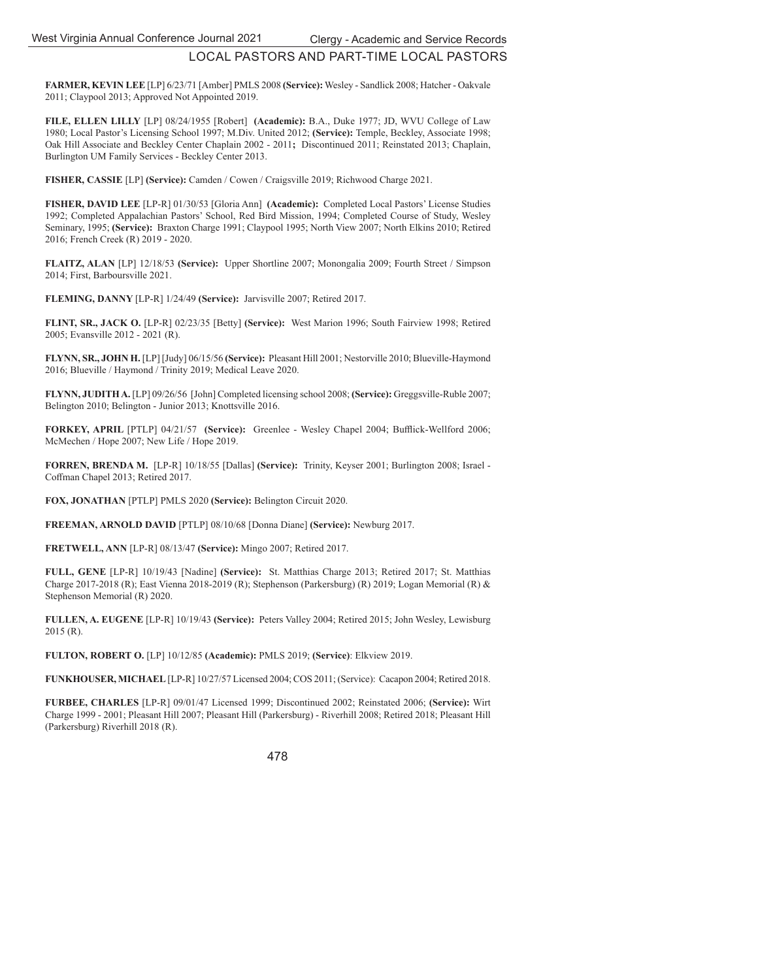**FARMER, KEVIN LEE** [LP] 6/23/71 [Amber] PMLS 2008 **(Service):** Wesley - Sandlick 2008; Hatcher - Oakvale 2011; Claypool 2013; Approved Not Appointed 2019.

**FILE, ELLEN LILLY** [LP] 08/24/1955 [Robert] **(Academic):** B.A., Duke 1977; JD, WVU College of Law 1980; Local Pastor's Licensing School 1997; M.Div. United 2012; **(Service):** Temple, Beckley, Associate 1998; Oak Hill Associate and Beckley Center Chaplain 2002 - 2011**;** Discontinued 2011; Reinstated 2013; Chaplain, Burlington UM Family Services - Beckley Center 2013.

**FISHER, CASSIE** [LP] **(Service):** Camden / Cowen / Craigsville 2019; Richwood Charge 2021.

**FISHER, DAVID LEE** [LP-R] 01/30/53 [Gloria Ann] **(Academic):** Completed Local Pastors' License Studies 1992; Completed Appalachian Pastors' School, Red Bird Mission, 1994; Completed Course of Study, Wesley Seminary, 1995; **(Service):** Braxton Charge 1991; Claypool 1995; North View 2007; North Elkins 2010; Retired 2016; French Creek (R) 2019 - 2020.

**FLAITZ, ALAN** [LP] 12/18/53 **(Service):** Upper Shortline 2007; Monongalia 2009; Fourth Street / Simpson 2014; First, Barboursville 2021.

**FLEMING, DANNY** [LP-R] 1/24/49 **(Service):** Jarvisville 2007; Retired 2017.

**FLINT, SR., JACK O.** [LP-R] 02/23/35 [Betty] **(Service):** West Marion 1996; South Fairview 1998; Retired 2005; Evansville 2012 - 2021 (R).

**FLYNN, SR., JOHN H.** [LP] [Judy] 06/15/56 **(Service):** Pleasant Hill 2001; Nestorville 2010; Blueville-Haymond 2016; Blueville / Haymond / Trinity 2019; Medical Leave 2020.

**FLYNN, JUDITH A.** [LP] 09/26/56 [John] Completed licensing school 2008; **(Service):** Greggsville-Ruble 2007; Belington 2010; Belington - Junior 2013; Knottsville 2016.

**FORKEY, APRIL [PTLP] 04/21/57 (Service):** Greenlee - Wesley Chapel 2004; Bufflick-Wellford 2006; McMechen / Hope 2007; New Life / Hope 2019.

**FORREN, BRENDA M.** [LP-R] 10/18/55 [Dallas] **(Service):** Trinity, Keyser 2001; Burlington 2008; Israel - Coffman Chapel 2013; Retired 2017.

**FOX, JONATHAN** [PTLP] PMLS 2020 **(Service):** Belington Circuit 2020.

**FREEMAN, ARNOLD DAVID** [PTLP] 08/10/68 [Donna Diane] **(Service):** Newburg 2017.

**FRETWELL, ANN** [LP-R] 08/13/47 **(Service):** Mingo 2007; Retired 2017.

**FULL, GENE** [LP-R] 10/19/43 [Nadine] **(Service):** St. Matthias Charge 2013; Retired 2017; St. Matthias Charge 2017-2018 (R); East Vienna 2018-2019 (R); Stephenson (Parkersburg) (R) 2019; Logan Memorial (R) & Stephenson Memorial (R) 2020.

**FULLEN, A. EUGENE** [LP-R] 10/19/43 **(Service):** Peters Valley 2004; Retired 2015; John Wesley, Lewisburg 2015 (R).

**FULTON, ROBERT O.** [LP] 10/12/85 **(Academic):** PMLS 2019; **(Service)**: Elkview 2019.

**FUNKHOUSER, MICHAEL** [LP-R] 10/27/57 Licensed 2004; COS 2011; (Service): Cacapon 2004; Retired 2018.

**FURBEE, CHARLES** [LP-R] 09/01/47 Licensed 1999; Discontinued 2002; Reinstated 2006; **(Service):** Wirt Charge 1999 - 2001; Pleasant Hill 2007; Pleasant Hill (Parkersburg) - Riverhill 2008; Retired 2018; Pleasant Hill (Parkersburg) Riverhill 2018 (R).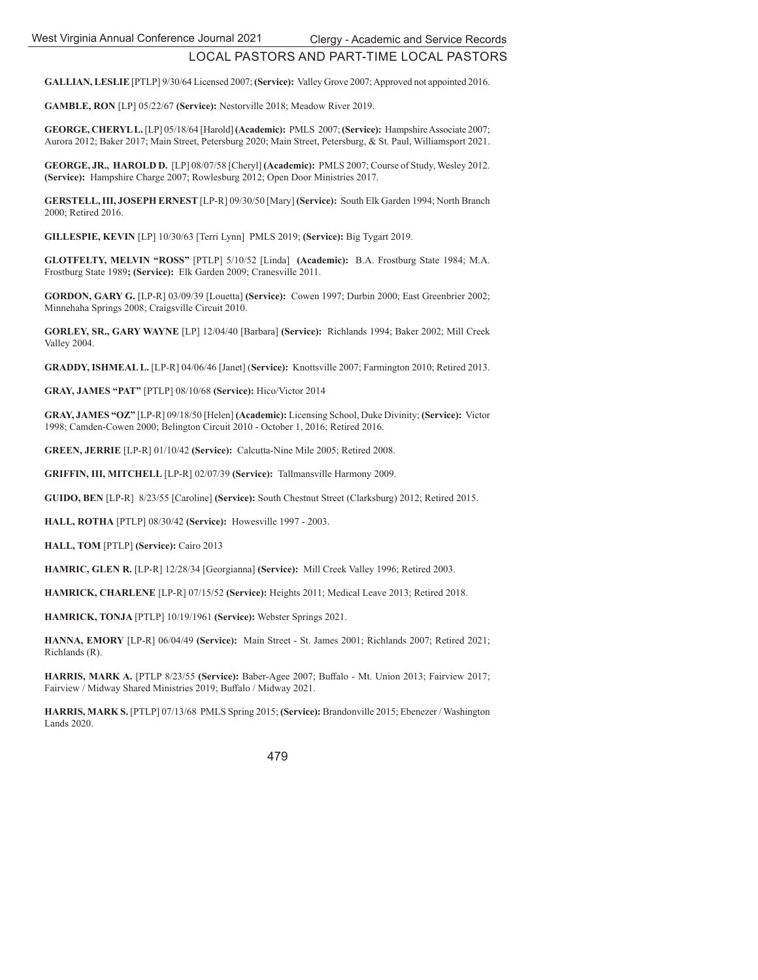**GALLIAN, LESLIE** [PTLP] 9/30/64 Licensed 2007; **(Service):** Valley Grove 2007; Approved not appointed 2016.

**GAMBLE, RON** [LP] 05/22/67 **(Service):** Nestorville 2018; Meadow River 2019.

**GEORGE, CHERYL L.** [LP] 05/18/64 [Harold] **(Academic):** PMLS 2007; **(Service):** Hampshire Associate 2007; Aurora 2012; Baker 2017; Main Street, Petersburg 2020; Main Street, Petersburg, & St. Paul, Williamsport 2021.

**GEORGE, JR., HAROLD D.** [LP] 08/07/58 [Cheryl] **(Academic):** PMLS 2007; Course of Study, Wesley 2012. **(Service):** Hampshire Charge 2007; Rowlesburg 2012; Open Door Ministries 2017.

**GERSTELL, III, JOSEPH ERNEST** [LP-R] 09/30/50 [Mary] **(Service):** South Elk Garden 1994; North Branch 2000; Retired 2016.

**GILLESPIE, KEVIN** [LP] 10/30/63 [Terri Lynn] PMLS 2019; **(Service):** Big Tygart 2019.

**GLOTFELTY, MELVIN "ROSS"** [PTLP] 5/10/52 [Linda] **(Academic):** B.A. Frostburg State 1984; M.A. Frostburg State 1989**; (Service):** Elk Garden 2009; Cranesville 2011.

**GORDON, GARY G.** [LP-R] 03/09/39 [Louetta] **(Service):** Cowen 1997; Durbin 2000; East Greenbrier 2002; Minnehaha Springs 2008; Craigsville Circuit 2010.

**GORLEY, SR., GARY WAYNE** [LP] 12/04/40 [Barbara] **(Service):** Richlands 1994; Baker 2002; Mill Creek Valley 2004.

**GRADDY, ISHMEAL L.** [LP-R] 04/06/46 [Janet] (**Service):** Knottsville 2007; Farmington 2010; Retired 2013.

**GRAY, JAMES "PAT"** [PTLP] 08/10/68 **(Service):** Hico/Victor 2014

**GRAY, JAMES "OZ"** [LP-R] 09/18/50 [Helen] **(Academic):** Licensing School, Duke Divinity; **(Service):** Victor 1998; Camden-Cowen 2000; Belington Circuit 2010 - October 1, 2016; Retired 2016.

**GREEN, JERRIE** [LP-R] 01/10/42 **(Service):** Calcutta-Nine Mile 2005; Retired 2008.

**GRIFFIN, III, MITCHELL** [LP-R] 02/07/39 **(Service):** Tallmansville Harmony 2009.

**GUIDO, BEN** [LP-R] 8/23/55 [Caroline] **(Service):** South Chestnut Street (Clarksburg) 2012; Retired 2015.

**HALL, ROTHA** [PTLP] 08/30/42 **(Service):** Howesville 1997 - 2003.

**HALL, TOM** [PTLP] **(Service):** Cairo 2013

**HAMRIC, GLEN R.** [LP-R] 12/28/34 [Georgianna] **(Service):** Mill Creek Valley 1996; Retired 2003.

**HAMRICK, CHARLENE** [LP-R] 07/15/52 **(Service):** Heights 2011; Medical Leave 2013; Retired 2018.

**HAMRICK, TONJA** [PTLP] 10/19/1961 **(Service):** Webster Springs 2021.

**HANNA, EMORY** [LP-R] 06/04/49 **(Service):** Main Street - St. James 2001; Richlands 2007; Retired 2021; Richlands (R).

**HARRIS, MARK A.** [PTLP 8/23/55 **(Service):** Baber-Agee 2007; Buff alo - Mt. Union 2013; Fairview 2017; Fairview / Midway Shared Ministries 2019; Buffalo / Midway 2021.

**HARRIS, MARK S.** [PTLP] 07/13/68 PMLS Spring 2015; **(Service):** Brandonville 2015; Ebenezer / Washington Lands 2020.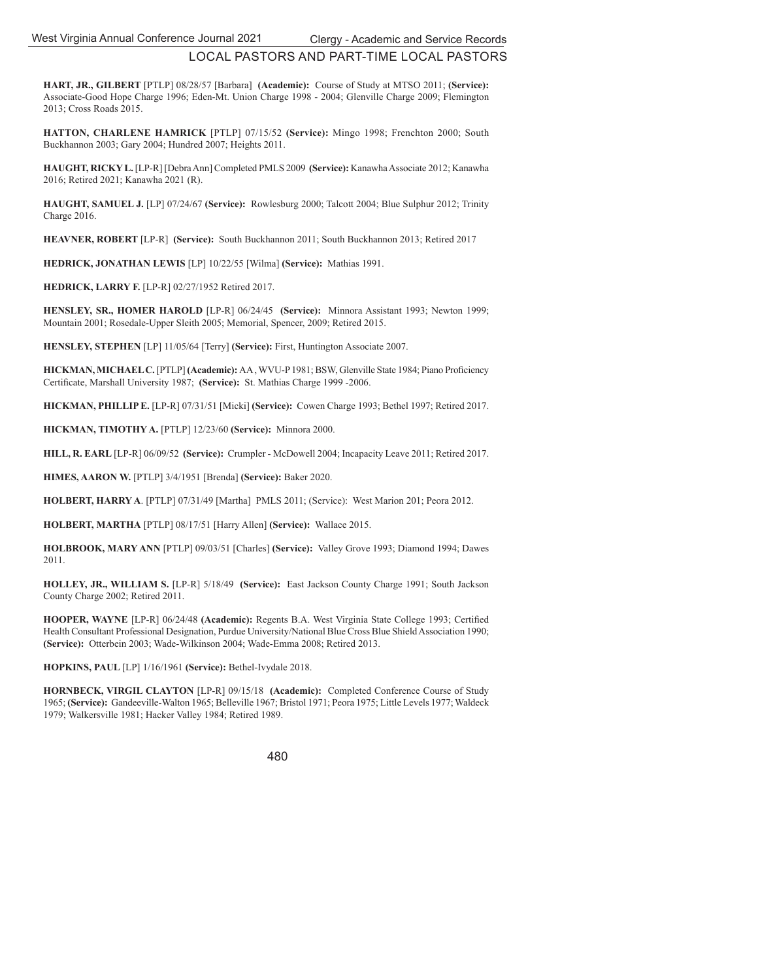**HART, JR., GILBERT** [PTLP] 08/28/57 [Barbara] **(Academic):** Course of Study at MTSO 2011; **(Service):** Associate-Good Hope Charge 1996; Eden-Mt. Union Charge 1998 - 2004; Glenville Charge 2009; Flemington 2013; Cross Roads 2015.

**HATTON, CHARLENE HAMRICK** [PTLP] 07/15/52 **(Service):** Mingo 1998; Frenchton 2000; South Buckhannon 2003; Gary 2004; Hundred 2007; Heights 2011.

**HAUGHT, RICKY L.** [LP-R] [Debra Ann] Completed PMLS 2009 **(Service):** Kanawha Associate 2012; Kanawha 2016; Retired 2021; Kanawha 2021 (R).

**HAUGHT, SAMUEL J.** [LP] 07/24/67 **(Service):** Rowlesburg 2000; Talcott 2004; Blue Sulphur 2012; Trinity Charge 2016.

**HEAVNER, ROBERT** [LP-R] **(Service):** South Buckhannon 2011; South Buckhannon 2013; Retired 2017

**HEDRICK, JONATHAN LEWIS** [LP] 10/22/55 [Wilma] **(Service):** Mathias 1991.

**HEDRICK, LARRY F.** [LP-R] 02/27/1952 Retired 2017.

**HENSLEY, SR., HOMER HAROLD** [LP-R] 06/24/45 **(Service):** Minnora Assistant 1993; Newton 1999; Mountain 2001; Rosedale-Upper Sleith 2005; Memorial, Spencer, 2009; Retired 2015.

**HENSLEY, STEPHEN** [LP] 11/05/64 [Terry] **(Service):** First, Huntington Associate 2007.

**HICKMAN, MICHAEL C.** [PTLP] **(Academic):** AA, WVU-P 1981; BSW, Glenville State 1984; Piano Proficiency Certificate, Marshall University 1987; **(Service):** St. Mathias Charge 1999 -2006.

**HICKMAN, PHILLIP E.** [LP-R] 07/31/51 [Micki] **(Service):** Cowen Charge 1993; Bethel 1997; Retired 2017.

**HICKMAN, TIMOTHY A.** [PTLP] 12/23/60 **(Service):** Minnora 2000.

**HILL, R. EARL** [LP-R] 06/09/52 **(Service):** Crumpler - McDowell 2004; Incapacity Leave 2011; Retired 2017.

**HIMES, AARON W.** [PTLP] 3/4/1951 [Brenda] **(Service):** Baker 2020.

**HOLBERT, HARRY A**. [PTLP] 07/31/49 [Martha] PMLS 2011; (Service): West Marion 201; Peora 2012.

**HOLBERT, MARTHA** [PTLP] 08/17/51 [Harry Allen] **(Service):** Wallace 2015.

**HOLBROOK, MARY ANN** [PTLP] 09/03/51 [Charles] **(Service):** Valley Grove 1993; Diamond 1994; Dawes 2011.

**HOLLEY, JR., WILLIAM S.** [LP-R] 5/18/49 **(Service):** East Jackson County Charge 1991; South Jackson County Charge 2002; Retired 2011.

**HOOPER, WAYNE** [LP-R] 06/24/48 **(Academic):** Regents B.A. West Virginia State College 1993; Certified Health Consultant Professional Designation, Purdue University/National Blue Cross Blue Shield Association 1990; **(Service):** Otterbein 2003; Wade-Wilkinson 2004; Wade-Emma 2008; Retired 2013.

**HOPKINS, PAUL** [LP] 1/16/1961 **(Service):** Bethel-Ivydale 2018.

**HORNBECK, VIRGIL CLAYTON** [LP-R] 09/15/18 **(Academic):** Completed Conference Course of Study 1965; **(Service):** Gandeeville-Walton 1965; Belleville 1967; Bristol 1971; Peora 1975; Little Levels 1977; Waldeck 1979; Walkersville 1981; Hacker Valley 1984; Retired 1989.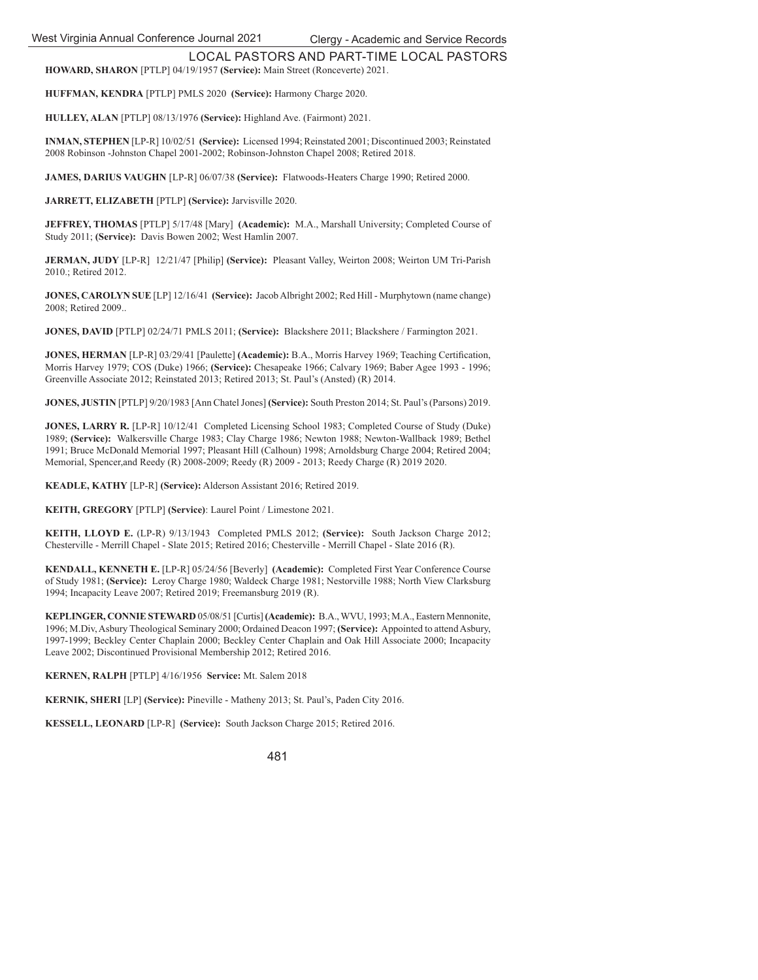LOCAL PASTORS AND PART-TIME LOCAL PASTORS **HOWARD, SHARON** [PTLP] 04/19/1957 **(Service):** Main Street (Ronceverte) 2021.

**HUFFMAN, KENDRA** [PTLP] PMLS 2020 **(Service):** Harmony Charge 2020.

**HULLEY, ALAN** [PTLP] 08/13/1976 **(Service):** Highland Ave. (Fairmont) 2021.

**INMAN, STEPHEN** [LP-R] 10/02/51 **(Service):** Licensed 1994; Reinstated 2001; Discontinued 2003; Reinstated 2008 Robinson -Johnston Chapel 2001-2002; Robinson-Johnston Chapel 2008; Retired 2018.

**JAMES, DARIUS VAUGHN** [LP-R] 06/07/38 **(Service):** Flatwoods-Heaters Charge 1990; Retired 2000.

**JARRETT, ELIZABETH** [PTLP] **(Service):** Jarvisville 2020.

**JEFFREY, THOMAS** [PTLP] 5/17/48 [Mary] **(Academic):** M.A., Marshall University; Completed Course of Study 2011; **(Service):** Davis Bowen 2002; West Hamlin 2007.

**JERMAN, JUDY** [LP-R] 12/21/47 [Philip] **(Service):** Pleasant Valley, Weirton 2008; Weirton UM Tri-Parish 2010.; Retired 2012.

**JONES, CAROLYN SUE** [LP] 12/16/41 **(Service):** Jacob Albright 2002; Red Hill - Murphytown (name change) 2008; Retired 2009..

**JONES, DAVID** [PTLP] 02/24/71 PMLS 2011; **(Service):** Blackshere 2011; Blackshere / Farmington 2021.

**JONES, HERMAN** [LP-R] 03/29/41 [Paulette] **(Academic):** B.A., Morris Harvey 1969; Teaching Certification, Morris Harvey 1979; COS (Duke) 1966; **(Service):** Chesapeake 1966; Calvary 1969; Baber Agee 1993 - 1996; Greenville Associate 2012; Reinstated 2013; Retired 2013; St. Paul's (Ansted) (R) 2014.

**JONES, JUSTIN** [PTLP] 9/20/1983 [Ann Chatel Jones] **(Service):** South Preston 2014; St. Paul's (Parsons) 2019.

**JONES, LARRY R.** [LP-R] 10/12/41 Completed Licensing School 1983; Completed Course of Study (Duke) 1989; **(Service):** Walkersville Charge 1983; Clay Charge 1986; Newton 1988; Newton-Wallback 1989; Bethel 1991; Bruce McDonald Memorial 1997; Pleasant Hill (Calhoun) 1998; Arnoldsburg Charge 2004; Retired 2004; Memorial, Spencer,and Reedy (R) 2008-2009; Reedy (R) 2009 - 2013; Reedy Charge (R) 2019 2020.

**KEADLE, KATHY** [LP-R] **(Service):** Alderson Assistant 2016; Retired 2019.

**KEITH, GREGORY** [PTLP] **(Service)**: Laurel Point / Limestone 2021.

**KEITH, LLOYD E.** (LP-R) 9/13/1943 Completed PMLS 2012; **(Service):** South Jackson Charge 2012; Chesterville - Merrill Chapel - Slate 2015; Retired 2016; Chesterville - Merrill Chapel - Slate 2016 (R).

**KENDALL, KENNETH E.** [LP-R] 05/24/56 [Beverly] **(Academic):** Completed First Year Conference Course of Study 1981; **(Service):** Leroy Charge 1980; Waldeck Charge 1981; Nestorville 1988; North View Clarksburg 1994; Incapacity Leave 2007; Retired 2019; Freemansburg 2019 (R).

**KEPLINGER, CONNIE STEWARD** 05/08/51 [Curtis] **(Academic):** B.A., WVU, 1993; M.A., Eastern Mennonite, 1996; M.Div, Asbury Theological Seminary 2000; Ordained Deacon 1997; **(Service):** Appointed to attend Asbury, 1997-1999; Beckley Center Chaplain 2000; Beckley Center Chaplain and Oak Hill Associate 2000; Incapacity Leave 2002; Discontinued Provisional Membership 2012; Retired 2016.

**KERNEN, RALPH** [PTLP] 4/16/1956 **Service:** Mt. Salem 2018

**KERNIK, SHERI** [LP] **(Service):** Pineville - Matheny 2013; St. Paul's, Paden City 2016.

**KESSELL, LEONARD** [LP-R] **(Service):** South Jackson Charge 2015; Retired 2016.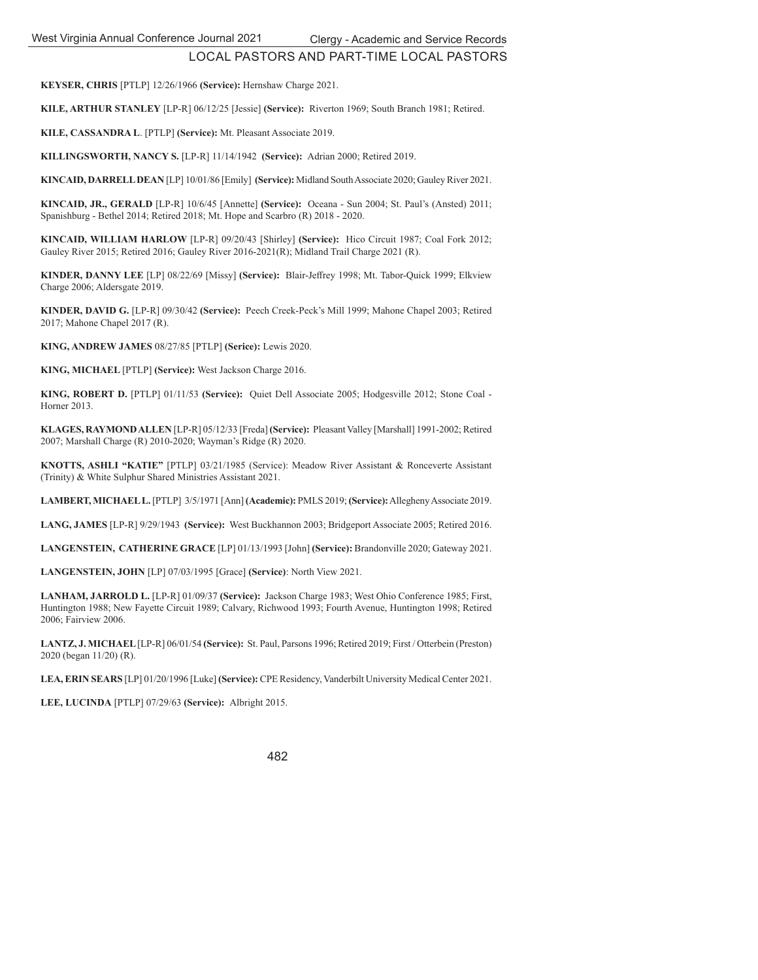**KEYSER, CHRIS** [PTLP] 12/26/1966 **(Service):** Hernshaw Charge 2021.

**KILE, ARTHUR STANLEY** [LP-R] 06/12/25 [Jessie] **(Service):** Riverton 1969; South Branch 1981; Retired.

**KILE, CASSANDRA L**. [PTLP] **(Service):** Mt. Pleasant Associate 2019.

**KILLINGSWORTH, NANCY S.** [LP-R] 11/14/1942 **(Service):** Adrian 2000; Retired 2019.

**KINCAID, DARRELL DEAN** [LP] 10/01/86 [Emily] **(Service):** Midland South Associate 2020; Gauley River 2021.

**KINCAID, JR., GERALD** [LP-R] 10/6/45 [Annette] **(Service):** Oceana - Sun 2004; St. Paul's (Ansted) 2011; Spanishburg - Bethel 2014; Retired 2018; Mt. Hope and Scarbro (R) 2018 - 2020.

**KINCAID, WILLIAM HARLOW** [LP-R] 09/20/43 [Shirley] **(Service):** Hico Circuit 1987; Coal Fork 2012; Gauley River 2015; Retired 2016; Gauley River 2016-2021(R); Midland Trail Charge 2021 (R).

**KINDER, DANNY LEE** [LP] 08/22/69 [Missy] **(Service):** Blair-Jeffrey 1998; Mt. Tabor-Quick 1999; Elkview Charge 2006; Aldersgate 2019.

**KINDER, DAVID G.** [LP-R] 09/30/42 **(Service):** Peech Creek-Peck's Mill 1999; Mahone Chapel 2003; Retired 2017; Mahone Chapel 2017 (R).

**KING, ANDREW JAMES** 08/27/85 [PTLP] **(Serice):** Lewis 2020.

**KING, MICHAEL** [PTLP] **(Service):** West Jackson Charge 2016.

**KING, ROBERT D.** [PTLP] 01/11/53 **(Service):** Quiet Dell Associate 2005; Hodgesville 2012; Stone Coal - Horner 2013.

**KLAGES, RAYMOND ALLEN** [LP-R] 05/12/33 [Freda] **(Service):** Pleasant Valley [Marshall] 1991-2002; Retired 2007; Marshall Charge (R) 2010-2020; Wayman's Ridge (R) 2020.

**KNOTTS, ASHLI "KATIE"** [PTLP] 03/21/1985 (Service): Meadow River Assistant & Ronceverte Assistant (Trinity) & White Sulphur Shared Ministries Assistant 2021.

**LAMBERT, MICHAEL L.** [PTLP] 3/5/1971 [Ann] **(Academic):** PMLS 2019; **(Service):** Allegheny Associate 2019.

**LANG, JAMES** [LP-R] 9/29/1943 **(Service):** West Buckhannon 2003; Bridgeport Associate 2005; Retired 2016.

**LANGENSTEIN, CATHERINE GRACE** [LP] 01/13/1993 [John] **(Service):** Brandonville 2020; Gateway 2021.

**LANGENSTEIN, JOHN** [LP] 07/03/1995 [Grace] **(Service)**: North View 2021.

**LANHAM, JARROLD L.** [LP-R] 01/09/37 **(Service):** Jackson Charge 1983; West Ohio Conference 1985; First, Huntington 1988; New Fayette Circuit 1989; Calvary, Richwood 1993; Fourth Avenue, Huntington 1998; Retired 2006; Fairview 2006.

**LANTZ, J. MICHAEL** [LP-R] 06/01/54 **(Service):** St. Paul, Parsons 1996; Retired 2019; First / Otterbein (Preston) 2020 (began 11/20) (R).

**LEA, ERIN SEARS** [LP] 01/20/1996 [Luke] **(Service):** CPE Residency, Vanderbilt University Medical Center 2021.

**LEE, LUCINDA** [PTLP] 07/29/63 **(Service):** Albright 2015.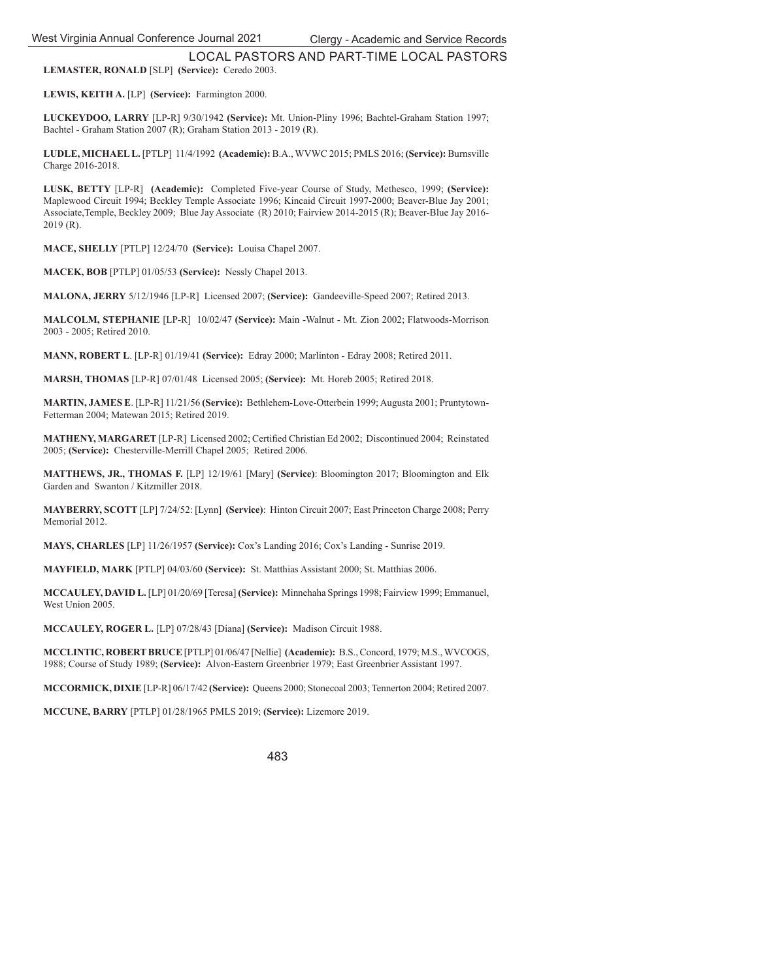LOCAL PASTORS AND PART-TIME LOCAL PASTORS **LEMASTER, RONALD** [SLP] **(Service):** Ceredo 2003.

**LEWIS, KEITH A.** [LP] **(Service):** Farmington 2000.

**LUCKEYDOO, LARRY** [LP-R] 9/30/1942 **(Service):** Mt. Union-Pliny 1996; Bachtel-Graham Station 1997; Bachtel - Graham Station 2007 (R); Graham Station 2013 - 2019 (R).

**LUDLE, MICHAEL L.** [PTLP] 11/4/1992 **(Academic):** B.A., WVWC 2015; PMLS 2016; **(Service):** Burnsville Charge 2016-2018.

**LUSK, BETTY** [LP-R] **(Academic):** Completed Five-year Course of Study, Methesco, 1999; **(Service):**  Maplewood Circuit 1994; Beckley Temple Associate 1996; Kincaid Circuit 1997-2000; Beaver-Blue Jay 2001; Associate,Temple, Beckley 2009; Blue Jay Associate (R) 2010; Fairview 2014-2015 (R); Beaver-Blue Jay 2016- 2019 (R).

**MACE, SHELLY** [PTLP] 12/24/70 **(Service):** Louisa Chapel 2007.

**MACEK, BOB** [PTLP] 01/05/53 **(Service):** Nessly Chapel 2013.

**MALONA, JERRY** 5/12/1946 [LP-R] Licensed 2007; **(Service):** Gandeeville-Speed 2007; Retired 2013.

**MALCOLM, STEPHANIE** [LP-R] 10/02/47 **(Service):** Main -Walnut - Mt. Zion 2002; Flatwoods-Morrison 2003 - 2005; Retired 2010.

**MANN, ROBERT L**. [LP-R] 01/19/41 **(Service):** Edray 2000; Marlinton - Edray 2008; Retired 2011.

**MARSH, THOMAS** [LP-R] 07/01/48 Licensed 2005; **(Service):** Mt. Horeb 2005; Retired 2018.

**MARTIN, JAMES E**. [LP-R] 11/21/56 **(Service):** Bethlehem-Love-Otterbein 1999; Augusta 2001; Pruntytown-Fetterman 2004; Matewan 2015; Retired 2019.

**MATHENY, MARGARET** [LP-R] Licensed 2002; Certified Christian Ed 2002; Discontinued 2004; Reinstated 2005; **(Service):** Chesterville-Merrill Chapel 2005; Retired 2006.

**MATTHEWS, JR., THOMAS F.** [LP] 12/19/61 [Mary] **(Service)**: Bloomington 2017; Bloomington and Elk Garden and Swanton / Kitzmiller 2018.

**MAYBERRY, SCOTT** [LP] 7/24/52: [Lynn] **(Service)**: Hinton Circuit 2007; East Princeton Charge 2008; Perry Memorial 2012.

**MAYS, CHARLES** [LP] 11/26/1957 **(Service):** Cox's Landing 2016; Cox's Landing - Sunrise 2019.

**MAYFIELD, MARK** [PTLP] 04/03/60 **(Service):** St. Matthias Assistant 2000; St. Matthias 2006.

**MCCAULEY, DAVID L.** [LP] 01/20/69 [Teresa] **(Service):** Minnehaha Springs 1998; Fairview 1999; Emmanuel, West Union 2005.

**MCCAULEY, ROGER L.** [LP] 07/28/43 [Diana] **(Service):** Madison Circuit 1988.

**MCCLINTIC, ROBERT BRUCE** [PTLP] 01/06/47 [Nellie] **(Academic):** B.S., Concord, 1979; M.S., WVCOGS, 1988; Course of Study 1989; **(Service):** Alvon-Eastern Greenbrier 1979; East Greenbrier Assistant 1997.

**MCCORMICK, DIXIE** [LP-R] 06/17/42 **(Service):** Queens 2000; Stonecoal 2003; Tennerton 2004; Retired 2007.

**MCCUNE, BARRY** [PTLP] 01/28/1965 PMLS 2019; **(Service):** Lizemore 2019.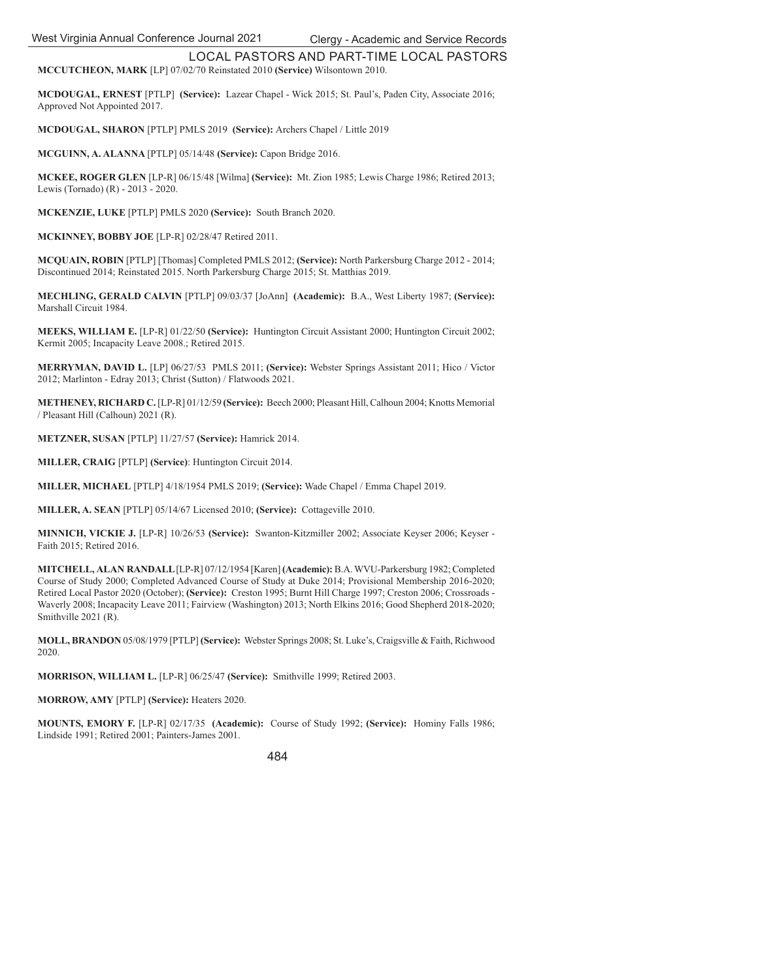LOCAL PASTORS AND PART-TIME LOCAL PASTORS **MCCUTCHEON, MARK** [LP] 07/02/70 Reinstated 2010 **(Service)** Wilsontown 2010.

**MCDOUGAL, ERNEST** [PTLP] **(Service):** Lazear Chapel - Wick 2015; St. Paul's, Paden City, Associate 2016; Approved Not Appointed 2017.

**MCDOUGAL, SHARON** [PTLP] PMLS 2019 **(Service):** Archers Chapel / Little 2019

**MCGUINN, A. ALANNA** [PTLP] 05/14/48 **(Service):** Capon Bridge 2016.

**MCKEE, ROGER GLEN** [LP-R] 06/15/48 [Wilma] **(Service):** Mt. Zion 1985; Lewis Charge 1986; Retired 2013; Lewis (Tornado) (R) - 2013 - 2020.

**MCKENZIE, LUKE** [PTLP] PMLS 2020 **(Service):** South Branch 2020.

**MCKINNEY, BOBBY JOE** [LP-R] 02/28/47 Retired 2011.

**MCQUAIN, ROBIN** [PTLP] [Thomas] Completed PMLS 2012; **(Service):** North Parkersburg Charge 2012 - 2014; Discontinued 2014; Reinstated 2015. North Parkersburg Charge 2015; St. Matthias 2019.

**MECHLING, GERALD CALVIN** [PTLP] 09/03/37 [JoAnn] **(Academic):** B.A., West Liberty 1987; **(Service):**  Marshall Circuit 1984.

**MEEKS, WILLIAM E.** [LP-R] 01/22/50 **(Service):** Huntington Circuit Assistant 2000; Huntington Circuit 2002; Kermit 2005; Incapacity Leave 2008.; Retired 2015.

**MERRYMAN, DAVID L.** [LP] 06/27/53 PMLS 2011; **(Service):** Webster Springs Assistant 2011; Hico / Victor 2012; Marlinton - Edray 2013; Christ (Sutton) / Flatwoods 2021.

**METHENEY, RICHARD C.** [LP-R] 01/12/59 **(Service):** Beech 2000; Pleasant Hill, Calhoun 2004; Knotts Memorial / Pleasant Hill (Calhoun) 2021 (R).

**METZNER, SUSAN** [PTLP] 11/27/57 **(Service):** Hamrick 2014.

**MILLER, CRAIG** [PTLP] **(Service)**: Huntington Circuit 2014.

**MILLER, MICHAEL** [PTLP] 4/18/1954 PMLS 2019; **(Service):** Wade Chapel / Emma Chapel 2019.

**MILLER, A. SEAN** [PTLP] 05/14/67 Licensed 2010; **(Service):** Cottageville 2010.

**MINNICH, VICKIE J.** [LP-R] 10/26/53 **(Service):** Swanton-Kitzmiller 2002; Associate Keyser 2006; Keyser - Faith 2015; Retired 2016.

**MITCHELL, ALAN RANDALL** [LP-R] 07/12/1954 [Karen] **(Academic):** B.A. WVU-Parkersburg 1982; Completed Course of Study 2000; Completed Advanced Course of Study at Duke 2014; Provisional Membership 2016-2020; Retired Local Pastor 2020 (October); **(Service):** Creston 1995; Burnt Hill Charge 1997; Creston 2006; Crossroads - Waverly 2008; Incapacity Leave 2011; Fairview (Washington) 2013; North Elkins 2016; Good Shepherd 2018-2020; Smithville 2021 (R).

**MOLL, BRANDON** 05/08/1979 [PTLP] **(Service):** Webster Springs 2008; St. Luke's, Craigsville & Faith, Richwood 2020.

**MORRISON, WILLIAM L.** [LP-R] 06/25/47 **(Service):** Smithville 1999; Retired 2003.

**MORROW, AMY** [PTLP] **(Service):** Heaters 2020.

**MOUNTS, EMORY F.** [LP-R] 02/17/35 **(Academic):** Course of Study 1992; **(Service):** Hominy Falls 1986; Lindside 1991; Retired 2001; Painters-James 2001.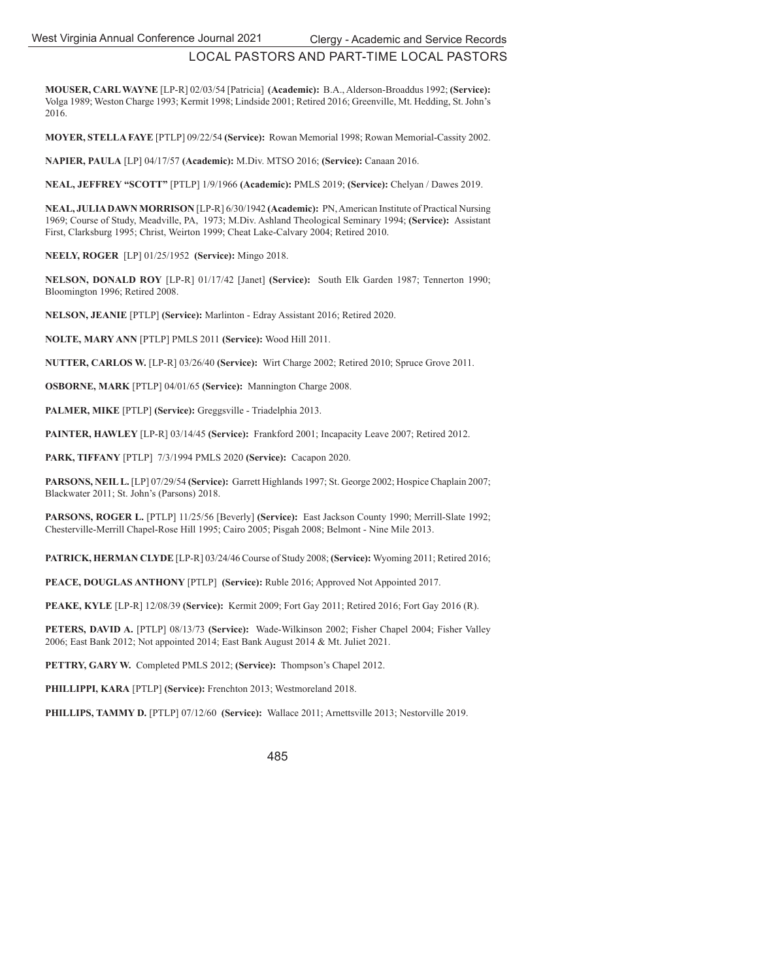**MOUSER, CARL WAYNE** [LP-R] 02/03/54 [Patricia] **(Academic):** B.A., Alderson-Broaddus 1992; **(Service):**  Volga 1989; Weston Charge 1993; Kermit 1998; Lindside 2001; Retired 2016; Greenville, Mt. Hedding, St. John's 2016.

**MOYER, STELLA FAYE** [PTLP] 09/22/54 **(Service):** Rowan Memorial 1998; Rowan Memorial-Cassity 2002.

**NAPIER, PAULA** [LP] 04/17/57 **(Academic):** M.Div. MTSO 2016; **(Service):** Canaan 2016.

**NEAL, JEFFREY "SCOTT"** [PTLP] 1/9/1966 **(Academic):** PMLS 2019; **(Service):** Chelyan / Dawes 2019.

**NEAL, JULIA DAWN MORRISON** [LP-R] 6/30/1942 **(Academic):** PN, American Institute of Practical Nursing 1969; Course of Study, Meadville, PA, 1973; M.Div. Ashland Theological Seminary 1994; **(Service):** Assistant First, Clarksburg 1995; Christ, Weirton 1999; Cheat Lake-Calvary 2004; Retired 2010.

**NEELY, ROGER** [LP] 01/25/1952 **(Service):** Mingo 2018.

**NELSON, DONALD ROY** [LP-R] 01/17/42 [Janet] **(Service):** South Elk Garden 1987; Tennerton 1990; Bloomington 1996; Retired 2008.

**NELSON, JEANIE** [PTLP] **(Service):** Marlinton - Edray Assistant 2016; Retired 2020.

**NOLTE, MARY ANN** [PTLP] PMLS 2011 **(Service):** Wood Hill 2011.

**NUTTER, CARLOS W.** [LP-R] 03/26/40 **(Service):** Wirt Charge 2002; Retired 2010; Spruce Grove 2011.

**OSBORNE, MARK** [PTLP] 04/01/65 **(Service):** Mannington Charge 2008.

**PALMER, MIKE** [PTLP] **(Service):** Greggsville - Triadelphia 2013.

**PAINTER, HAWLEY** [LP-R] 03/14/45 **(Service):** Frankford 2001; Incapacity Leave 2007; Retired 2012.

**PARK, TIFFANY** [PTLP] 7/3/1994 PMLS 2020 **(Service):** Cacapon 2020.

**PARSONS, NEIL L.** [LP] 07/29/54 **(Service):** Garrett Highlands 1997; St. George 2002; Hospice Chaplain 2007; Blackwater 2011; St. John's (Parsons) 2018.

**PARSONS, ROGER L.** [PTLP] 11/25/56 [Beverly] **(Service):** East Jackson County 1990; Merrill-Slate 1992; Chesterville-Merrill Chapel-Rose Hill 1995; Cairo 2005; Pisgah 2008; Belmont - Nine Mile 2013.

**PATRICK, HERMAN CLYDE** [LP-R] 03/24/46 Course of Study 2008; **(Service):** Wyoming 2011; Retired 2016;

**PEACE, DOUGLAS ANTHONY** [PTLP] **(Service):** Ruble 2016; Approved Not Appointed 2017.

**PEAKE, KYLE** [LP-R] 12/08/39 **(Service):** Kermit 2009; Fort Gay 2011; Retired 2016; Fort Gay 2016 (R).

**PETERS, DAVID A.** [PTLP] 08/13/73 **(Service):** Wade-Wilkinson 2002; Fisher Chapel 2004; Fisher Valley 2006; East Bank 2012; Not appointed 2014; East Bank August 2014 & Mt. Juliet 2021.

**PETTRY, GARY W.** Completed PMLS 2012; **(Service):** Thompson's Chapel 2012.

**PHILLIPPI, KARA** [PTLP] **(Service):** Frenchton 2013; Westmoreland 2018.

**PHILLIPS, TAMMY D.** [PTLP] 07/12/60 **(Service):** Wallace 2011; Arnettsville 2013; Nestorville 2019.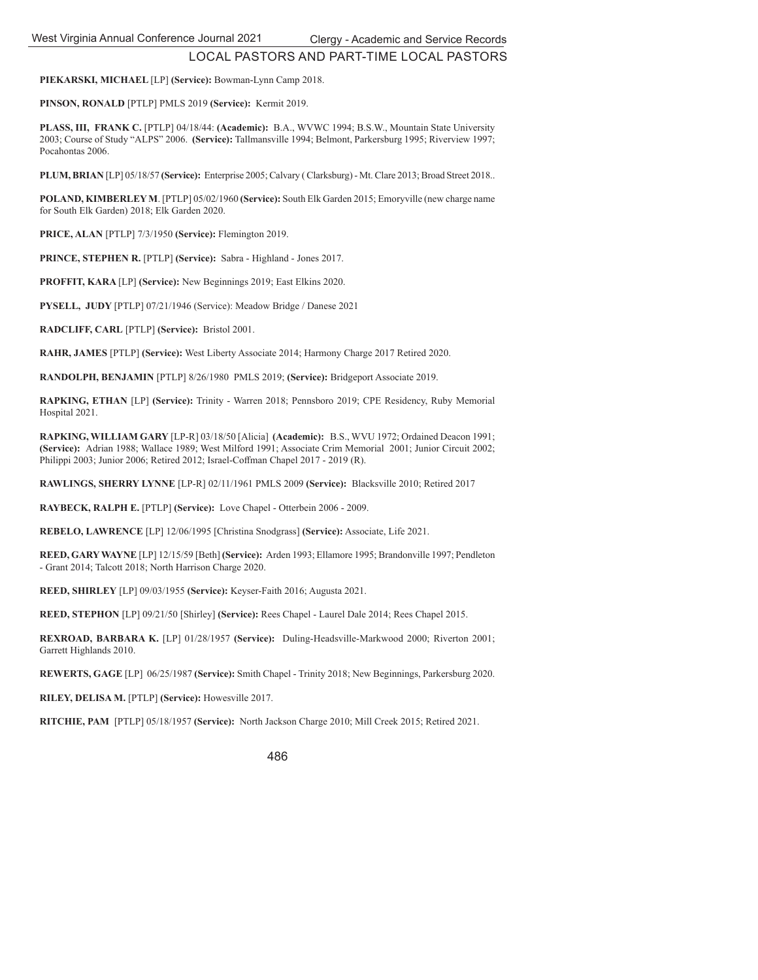**PIEKARSKI, MICHAEL** [LP] **(Service):** Bowman-Lynn Camp 2018.

**PINSON, RONALD** [PTLP] PMLS 2019 **(Service):** Kermit 2019.

**PLASS, III, FRANK C.** [PTLP] 04/18/44: **(Academic):** B.A., WVWC 1994; B.S.W., Mountain State University 2003; Course of Study "ALPS" 2006. **(Service):** Tallmansville 1994; Belmont, Parkersburg 1995; Riverview 1997; Pocahontas 2006.

**PLUM, BRIAN** [LP] 05/18/57 **(Service):** Enterprise 2005; Calvary ( Clarksburg) - Mt. Clare 2013; Broad Street 2018..

**POLAND, KIMBERLEY M**. [PTLP] 05/02/1960 **(Service):** South Elk Garden 2015; Emoryville (new charge name for South Elk Garden) 2018; Elk Garden 2020.

**PRICE, ALAN** [PTLP] 7/3/1950 **(Service):** Flemington 2019.

**PRINCE, STEPHEN R.** [PTLP] **(Service):** Sabra - Highland - Jones 2017.

**PROFFIT, KARA** [LP] **(Service):** New Beginnings 2019; East Elkins 2020.

**PYSELL, JUDY** [PTLP] 07/21/1946 (Service): Meadow Bridge / Danese 2021

**RADCLIFF, CARL** [PTLP] **(Service):** Bristol 2001.

**RAHR, JAMES** [PTLP] **(Service):** West Liberty Associate 2014; Harmony Charge 2017 Retired 2020.

**RANDOLPH, BENJAMIN** [PTLP] 8/26/1980 PMLS 2019; **(Service):** Bridgeport Associate 2019.

**RAPKING, ETHAN** [LP] **(Service):** Trinity - Warren 2018; Pennsboro 2019; CPE Residency, Ruby Memorial Hospital 2021.

**RAPKING, WILLIAM GARY** [LP-R] 03/18/50 [Alicia] **(Academic):** B.S., WVU 1972; Ordained Deacon 1991; **(Service):** Adrian 1988; Wallace 1989; West Milford 1991; Associate Crim Memorial 2001; Junior Circuit 2002; Philippi 2003; Junior 2006; Retired 2012; Israel-Coffman Chapel 2017 - 2019 (R).

**RAWLINGS, SHERRY LYNNE** [LP-R] 02/11/1961 PMLS 2009 **(Service):** Blacksville 2010; Retired 2017

**RAYBECK, RALPH E.** [PTLP] **(Service):** Love Chapel - Otterbein 2006 - 2009.

**REBELO, LAWRENCE** [LP] 12/06/1995 [Christina Snodgrass] **(Service):** Associate, Life 2021.

**REED, GARY WAYNE** [LP] 12/15/59 [Beth] **(Service):** Arden 1993; Ellamore 1995; Brandonville 1997; Pendleton - Grant 2014; Talcott 2018; North Harrison Charge 2020.

**REED, SHIRLEY** [LP] 09/03/1955 **(Service):** Keyser-Faith 2016; Augusta 2021.

**REED, STEPHON** [LP] 09/21/50 [Shirley] **(Service):** Rees Chapel - Laurel Dale 2014; Rees Chapel 2015.

**REXROAD, BARBARA K.** [LP] 01/28/1957 **(Service):** Duling-Headsville-Markwood 2000; Riverton 2001; Garrett Highlands 2010.

**REWERTS, GAGE** [LP] 06/25/1987 **(Service):** Smith Chapel - Trinity 2018; New Beginnings, Parkersburg 2020.

**RILEY, DELISA M.** [PTLP] **(Service):** Howesville 2017.

**RITCHIE, PAM** [PTLP] 05/18/1957 **(Service):** North Jackson Charge 2010; Mill Creek 2015; Retired 2021.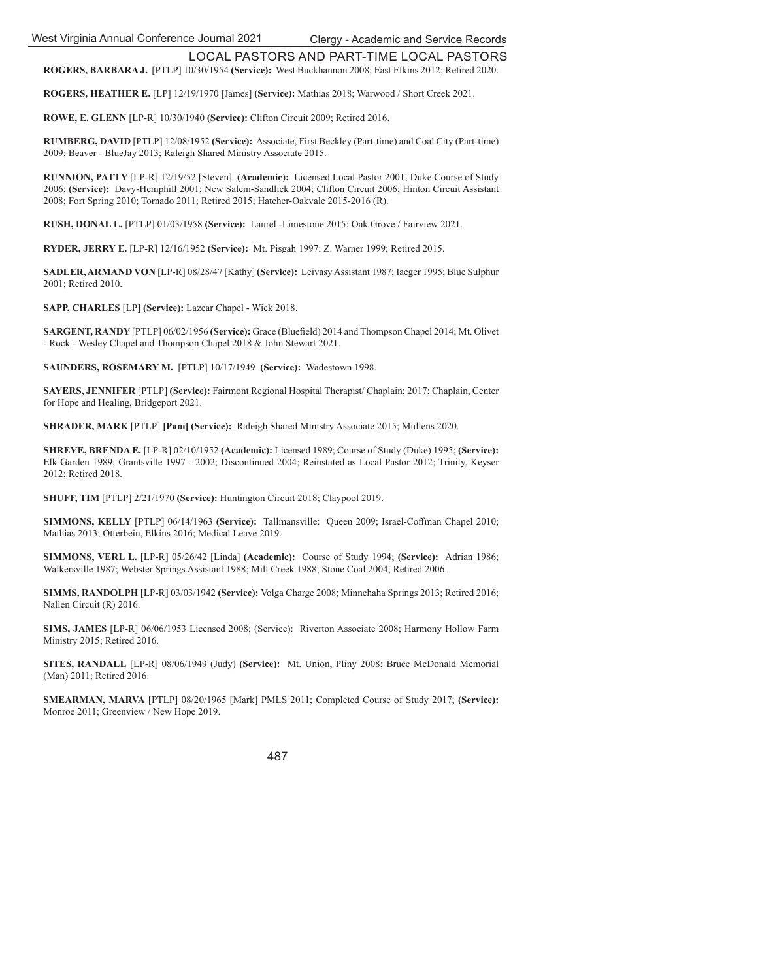**ROGERS, BARBARA J.** [PTLP] 10/30/1954 **(Service):** West Buckhannon 2008; East Elkins 2012; Retired 2020.

**ROGERS, HEATHER E.** [LP] 12/19/1970 [James] **(Service):** Mathias 2018; Warwood / Short Creek 2021.

**ROWE, E. GLENN** [LP-R] 10/30/1940 **(Service):** Clifton Circuit 2009; Retired 2016.

**RUMBERG, DAVID** [PTLP] 12/08/1952 **(Service):** Associate, First Beckley (Part-time) and Coal City (Part-time) 2009; Beaver - BlueJay 2013; Raleigh Shared Ministry Associate 2015.

**RUNNION, PATTY** [LP-R] 12/19/52 [Steven] **(Academic):** Licensed Local Pastor 2001; Duke Course of Study 2006; **(Service):** Davy-Hemphill 2001; New Salem-Sandlick 2004; Clifton Circuit 2006; Hinton Circuit Assistant 2008; Fort Spring 2010; Tornado 2011; Retired 2015; Hatcher-Oakvale 2015-2016 (R).

**RUSH, DONAL L.** [PTLP] 01/03/1958 **(Service):** Laurel -Limestone 2015; Oak Grove / Fairview 2021.

**RYDER, JERRY E.** [LP-R] 12/16/1952 **(Service):** Mt. Pisgah 1997; Z. Warner 1999; Retired 2015.

**SADLER, ARMAND VON** [LP-R] 08/28/47 [Kathy] **(Service):** Leivasy Assistant 1987; Iaeger 1995; Blue Sulphur 2001; Retired 2010.

**SAPP, CHARLES** [LP] **(Service):** Lazear Chapel - Wick 2018.

**SARGENT, RANDY [PTLP] 06/02/1956 (Service):** Grace (Bluefield) 2014 and Thompson Chapel 2014; Mt. Olivet - Rock - Wesley Chapel and Thompson Chapel 2018 & John Stewart 2021.

**SAUNDERS, ROSEMARY M.** [PTLP] 10/17/1949 **(Service):** Wadestown 1998.

**SAYERS, JENNIFER** [PTLP] **(Service):** Fairmont Regional Hospital Therapist/ Chaplain; 2017; Chaplain, Center for Hope and Healing, Bridgeport 2021.

**SHRADER, MARK** [PTLP] **[Pam] (Service):** Raleigh Shared Ministry Associate 2015; Mullens 2020.

**SHREVE, BRENDA E.** [LP-R] 02/10/1952 **(Academic):** Licensed 1989; Course of Study (Duke) 1995; **(Service):** Elk Garden 1989; Grantsville 1997 - 2002; Discontinued 2004; Reinstated as Local Pastor 2012; Trinity, Keyser 2012; Retired 2018.

**SHUFF, TIM** [PTLP] 2/21/1970 **(Service):** Huntington Circuit 2018; Claypool 2019.

**SIMMONS, KELLY** [PTLP] 06/14/1963 (Service): Tallmansville: Queen 2009; Israel-Coffman Chapel 2010; Mathias 2013; Otterbein, Elkins 2016; Medical Leave 2019.

**SIMMONS, VERL L.** [LP-R] 05/26/42 [Linda] **(Academic):** Course of Study 1994; **(Service):** Adrian 1986; Walkersville 1987; Webster Springs Assistant 1988; Mill Creek 1988; Stone Coal 2004; Retired 2006.

**SIMMS, RANDOLPH** [LP-R] 03/03/1942 **(Service):** Volga Charge 2008; Minnehaha Springs 2013; Retired 2016; Nallen Circuit (R) 2016.

**SIMS, JAMES** [LP-R] 06/06/1953 Licensed 2008; (Service): Riverton Associate 2008; Harmony Hollow Farm Ministry 2015; Retired 2016.

**SITES, RANDALL** [LP-R] 08/06/1949 (Judy) **(Service):** Mt. Union, Pliny 2008; Bruce McDonald Memorial (Man) 2011; Retired 2016.

**SMEARMAN, MARVA** [PTLP] 08/20/1965 [Mark] PMLS 2011; Completed Course of Study 2017; **(Service):**  Monroe 2011; Greenview / New Hope 2019.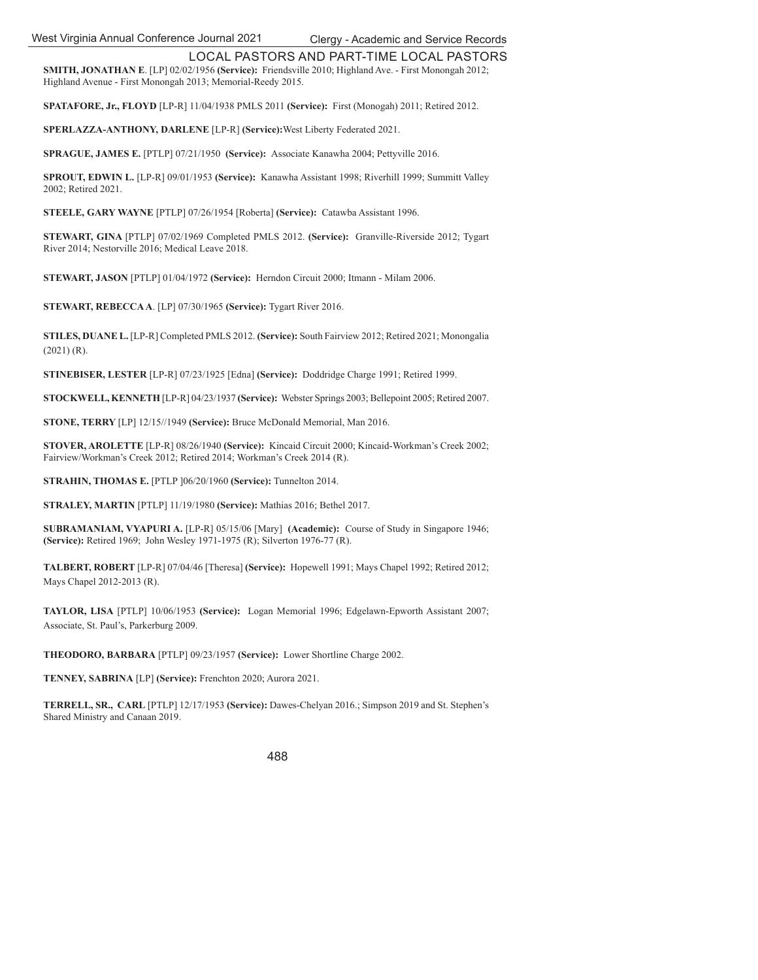**SMITH, JONATHAN E**. [LP] 02/02/1956 **(Service):** Friendsville 2010; Highland Ave. - First Monongah 2012; Highland Avenue - First Monongah 2013; Memorial-Reedy 2015.

**SPATAFORE, Jr., FLOYD** [LP-R] 11/04/1938 PMLS 2011 **(Service):** First (Monogah) 2011; Retired 2012.

**SPERLAZZA-ANTHONY, DARLENE** [LP-R] **(Service):**West Liberty Federated 2021.

**SPRAGUE, JAMES E.** [PTLP] 07/21/1950 **(Service):** Associate Kanawha 2004; Pettyville 2016.

**SPROUT, EDWIN L.** [LP-R] 09/01/1953 **(Service):** Kanawha Assistant 1998; Riverhill 1999; Summitt Valley 2002; Retired 2021.

**STEELE, GARY WAYNE** [PTLP] 07/26/1954 [Roberta] **(Service):** Catawba Assistant 1996.

**STEWART, GINA** [PTLP] 07/02/1969 Completed PMLS 2012. **(Service):** Granville-Riverside 2012; Tygart River 2014; Nestorville 2016; Medical Leave 2018.

**STEWART, JASON** [PTLP] 01/04/1972 **(Service):** Herndon Circuit 2000; Itmann - Milam 2006.

**STEWART, REBECCA A**. [LP] 07/30/1965 **(Service):** Tygart River 2016.

**STILES, DUANE L.** [LP-R] Completed PMLS 2012. **(Service):** South Fairview 2012; Retired 2021; Monongalia (2021) (R).

**STINEBISER, LESTER** [LP-R] 07/23/1925 [Edna] **(Service):** Doddridge Charge 1991; Retired 1999.

**STOCKWELL, KENNETH** [LP-R] 04/23/1937 **(Service):** Webster Springs 2003; Bellepoint 2005; Retired 2007.

**STONE, TERRY** [LP] 12/15//1949 **(Service):** Bruce McDonald Memorial, Man 2016.

**STOVER, AROLETTE** [LP-R] 08/26/1940 **(Service):** Kincaid Circuit 2000; Kincaid-Workman's Creek 2002; Fairview/Workman's Creek 2012; Retired 2014; Workman's Creek 2014 (R).

**STRAHIN, THOMAS E.** [PTLP ]06/20/1960 **(Service):** Tunnelton 2014.

**STRALEY, MARTIN** [PTLP] 11/19/1980 **(Service):** Mathias 2016; Bethel 2017.

**SUBRAMANIAM, VYAPURI A.** [LP-R] 05/15/06 [Mary] **(Academic):** Course of Study in Singapore 1946; **(Service):** Retired 1969;John Wesley 1971-1975 (R); Silverton 1976-77 (R).

**TALBERT, ROBERT** [LP-R] 07/04/46 [Theresa] **(Service):** Hopewell 1991; Mays Chapel 1992; Retired 2012; Mays Chapel 2012-2013 (R).

**TAYLOR, LISA** [PTLP] 10/06/1953 **(Service):** Logan Memorial 1996; Edgelawn-Epworth Assistant 2007; Associate, St. Paul's, Parkerburg 2009.

**THEODORO, BARBARA** [PTLP] 09/23/1957 **(Service):** Lower Shortline Charge 2002.

**TENNEY, SABRINA** [LP] **(Service):** Frenchton 2020; Aurora 2021.

**TERRELL, SR., CARL** [PTLP] 12/17/1953 **(Service):** Dawes-Chelyan 2016.; Simpson 2019 and St. Stephen's Shared Ministry and Canaan 2019.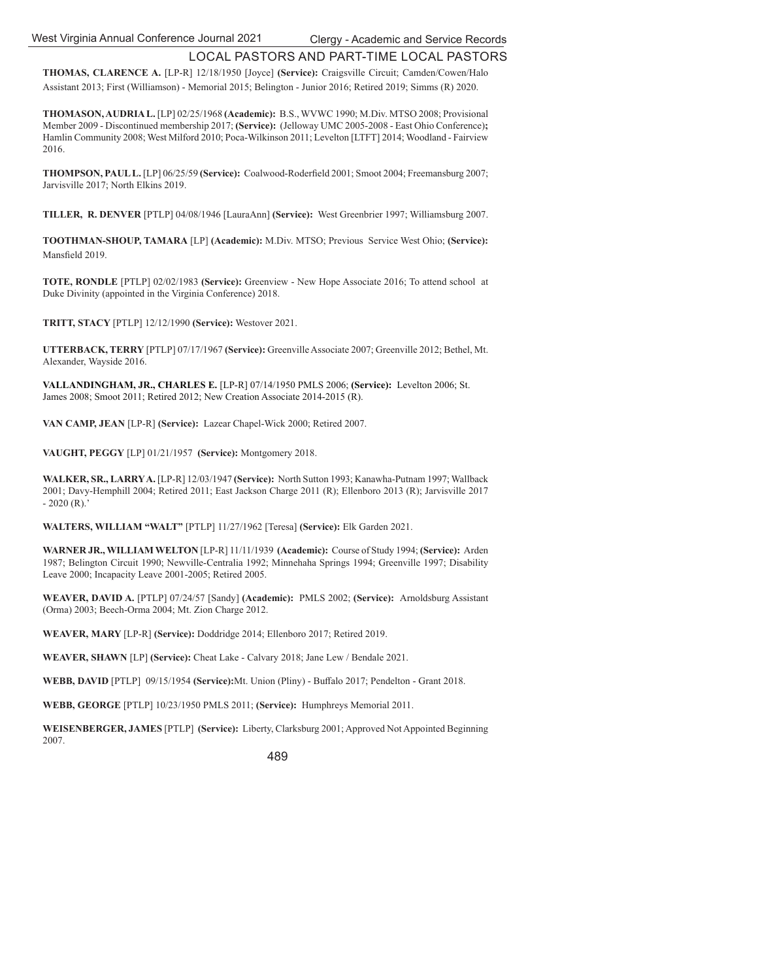**THOMAS, CLARENCE A.** [LP-R] 12/18/1950 [Joyce] **(Service):** Craigsville Circuit; Camden/Cowen/Halo Assistant 2013; First (Williamson) - Memorial 2015; Belington - Junior 2016; Retired 2019; Simms (R) 2020.

**THOMASON, AUDRIA L.** [LP] 02/25/1968 **(Academic):** B.S., WVWC 1990; M.Div. MTSO 2008; Provisional Member 2009 - Discontinued membership 2017; **(Service):** (Jelloway UMC 2005-2008 - East Ohio Conference)**;**  Hamlin Community 2008; West Milford 2010; Poca-Wilkinson 2011; Levelton [LTFT] 2014; Woodland - Fairview 2016.

**THOMPSON, PAUL L.** [LP] 06/25/59 (Service): Coalwood-Roderfield 2001; Smoot 2004; Freemansburg 2007; Jarvisville 2017; North Elkins 2019.

**TILLER, R. DENVER** [PTLP] 04/08/1946 [LauraAnn] **(Service):** West Greenbrier 1997; Williamsburg 2007.

**TOOTHMAN-SHOUP, TAMARA** [LP] **(Academic):** M.Div. MTSO; Previous Service West Ohio; **(Service):** Mansfield 2019.

**TOTE, RONDLE** [PTLP] 02/02/1983 **(Service):** Greenview - New Hope Associate 2016; To attend school at Duke Divinity (appointed in the Virginia Conference) 2018.

**TRITT, STACY** [PTLP] 12/12/1990 **(Service):** Westover 2021.

**UTTERBACK, TERRY** [PTLP] 07/17/1967 **(Service):** Greenville Associate 2007; Greenville 2012; Bethel, Mt. Alexander, Wayside 2016.

**VALLANDINGHAM, JR., CHARLES E.** [LP-R] 07/14/1950 PMLS 2006; **(Service):** Levelton 2006; St. James 2008; Smoot 2011; Retired 2012; New Creation Associate 2014-2015 (R).

**VAN CAMP, JEAN** [LP-R] **(Service):** Lazear Chapel-Wick 2000; Retired 2007.

**VAUGHT, PEGGY** [LP] 01/21/1957 **(Service):** Montgomery 2018.

**WALKER, SR., LARRY A.** [LP-R] 12/03/1947 **(Service):** North Sutton 1993; Kanawha-Putnam 1997; Wallback 2001; Davy-Hemphill 2004; Retired 2011; East Jackson Charge 2011 (R); Ellenboro 2013 (R); Jarvisville 2017  $-2020$  (R).'

**WALTERS, WILLIAM "WALT"** [PTLP] 11/27/1962 [Teresa] **(Service):** Elk Garden 2021.

**WARNER JR., WILLIAM WELTON** [LP-R] 11/11/1939 **(Academic):** Course of Study 1994; **(Service):** Arden 1987; Belington Circuit 1990; Newville-Centralia 1992; Minnehaha Springs 1994; Greenville 1997; Disability Leave 2000; Incapacity Leave 2001-2005; Retired 2005.

**WEAVER, DAVID A.** [PTLP] 07/24/57 [Sandy] **(Academic):** PMLS 2002; **(Service):** Arnoldsburg Assistant (Orma) 2003; Beech-Orma 2004; Mt. Zion Charge 2012.

**WEAVER, MARY** [LP-R] **(Service):** Doddridge 2014; Ellenboro 2017; Retired 2019.

**WEAVER, SHAWN** [LP] **(Service):** Cheat Lake - Calvary 2018; Jane Lew / Bendale 2021.

**WEBB, DAVID** [PTLP] 09/15/1954 **(Service):**Mt. Union (Pliny) - Buffalo 2017; Pendelton - Grant 2018.

**WEBB, GEORGE** [PTLP] 10/23/1950 PMLS 2011; **(Service):** Humphreys Memorial 2011.

**WEISENBERGER, JAMES** [PTLP] **(Service):** Liberty, Clarksburg 2001; Approved Not Appointed Beginning 2007.